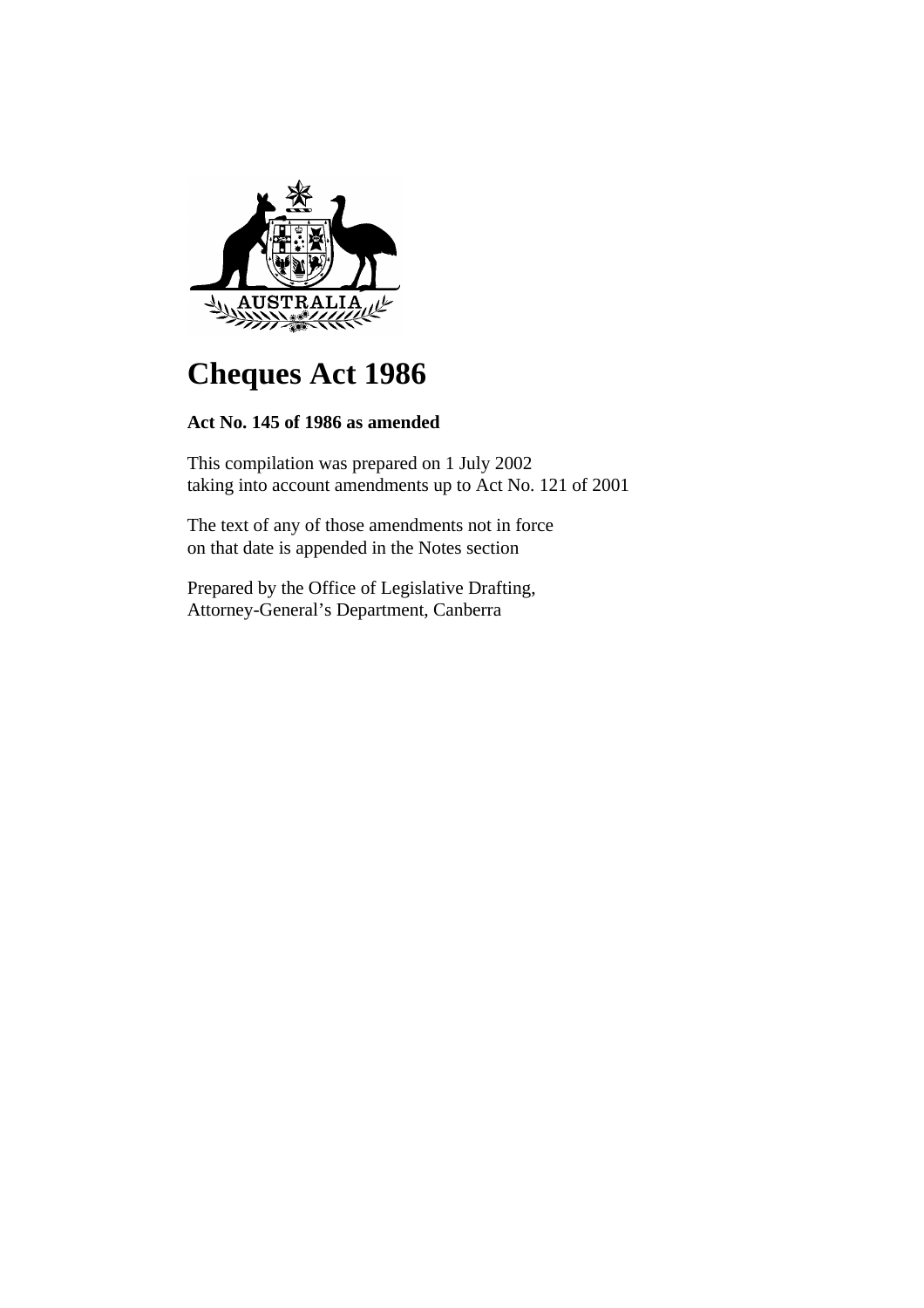

# **Cheques Act 1986**

# **Act No. 145 of 1986 as amended**

This compilation was prepared on 1 July 2002 taking into account amendments up to Act No. 121 of 2001

The text of any of those amendments not in force on that date is appended in the Notes section

Prepared by the Office of Legislative Drafting, Attorney-General's Department, Canberra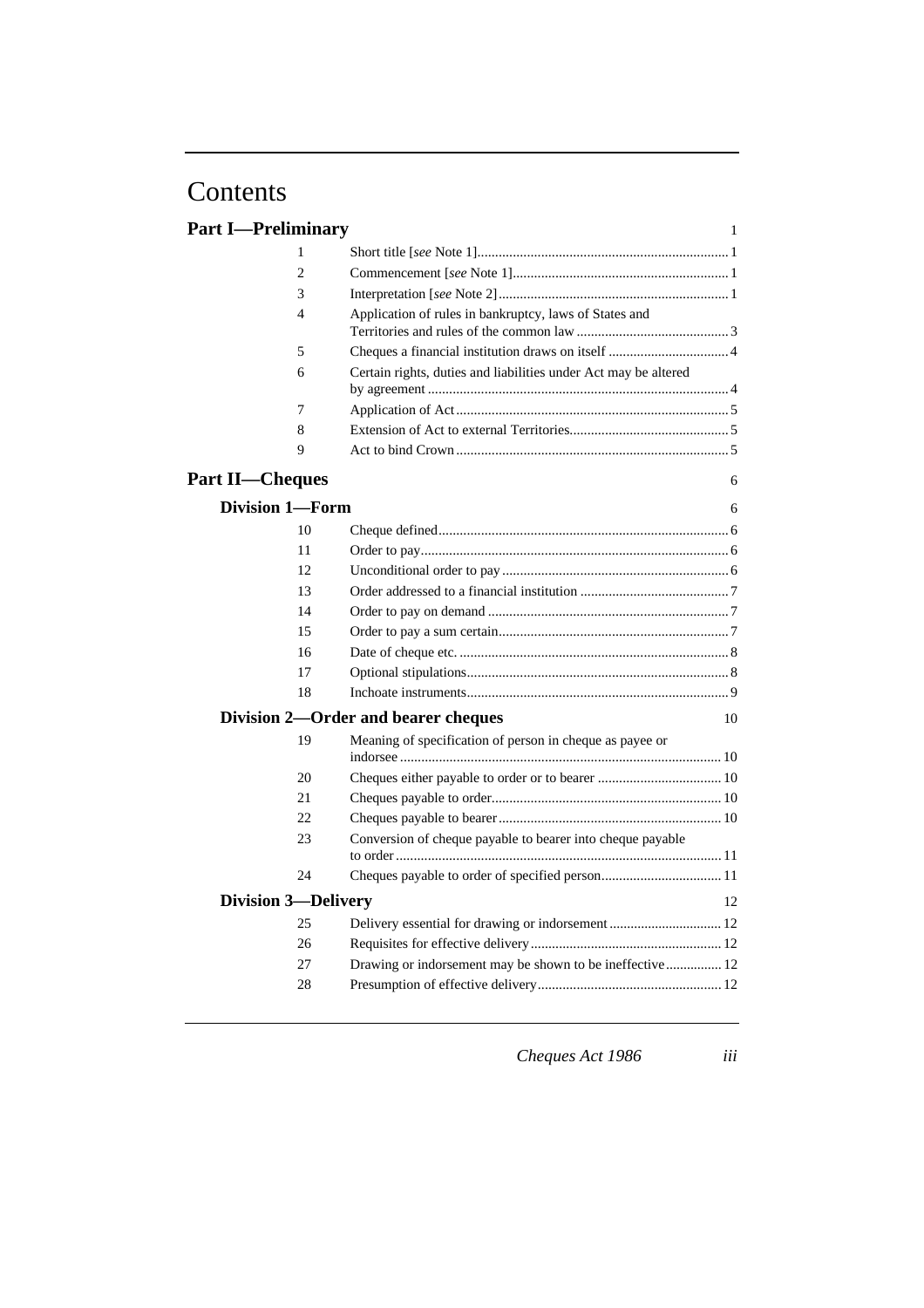# Contents

| <b>Part I—Preliminary</b> |                            | $\mathbf{1}$                                                    |
|---------------------------|----------------------------|-----------------------------------------------------------------|
|                           | 1                          |                                                                 |
|                           | $\overline{2}$             |                                                                 |
|                           | 3                          |                                                                 |
|                           | 4                          | Application of rules in bankruptcy, laws of States and          |
|                           |                            |                                                                 |
|                           | 5                          |                                                                 |
|                           | 6                          | Certain rights, duties and liabilities under Act may be altered |
|                           | 7                          |                                                                 |
|                           | 8                          |                                                                 |
|                           | 9                          |                                                                 |
| <b>Part II—Cheques</b>    |                            | 6                                                               |
|                           | <b>Division 1-Form</b>     | 6                                                               |
|                           | 10                         |                                                                 |
|                           | 11                         |                                                                 |
|                           | 12                         |                                                                 |
|                           | 13                         |                                                                 |
|                           | 14                         |                                                                 |
|                           | 15                         |                                                                 |
|                           | 16                         |                                                                 |
|                           | 17                         |                                                                 |
|                           | 18                         |                                                                 |
|                           |                            | Division 2-Order and bearer cheques<br>10                       |
|                           | 19                         | Meaning of specification of person in cheque as payee or        |
|                           | 20                         |                                                                 |
|                           | 21                         |                                                                 |
|                           | 22                         |                                                                 |
|                           | 23                         | Conversion of cheque payable to bearer into cheque payable      |
|                           | 24                         |                                                                 |
|                           | <b>Division 3-Delivery</b> | 12                                                              |
|                           | 25                         |                                                                 |
|                           | 26                         |                                                                 |
|                           | 27                         | Drawing or indorsement may be shown to be ineffective  12       |
|                           | 28                         |                                                                 |
|                           |                            |                                                                 |

*Cheques Act 1986 iii*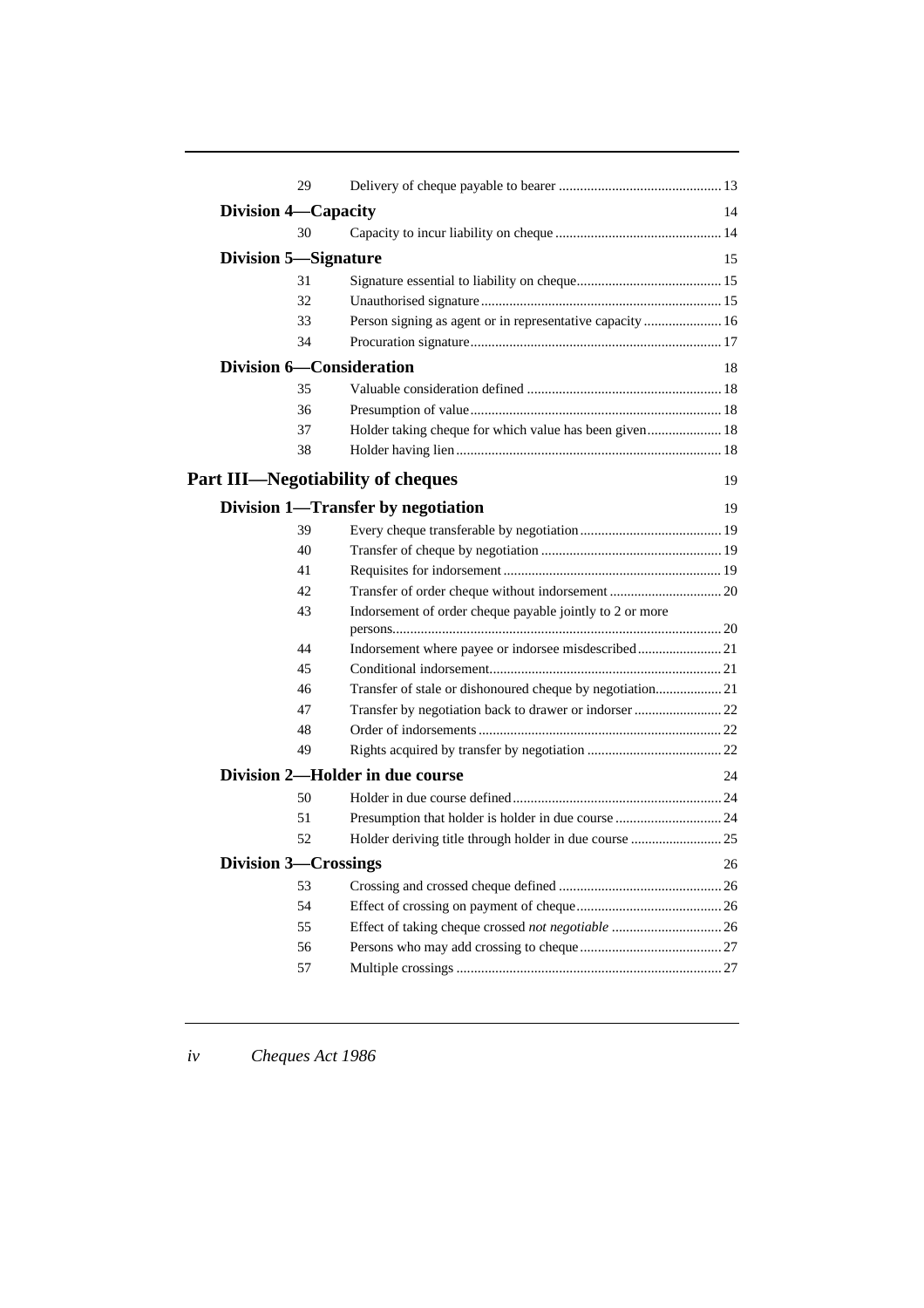| 29                                       |                                                           |    |
|------------------------------------------|-----------------------------------------------------------|----|
| <b>Division 4—Capacity</b>               |                                                           | 14 |
| 30                                       |                                                           |    |
| <b>Division 5—Signature</b>              |                                                           | 15 |
| 31                                       |                                                           |    |
| 32                                       |                                                           |    |
| 33                                       | Person signing as agent or in representative capacity  16 |    |
| 34                                       |                                                           |    |
| <b>Division 6-Consideration</b>          |                                                           | 18 |
| 35                                       |                                                           |    |
| 36                                       |                                                           |    |
| 37                                       | Holder taking cheque for which value has been given 18    |    |
| 38                                       |                                                           |    |
|                                          |                                                           |    |
| <b>Part III—Negotiability of cheques</b> |                                                           | 19 |
|                                          | Division 1-Transfer by negotiation                        | 19 |
| 39                                       |                                                           |    |
| 40                                       |                                                           |    |
| 41                                       |                                                           |    |
| 42                                       |                                                           |    |
| 43                                       | Indorsement of order cheque payable jointly to 2 or more  |    |
|                                          |                                                           |    |
| 44                                       | Indorsement where payee or indorsee misdescribed21        |    |
| 45                                       |                                                           |    |
| 46                                       | Transfer of stale or dishonoured cheque by negotiation 21 |    |
| 47<br>48                                 | Transfer by negotiation back to drawer or indorser  22    |    |
| 49                                       |                                                           |    |
|                                          |                                                           |    |
|                                          | Division 2-Holder in due course                           | 24 |
| 50                                       |                                                           |    |
| 51                                       | Presumption that holder is holder in due course  24       |    |
| 52                                       | Holder deriving title through holder in due course  25    |    |
| <b>Division 3—Crossings</b>              |                                                           | 26 |
| 53                                       |                                                           |    |
| 54                                       |                                                           |    |
| 55                                       |                                                           |    |
| 56                                       |                                                           |    |
| 57                                       |                                                           |    |
|                                          |                                                           |    |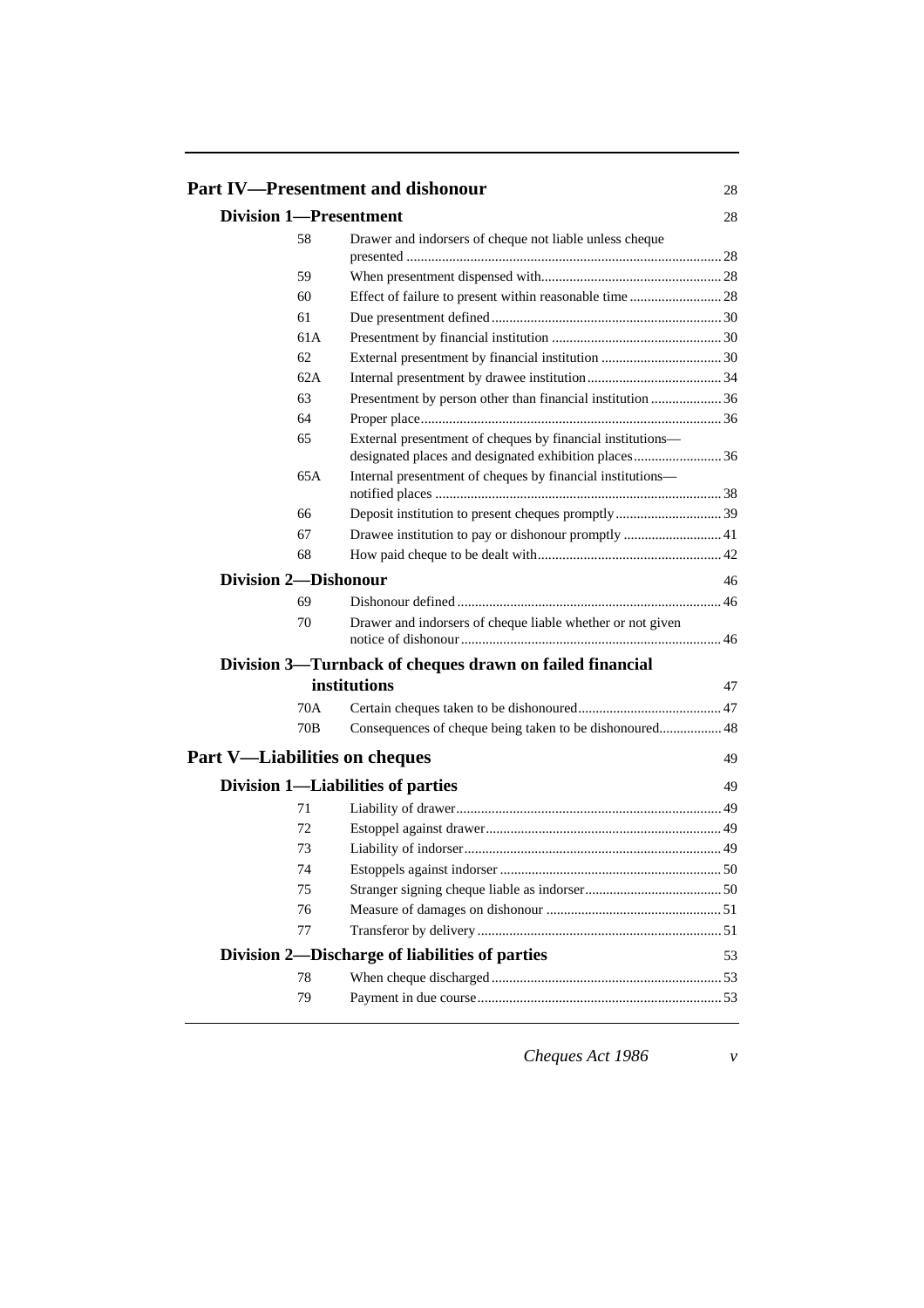|                               | <b>Part IV-Presentment and dishonour</b>                                                                           | 28 |
|-------------------------------|--------------------------------------------------------------------------------------------------------------------|----|
| <b>Division 1-Presentment</b> |                                                                                                                    | 28 |
| 58                            | Drawer and indorsers of cheque not liable unless cheque                                                            |    |
|                               |                                                                                                                    |    |
| 59                            |                                                                                                                    |    |
| 60                            | Effect of failure to present within reasonable time 28                                                             |    |
| 61                            |                                                                                                                    |    |
| 61 A                          |                                                                                                                    |    |
| 62                            |                                                                                                                    |    |
| 62A                           |                                                                                                                    |    |
| 63                            | Presentment by person other than financial institution 36                                                          |    |
| 64                            |                                                                                                                    |    |
| 65                            | External presentment of cheques by financial institutions-<br>designated places and designated exhibition places36 |    |
| 65A                           | Internal presentment of cheques by financial institutions-                                                         |    |
| 66                            | Deposit institution to present cheques promptly 39                                                                 |    |
| 67                            |                                                                                                                    |    |
| 68                            |                                                                                                                    |    |
| <b>Division 2—Dishonour</b>   |                                                                                                                    | 46 |
| 69                            |                                                                                                                    |    |
| 70                            | Drawer and indorsers of cheque liable whether or not given                                                         |    |
|                               | Division 3—Turnback of cheques drawn on failed financial                                                           |    |
|                               | institutions                                                                                                       | 47 |
| 70A                           |                                                                                                                    |    |
| 70B                           | Consequences of cheque being taken to be dishonoured 48                                                            |    |
|                               | <b>Part V—Liabilities on cheques</b>                                                                               | 49 |
|                               |                                                                                                                    |    |
|                               | Division 1-Liabilities of parties                                                                                  | 49 |
| 71                            |                                                                                                                    |    |
| 72                            |                                                                                                                    |    |
| 73                            |                                                                                                                    |    |
| 74                            |                                                                                                                    |    |
| 75                            |                                                                                                                    |    |
| 76                            |                                                                                                                    |    |
| 77                            |                                                                                                                    |    |
|                               | Division 2—Discharge of liabilities of parties                                                                     | 53 |
| 78                            |                                                                                                                    |    |
| 79                            |                                                                                                                    |    |

*Cheques Act 1986 v*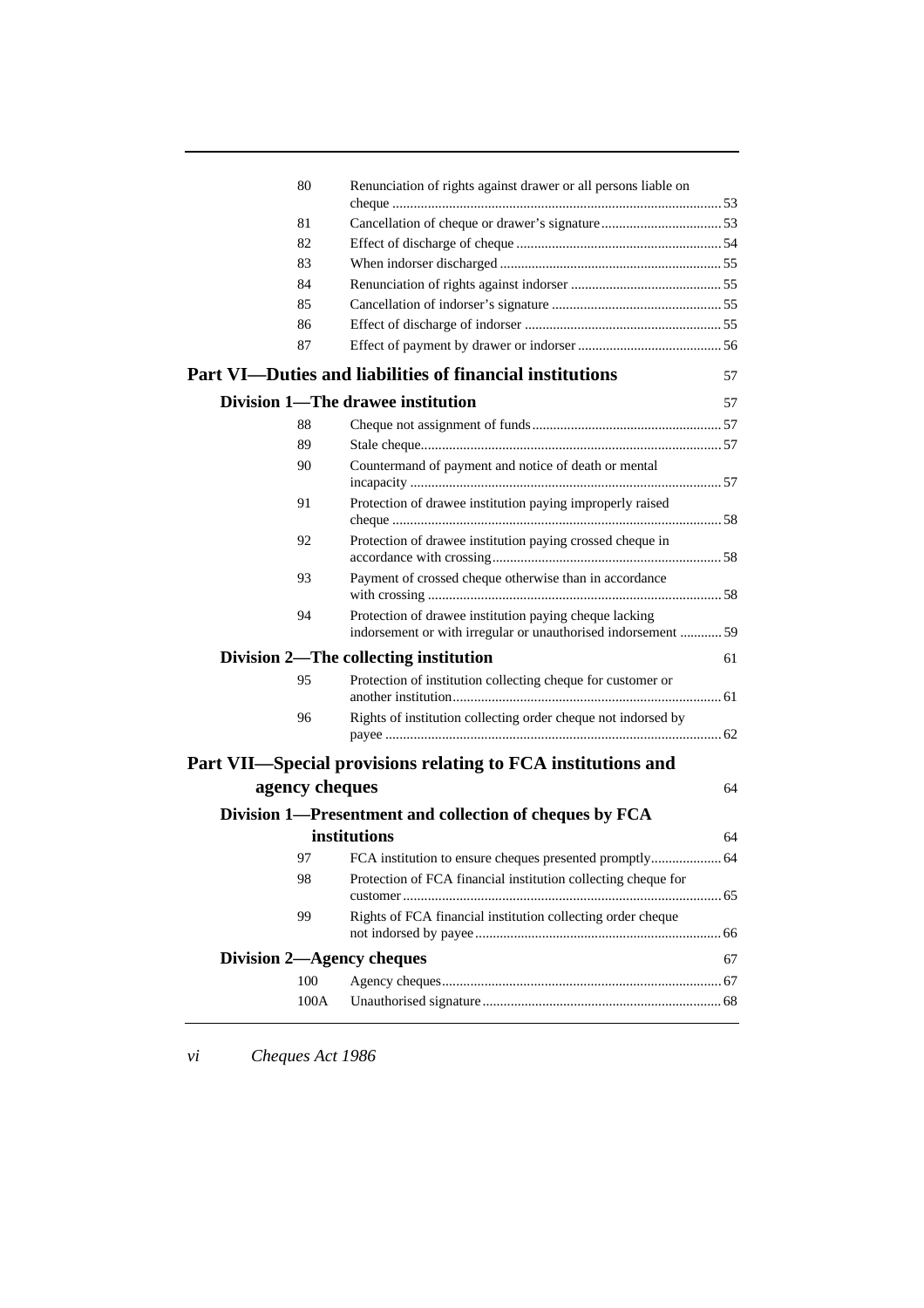| 80             | Renunciation of rights against drawer or all persons liable on                                                          |    |
|----------------|-------------------------------------------------------------------------------------------------------------------------|----|
| 81             |                                                                                                                         |    |
| 82             |                                                                                                                         |    |
| 83             |                                                                                                                         |    |
| 84             |                                                                                                                         |    |
| 85             |                                                                                                                         |    |
| 86             |                                                                                                                         |    |
| 87             |                                                                                                                         |    |
|                | <b>Part VI—Duties and liabilities of financial institutions</b>                                                         | 57 |
|                | Division 1-The drawee institution                                                                                       | 57 |
| 88             |                                                                                                                         |    |
| 89             |                                                                                                                         |    |
| 90             | Countermand of payment and notice of death or mental                                                                    |    |
| 91             | Protection of drawee institution paying improperly raised                                                               |    |
| 92             | Protection of drawee institution paying crossed cheque in                                                               |    |
| 93             | Payment of crossed cheque otherwise than in accordance                                                                  |    |
| 94             | Protection of drawee institution paying cheque lacking<br>indorsement or with irregular or unauthorised indorsement  59 |    |
|                | Division 2—The collecting institution                                                                                   | 61 |
| 95             | Protection of institution collecting cheque for customer or                                                             |    |
| 96             | Rights of institution collecting order cheque not indorsed by                                                           |    |
|                | Part VII—Special provisions relating to FCA institutions and                                                            |    |
| agency cheques |                                                                                                                         | 64 |
|                | Division 1—Presentment and collection of cheques by FCA                                                                 |    |
|                | institutions                                                                                                            | 64 |
| 97             |                                                                                                                         |    |
| 98             | Protection of FCA financial institution collecting cheque for                                                           |    |
|                |                                                                                                                         |    |
| 99             | Rights of FCA financial institution collecting order cheque                                                             |    |
|                | Division 2—Agency cheques                                                                                               | 67 |
| 100            |                                                                                                                         |    |
| 100A           |                                                                                                                         |    |
|                |                                                                                                                         |    |

*vi Cheques Act 1986*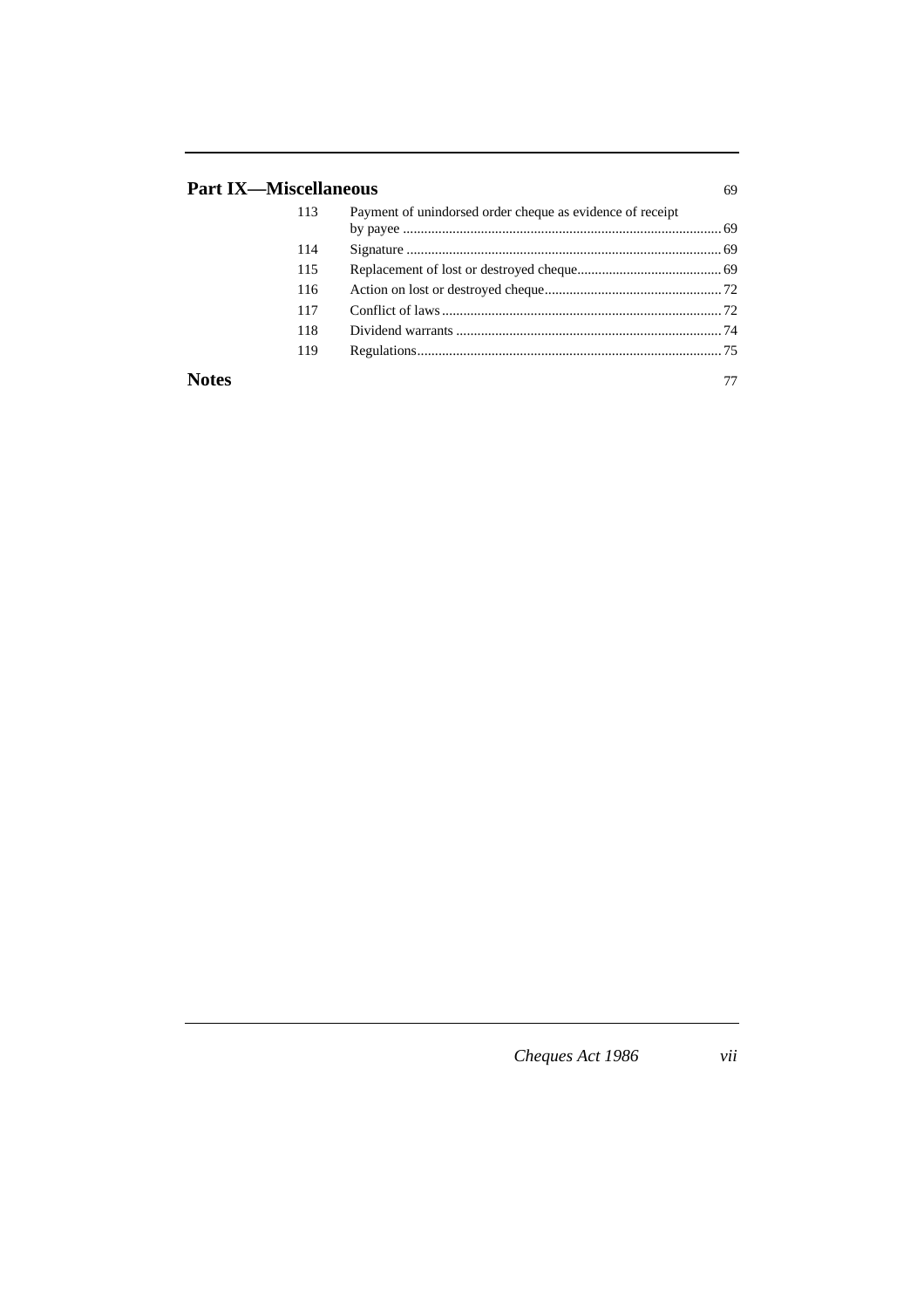# **Part IX—Miscellaneous** 69

|              | 113 | Payment of unindorsed order cheque as evidence of receipt |    |
|--------------|-----|-----------------------------------------------------------|----|
|              |     |                                                           |    |
|              | 114 |                                                           |    |
|              | 115 |                                                           |    |
|              | 116 |                                                           |    |
|              | 117 |                                                           |    |
|              | 118 |                                                           |    |
|              | 119 |                                                           |    |
| <b>Notes</b> |     |                                                           | 77 |

*Cheques Act 1986 vii*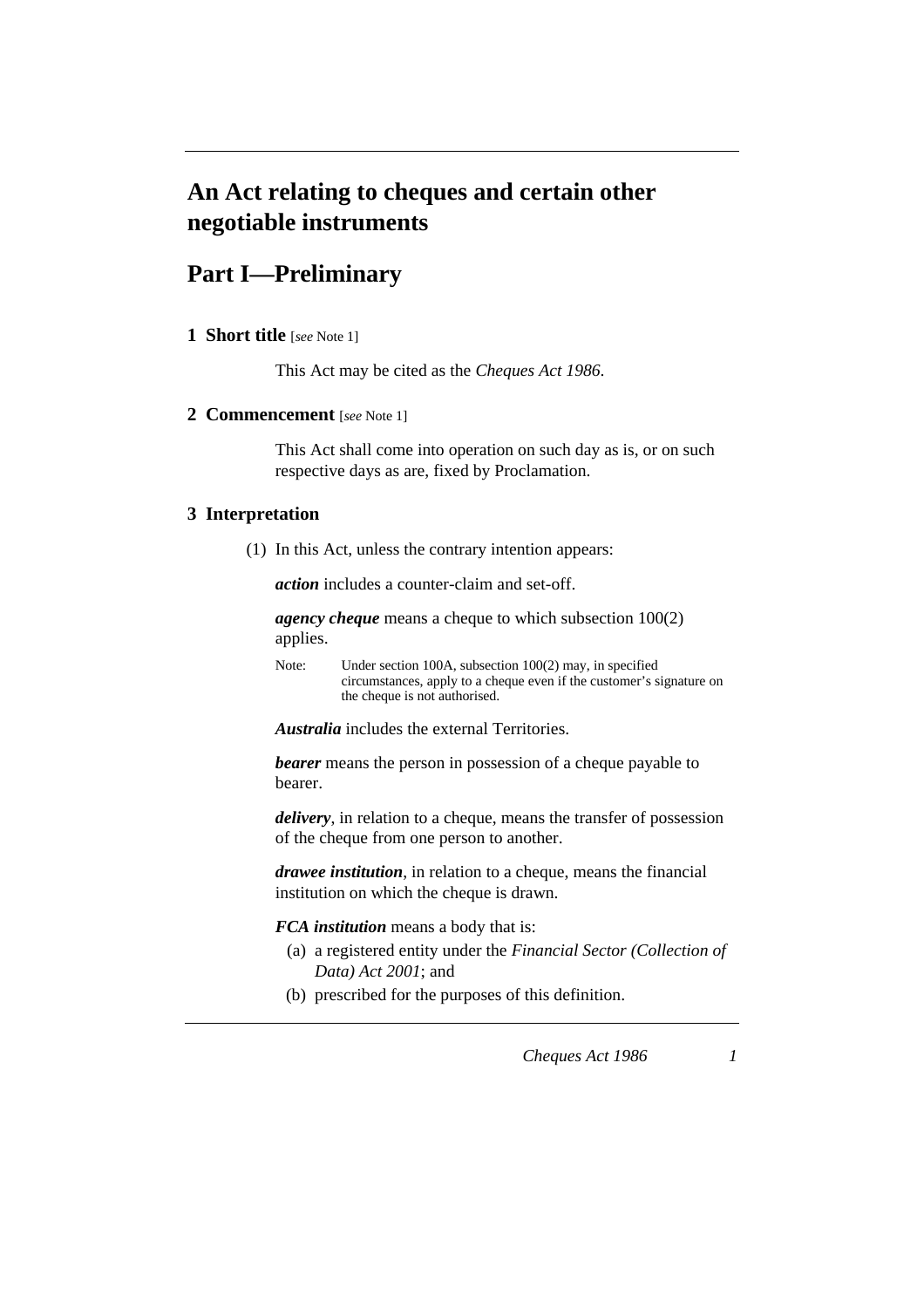# **An Act relating to cheques and certain other negotiable instruments**

# **Part I—Preliminary**

**1 Short title** [*see* Note 1]

This Act may be cited as the *Cheques Act 1986*.

#### **2 Commencement** [*see* Note 1]

This Act shall come into operation on such day as is, or on such respective days as are, fixed by Proclamation.

#### **3 Interpretation**

(1) In this Act, unless the contrary intention appears:

*action* includes a counter-claim and set-off.

*agency cheque* means a cheque to which subsection 100(2) applies.

Note: Under section 100A, subsection 100(2) may, in specified circumstances, apply to a cheque even if the customer's signature on the cheque is not authorised.

*Australia* includes the external Territories.

*bearer* means the person in possession of a cheque payable to bearer.

*delivery*, in relation to a cheque, means the transfer of possession of the cheque from one person to another.

*drawee institution*, in relation to a cheque, means the financial institution on which the cheque is drawn.

*FCA institution* means a body that is:

- (a) a registered entity under the *Financial Sector (Collection of Data) Act 2001*; and
- (b) prescribed for the purposes of this definition.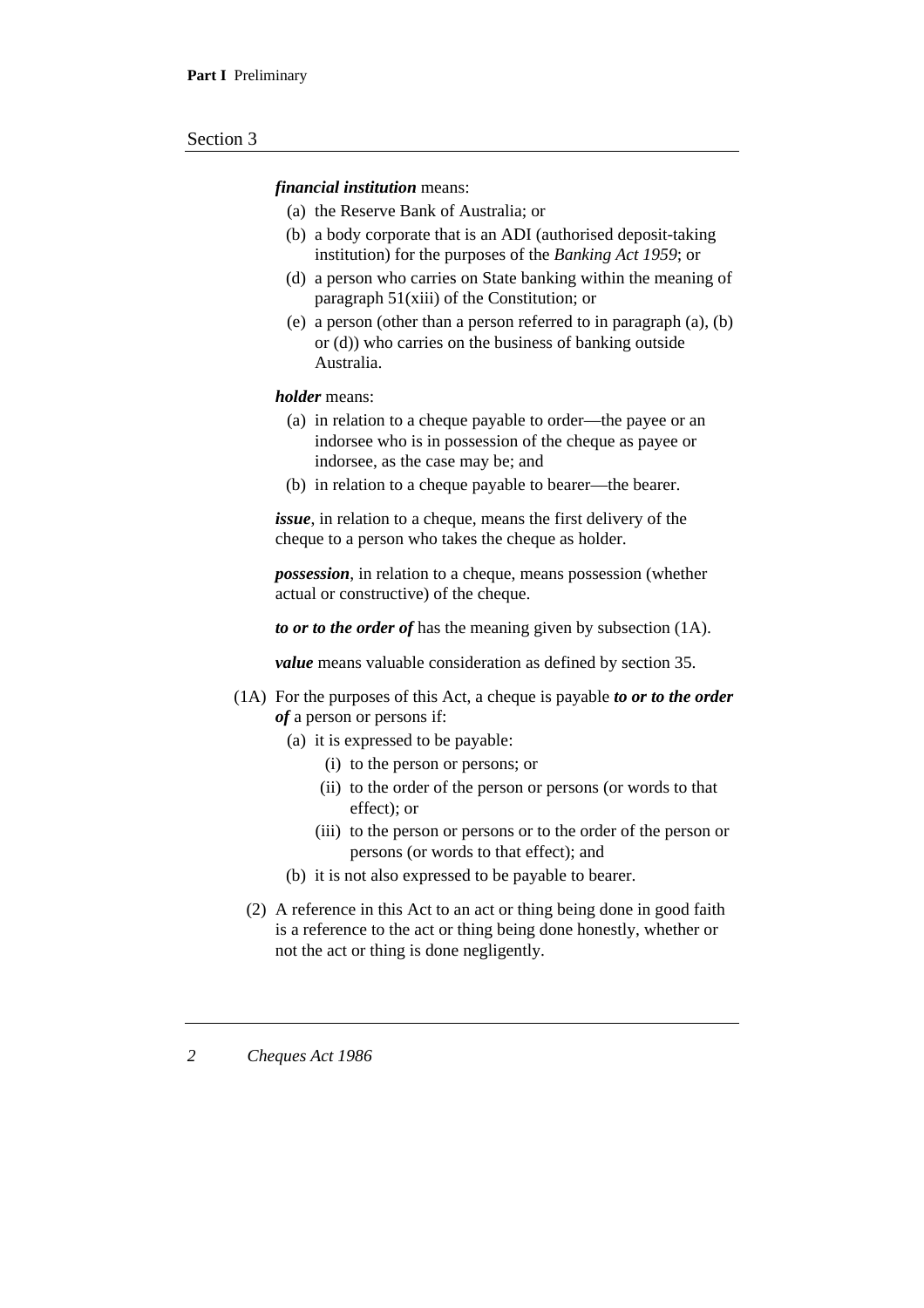#### *financial institution* means:

- (a) the Reserve Bank of Australia; or
- (b) a body corporate that is an ADI (authorised deposit-taking institution) for the purposes of the *Banking Act 1959*; or
- (d) a person who carries on State banking within the meaning of paragraph 51(xiii) of the Constitution; or
- (e) a person (other than a person referred to in paragraph (a), (b) or (d)) who carries on the business of banking outside Australia.

#### *holder* means:

- (a) in relation to a cheque payable to order—the payee or an indorsee who is in possession of the cheque as payee or indorsee, as the case may be; and
- (b) in relation to a cheque payable to bearer—the bearer.

*issue*, in relation to a cheque, means the first delivery of the cheque to a person who takes the cheque as holder.

*possession*, in relation to a cheque, means possession (whether actual or constructive) of the cheque.

*to or to the order of* has the meaning given by subsection (1A).

*value* means valuable consideration as defined by section 35.

- (1A) For the purposes of this Act, a cheque is payable *to or to the order of* a person or persons if:
	- (a) it is expressed to be payable:
		- (i) to the person or persons; or
		- (ii) to the order of the person or persons (or words to that effect); or
		- (iii) to the person or persons or to the order of the person or persons (or words to that effect); and
	- (b) it is not also expressed to be payable to bearer.
	- (2) A reference in this Act to an act or thing being done in good faith is a reference to the act or thing being done honestly, whether or not the act or thing is done negligently.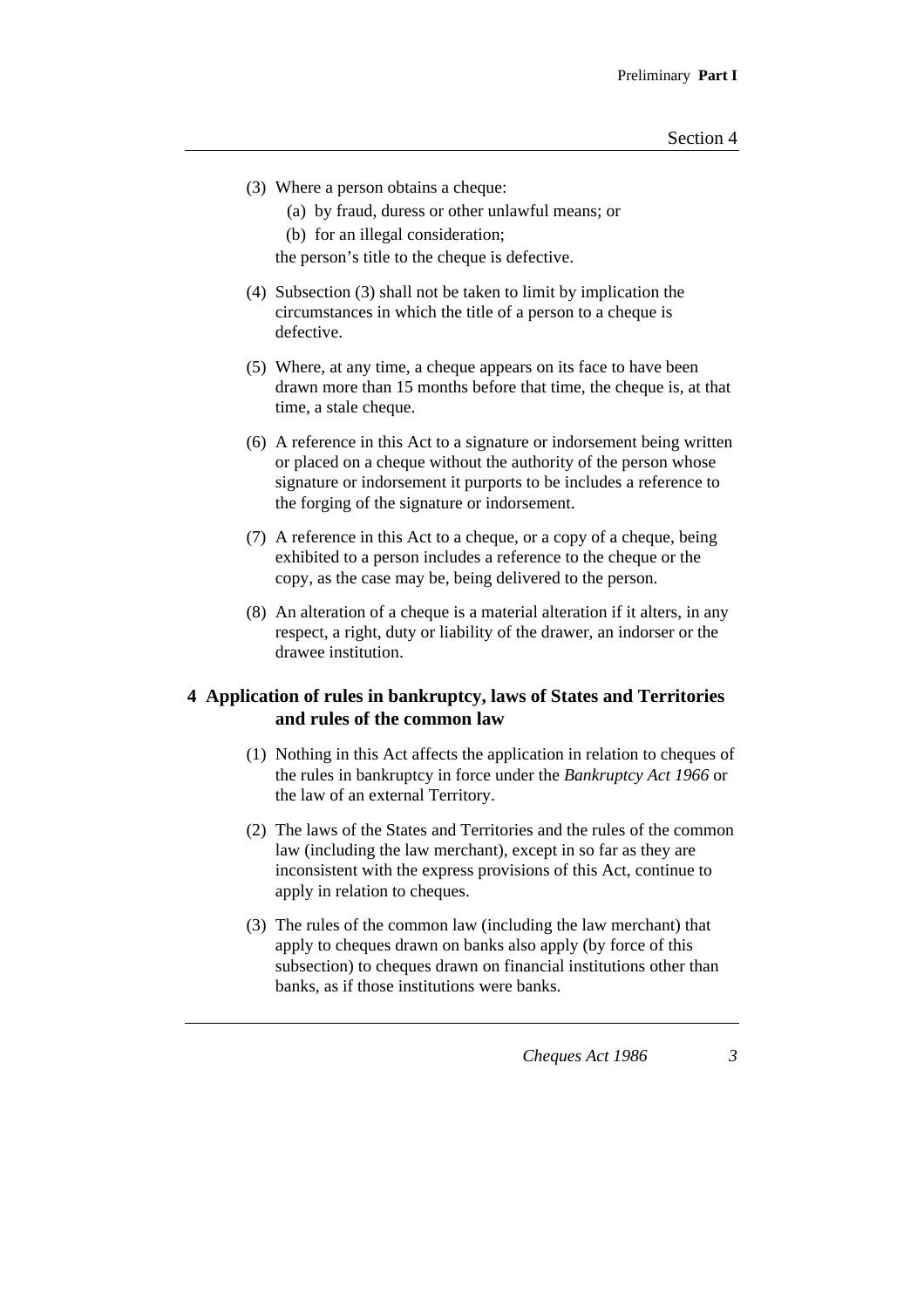- (3) Where a person obtains a cheque:
	- (a) by fraud, duress or other unlawful means; or
	- (b) for an illegal consideration;

the person's title to the cheque is defective.

- (4) Subsection (3) shall not be taken to limit by implication the circumstances in which the title of a person to a cheque is defective.
- (5) Where, at any time, a cheque appears on its face to have been drawn more than 15 months before that time, the cheque is, at that time, a stale cheque.
- (6) A reference in this Act to a signature or indorsement being written or placed on a cheque without the authority of the person whose signature or indorsement it purports to be includes a reference to the forging of the signature or indorsement.
- (7) A reference in this Act to a cheque, or a copy of a cheque, being exhibited to a person includes a reference to the cheque or the copy, as the case may be, being delivered to the person.
- (8) An alteration of a cheque is a material alteration if it alters, in any respect, a right, duty or liability of the drawer, an indorser or the drawee institution.

# **4 Application of rules in bankruptcy, laws of States and Territories and rules of the common law**

- (1) Nothing in this Act affects the application in relation to cheques of the rules in bankruptcy in force under the *Bankruptcy Act 1966* or the law of an external Territory.
- (2) The laws of the States and Territories and the rules of the common law (including the law merchant), except in so far as they are inconsistent with the express provisions of this Act, continue to apply in relation to cheques.
- (3) The rules of the common law (including the law merchant) that apply to cheques drawn on banks also apply (by force of this subsection) to cheques drawn on financial institutions other than banks, as if those institutions were banks.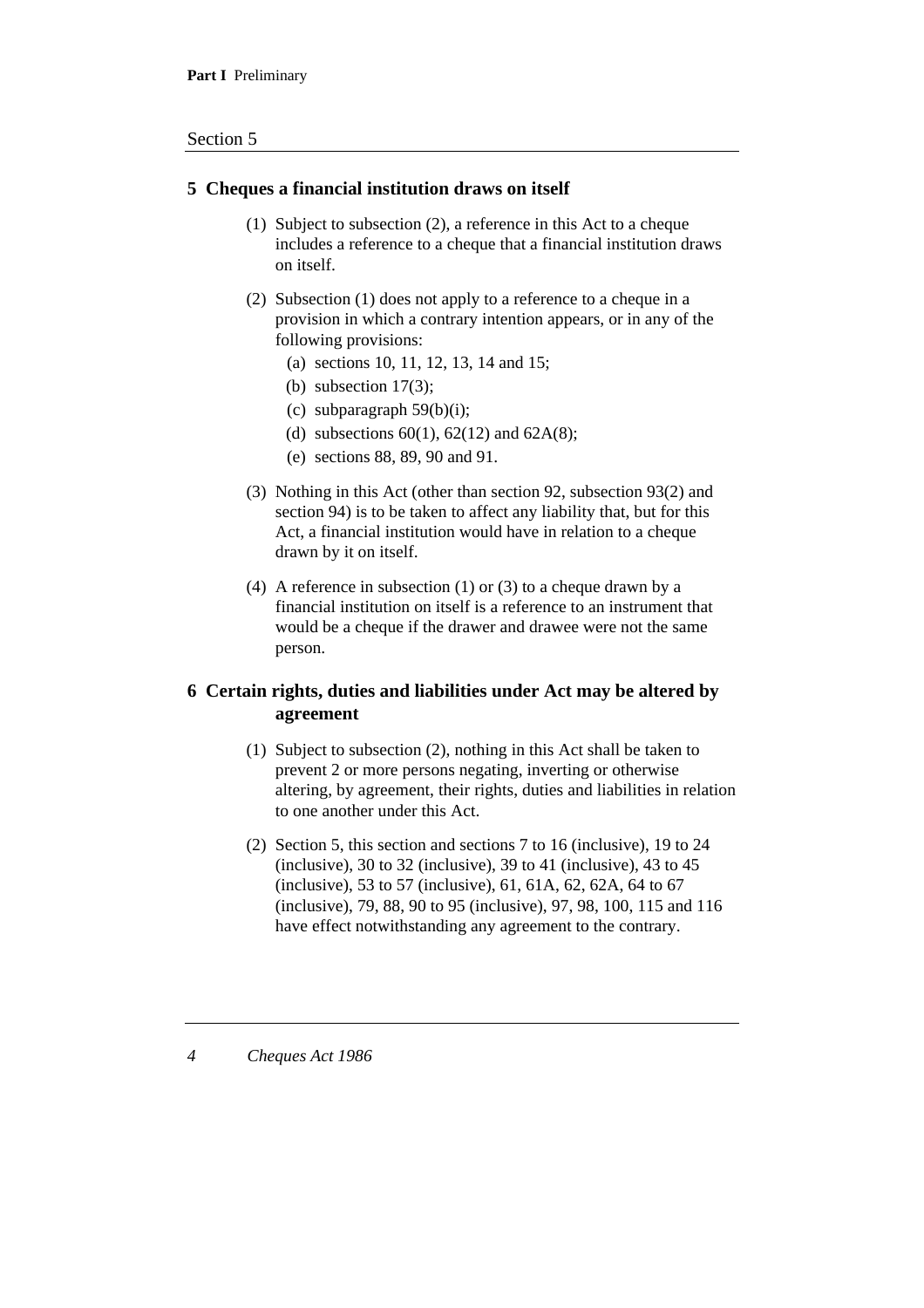# **5 Cheques a financial institution draws on itself**

- (1) Subject to subsection (2), a reference in this Act to a cheque includes a reference to a cheque that a financial institution draws on itself.
- (2) Subsection (1) does not apply to a reference to a cheque in a provision in which a contrary intention appears, or in any of the following provisions:
	- (a) sections 10, 11, 12, 13, 14 and 15;
	- (b) subsection 17(3);
	- (c) subparagraph  $59(b)(i)$ ;
	- (d) subsections  $60(1)$ ,  $62(12)$  and  $62A(8)$ ;
	- (e) sections 88, 89, 90 and 91.
- (3) Nothing in this Act (other than section 92, subsection 93(2) and section 94) is to be taken to affect any liability that, but for this Act, a financial institution would have in relation to a cheque drawn by it on itself.
- (4) A reference in subsection (1) or (3) to a cheque drawn by a financial institution on itself is a reference to an instrument that would be a cheque if the drawer and drawee were not the same person.

# **6 Certain rights, duties and liabilities under Act may be altered by agreement**

- (1) Subject to subsection (2), nothing in this Act shall be taken to prevent 2 or more persons negating, inverting or otherwise altering, by agreement, their rights, duties and liabilities in relation to one another under this Act.
- (2) Section 5, this section and sections 7 to 16 (inclusive), 19 to 24 (inclusive), 30 to 32 (inclusive), 39 to 41 (inclusive), 43 to 45 (inclusive), 53 to 57 (inclusive), 61, 61A, 62, 62A, 64 to 67 (inclusive), 79, 88, 90 to 95 (inclusive), 97, 98, 100, 115 and 116 have effect notwithstanding any agreement to the contrary.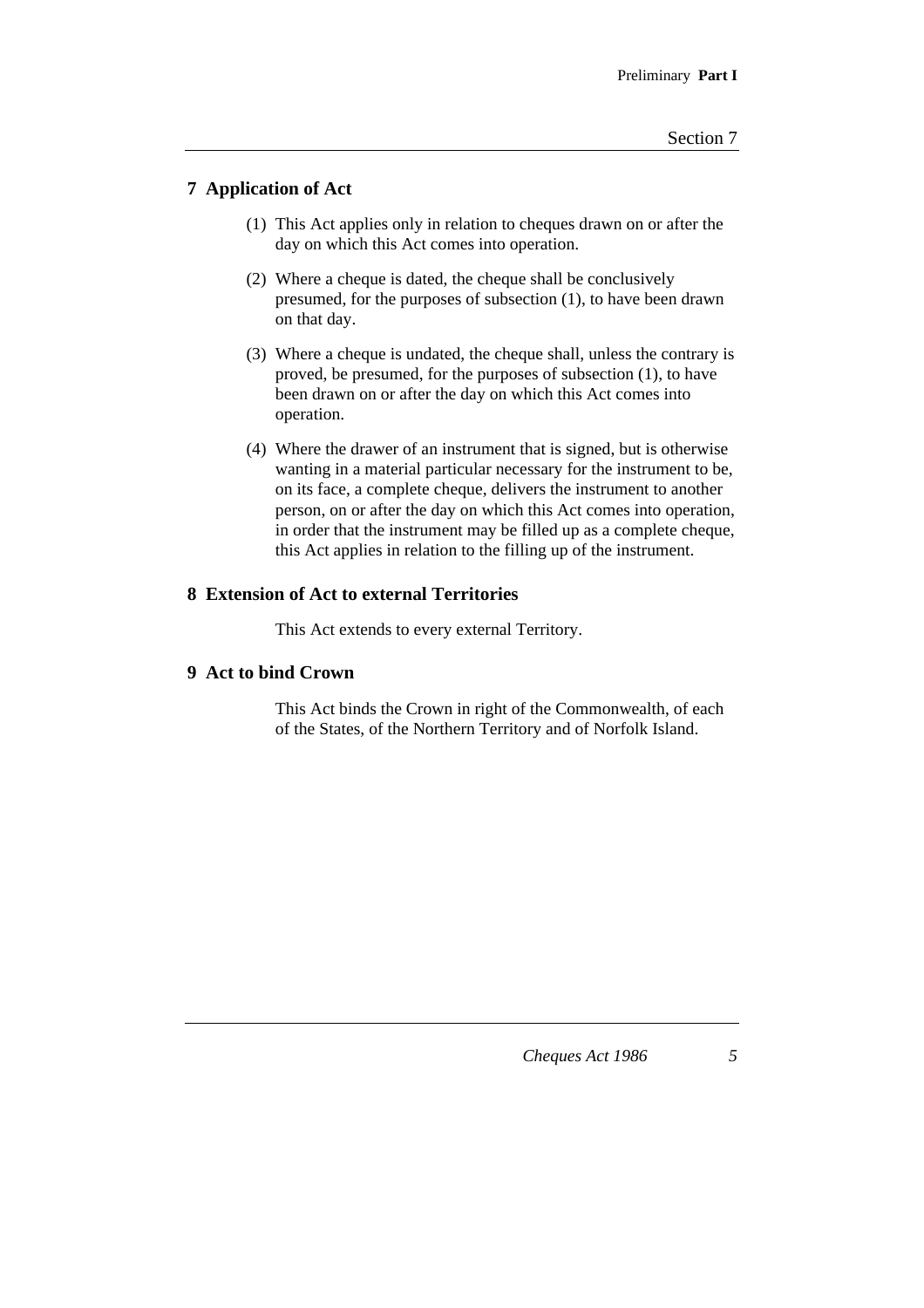# **7 Application of Act**

- (1) This Act applies only in relation to cheques drawn on or after the day on which this Act comes into operation.
- (2) Where a cheque is dated, the cheque shall be conclusively presumed, for the purposes of subsection (1), to have been drawn on that day.
- (3) Where a cheque is undated, the cheque shall, unless the contrary is proved, be presumed, for the purposes of subsection (1), to have been drawn on or after the day on which this Act comes into operation.
- (4) Where the drawer of an instrument that is signed, but is otherwise wanting in a material particular necessary for the instrument to be, on its face, a complete cheque, delivers the instrument to another person, on or after the day on which this Act comes into operation, in order that the instrument may be filled up as a complete cheque, this Act applies in relation to the filling up of the instrument.

#### **8 Extension of Act to external Territories**

This Act extends to every external Territory.

# **9 Act to bind Crown**

This Act binds the Crown in right of the Commonwealth, of each of the States, of the Northern Territory and of Norfolk Island.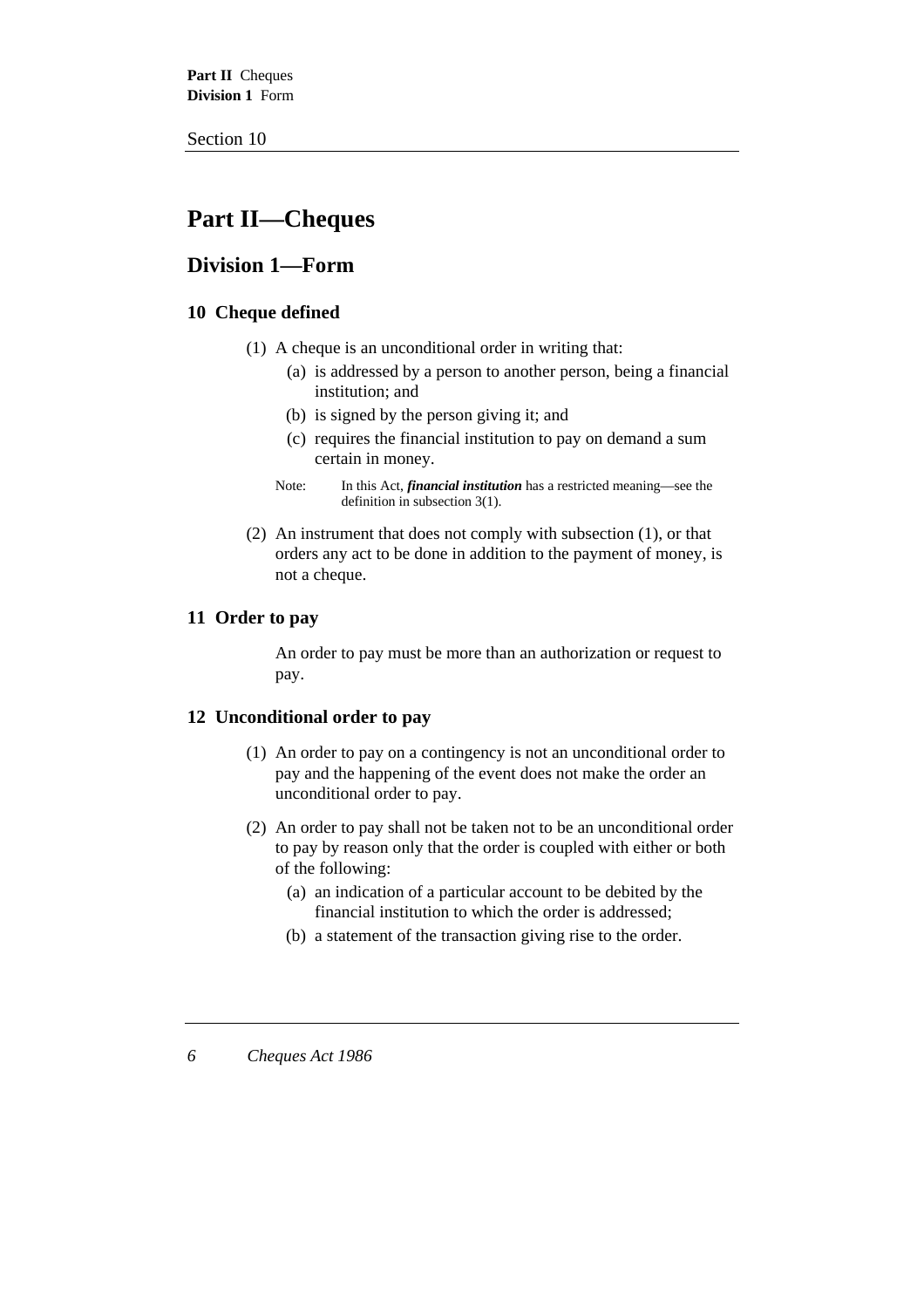**Part II** Cheques **Division 1** Form

Section 10

# **Part II—Cheques**

# **Division 1—Form**

# **10 Cheque defined**

- (1) A cheque is an unconditional order in writing that:
	- (a) is addressed by a person to another person, being a financial institution; and
	- (b) is signed by the person giving it; and
	- (c) requires the financial institution to pay on demand a sum certain in money.
	- Note: In this Act, *financial institution* has a restricted meaning—see the definition in subsection 3(1).
- (2) An instrument that does not comply with subsection (1), or that orders any act to be done in addition to the payment of money, is not a cheque.

# **11 Order to pay**

An order to pay must be more than an authorization or request to pay.

# **12 Unconditional order to pay**

- (1) An order to pay on a contingency is not an unconditional order to pay and the happening of the event does not make the order an unconditional order to pay.
- (2) An order to pay shall not be taken not to be an unconditional order to pay by reason only that the order is coupled with either or both of the following:
	- (a) an indication of a particular account to be debited by the financial institution to which the order is addressed;
	- (b) a statement of the transaction giving rise to the order.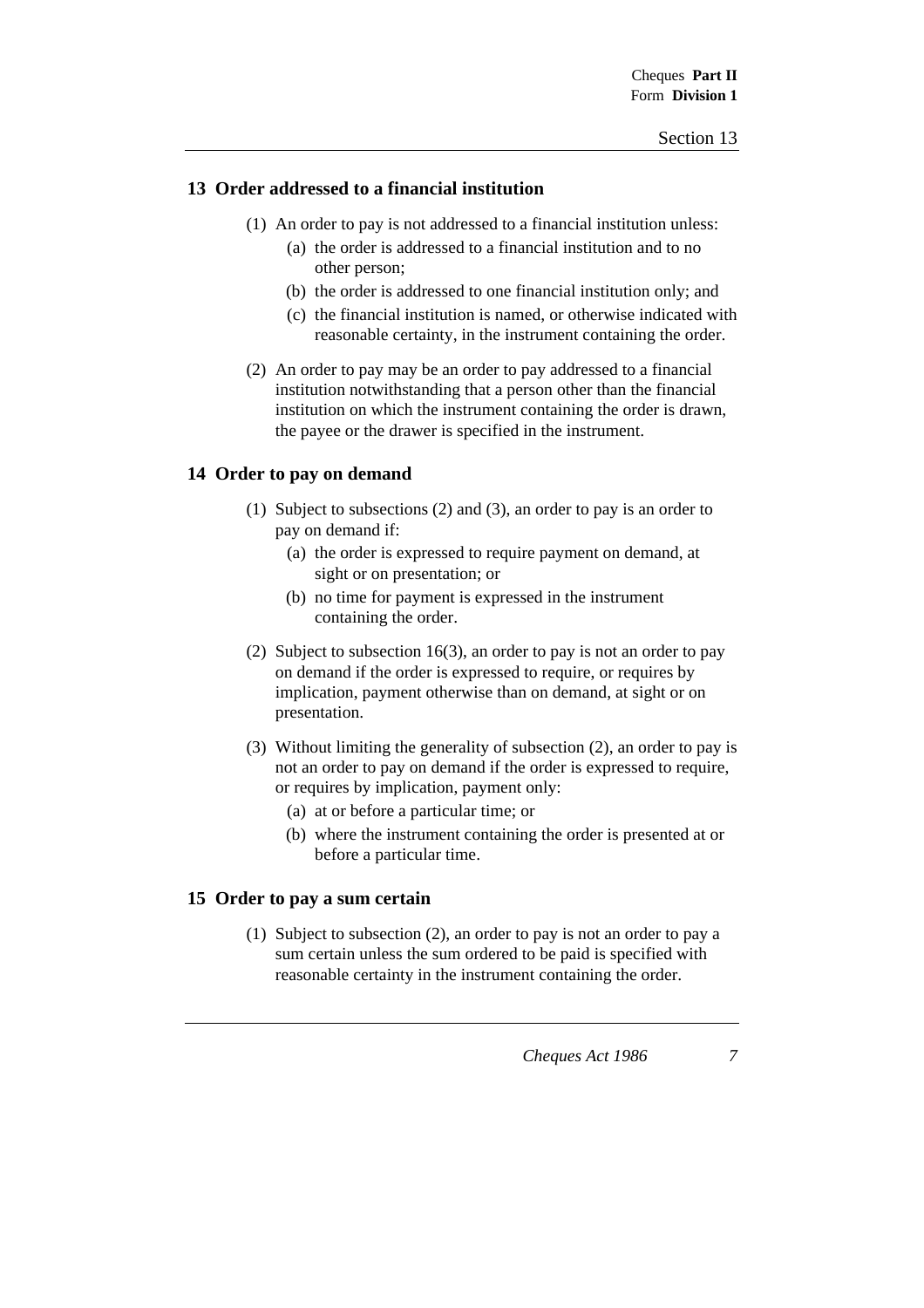### **13 Order addressed to a financial institution**

- (1) An order to pay is not addressed to a financial institution unless:
	- (a) the order is addressed to a financial institution and to no other person;
	- (b) the order is addressed to one financial institution only; and
	- (c) the financial institution is named, or otherwise indicated with reasonable certainty, in the instrument containing the order.
- (2) An order to pay may be an order to pay addressed to a financial institution notwithstanding that a person other than the financial institution on which the instrument containing the order is drawn, the payee or the drawer is specified in the instrument.

# **14 Order to pay on demand**

- (1) Subject to subsections (2) and (3), an order to pay is an order to pay on demand if:
	- (a) the order is expressed to require payment on demand, at sight or on presentation; or
	- (b) no time for payment is expressed in the instrument containing the order.
- (2) Subject to subsection 16(3), an order to pay is not an order to pay on demand if the order is expressed to require, or requires by implication, payment otherwise than on demand, at sight or on presentation.
- (3) Without limiting the generality of subsection (2), an order to pay is not an order to pay on demand if the order is expressed to require, or requires by implication, payment only:
	- (a) at or before a particular time; or
	- (b) where the instrument containing the order is presented at or before a particular time.

# **15 Order to pay a sum certain**

(1) Subject to subsection (2), an order to pay is not an order to pay a sum certain unless the sum ordered to be paid is specified with reasonable certainty in the instrument containing the order.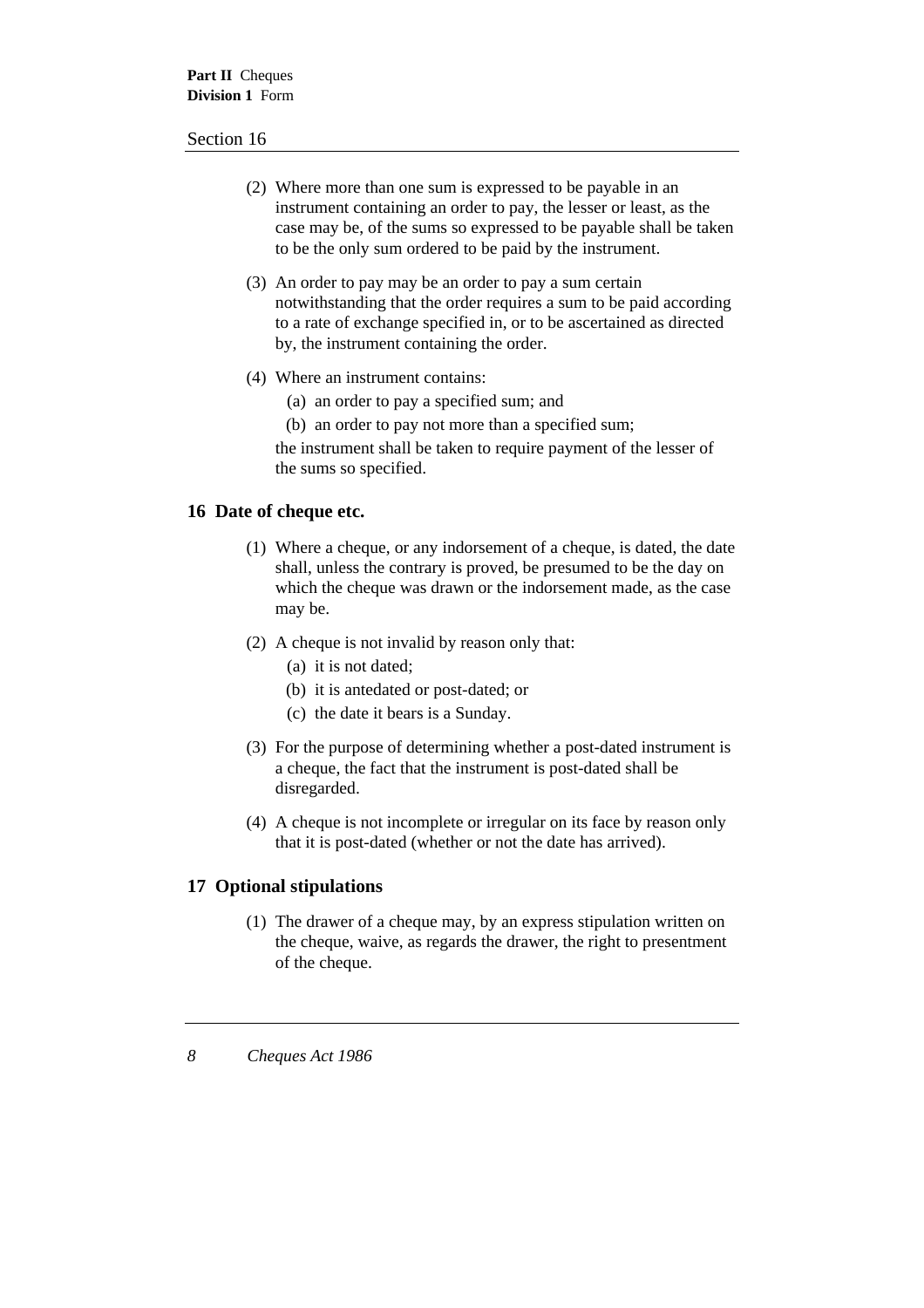- (2) Where more than one sum is expressed to be payable in an instrument containing an order to pay, the lesser or least, as the case may be, of the sums so expressed to be payable shall be taken to be the only sum ordered to be paid by the instrument.
- (3) An order to pay may be an order to pay a sum certain notwithstanding that the order requires a sum to be paid according to a rate of exchange specified in, or to be ascertained as directed by, the instrument containing the order.
- (4) Where an instrument contains:
	- (a) an order to pay a specified sum; and
	- (b) an order to pay not more than a specified sum;

the instrument shall be taken to require payment of the lesser of the sums so specified.

# **16 Date of cheque etc.**

- (1) Where a cheque, or any indorsement of a cheque, is dated, the date shall, unless the contrary is proved, be presumed to be the day on which the cheque was drawn or the indorsement made, as the case may be.
- (2) A cheque is not invalid by reason only that:
	- (a) it is not dated;
	- (b) it is antedated or post-dated; or
	- (c) the date it bears is a Sunday.
- (3) For the purpose of determining whether a post-dated instrument is a cheque, the fact that the instrument is post-dated shall be disregarded.
- (4) A cheque is not incomplete or irregular on its face by reason only that it is post-dated (whether or not the date has arrived).

# **17 Optional stipulations**

(1) The drawer of a cheque may, by an express stipulation written on the cheque, waive, as regards the drawer, the right to presentment of the cheque.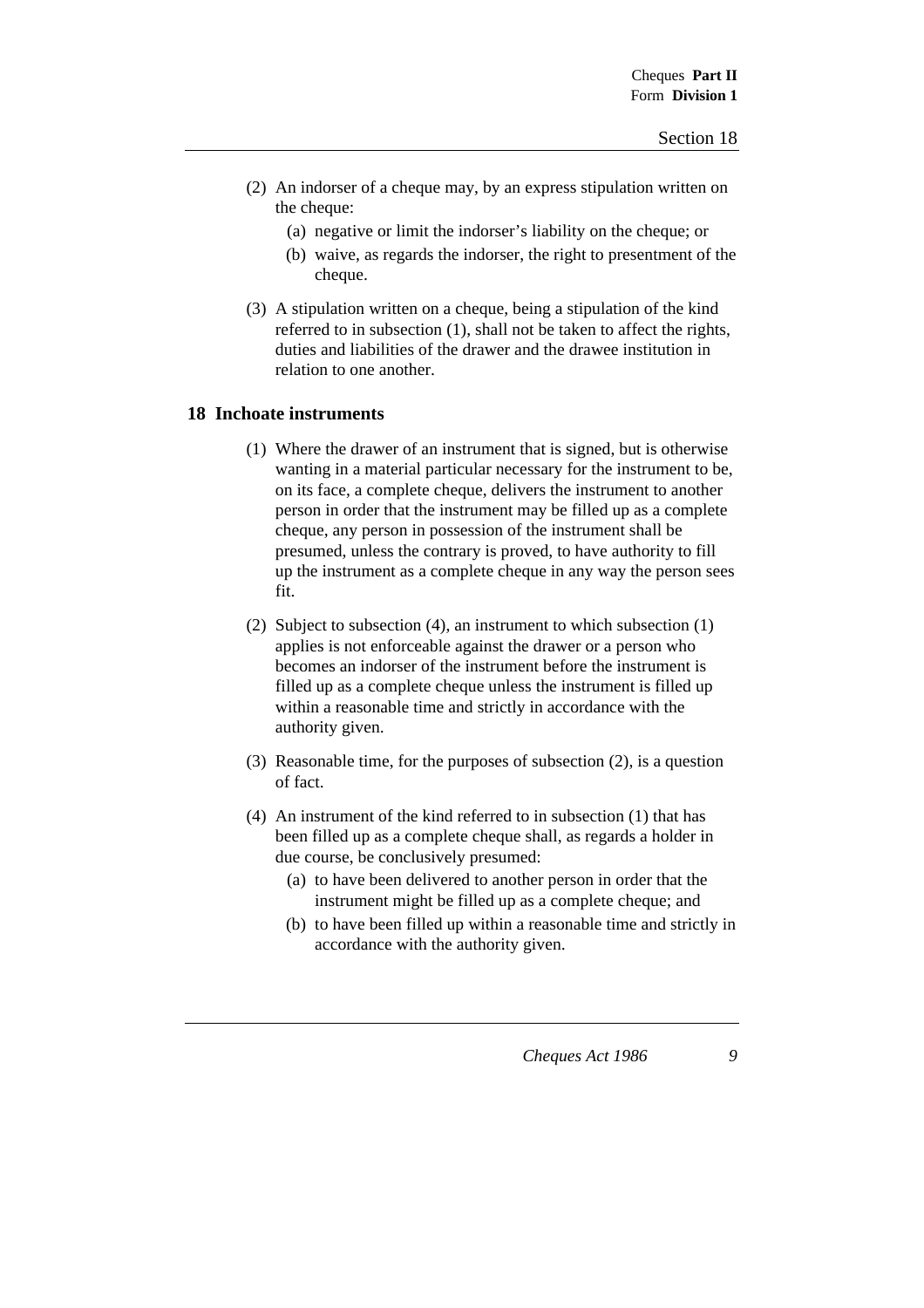- (2) An indorser of a cheque may, by an express stipulation written on the cheque:
	- (a) negative or limit the indorser's liability on the cheque; or
	- (b) waive, as regards the indorser, the right to presentment of the cheque.
- (3) A stipulation written on a cheque, being a stipulation of the kind referred to in subsection (1), shall not be taken to affect the rights, duties and liabilities of the drawer and the drawee institution in relation to one another.

#### **18 Inchoate instruments**

- (1) Where the drawer of an instrument that is signed, but is otherwise wanting in a material particular necessary for the instrument to be, on its face, a complete cheque, delivers the instrument to another person in order that the instrument may be filled up as a complete cheque, any person in possession of the instrument shall be presumed, unless the contrary is proved, to have authority to fill up the instrument as a complete cheque in any way the person sees fit.
- (2) Subject to subsection (4), an instrument to which subsection (1) applies is not enforceable against the drawer or a person who becomes an indorser of the instrument before the instrument is filled up as a complete cheque unless the instrument is filled up within a reasonable time and strictly in accordance with the authority given.
- (3) Reasonable time, for the purposes of subsection (2), is a question of fact.
- (4) An instrument of the kind referred to in subsection (1) that has been filled up as a complete cheque shall, as regards a holder in due course, be conclusively presumed:
	- (a) to have been delivered to another person in order that the instrument might be filled up as a complete cheque; and
	- (b) to have been filled up within a reasonable time and strictly in accordance with the authority given.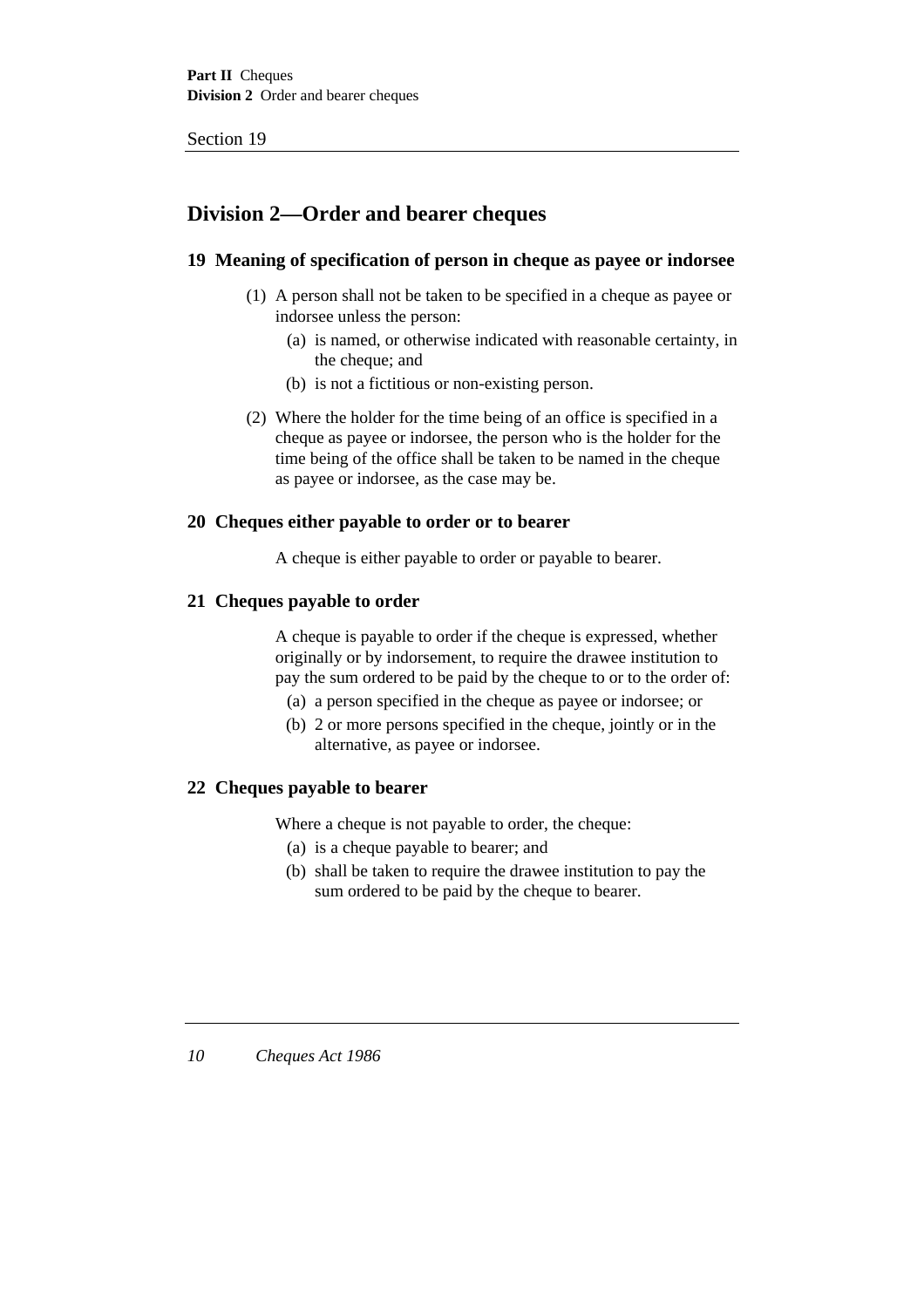# **Division 2—Order and bearer cheques**

# **19 Meaning of specification of person in cheque as payee or indorsee**

- (1) A person shall not be taken to be specified in a cheque as payee or indorsee unless the person:
	- (a) is named, or otherwise indicated with reasonable certainty, in the cheque; and
	- (b) is not a fictitious or non-existing person.
- (2) Where the holder for the time being of an office is specified in a cheque as payee or indorsee, the person who is the holder for the time being of the office shall be taken to be named in the cheque as payee or indorsee, as the case may be.

# **20 Cheques either payable to order or to bearer**

A cheque is either payable to order or payable to bearer.

# **21 Cheques payable to order**

A cheque is payable to order if the cheque is expressed, whether originally or by indorsement, to require the drawee institution to pay the sum ordered to be paid by the cheque to or to the order of:

- (a) a person specified in the cheque as payee or indorsee; or
- (b) 2 or more persons specified in the cheque, jointly or in the alternative, as payee or indorsee.

# **22 Cheques payable to bearer**

Where a cheque is not payable to order, the cheque:

- (a) is a cheque payable to bearer; and
- (b) shall be taken to require the drawee institution to pay the sum ordered to be paid by the cheque to bearer.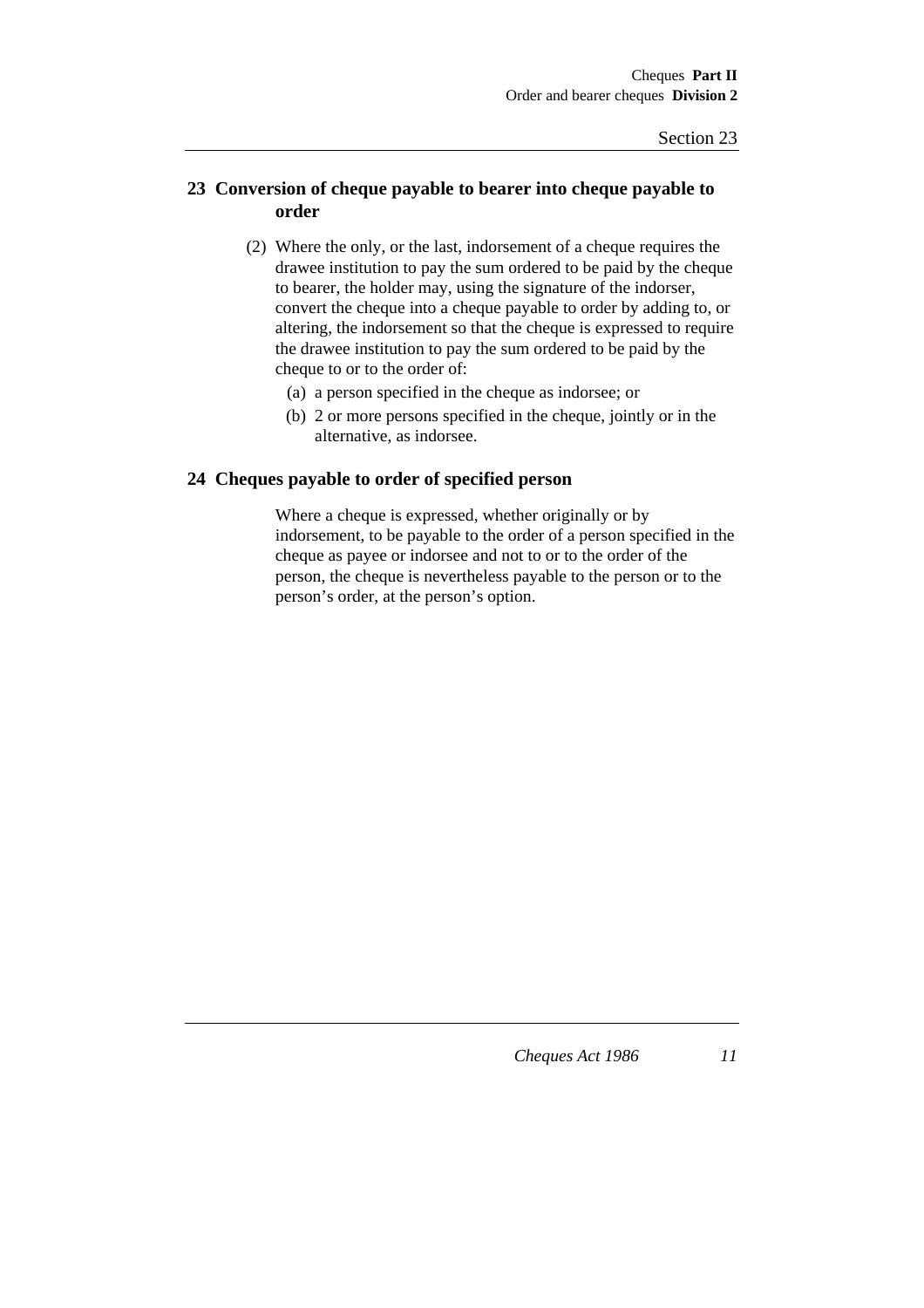# **23 Conversion of cheque payable to bearer into cheque payable to order**

- (2) Where the only, or the last, indorsement of a cheque requires the drawee institution to pay the sum ordered to be paid by the cheque to bearer, the holder may, using the signature of the indorser, convert the cheque into a cheque payable to order by adding to, or altering, the indorsement so that the cheque is expressed to require the drawee institution to pay the sum ordered to be paid by the cheque to or to the order of:
	- (a) a person specified in the cheque as indorsee; or
	- (b) 2 or more persons specified in the cheque, jointly or in the alternative, as indorsee.

#### **24 Cheques payable to order of specified person**

Where a cheque is expressed, whether originally or by indorsement, to be payable to the order of a person specified in the cheque as payee or indorsee and not to or to the order of the person, the cheque is nevertheless payable to the person or to the person's order, at the person's option.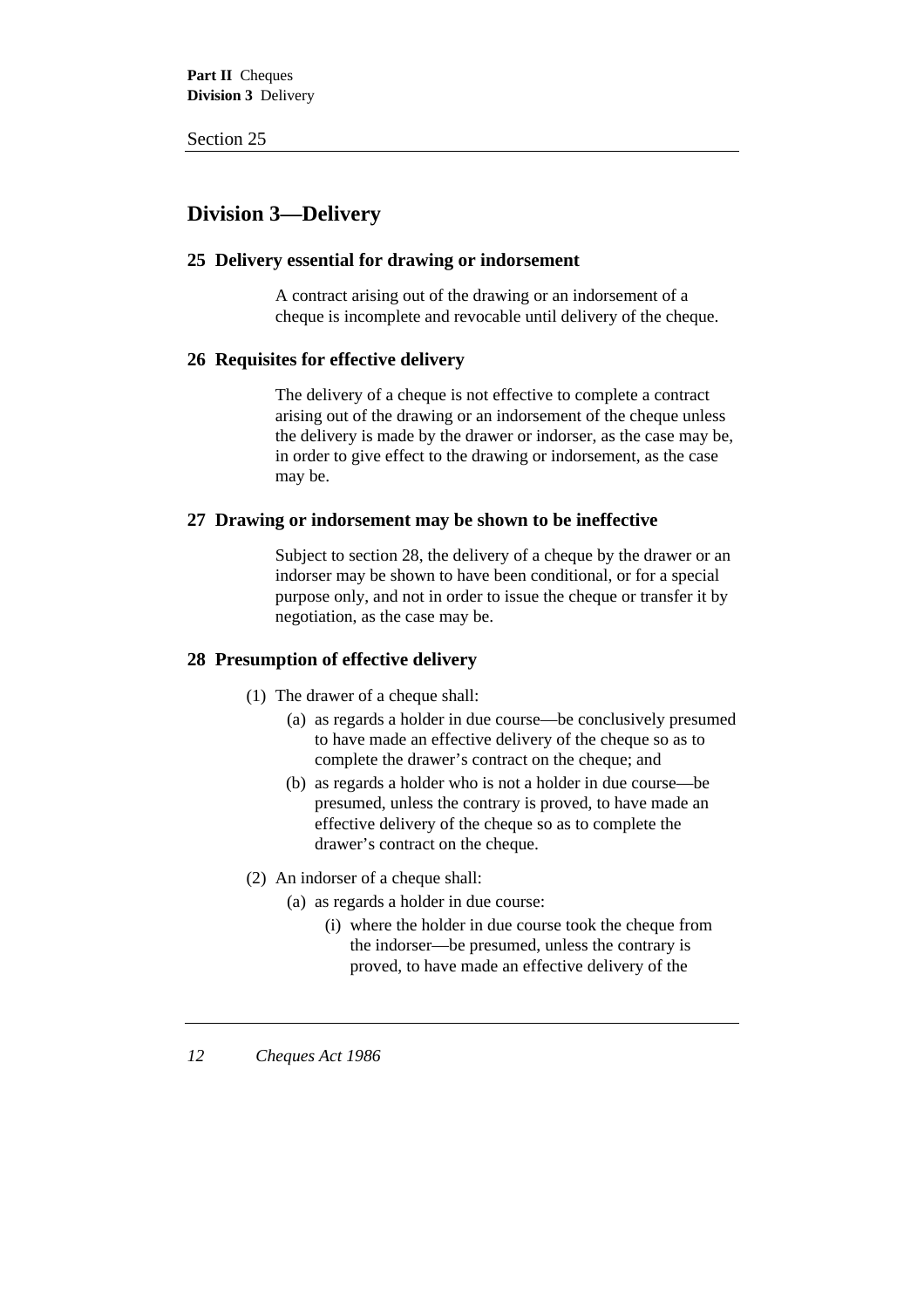# **Division 3—Delivery**

# **25 Delivery essential for drawing or indorsement**

A contract arising out of the drawing or an indorsement of a cheque is incomplete and revocable until delivery of the cheque.

# **26 Requisites for effective delivery**

The delivery of a cheque is not effective to complete a contract arising out of the drawing or an indorsement of the cheque unless the delivery is made by the drawer or indorser, as the case may be, in order to give effect to the drawing or indorsement, as the case may be.

# **27 Drawing or indorsement may be shown to be ineffective**

Subject to section 28, the delivery of a cheque by the drawer or an indorser may be shown to have been conditional, or for a special purpose only, and not in order to issue the cheque or transfer it by negotiation, as the case may be.

# **28 Presumption of effective delivery**

- (1) The drawer of a cheque shall:
	- (a) as regards a holder in due course—be conclusively presumed to have made an effective delivery of the cheque so as to complete the drawer's contract on the cheque; and
	- (b) as regards a holder who is not a holder in due course—be presumed, unless the contrary is proved, to have made an effective delivery of the cheque so as to complete the drawer's contract on the cheque.
- (2) An indorser of a cheque shall:
	- (a) as regards a holder in due course:
		- (i) where the holder in due course took the cheque from the indorser—be presumed, unless the contrary is proved, to have made an effective delivery of the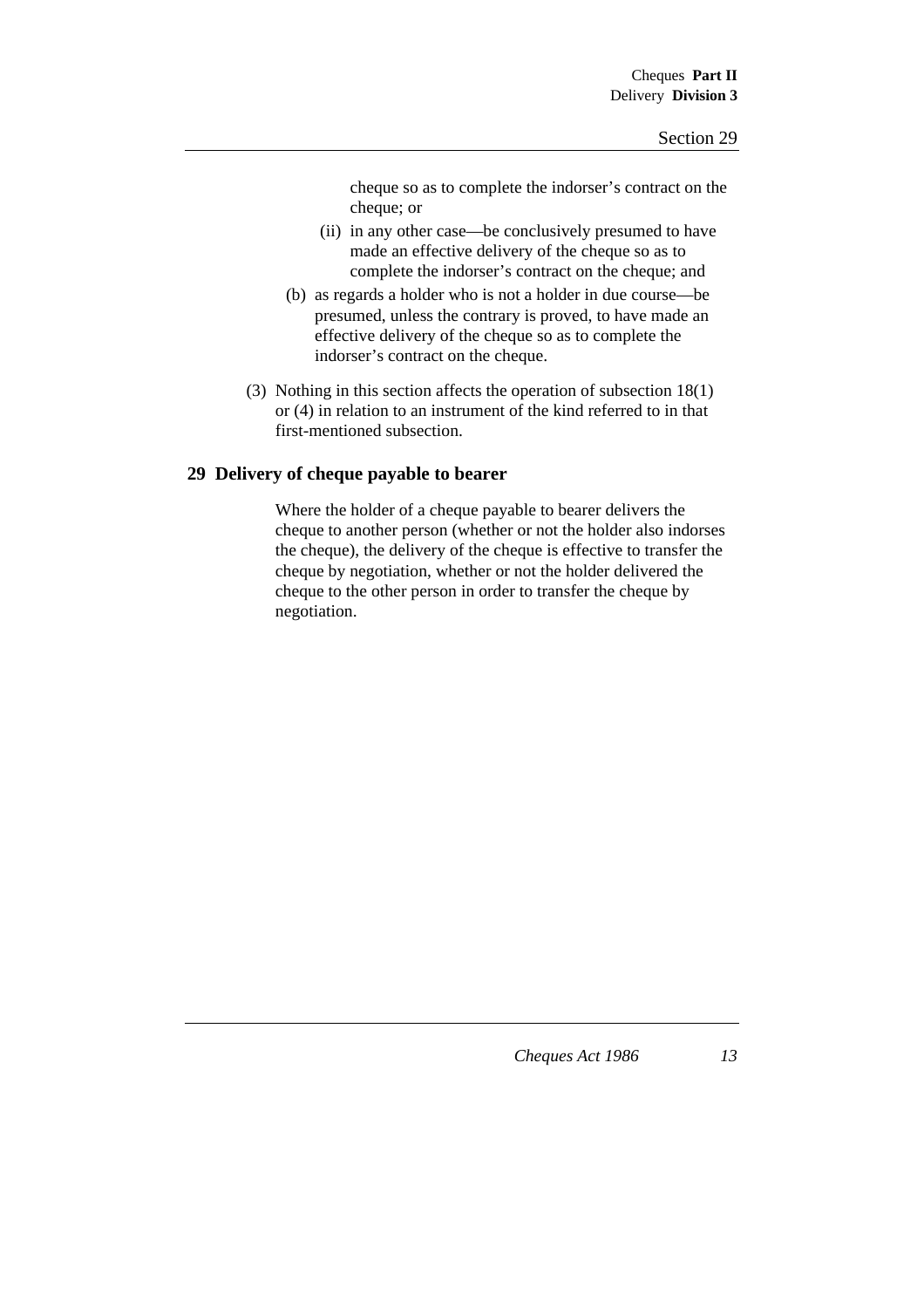cheque so as to complete the indorser's contract on the cheque; or

- (ii) in any other case—be conclusively presumed to have made an effective delivery of the cheque so as to complete the indorser's contract on the cheque; and
- (b) as regards a holder who is not a holder in due course—be presumed, unless the contrary is proved, to have made an effective delivery of the cheque so as to complete the indorser's contract on the cheque.
- (3) Nothing in this section affects the operation of subsection 18(1) or (4) in relation to an instrument of the kind referred to in that first-mentioned subsection.

# **29 Delivery of cheque payable to bearer**

Where the holder of a cheque payable to bearer delivers the cheque to another person (whether or not the holder also indorses the cheque), the delivery of the cheque is effective to transfer the cheque by negotiation, whether or not the holder delivered the cheque to the other person in order to transfer the cheque by negotiation.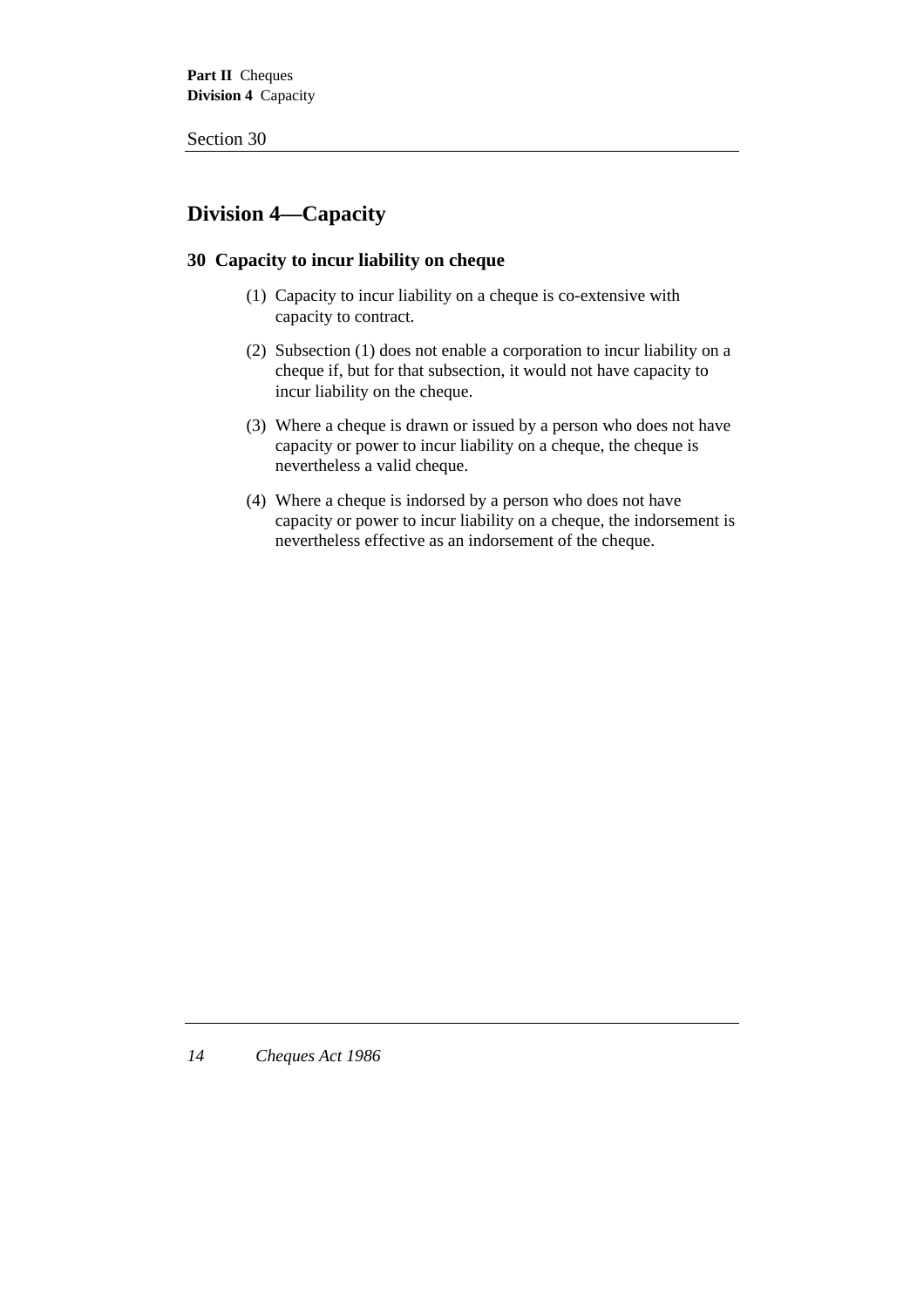# **Division 4—Capacity**

# **30 Capacity to incur liability on cheque**

- (1) Capacity to incur liability on a cheque is co-extensive with capacity to contract.
- (2) Subsection (1) does not enable a corporation to incur liability on a cheque if, but for that subsection, it would not have capacity to incur liability on the cheque.
- (3) Where a cheque is drawn or issued by a person who does not have capacity or power to incur liability on a cheque, the cheque is nevertheless a valid cheque.
- (4) Where a cheque is indorsed by a person who does not have capacity or power to incur liability on a cheque, the indorsement is nevertheless effective as an indorsement of the cheque.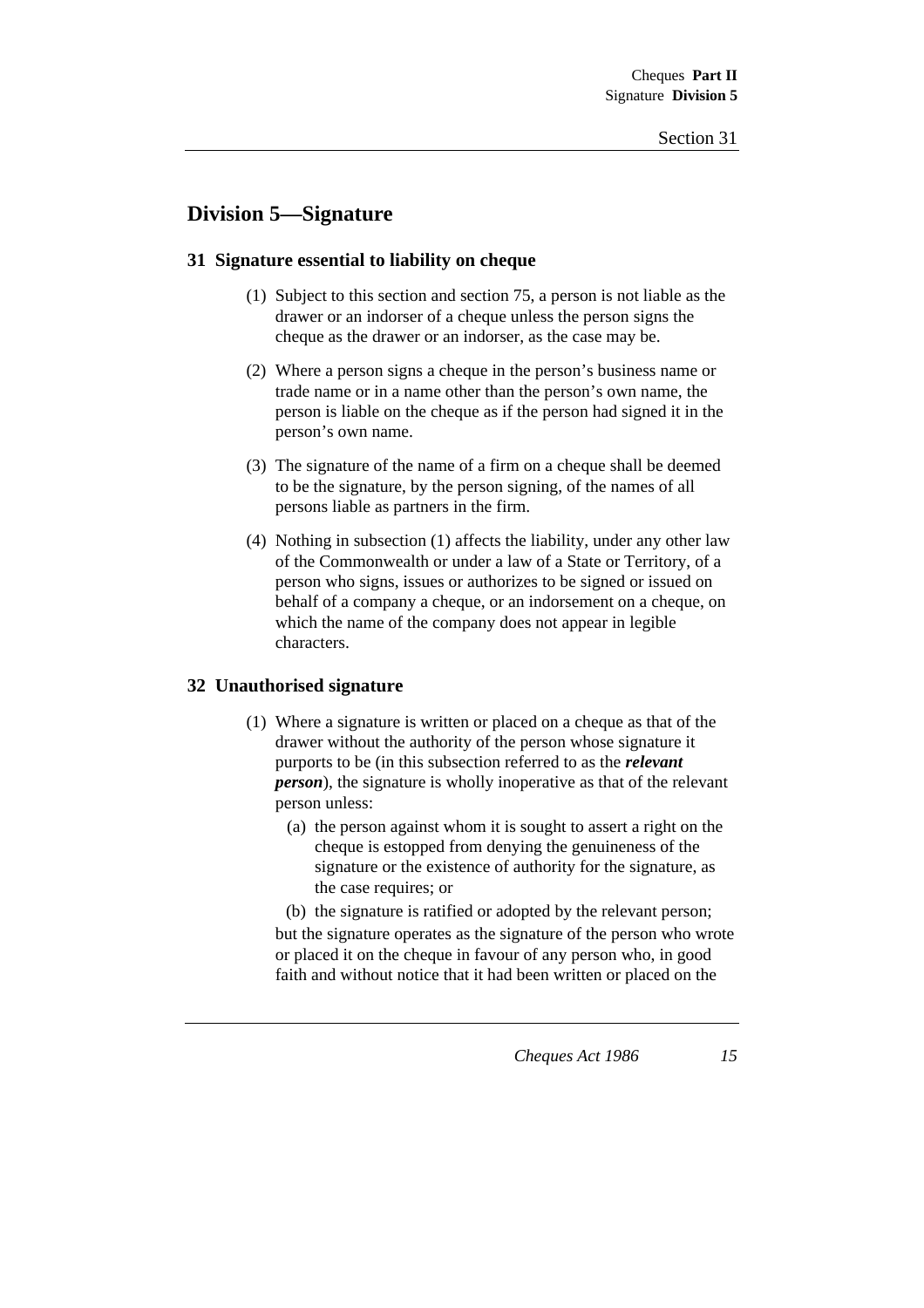# **Division 5—Signature**

# **31 Signature essential to liability on cheque**

- (1) Subject to this section and section 75, a person is not liable as the drawer or an indorser of a cheque unless the person signs the cheque as the drawer or an indorser, as the case may be.
- (2) Where a person signs a cheque in the person's business name or trade name or in a name other than the person's own name, the person is liable on the cheque as if the person had signed it in the person's own name.
- (3) The signature of the name of a firm on a cheque shall be deemed to be the signature, by the person signing, of the names of all persons liable as partners in the firm.
- (4) Nothing in subsection (1) affects the liability, under any other law of the Commonwealth or under a law of a State or Territory, of a person who signs, issues or authorizes to be signed or issued on behalf of a company a cheque, or an indorsement on a cheque, on which the name of the company does not appear in legible characters.

#### **32 Unauthorised signature**

- (1) Where a signature is written or placed on a cheque as that of the drawer without the authority of the person whose signature it purports to be (in this subsection referred to as the *relevant person*), the signature is wholly inoperative as that of the relevant person unless:
	- (a) the person against whom it is sought to assert a right on the cheque is estopped from denying the genuineness of the signature or the existence of authority for the signature, as the case requires; or

(b) the signature is ratified or adopted by the relevant person; but the signature operates as the signature of the person who wrote or placed it on the cheque in favour of any person who, in good faith and without notice that it had been written or placed on the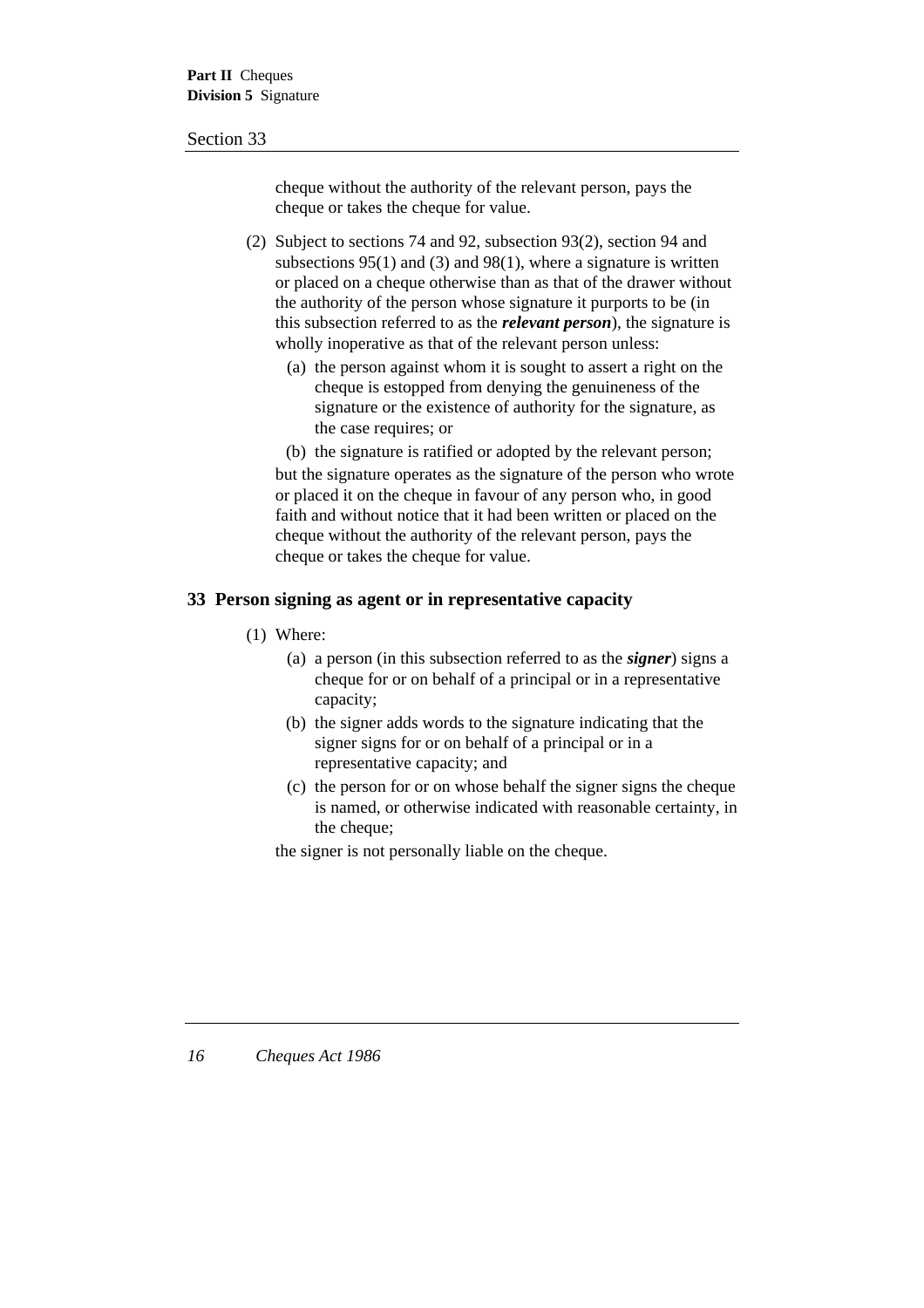cheque without the authority of the relevant person, pays the cheque or takes the cheque for value.

- (2) Subject to sections 74 and 92, subsection 93(2), section 94 and subsections 95(1) and (3) and 98(1), where a signature is written or placed on a cheque otherwise than as that of the drawer without the authority of the person whose signature it purports to be (in this subsection referred to as the *relevant person*), the signature is wholly inoperative as that of the relevant person unless:
	- (a) the person against whom it is sought to assert a right on the cheque is estopped from denying the genuineness of the signature or the existence of authority for the signature, as the case requires; or
	- (b) the signature is ratified or adopted by the relevant person;

but the signature operates as the signature of the person who wrote or placed it on the cheque in favour of any person who, in good faith and without notice that it had been written or placed on the cheque without the authority of the relevant person, pays the cheque or takes the cheque for value.

# **33 Person signing as agent or in representative capacity**

- (1) Where:
	- (a) a person (in this subsection referred to as the *signer*) signs a cheque for or on behalf of a principal or in a representative capacity;
	- (b) the signer adds words to the signature indicating that the signer signs for or on behalf of a principal or in a representative capacity; and
	- (c) the person for or on whose behalf the signer signs the cheque is named, or otherwise indicated with reasonable certainty, in the cheque:

the signer is not personally liable on the cheque.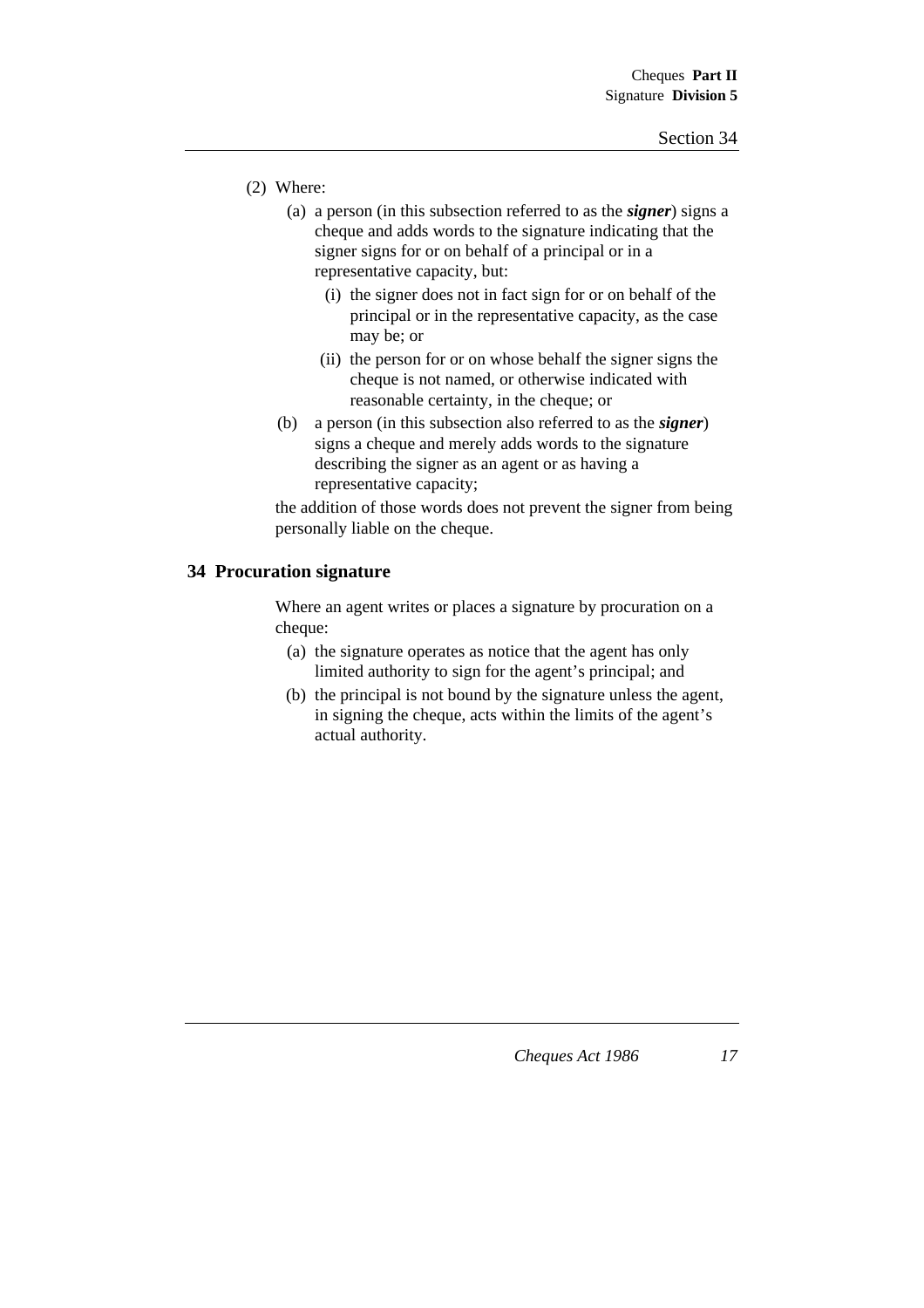- (2) Where:
	- (a) a person (in this subsection referred to as the *signer*) signs a cheque and adds words to the signature indicating that the signer signs for or on behalf of a principal or in a representative capacity, but:
		- (i) the signer does not in fact sign for or on behalf of the principal or in the representative capacity, as the case may be; or
		- (ii) the person for or on whose behalf the signer signs the cheque is not named, or otherwise indicated with reasonable certainty, in the cheque; or
	- (b) a person (in this subsection also referred to as the *signer*) signs a cheque and merely adds words to the signature describing the signer as an agent or as having a representative capacity;

the addition of those words does not prevent the signer from being personally liable on the cheque.

#### **34 Procuration signature**

Where an agent writes or places a signature by procuration on a cheque:

- (a) the signature operates as notice that the agent has only limited authority to sign for the agent's principal; and
- (b) the principal is not bound by the signature unless the agent, in signing the cheque, acts within the limits of the agent's actual authority.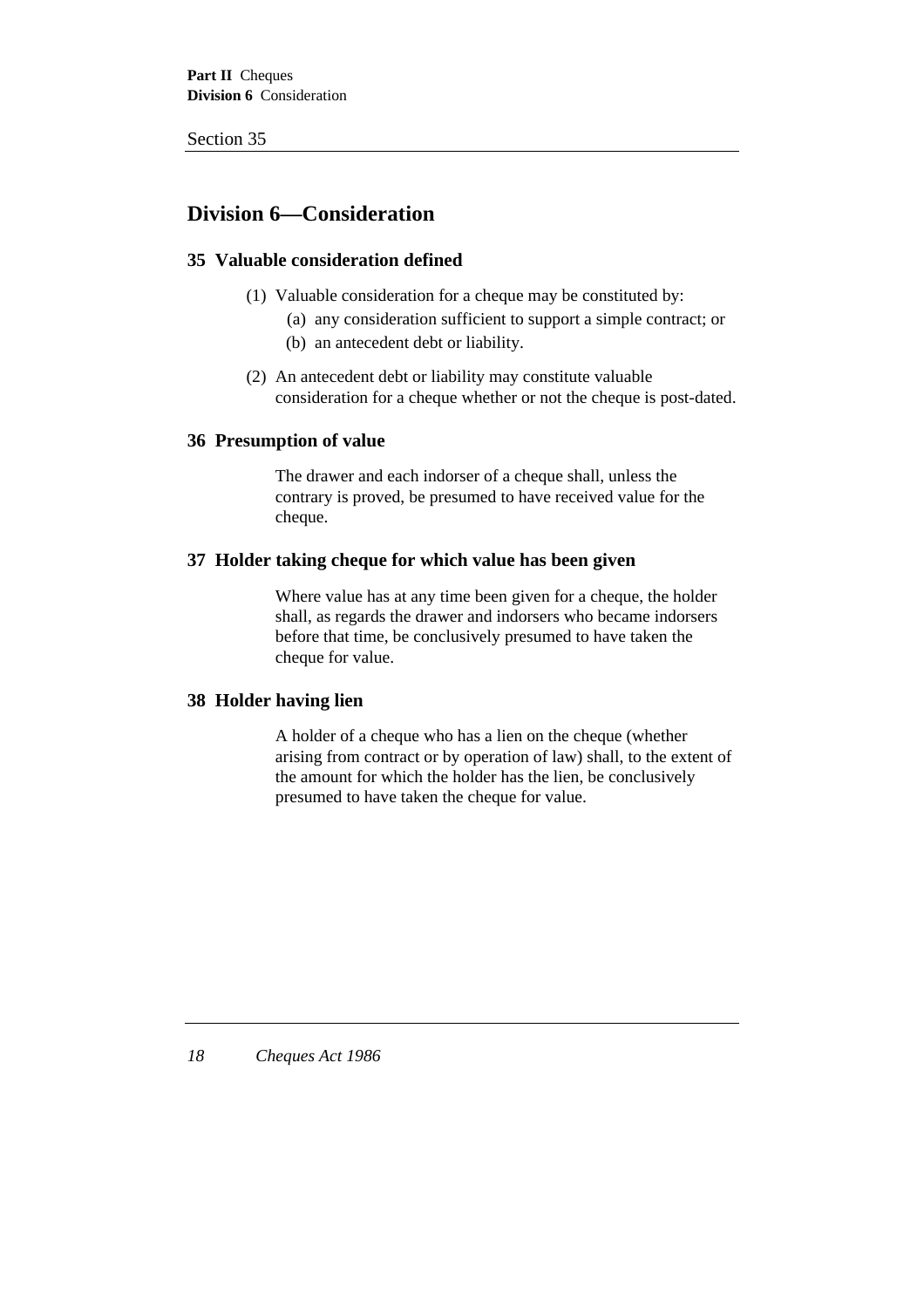# **Division 6—Consideration**

# **35 Valuable consideration defined**

- (1) Valuable consideration for a cheque may be constituted by:
	- (a) any consideration sufficient to support a simple contract; or (b) an antecedent debt or liability.
- (2) An antecedent debt or liability may constitute valuable consideration for a cheque whether or not the cheque is post-dated.

# **36 Presumption of value**

The drawer and each indorser of a cheque shall, unless the contrary is proved, be presumed to have received value for the cheque.

# **37 Holder taking cheque for which value has been given**

Where value has at any time been given for a cheque, the holder shall, as regards the drawer and indorsers who became indorsers before that time, be conclusively presumed to have taken the cheque for value.

#### **38 Holder having lien**

A holder of a cheque who has a lien on the cheque (whether arising from contract or by operation of law) shall, to the extent of the amount for which the holder has the lien, be conclusively presumed to have taken the cheque for value.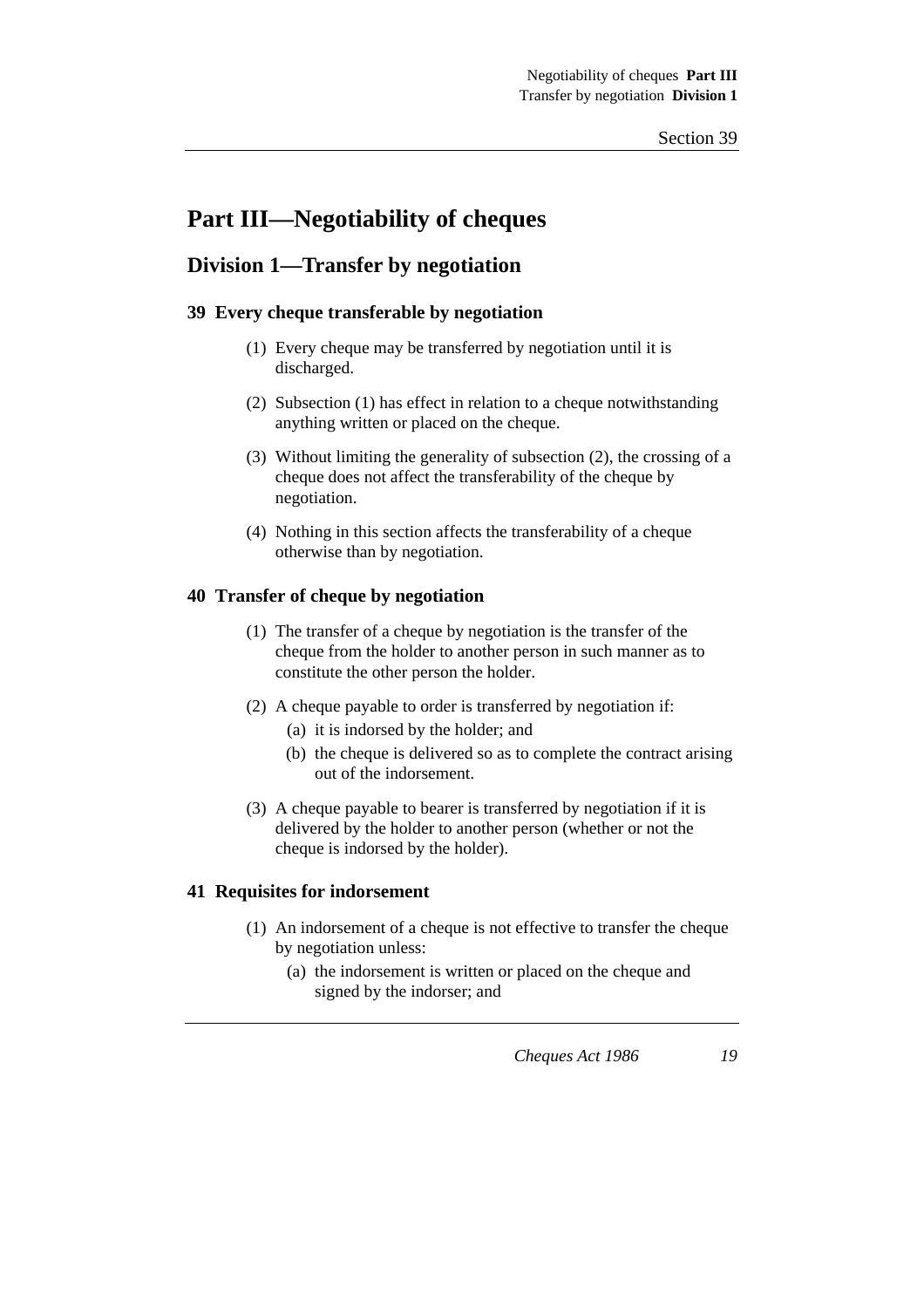# **Part III—Negotiability of cheques**

# **Division 1—Transfer by negotiation**

# **39 Every cheque transferable by negotiation**

- (1) Every cheque may be transferred by negotiation until it is discharged.
- (2) Subsection (1) has effect in relation to a cheque notwithstanding anything written or placed on the cheque.
- (3) Without limiting the generality of subsection (2), the crossing of a cheque does not affect the transferability of the cheque by negotiation.
- (4) Nothing in this section affects the transferability of a cheque otherwise than by negotiation.

# **40 Transfer of cheque by negotiation**

- (1) The transfer of a cheque by negotiation is the transfer of the cheque from the holder to another person in such manner as to constitute the other person the holder.
- (2) A cheque payable to order is transferred by negotiation if:
	- (a) it is indorsed by the holder; and
	- (b) the cheque is delivered so as to complete the contract arising out of the indorsement.
- (3) A cheque payable to bearer is transferred by negotiation if it is delivered by the holder to another person (whether or not the cheque is indorsed by the holder).

# **41 Requisites for indorsement**

- (1) An indorsement of a cheque is not effective to transfer the cheque by negotiation unless:
	- (a) the indorsement is written or placed on the cheque and signed by the indorser; and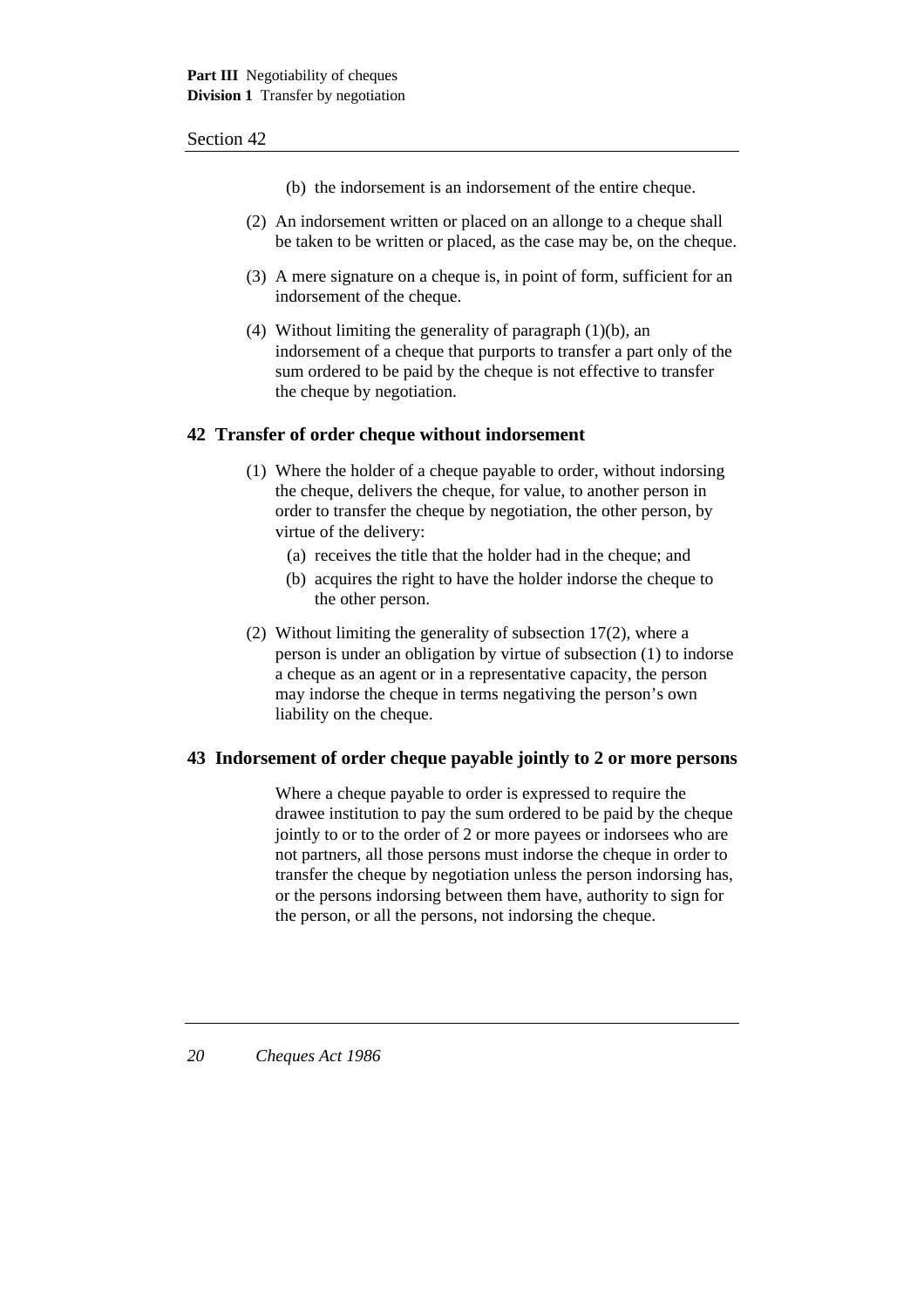- (b) the indorsement is an indorsement of the entire cheque.
- (2) An indorsement written or placed on an allonge to a cheque shall be taken to be written or placed, as the case may be, on the cheque.
- (3) A mere signature on a cheque is, in point of form, sufficient for an indorsement of the cheque.
- (4) Without limiting the generality of paragraph (1)(b), an indorsement of a cheque that purports to transfer a part only of the sum ordered to be paid by the cheque is not effective to transfer the cheque by negotiation.

#### **42 Transfer of order cheque without indorsement**

- (1) Where the holder of a cheque payable to order, without indorsing the cheque, delivers the cheque, for value, to another person in order to transfer the cheque by negotiation, the other person, by virtue of the delivery:
	- (a) receives the title that the holder had in the cheque; and
	- (b) acquires the right to have the holder indorse the cheque to the other person.
- (2) Without limiting the generality of subsection 17(2), where a person is under an obligation by virtue of subsection (1) to indorse a cheque as an agent or in a representative capacity, the person may indorse the cheque in terms negativing the person's own liability on the cheque.

# **43 Indorsement of order cheque payable jointly to 2 or more persons**

Where a cheque payable to order is expressed to require the drawee institution to pay the sum ordered to be paid by the cheque jointly to or to the order of 2 or more payees or indorsees who are not partners, all those persons must indorse the cheque in order to transfer the cheque by negotiation unless the person indorsing has, or the persons indorsing between them have, authority to sign for the person, or all the persons, not indorsing the cheque.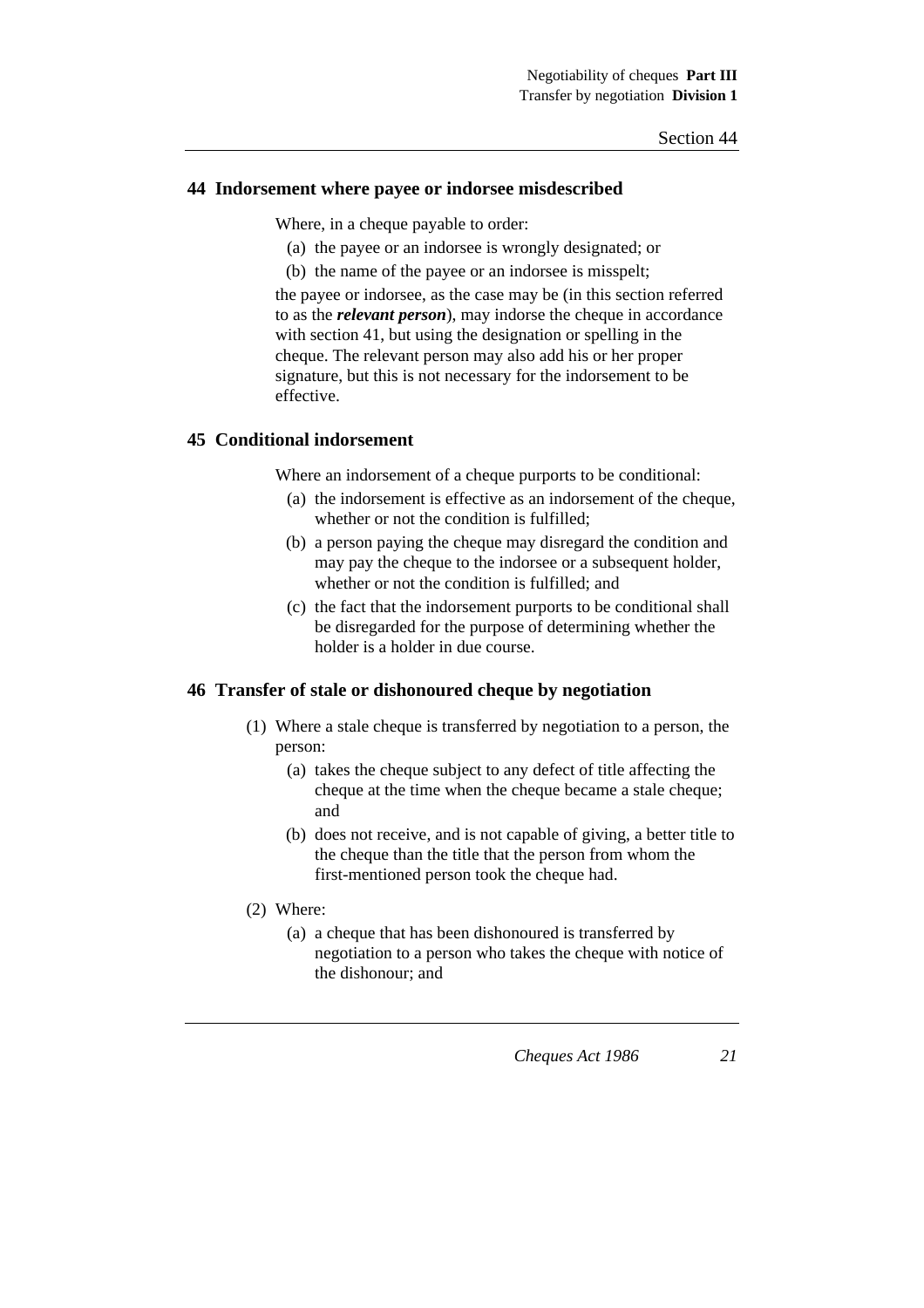#### **44 Indorsement where payee or indorsee misdescribed**

Where, in a cheque payable to order:

- (a) the payee or an indorsee is wrongly designated; or
- (b) the name of the payee or an indorsee is misspelt;

the payee or indorsee, as the case may be (in this section referred to as the *relevant person*), may indorse the cheque in accordance with section 41, but using the designation or spelling in the cheque. The relevant person may also add his or her proper signature, but this is not necessary for the indorsement to be effective.

# **45 Conditional indorsement**

Where an indorsement of a cheque purports to be conditional:

- (a) the indorsement is effective as an indorsement of the cheque, whether or not the condition is fulfilled:
- (b) a person paying the cheque may disregard the condition and may pay the cheque to the indorsee or a subsequent holder, whether or not the condition is fulfilled; and
- (c) the fact that the indorsement purports to be conditional shall be disregarded for the purpose of determining whether the holder is a holder in due course.

# **46 Transfer of stale or dishonoured cheque by negotiation**

- (1) Where a stale cheque is transferred by negotiation to a person, the person:
	- (a) takes the cheque subject to any defect of title affecting the cheque at the time when the cheque became a stale cheque; and
	- (b) does not receive, and is not capable of giving, a better title to the cheque than the title that the person from whom the first-mentioned person took the cheque had.
- (2) Where:
	- (a) a cheque that has been dishonoured is transferred by negotiation to a person who takes the cheque with notice of the dishonour; and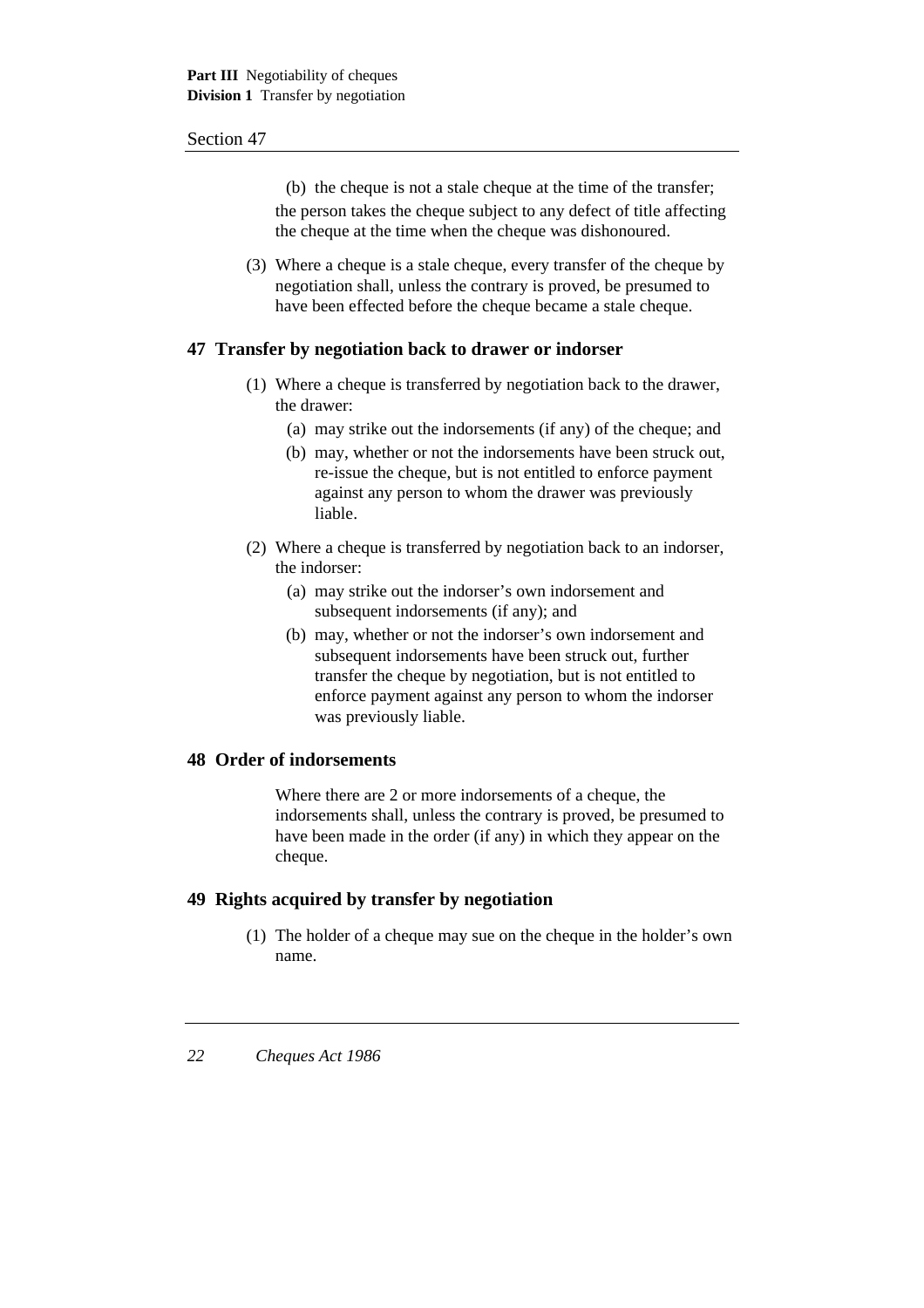(b) the cheque is not a stale cheque at the time of the transfer; the person takes the cheque subject to any defect of title affecting the cheque at the time when the cheque was dishonoured.

(3) Where a cheque is a stale cheque, every transfer of the cheque by negotiation shall, unless the contrary is proved, be presumed to have been effected before the cheque became a stale cheque.

# **47 Transfer by negotiation back to drawer or indorser**

- (1) Where a cheque is transferred by negotiation back to the drawer, the drawer:
	- (a) may strike out the indorsements (if any) of the cheque; and
	- (b) may, whether or not the indorsements have been struck out, re-issue the cheque, but is not entitled to enforce payment against any person to whom the drawer was previously liable.
- (2) Where a cheque is transferred by negotiation back to an indorser, the indorser:
	- (a) may strike out the indorser's own indorsement and subsequent indorsements (if any); and
	- (b) may, whether or not the indorser's own indorsement and subsequent indorsements have been struck out, further transfer the cheque by negotiation, but is not entitled to enforce payment against any person to whom the indorser was previously liable.

# **48 Order of indorsements**

Where there are 2 or more indorsements of a cheque, the indorsements shall, unless the contrary is proved, be presumed to have been made in the order (if any) in which they appear on the cheque.

# **49 Rights acquired by transfer by negotiation**

(1) The holder of a cheque may sue on the cheque in the holder's own name.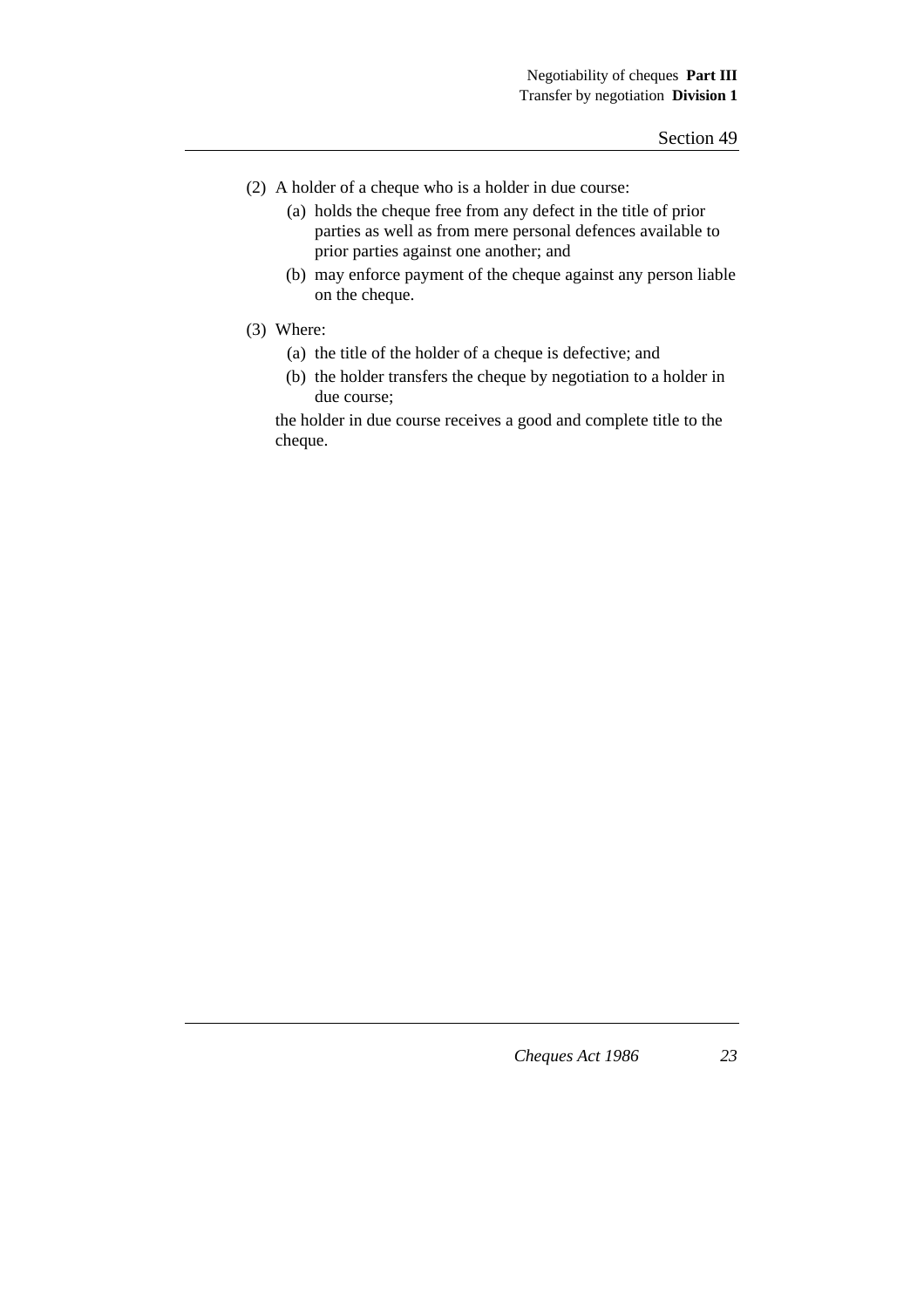- (2) A holder of a cheque who is a holder in due course:
	- (a) holds the cheque free from any defect in the title of prior parties as well as from mere personal defences available to prior parties against one another; and
	- (b) may enforce payment of the cheque against any person liable on the cheque.
- (3) Where:
	- (a) the title of the holder of a cheque is defective; and
	- (b) the holder transfers the cheque by negotiation to a holder in due course;

the holder in due course receives a good and complete title to the cheque.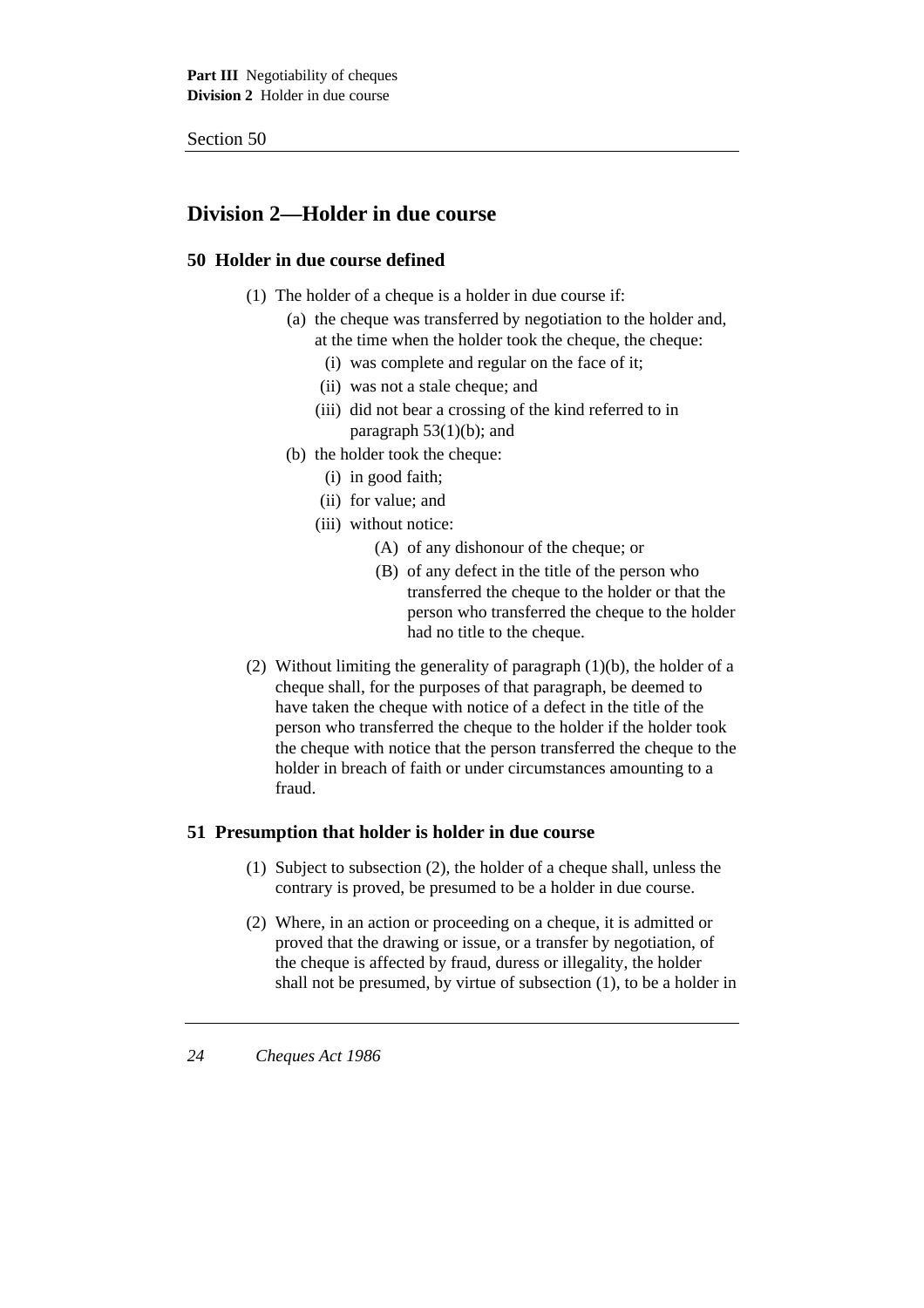# **Division 2—Holder in due course**

# **50 Holder in due course defined**

- (1) The holder of a cheque is a holder in due course if:
	- (a) the cheque was transferred by negotiation to the holder and, at the time when the holder took the cheque, the cheque:
		- (i) was complete and regular on the face of it;
		- (ii) was not a stale cheque; and
		- (iii) did not bear a crossing of the kind referred to in paragraph  $53(1)(b)$ ; and
	- (b) the holder took the cheque:
		- (i) in good faith;
		- (ii) for value; and
		- (iii) without notice:
			- (A) of any dishonour of the cheque; or
			- (B) of any defect in the title of the person who transferred the cheque to the holder or that the person who transferred the cheque to the holder had no title to the cheque.
- (2) Without limiting the generality of paragraph  $(1)(b)$ , the holder of a cheque shall, for the purposes of that paragraph, be deemed to have taken the cheque with notice of a defect in the title of the person who transferred the cheque to the holder if the holder took the cheque with notice that the person transferred the cheque to the holder in breach of faith or under circumstances amounting to a fraud.

# **51 Presumption that holder is holder in due course**

- (1) Subject to subsection (2), the holder of a cheque shall, unless the contrary is proved, be presumed to be a holder in due course.
- (2) Where, in an action or proceeding on a cheque, it is admitted or proved that the drawing or issue, or a transfer by negotiation, of the cheque is affected by fraud, duress or illegality, the holder shall not be presumed, by virtue of subsection (1), to be a holder in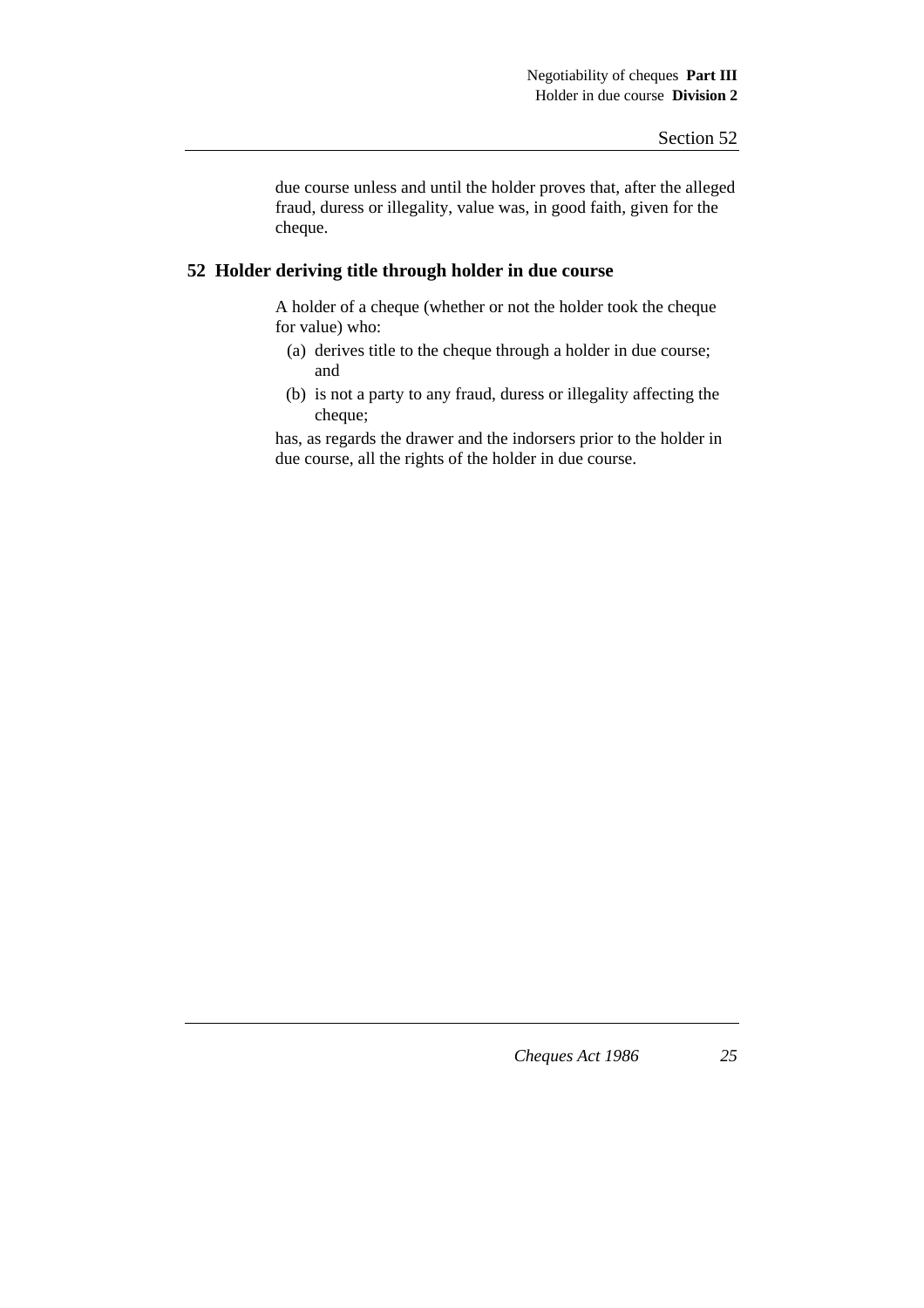due course unless and until the holder proves that, after the alleged fraud, duress or illegality, value was, in good faith, given for the cheque.

# **52 Holder deriving title through holder in due course**

A holder of a cheque (whether or not the holder took the cheque for value) who:

- (a) derives title to the cheque through a holder in due course; and
- (b) is not a party to any fraud, duress or illegality affecting the cheque;

has, as regards the drawer and the indorsers prior to the holder in due course, all the rights of the holder in due course.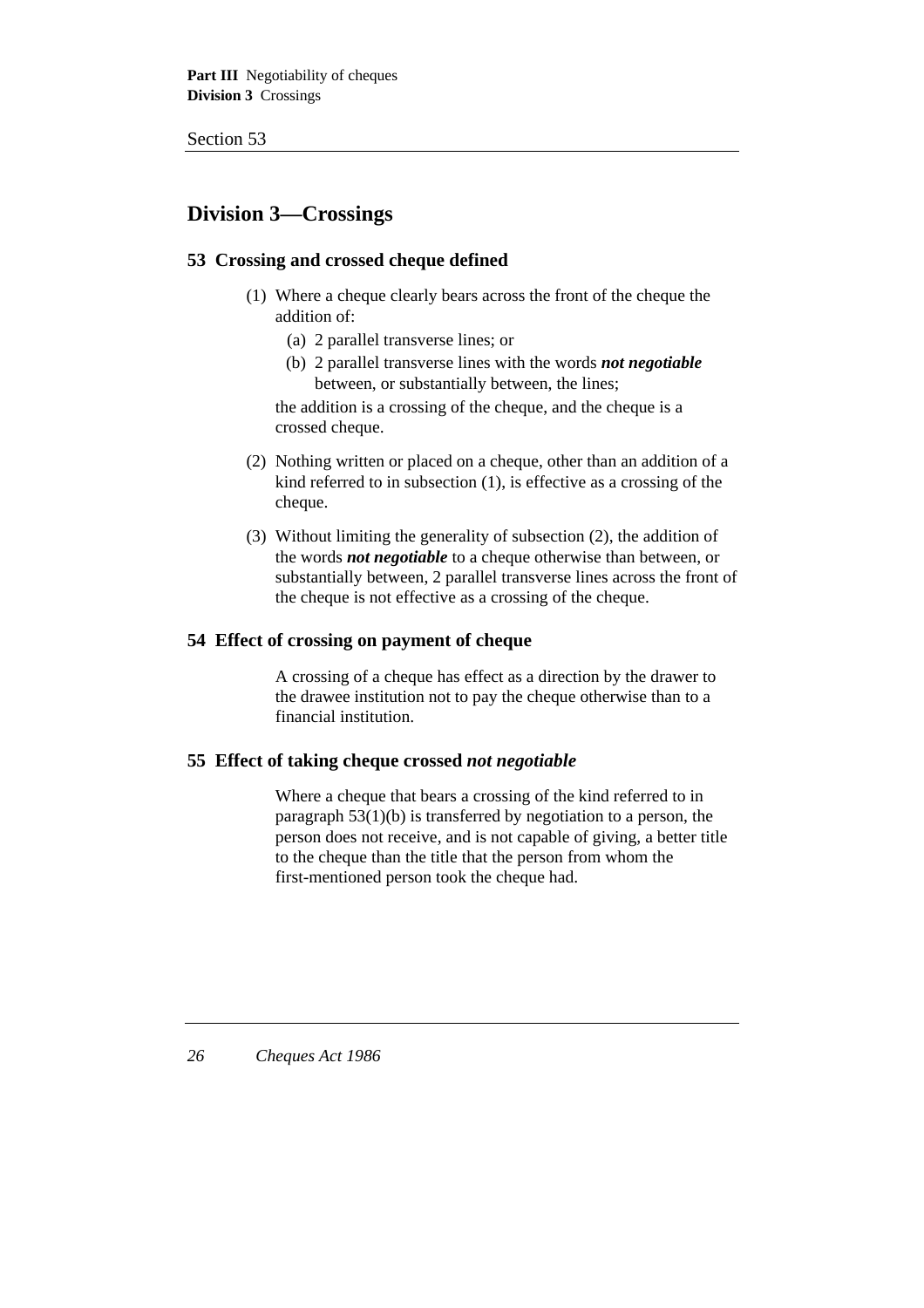# **Division 3—Crossings**

# **53 Crossing and crossed cheque defined**

- (1) Where a cheque clearly bears across the front of the cheque the addition of:
	- (a) 2 parallel transverse lines; or
	- (b) 2 parallel transverse lines with the words *not negotiable* between, or substantially between, the lines;

the addition is a crossing of the cheque, and the cheque is a crossed cheque.

- (2) Nothing written or placed on a cheque, other than an addition of a kind referred to in subsection (1), is effective as a crossing of the cheque.
- (3) Without limiting the generality of subsection (2), the addition of the words *not negotiable* to a cheque otherwise than between, or substantially between, 2 parallel transverse lines across the front of the cheque is not effective as a crossing of the cheque.

#### **54 Effect of crossing on payment of cheque**

A crossing of a cheque has effect as a direction by the drawer to the drawee institution not to pay the cheque otherwise than to a financial institution.

### **55 Effect of taking cheque crossed** *not negotiable*

Where a cheque that bears a crossing of the kind referred to in paragraph 53(1)(b) is transferred by negotiation to a person, the person does not receive, and is not capable of giving, a better title to the cheque than the title that the person from whom the first-mentioned person took the cheque had.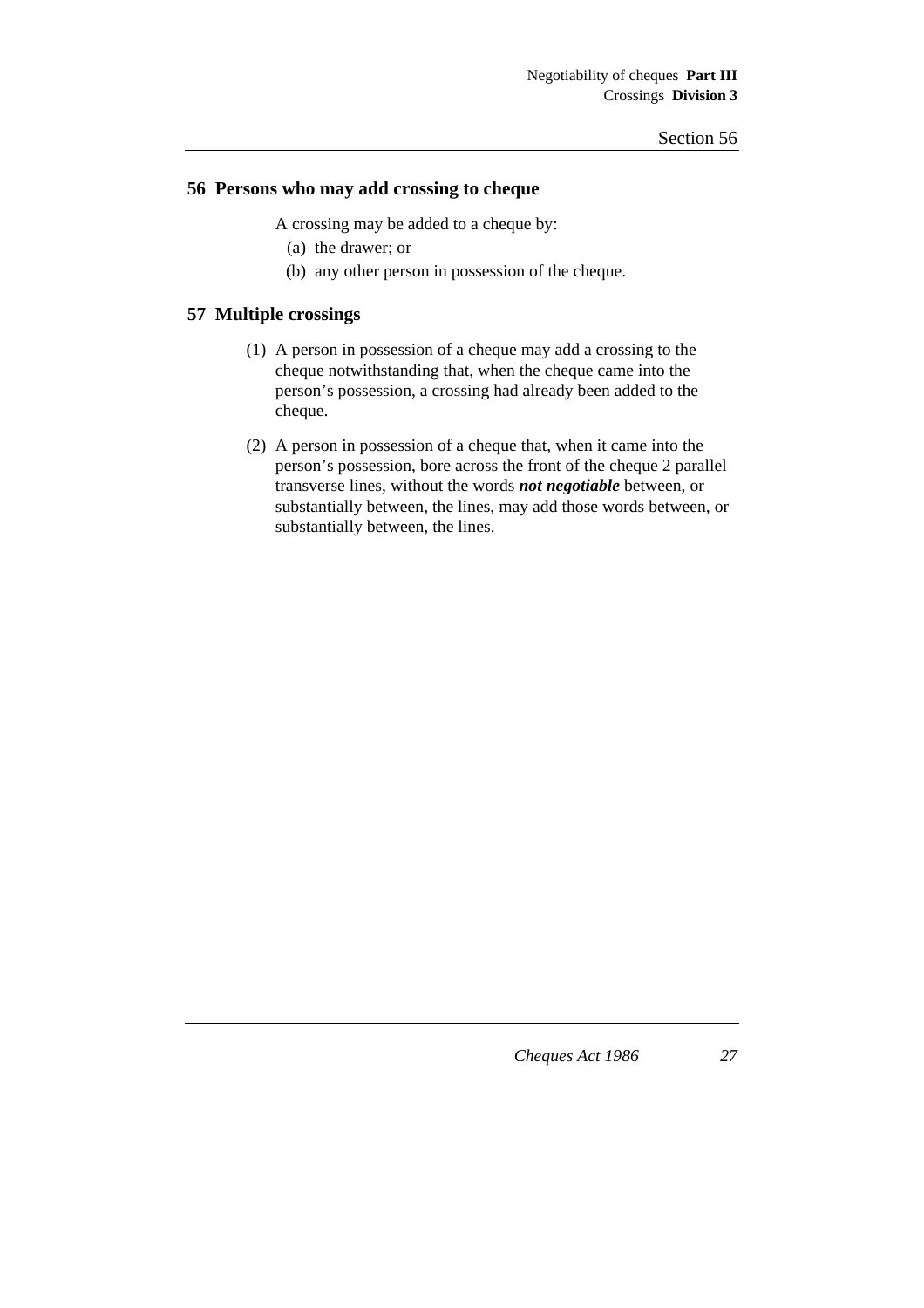# **56 Persons who may add crossing to cheque**

A crossing may be added to a cheque by:

- (a) the drawer; or
- (b) any other person in possession of the cheque.

### **57 Multiple crossings**

- (1) A person in possession of a cheque may add a crossing to the cheque notwithstanding that, when the cheque came into the person's possession, a crossing had already been added to the cheque.
- (2) A person in possession of a cheque that, when it came into the person's possession, bore across the front of the cheque 2 parallel transverse lines, without the words *not negotiable* between, or substantially between, the lines, may add those words between, or substantially between, the lines.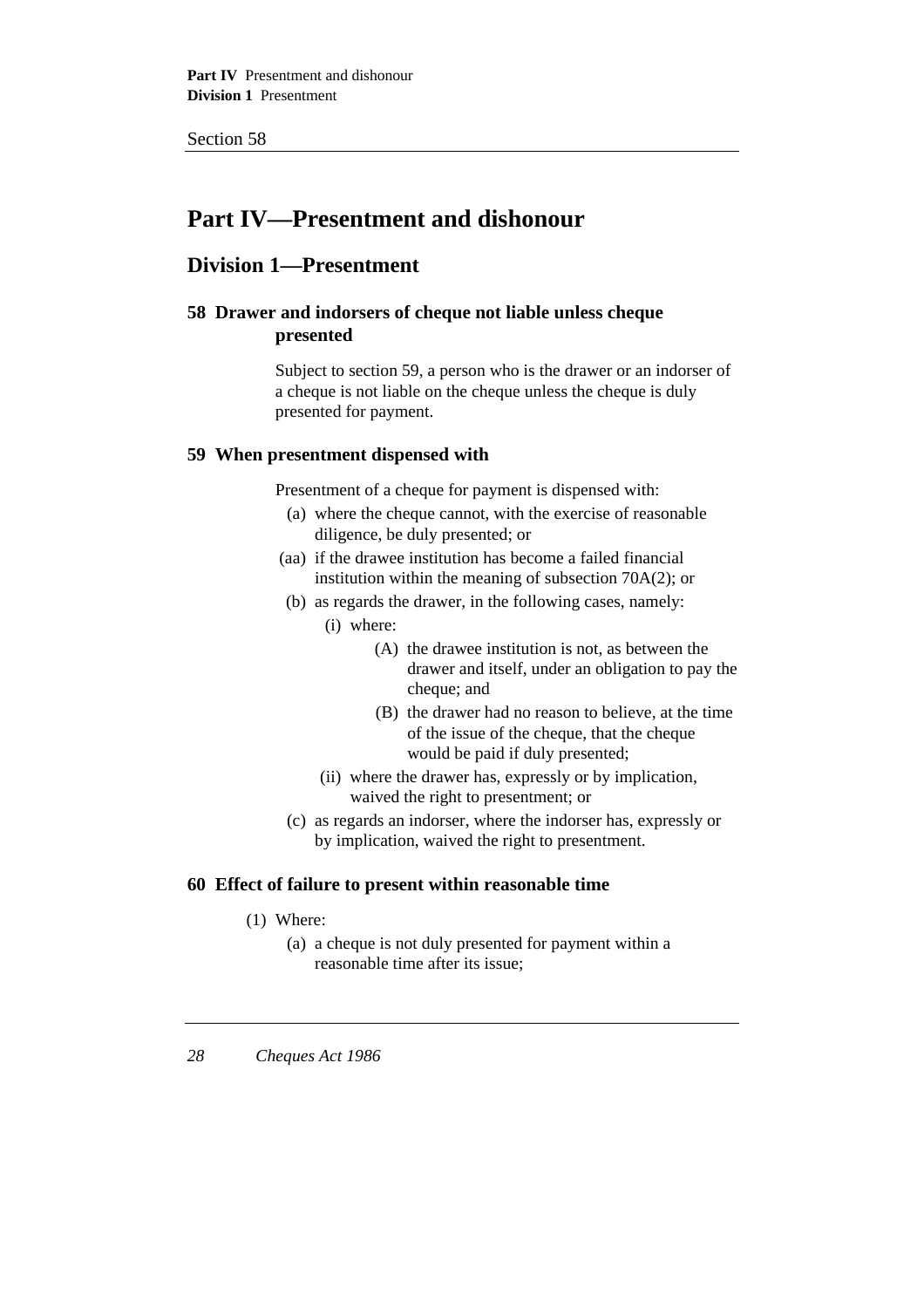# **Part IV—Presentment and dishonour**

# **Division 1—Presentment**

# **58 Drawer and indorsers of cheque not liable unless cheque presented**

Subject to section 59, a person who is the drawer or an indorser of a cheque is not liable on the cheque unless the cheque is duly presented for payment.

# **59 When presentment dispensed with**

Presentment of a cheque for payment is dispensed with:

- (a) where the cheque cannot, with the exercise of reasonable diligence, be duly presented; or
- (aa) if the drawee institution has become a failed financial institution within the meaning of subsection 70A(2); or
- (b) as regards the drawer, in the following cases, namely:
	- (i) where:
		- (A) the drawee institution is not, as between the drawer and itself, under an obligation to pay the cheque; and
		- (B) the drawer had no reason to believe, at the time of the issue of the cheque, that the cheque would be paid if duly presented;
	- (ii) where the drawer has, expressly or by implication, waived the right to presentment; or
- (c) as regards an indorser, where the indorser has, expressly or by implication, waived the right to presentment.

# **60 Effect of failure to present within reasonable time**

- (1) Where:
	- (a) a cheque is not duly presented for payment within a reasonable time after its issue;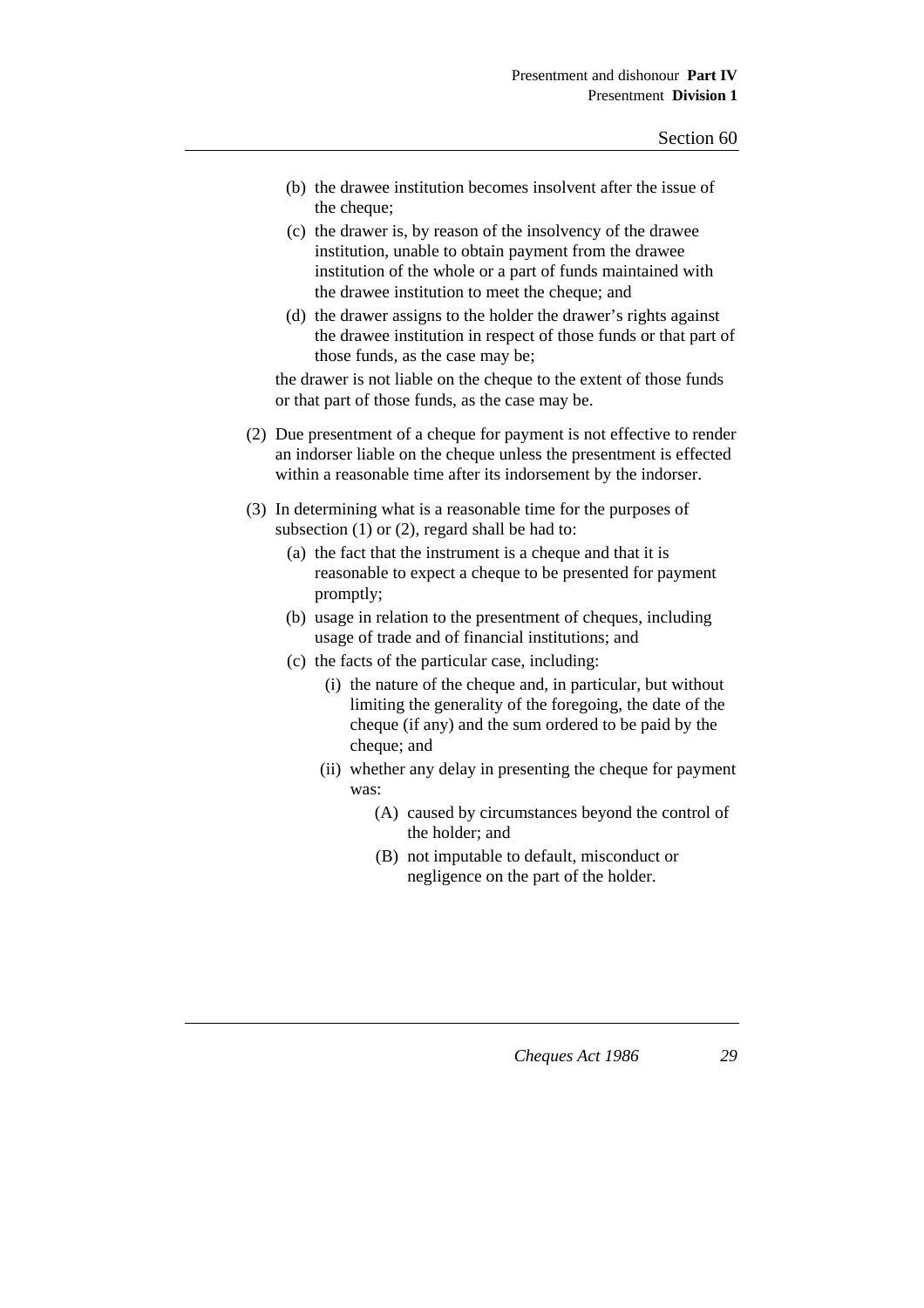- (b) the drawee institution becomes insolvent after the issue of the cheque;
- (c) the drawer is, by reason of the insolvency of the drawee institution, unable to obtain payment from the drawee institution of the whole or a part of funds maintained with the drawee institution to meet the cheque; and
- (d) the drawer assigns to the holder the drawer's rights against the drawee institution in respect of those funds or that part of those funds, as the case may be;

the drawer is not liable on the cheque to the extent of those funds or that part of those funds, as the case may be.

- (2) Due presentment of a cheque for payment is not effective to render an indorser liable on the cheque unless the presentment is effected within a reasonable time after its indorsement by the indorser.
- (3) In determining what is a reasonable time for the purposes of subsection (1) or (2), regard shall be had to:
	- (a) the fact that the instrument is a cheque and that it is reasonable to expect a cheque to be presented for payment promptly;
	- (b) usage in relation to the presentment of cheques, including usage of trade and of financial institutions; and
	- (c) the facts of the particular case, including:
		- (i) the nature of the cheque and, in particular, but without limiting the generality of the foregoing, the date of the cheque (if any) and the sum ordered to be paid by the cheque; and
		- (ii) whether any delay in presenting the cheque for payment was:
			- (A) caused by circumstances beyond the control of the holder; and
			- (B) not imputable to default, misconduct or negligence on the part of the holder.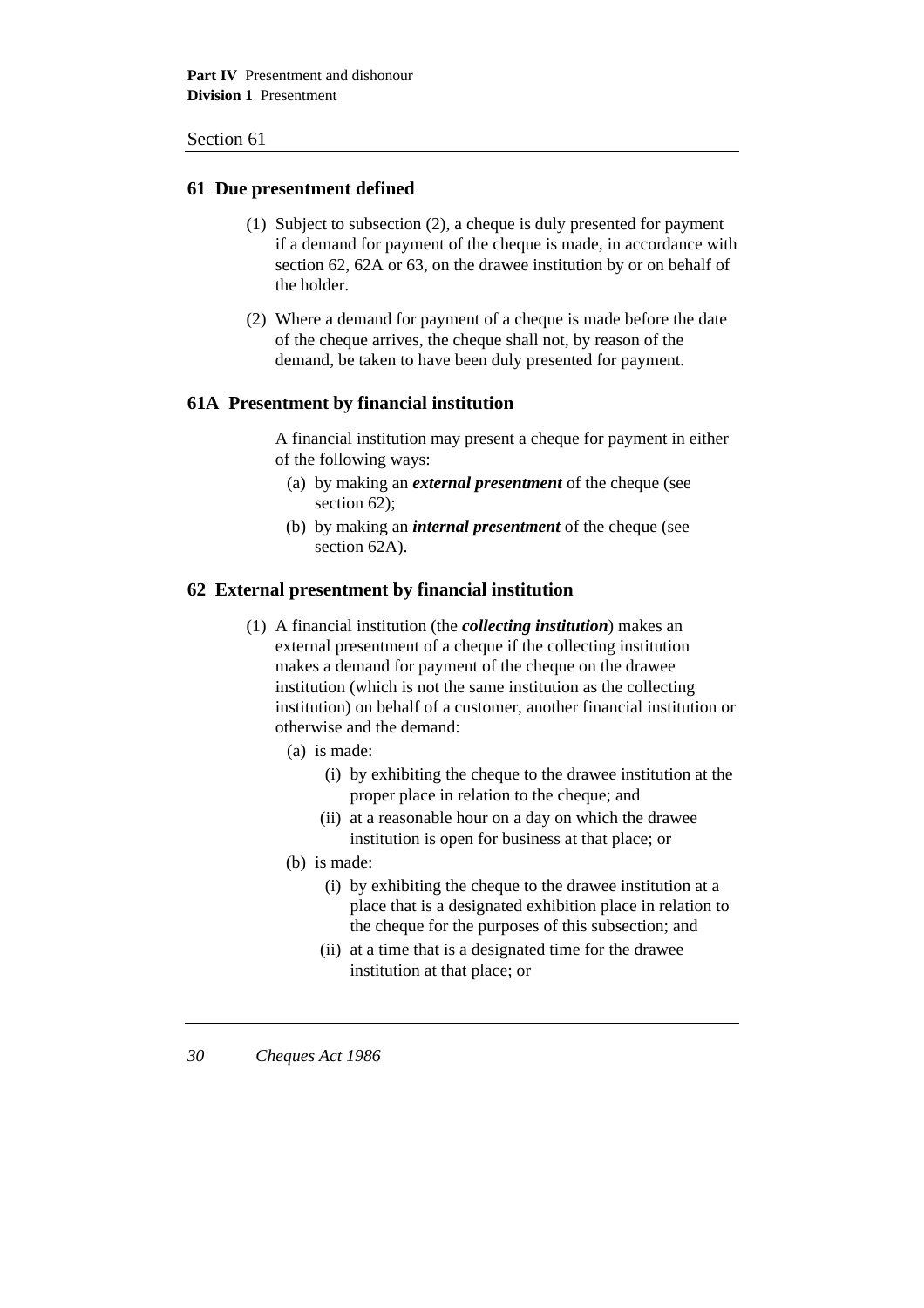### **61 Due presentment defined**

- (1) Subject to subsection (2), a cheque is duly presented for payment if a demand for payment of the cheque is made, in accordance with section 62, 62A or 63, on the drawee institution by or on behalf of the holder.
- (2) Where a demand for payment of a cheque is made before the date of the cheque arrives, the cheque shall not, by reason of the demand, be taken to have been duly presented for payment.

## **61A Presentment by financial institution**

A financial institution may present a cheque for payment in either of the following ways:

- (a) by making an *external presentment* of the cheque (see section 62);
- (b) by making an *internal presentment* of the cheque (see section 62A).

### **62 External presentment by financial institution**

- (1) A financial institution (the *collecting institution*) makes an external presentment of a cheque if the collecting institution makes a demand for payment of the cheque on the drawee institution (which is not the same institution as the collecting institution) on behalf of a customer, another financial institution or otherwise and the demand:
	- (a) is made:
		- (i) by exhibiting the cheque to the drawee institution at the proper place in relation to the cheque; and
		- (ii) at a reasonable hour on a day on which the drawee institution is open for business at that place; or
	- (b) is made:
		- (i) by exhibiting the cheque to the drawee institution at a place that is a designated exhibition place in relation to the cheque for the purposes of this subsection; and
		- (ii) at a time that is a designated time for the drawee institution at that place; or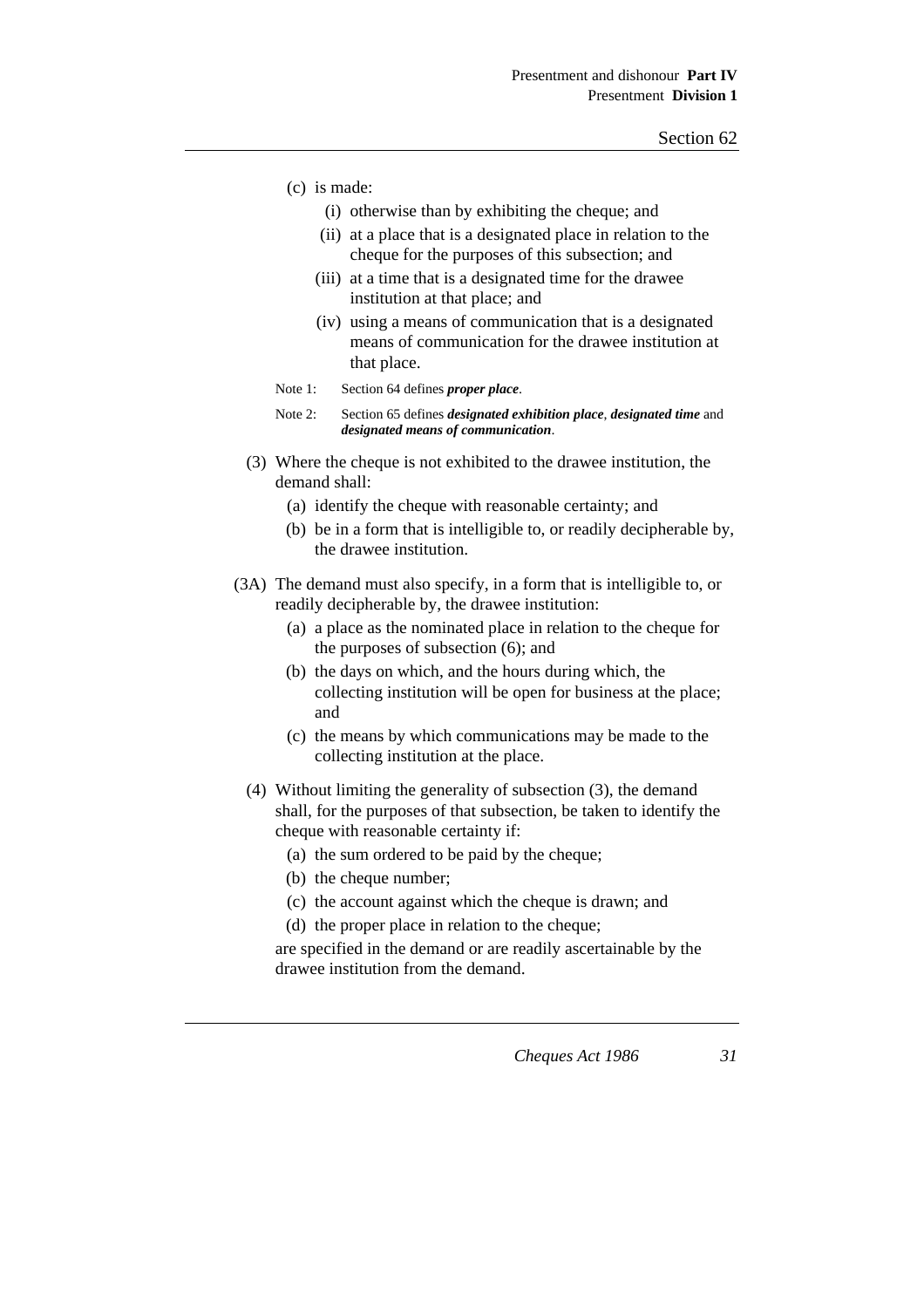- (c) is made:
	- (i) otherwise than by exhibiting the cheque; and
	- (ii) at a place that is a designated place in relation to the cheque for the purposes of this subsection; and
	- (iii) at a time that is a designated time for the drawee institution at that place; and
	- (iv) using a means of communication that is a designated means of communication for the drawee institution at that place.
- Note 1: Section 64 defines *proper place*.
- Note 2: Section 65 defines *designated exhibition place*, *designated time* and *designated means of communication*.
- (3) Where the cheque is not exhibited to the drawee institution, the demand shall:
	- (a) identify the cheque with reasonable certainty; and
	- (b) be in a form that is intelligible to, or readily decipherable by, the drawee institution.
- (3A) The demand must also specify, in a form that is intelligible to, or readily decipherable by, the drawee institution:
	- (a) a place as the nominated place in relation to the cheque for the purposes of subsection (6); and
	- (b) the days on which, and the hours during which, the collecting institution will be open for business at the place; and
	- (c) the means by which communications may be made to the collecting institution at the place.
	- (4) Without limiting the generality of subsection (3), the demand shall, for the purposes of that subsection, be taken to identify the cheque with reasonable certainty if:
		- (a) the sum ordered to be paid by the cheque;
		- (b) the cheque number;
		- (c) the account against which the cheque is drawn; and
		- (d) the proper place in relation to the cheque;

are specified in the demand or are readily ascertainable by the drawee institution from the demand.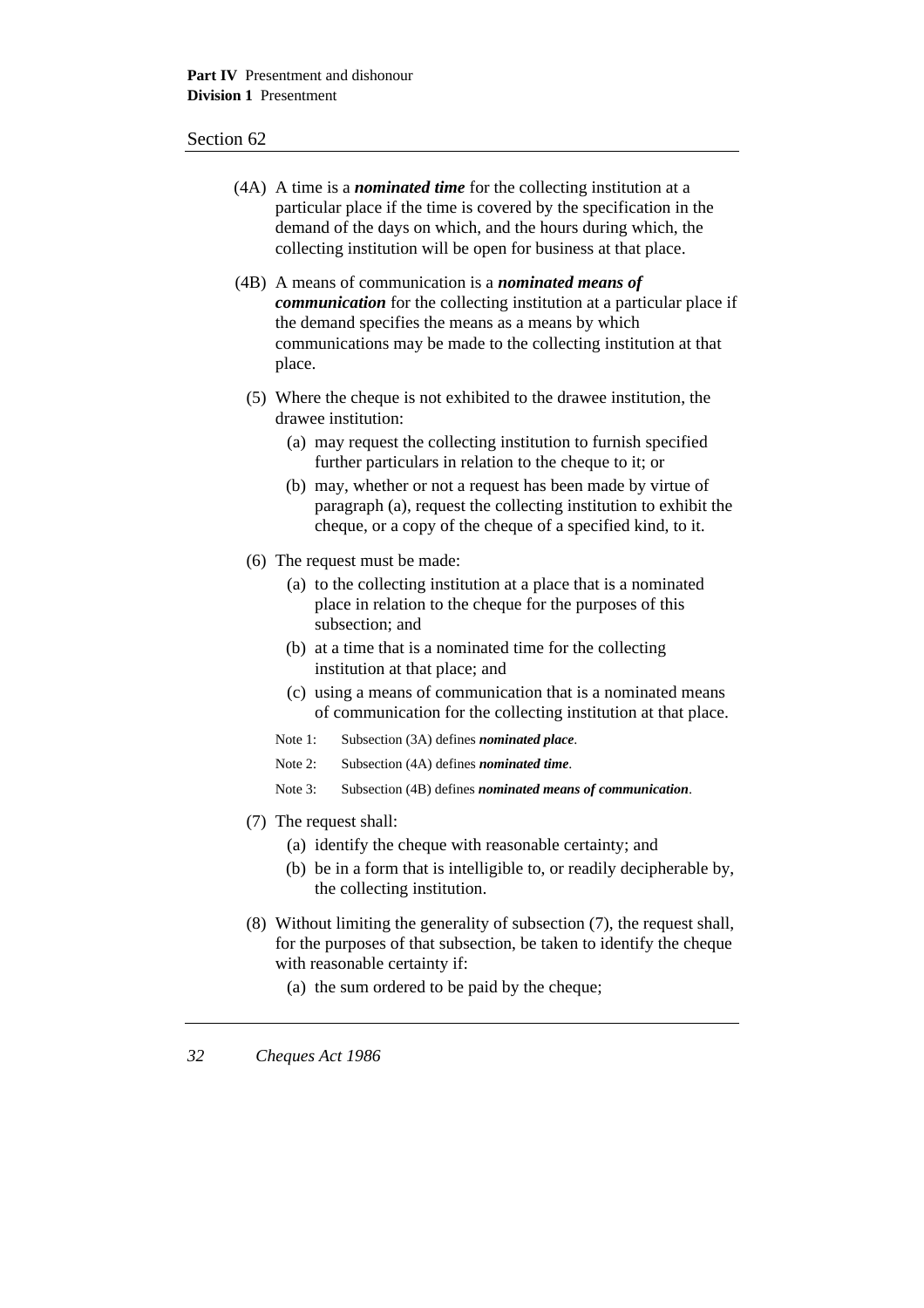- (4A) A time is a *nominated time* for the collecting institution at a particular place if the time is covered by the specification in the demand of the days on which, and the hours during which, the collecting institution will be open for business at that place.
- (4B) A means of communication is a *nominated means of communication* for the collecting institution at a particular place if the demand specifies the means as a means by which communications may be made to the collecting institution at that place.
	- (5) Where the cheque is not exhibited to the drawee institution, the drawee institution:
		- (a) may request the collecting institution to furnish specified further particulars in relation to the cheque to it; or
		- (b) may, whether or not a request has been made by virtue of paragraph (a), request the collecting institution to exhibit the cheque, or a copy of the cheque of a specified kind, to it.
	- (6) The request must be made:
		- (a) to the collecting institution at a place that is a nominated place in relation to the cheque for the purposes of this subsection; and
		- (b) at a time that is a nominated time for the collecting institution at that place; and
		- (c) using a means of communication that is a nominated means of communication for the collecting institution at that place.
		- Note 1: Subsection (3A) defines *nominated place*.
		- Note 2: Subsection (4A) defines *nominated time*.
		- Note 3: Subsection (4B) defines *nominated means of communication*.
	- (7) The request shall:
		- (a) identify the cheque with reasonable certainty; and
		- (b) be in a form that is intelligible to, or readily decipherable by, the collecting institution.
	- (8) Without limiting the generality of subsection (7), the request shall, for the purposes of that subsection, be taken to identify the cheque with reasonable certainty if:
		- (a) the sum ordered to be paid by the cheque;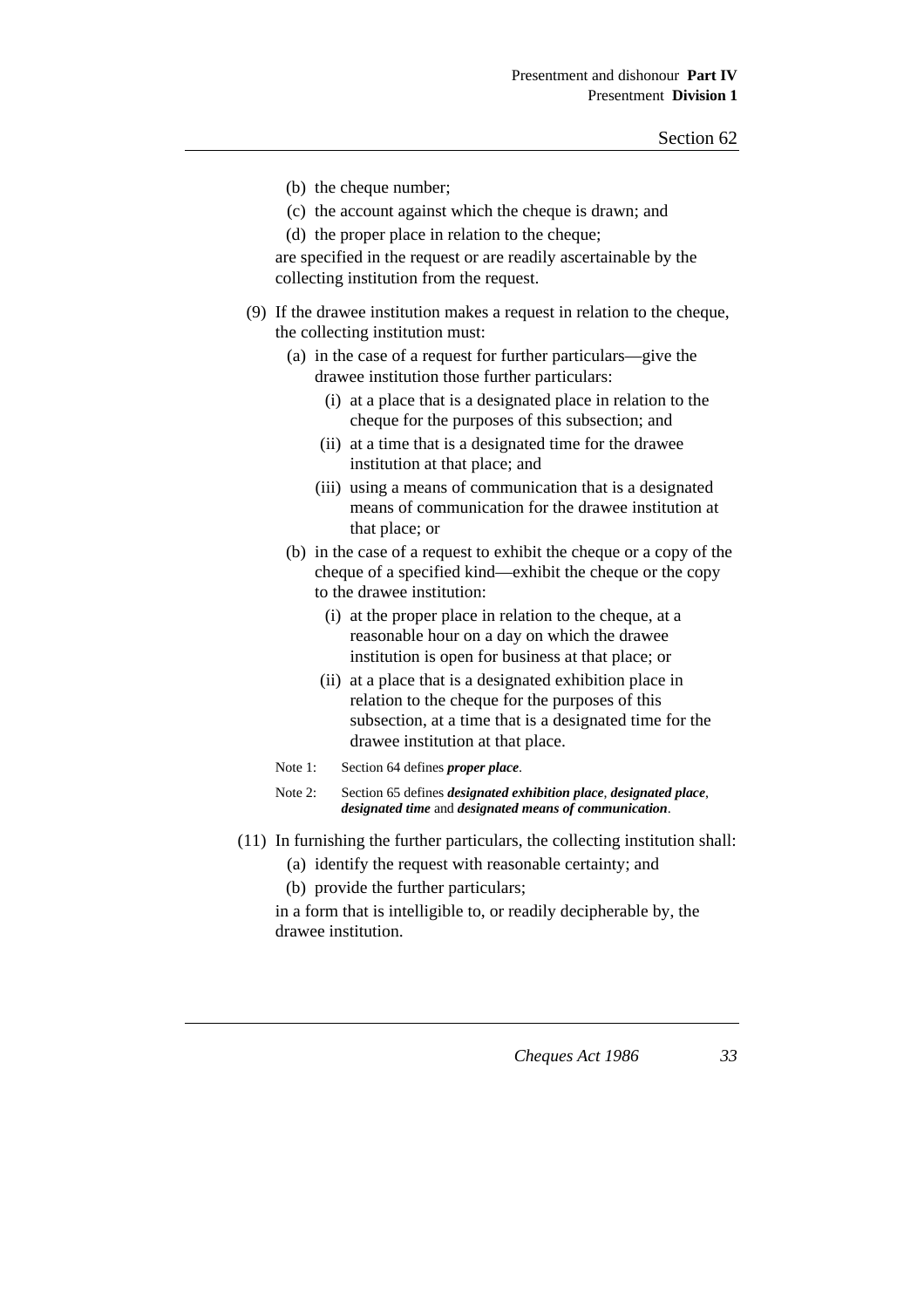- (b) the cheque number;
- (c) the account against which the cheque is drawn; and
- (d) the proper place in relation to the cheque;

are specified in the request or are readily ascertainable by the collecting institution from the request.

- (9) If the drawee institution makes a request in relation to the cheque, the collecting institution must:
	- (a) in the case of a request for further particulars—give the drawee institution those further particulars:
		- (i) at a place that is a designated place in relation to the cheque for the purposes of this subsection; and
		- (ii) at a time that is a designated time for the drawee institution at that place; and
		- (iii) using a means of communication that is a designated means of communication for the drawee institution at that place; or
	- (b) in the case of a request to exhibit the cheque or a copy of the cheque of a specified kind—exhibit the cheque or the copy to the drawee institution:
		- (i) at the proper place in relation to the cheque, at a reasonable hour on a day on which the drawee institution is open for business at that place; or
		- (ii) at a place that is a designated exhibition place in relation to the cheque for the purposes of this subsection, at a time that is a designated time for the drawee institution at that place.
	- Note 1: Section 64 defines *proper place*.
	- Note 2: Section 65 defines *designated exhibition place*, *designated place*, *designated time* and *designated means of communication*.
- (11) In furnishing the further particulars, the collecting institution shall:
	- (a) identify the request with reasonable certainty; and
	- (b) provide the further particulars;

in a form that is intelligible to, or readily decipherable by, the drawee institution.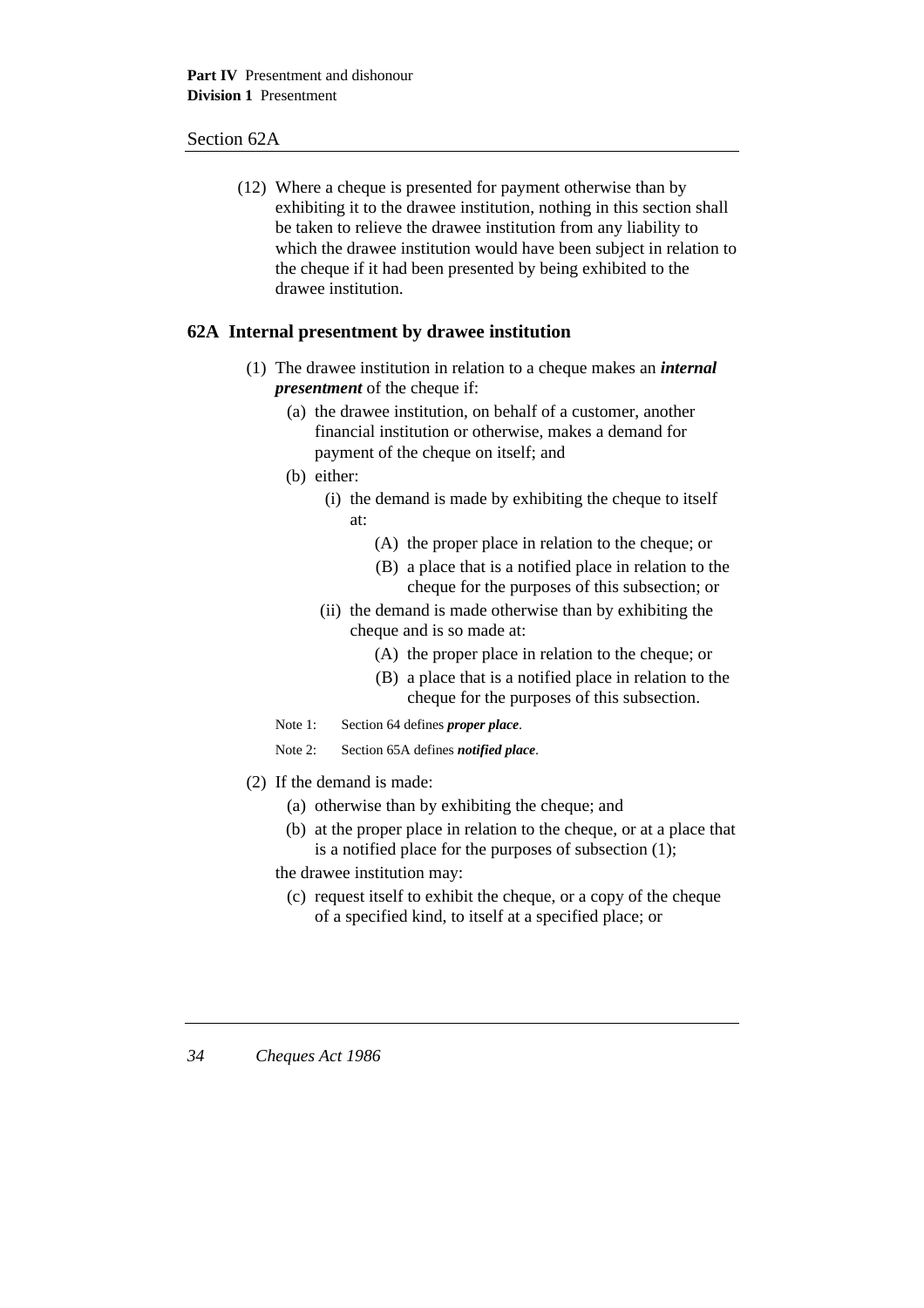### Section 62A

(12) Where a cheque is presented for payment otherwise than by exhibiting it to the drawee institution, nothing in this section shall be taken to relieve the drawee institution from any liability to which the drawee institution would have been subject in relation to the cheque if it had been presented by being exhibited to the drawee institution.

### **62A Internal presentment by drawee institution**

- (1) The drawee institution in relation to a cheque makes an *internal presentment* of the cheque if:
	- (a) the drawee institution, on behalf of a customer, another financial institution or otherwise, makes a demand for payment of the cheque on itself; and
	- (b) either:
		- (i) the demand is made by exhibiting the cheque to itself at:
			- (A) the proper place in relation to the cheque; or
			- (B) a place that is a notified place in relation to the cheque for the purposes of this subsection; or
		- (ii) the demand is made otherwise than by exhibiting the cheque and is so made at:
			- (A) the proper place in relation to the cheque; or
			- (B) a place that is a notified place in relation to the cheque for the purposes of this subsection.
	- Note 1: Section 64 defines *proper place*.
	- Note 2: Section 65A defines *notified place*.
- (2) If the demand is made:
	- (a) otherwise than by exhibiting the cheque; and
	- (b) at the proper place in relation to the cheque, or at a place that is a notified place for the purposes of subsection (1);

the drawee institution may:

(c) request itself to exhibit the cheque, or a copy of the cheque of a specified kind, to itself at a specified place; or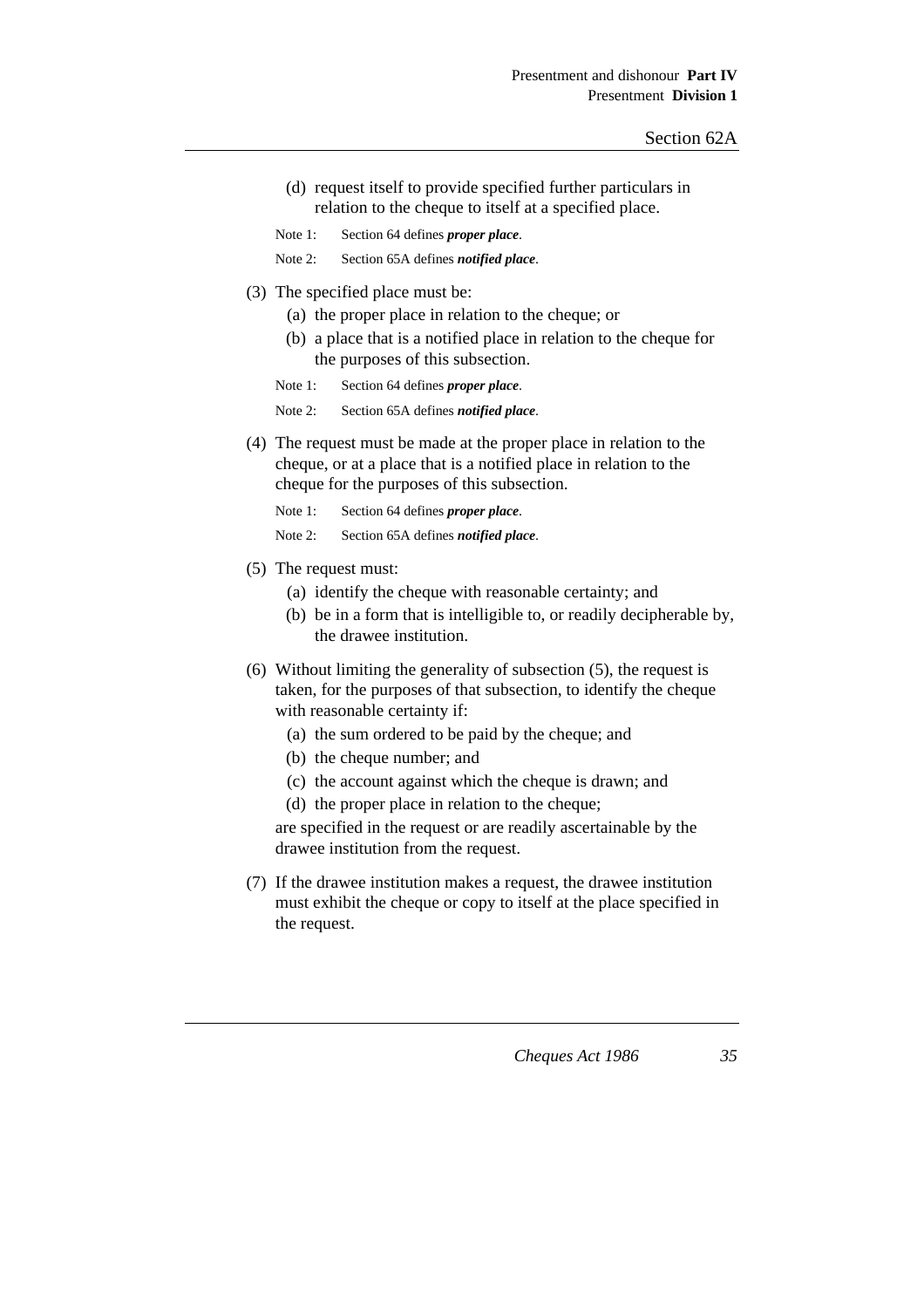- (d) request itself to provide specified further particulars in relation to the cheque to itself at a specified place.
- Note 1: Section 64 defines *proper place*.

Note 2: Section 65A defines *notified place*.

- (3) The specified place must be:
	- (a) the proper place in relation to the cheque; or
	- (b) a place that is a notified place in relation to the cheque for the purposes of this subsection.
	- Note 1: Section 64 defines *proper place*.

Note 2: Section 65A defines *notified place*.

(4) The request must be made at the proper place in relation to the cheque, or at a place that is a notified place in relation to the cheque for the purposes of this subsection.

Note 1: Section 64 defines *proper place*.

Note 2: Section 65A defines *notified place*.

- (5) The request must:
	- (a) identify the cheque with reasonable certainty; and
	- (b) be in a form that is intelligible to, or readily decipherable by, the drawee institution.
- (6) Without limiting the generality of subsection (5), the request is taken, for the purposes of that subsection, to identify the cheque with reasonable certainty if:
	- (a) the sum ordered to be paid by the cheque; and
	- (b) the cheque number; and
	- (c) the account against which the cheque is drawn; and
	- (d) the proper place in relation to the cheque;

are specified in the request or are readily ascertainable by the drawee institution from the request.

(7) If the drawee institution makes a request, the drawee institution must exhibit the cheque or copy to itself at the place specified in the request.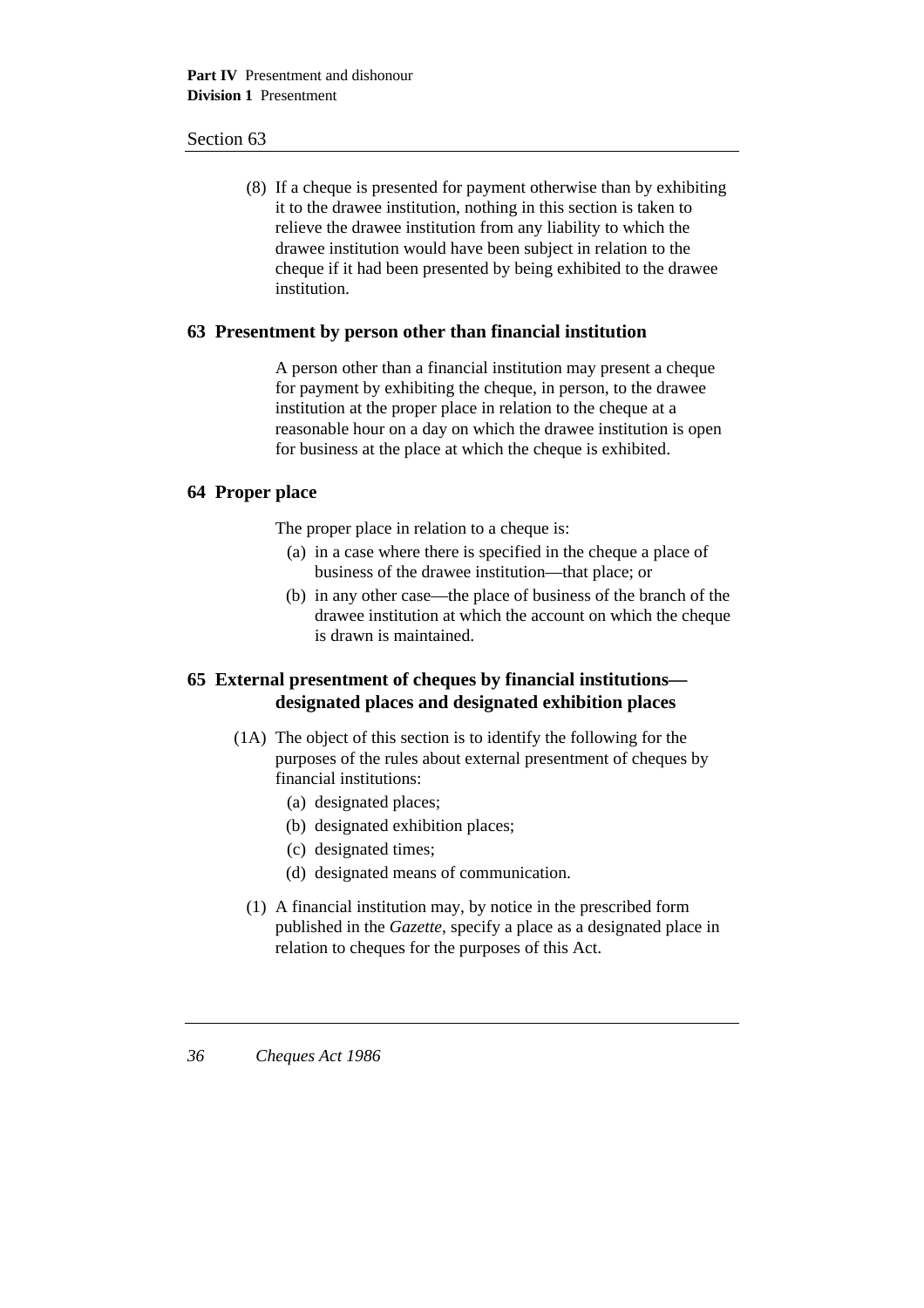(8) If a cheque is presented for payment otherwise than by exhibiting it to the drawee institution, nothing in this section is taken to relieve the drawee institution from any liability to which the drawee institution would have been subject in relation to the cheque if it had been presented by being exhibited to the drawee institution.

### **63 Presentment by person other than financial institution**

A person other than a financial institution may present a cheque for payment by exhibiting the cheque, in person, to the drawee institution at the proper place in relation to the cheque at a reasonable hour on a day on which the drawee institution is open for business at the place at which the cheque is exhibited.

### **64 Proper place**

The proper place in relation to a cheque is:

- (a) in a case where there is specified in the cheque a place of business of the drawee institution—that place; or
- (b) in any other case—the place of business of the branch of the drawee institution at which the account on which the cheque is drawn is maintained.

## **65 External presentment of cheques by financial institutions designated places and designated exhibition places**

- (1A) The object of this section is to identify the following for the purposes of the rules about external presentment of cheques by financial institutions:
	- (a) designated places;
	- (b) designated exhibition places;
	- (c) designated times;
	- (d) designated means of communication.
	- (1) A financial institution may, by notice in the prescribed form published in the *Gazette*, specify a place as a designated place in relation to cheques for the purposes of this Act.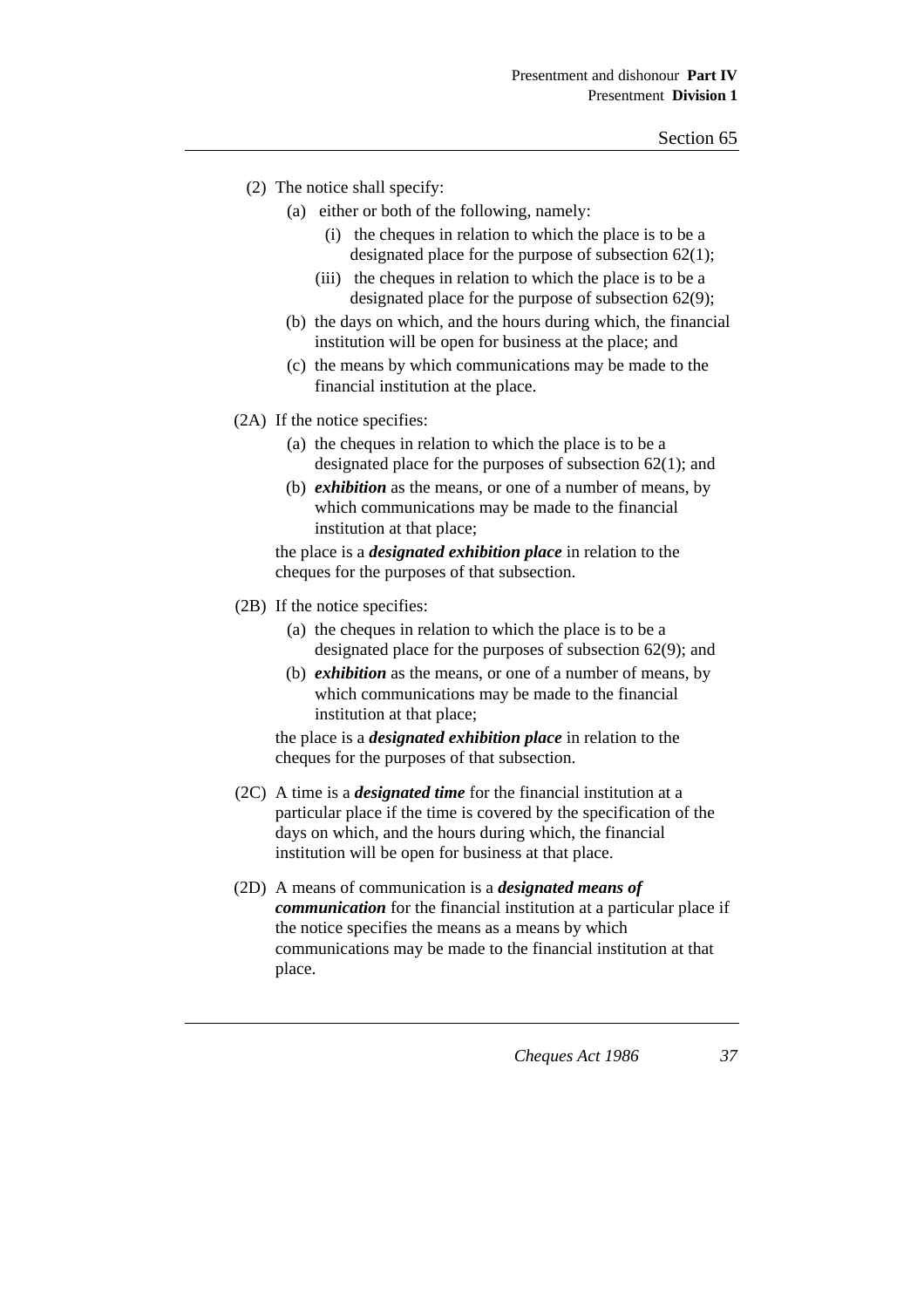- (2) The notice shall specify:
	- (a) either or both of the following, namely:
		- (i) the cheques in relation to which the place is to be a designated place for the purpose of subsection 62(1);
		- (iii) the cheques in relation to which the place is to be a designated place for the purpose of subsection 62(9);
	- (b) the days on which, and the hours during which, the financial institution will be open for business at the place; and
	- (c) the means by which communications may be made to the financial institution at the place.
- (2A) If the notice specifies:
	- (a) the cheques in relation to which the place is to be a designated place for the purposes of subsection 62(1); and
	- (b) *exhibition* as the means, or one of a number of means, by which communications may be made to the financial institution at that place;

the place is a *designated exhibition place* in relation to the cheques for the purposes of that subsection.

- (2B) If the notice specifies:
	- (a) the cheques in relation to which the place is to be a designated place for the purposes of subsection 62(9); and
	- (b) *exhibition* as the means, or one of a number of means, by which communications may be made to the financial institution at that place;

the place is a *designated exhibition place* in relation to the cheques for the purposes of that subsection.

- (2C) A time is a *designated time* for the financial institution at a particular place if the time is covered by the specification of the days on which, and the hours during which, the financial institution will be open for business at that place.
- (2D) A means of communication is a *designated means of communication* for the financial institution at a particular place if the notice specifies the means as a means by which communications may be made to the financial institution at that place.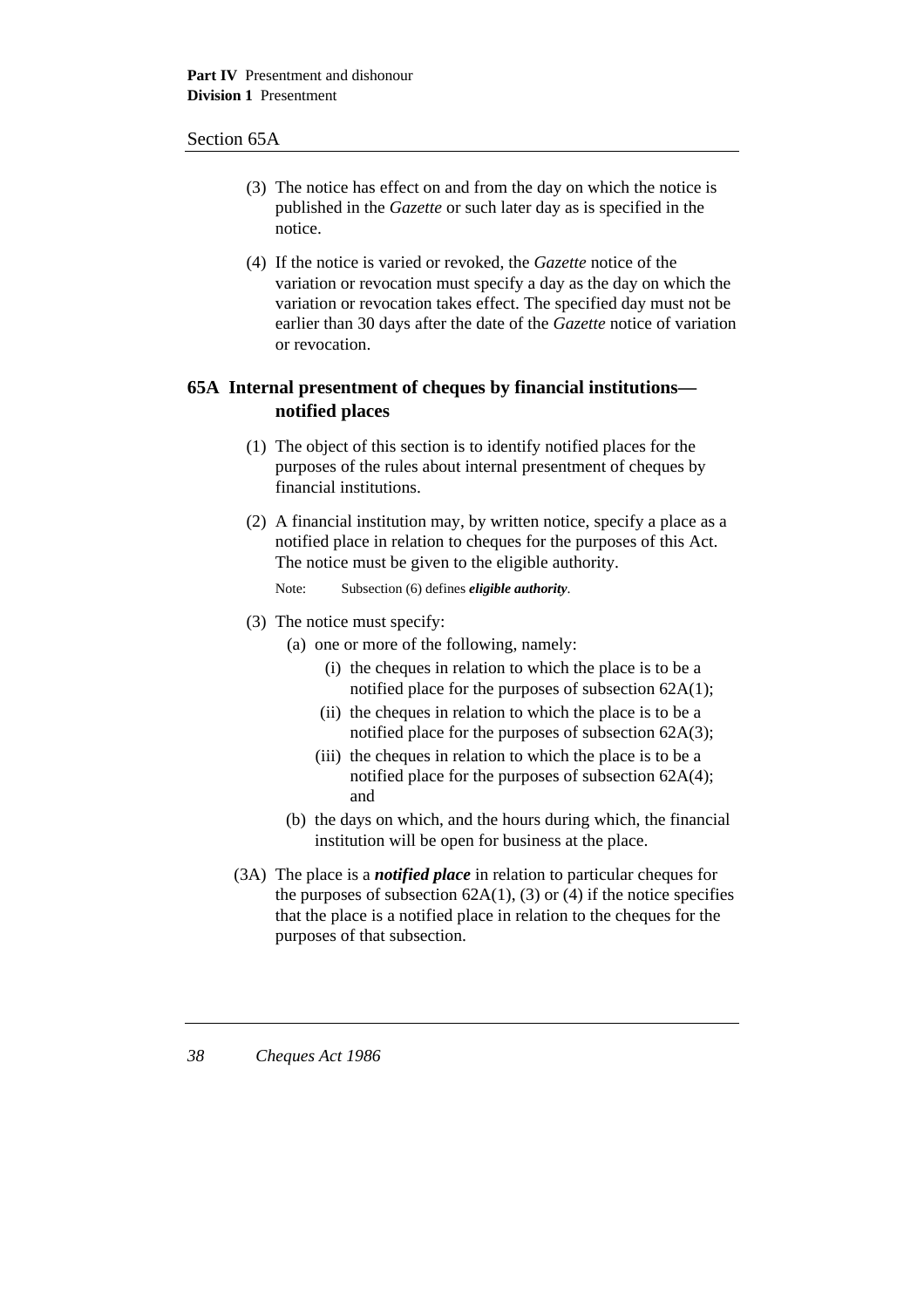### Section 65A

- (3) The notice has effect on and from the day on which the notice is published in the *Gazette* or such later day as is specified in the notice.
- (4) If the notice is varied or revoked, the *Gazette* notice of the variation or revocation must specify a day as the day on which the variation or revocation takes effect. The specified day must not be earlier than 30 days after the date of the *Gazette* notice of variation or revocation.

# **65A Internal presentment of cheques by financial institutions notified places**

- (1) The object of this section is to identify notified places for the purposes of the rules about internal presentment of cheques by financial institutions.
- (2) A financial institution may, by written notice, specify a place as a notified place in relation to cheques for the purposes of this Act. The notice must be given to the eligible authority.
	- Note: Subsection (6) defines *eligible authority*.
- (3) The notice must specify:
	- (a) one or more of the following, namely:
		- (i) the cheques in relation to which the place is to be a notified place for the purposes of subsection 62A(1);
		- (ii) the cheques in relation to which the place is to be a notified place for the purposes of subsection 62A(3);
		- (iii) the cheques in relation to which the place is to be a notified place for the purposes of subsection 62A(4); and
	- (b) the days on which, and the hours during which, the financial institution will be open for business at the place.
- (3A) The place is a *notified place* in relation to particular cheques for the purposes of subsection  $62A(1)$ , (3) or (4) if the notice specifies that the place is a notified place in relation to the cheques for the purposes of that subsection.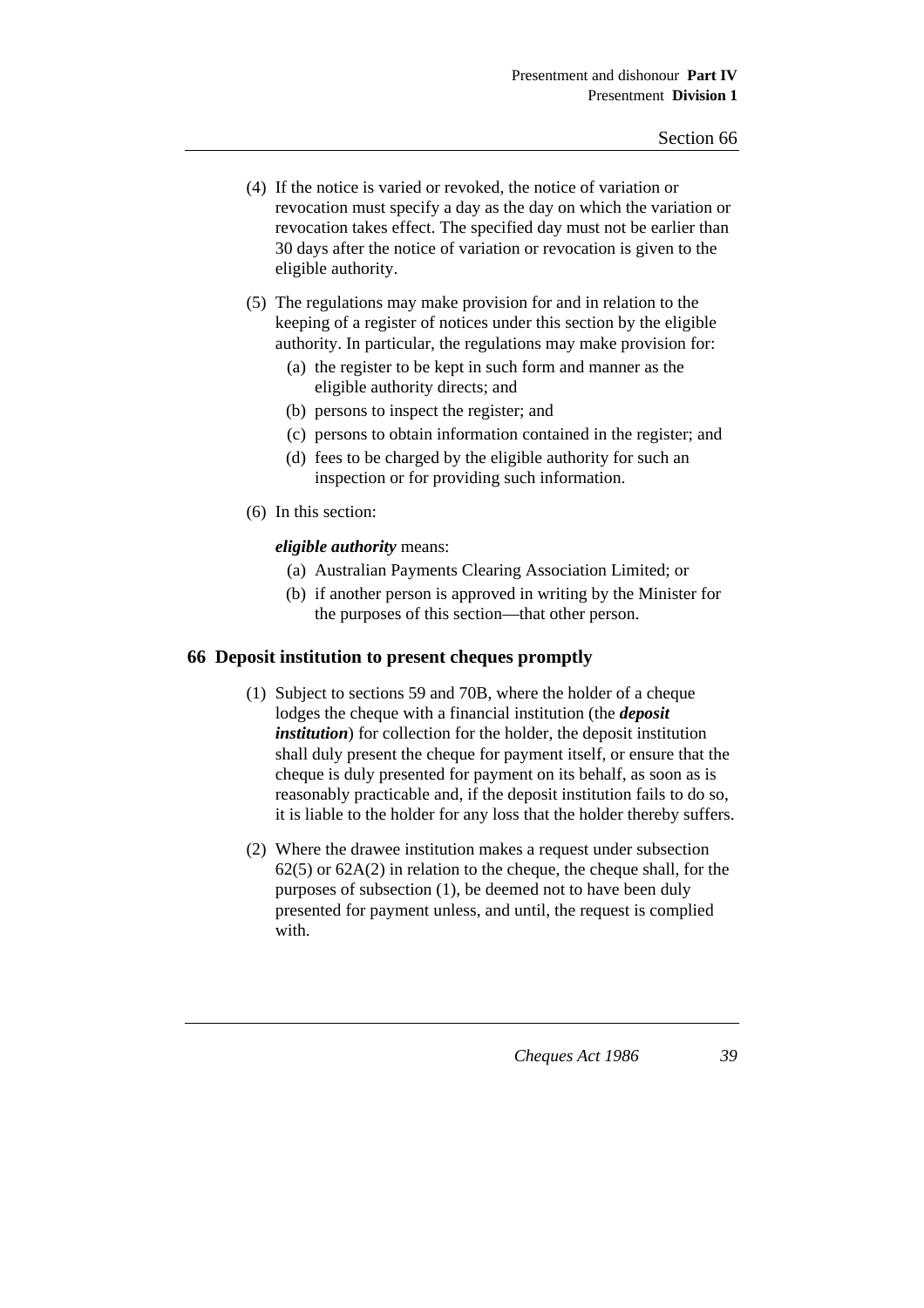- (4) If the notice is varied or revoked, the notice of variation or revocation must specify a day as the day on which the variation or revocation takes effect. The specified day must not be earlier than 30 days after the notice of variation or revocation is given to the eligible authority.
- (5) The regulations may make provision for and in relation to the keeping of a register of notices under this section by the eligible authority. In particular, the regulations may make provision for:
	- (a) the register to be kept in such form and manner as the eligible authority directs; and
	- (b) persons to inspect the register; and
	- (c) persons to obtain information contained in the register; and
	- (d) fees to be charged by the eligible authority for such an inspection or for providing such information.
- (6) In this section:

### *eligible authority* means:

- (a) Australian Payments Clearing Association Limited; or
- (b) if another person is approved in writing by the Minister for the purposes of this section—that other person.

### **66 Deposit institution to present cheques promptly**

- (1) Subject to sections 59 and 70B, where the holder of a cheque lodges the cheque with a financial institution (the *deposit institution*) for collection for the holder, the deposit institution shall duly present the cheque for payment itself, or ensure that the cheque is duly presented for payment on its behalf, as soon as is reasonably practicable and, if the deposit institution fails to do so, it is liable to the holder for any loss that the holder thereby suffers.
- (2) Where the drawee institution makes a request under subsection 62(5) or 62A(2) in relation to the cheque, the cheque shall, for the purposes of subsection (1), be deemed not to have been duly presented for payment unless, and until, the request is complied with.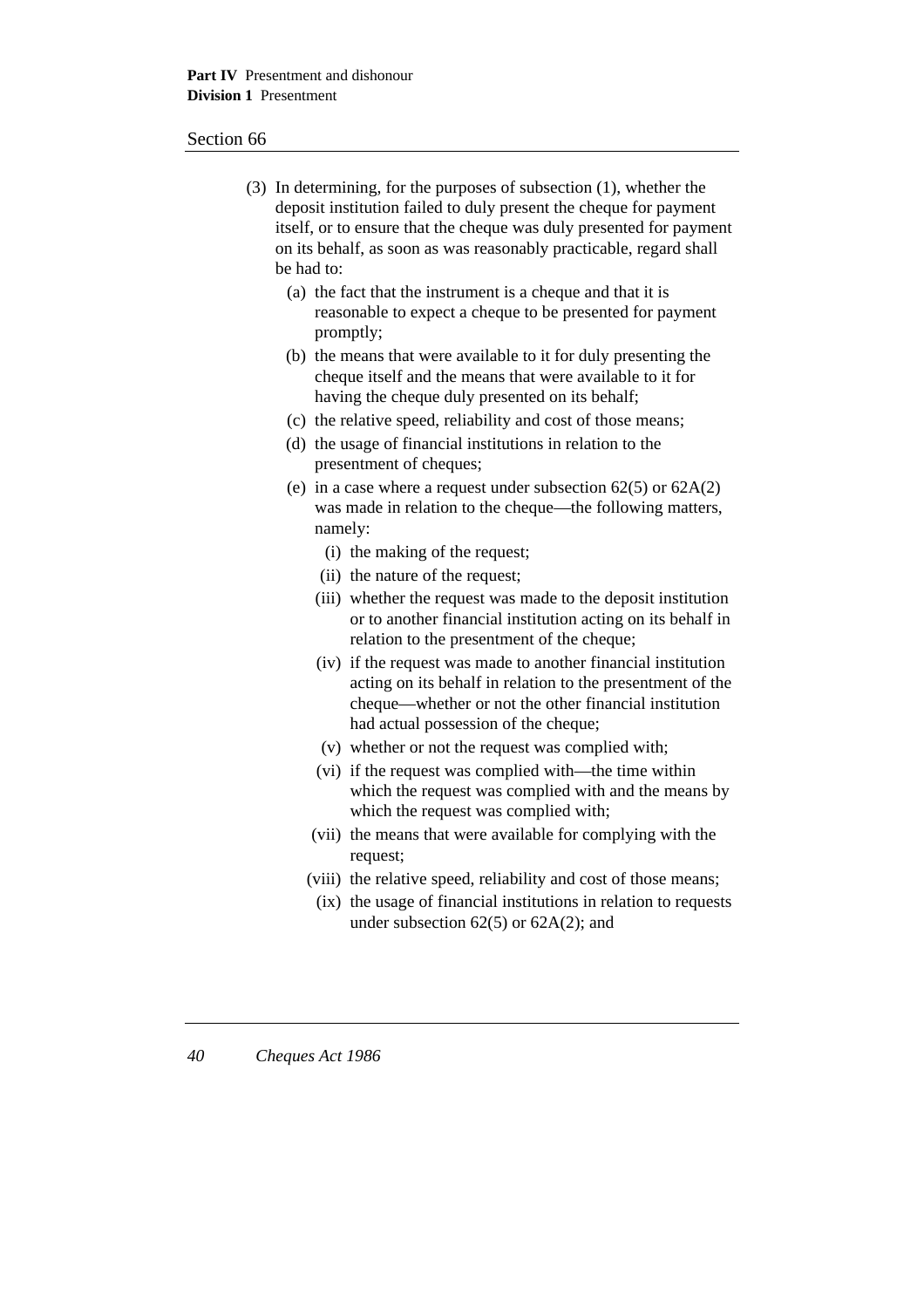- (3) In determining, for the purposes of subsection (1), whether the deposit institution failed to duly present the cheque for payment itself, or to ensure that the cheque was duly presented for payment on its behalf, as soon as was reasonably practicable, regard shall be had to:
	- (a) the fact that the instrument is a cheque and that it is reasonable to expect a cheque to be presented for payment promptly;
	- (b) the means that were available to it for duly presenting the cheque itself and the means that were available to it for having the cheque duly presented on its behalf;
	- (c) the relative speed, reliability and cost of those means;
	- (d) the usage of financial institutions in relation to the presentment of cheques;
	- (e) in a case where a request under subsection  $62(5)$  or  $62A(2)$ was made in relation to the cheque—the following matters, namely:
		- (i) the making of the request;
		- (ii) the nature of the request;
		- (iii) whether the request was made to the deposit institution or to another financial institution acting on its behalf in relation to the presentment of the cheque;
		- (iv) if the request was made to another financial institution acting on its behalf in relation to the presentment of the cheque—whether or not the other financial institution had actual possession of the cheque;
		- (v) whether or not the request was complied with;
		- (vi) if the request was complied with—the time within which the request was complied with and the means by which the request was complied with;
		- (vii) the means that were available for complying with the request;
		- (viii) the relative speed, reliability and cost of those means;
			- (ix) the usage of financial institutions in relation to requests under subsection  $62(5)$  or  $62A(2)$ ; and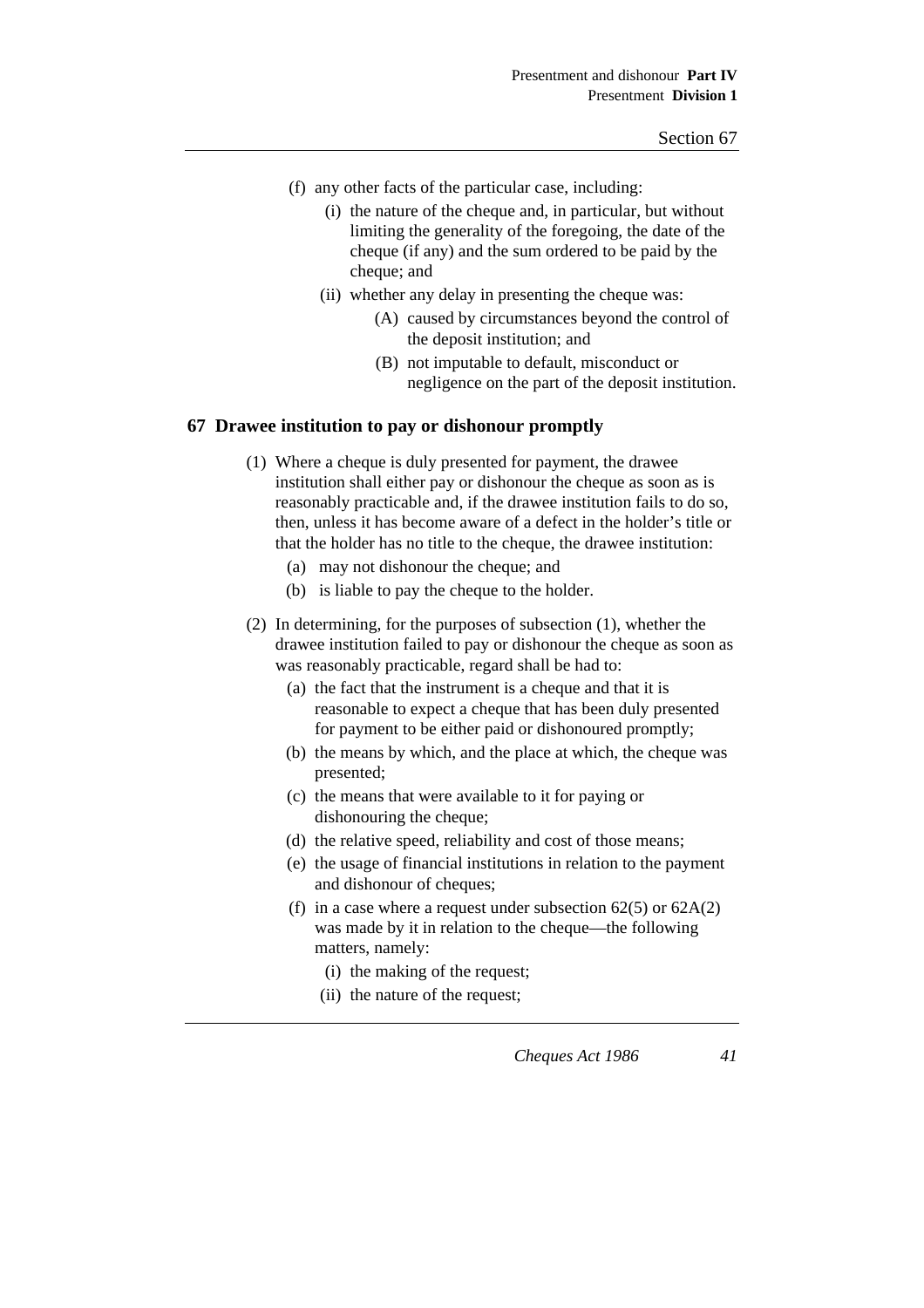- (f) any other facts of the particular case, including:
	- (i) the nature of the cheque and, in particular, but without limiting the generality of the foregoing, the date of the cheque (if any) and the sum ordered to be paid by the cheque; and
	- (ii) whether any delay in presenting the cheque was:
		- (A) caused by circumstances beyond the control of the deposit institution; and
		- (B) not imputable to default, misconduct or negligence on the part of the deposit institution.

### **67 Drawee institution to pay or dishonour promptly**

- (1) Where a cheque is duly presented for payment, the drawee institution shall either pay or dishonour the cheque as soon as is reasonably practicable and, if the drawee institution fails to do so, then, unless it has become aware of a defect in the holder's title or that the holder has no title to the cheque, the drawee institution:
	- (a) may not dishonour the cheque; and
	- (b) is liable to pay the cheque to the holder.
- (2) In determining, for the purposes of subsection (1), whether the drawee institution failed to pay or dishonour the cheque as soon as was reasonably practicable, regard shall be had to:
	- (a) the fact that the instrument is a cheque and that it is reasonable to expect a cheque that has been duly presented for payment to be either paid or dishonoured promptly;
	- (b) the means by which, and the place at which, the cheque was presented;
	- (c) the means that were available to it for paying or dishonouring the cheque;
	- (d) the relative speed, reliability and cost of those means;
	- (e) the usage of financial institutions in relation to the payment and dishonour of cheques;
	- (f) in a case where a request under subsection  $62(5)$  or  $62A(2)$ was made by it in relation to the cheque—the following matters, namely:
		- (i) the making of the request;
		- (ii) the nature of the request;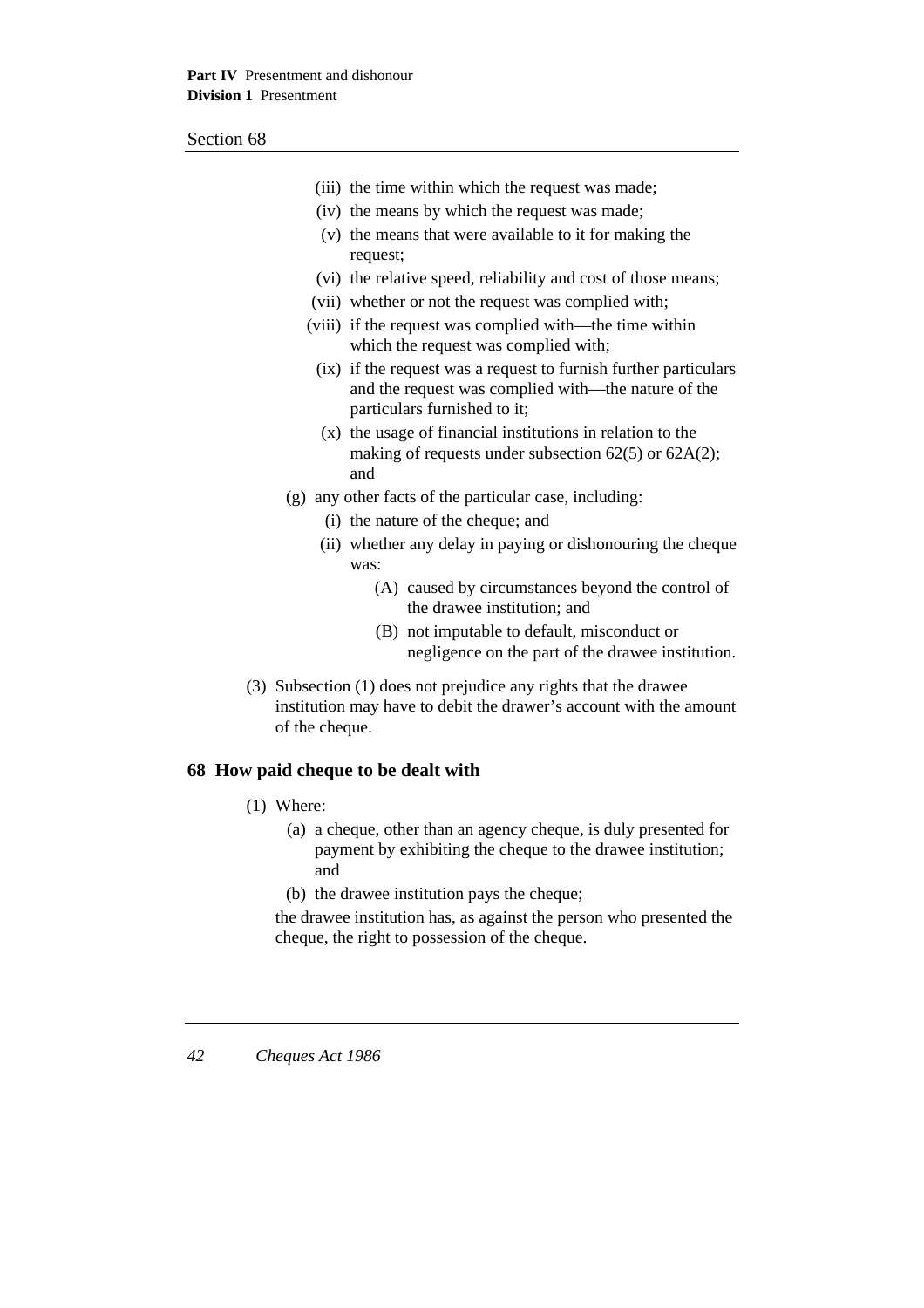|                                                                                                                                                          | (iii) the time within which the request was made;                                                                                                       |
|----------------------------------------------------------------------------------------------------------------------------------------------------------|---------------------------------------------------------------------------------------------------------------------------------------------------------|
|                                                                                                                                                          | (iv) the means by which the request was made;                                                                                                           |
|                                                                                                                                                          | (v) the means that were available to it for making the                                                                                                  |
|                                                                                                                                                          | request;                                                                                                                                                |
|                                                                                                                                                          | (vi) the relative speed, reliability and cost of those means;                                                                                           |
|                                                                                                                                                          | (vii) whether or not the request was complied with;                                                                                                     |
|                                                                                                                                                          | (viii) if the request was complied with—the time within<br>which the request was complied with;                                                         |
|                                                                                                                                                          | (ix) if the request was a request to furnish further particulars<br>and the request was complied with—the nature of the<br>particulars furnished to it; |
|                                                                                                                                                          | (x) the usage of financial institutions in relation to the<br>making of requests under subsection $62(5)$ or $62A(2)$ ;<br>and                          |
| (g) any other facts of the particular case, including:                                                                                                   |                                                                                                                                                         |
|                                                                                                                                                          | (i) the nature of the cheque; and                                                                                                                       |
|                                                                                                                                                          | (ii) whether any delay in paying or dishonouring the cheque<br>was:                                                                                     |
|                                                                                                                                                          | (A) caused by circumstances beyond the control of<br>the drawee institution; and                                                                        |
|                                                                                                                                                          | (B) not imputable to default, misconduct or<br>negligence on the part of the drawee institution.                                                        |
| (3) Subsection (1) does not prejudice any rights that the drawee<br>institution may have to debit the drawer's account with the amount<br>of the cheque. |                                                                                                                                                         |
| 68 How paid cheque to be dealt with                                                                                                                      |                                                                                                                                                         |
| $(1)$ Where:                                                                                                                                             |                                                                                                                                                         |
| and                                                                                                                                                      | (a) a cheque, other than an agency cheque, is duly presented for<br>payment by exhibiting the cheque to the drawee institution;                         |

(b) the drawee institution pays the cheque;

the drawee institution has, as against the person who presented the cheque, the right to possession of the cheque.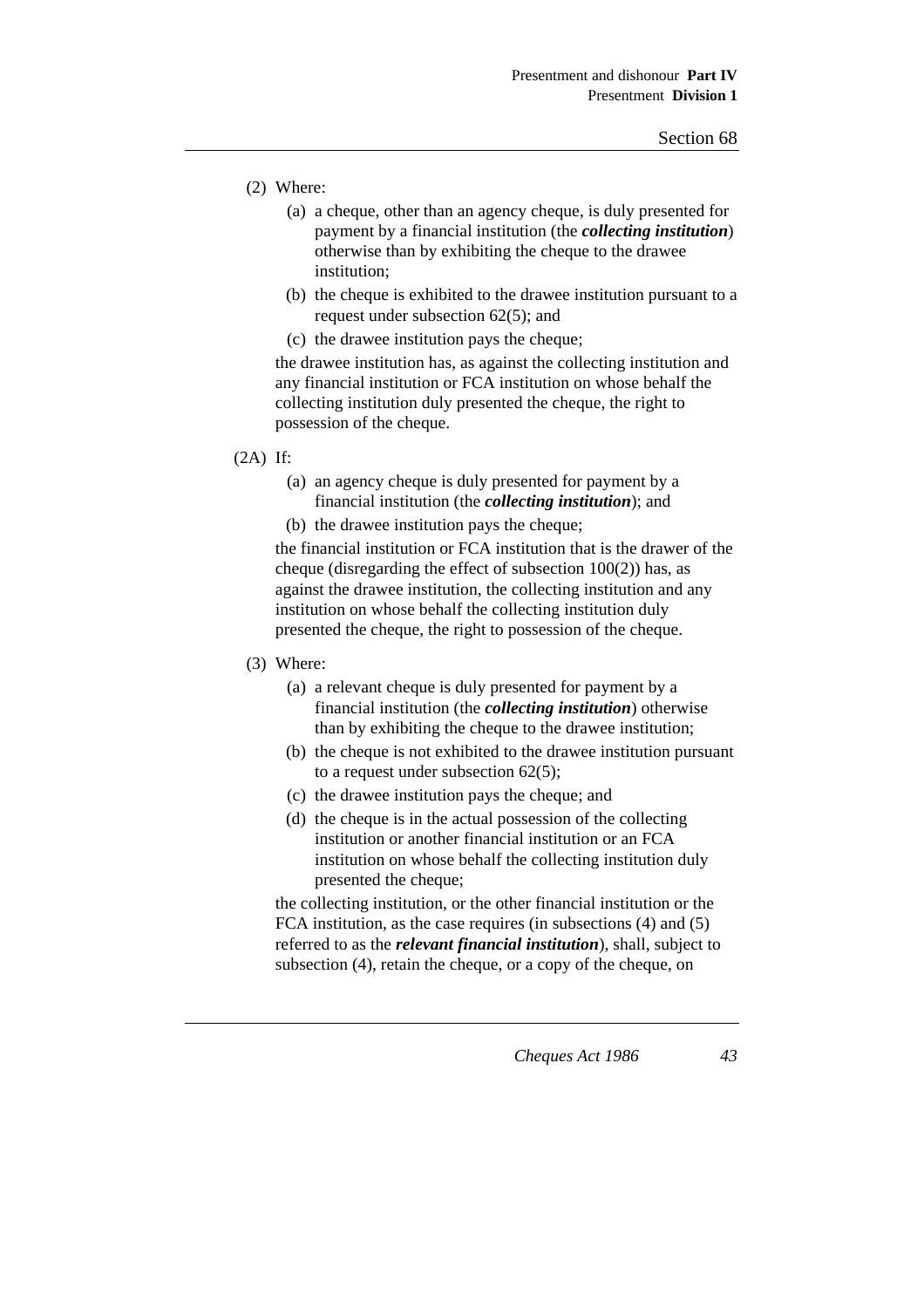- (2) Where:
	- (a) a cheque, other than an agency cheque, is duly presented for payment by a financial institution (the *collecting institution*) otherwise than by exhibiting the cheque to the drawee institution;
	- (b) the cheque is exhibited to the drawee institution pursuant to a request under subsection 62(5); and
	- (c) the drawee institution pays the cheque;

the drawee institution has, as against the collecting institution and any financial institution or FCA institution on whose behalf the collecting institution duly presented the cheque, the right to possession of the cheque.

(2A) If:

(a) an agency cheque is duly presented for payment by a financial institution (the *collecting institution*); and

(b) the drawee institution pays the cheque;

the financial institution or FCA institution that is the drawer of the cheque (disregarding the effect of subsection  $100(2)$ ) has, as against the drawee institution, the collecting institution and any institution on whose behalf the collecting institution duly presented the cheque, the right to possession of the cheque.

- (3) Where:
	- (a) a relevant cheque is duly presented for payment by a financial institution (the *collecting institution*) otherwise than by exhibiting the cheque to the drawee institution;
	- (b) the cheque is not exhibited to the drawee institution pursuant to a request under subsection 62(5);
	- (c) the drawee institution pays the cheque; and
	- (d) the cheque is in the actual possession of the collecting institution or another financial institution or an FCA institution on whose behalf the collecting institution duly presented the cheque;

the collecting institution, or the other financial institution or the FCA institution, as the case requires (in subsections (4) and (5) referred to as the *relevant financial institution*), shall, subject to subsection (4), retain the cheque, or a copy of the cheque, on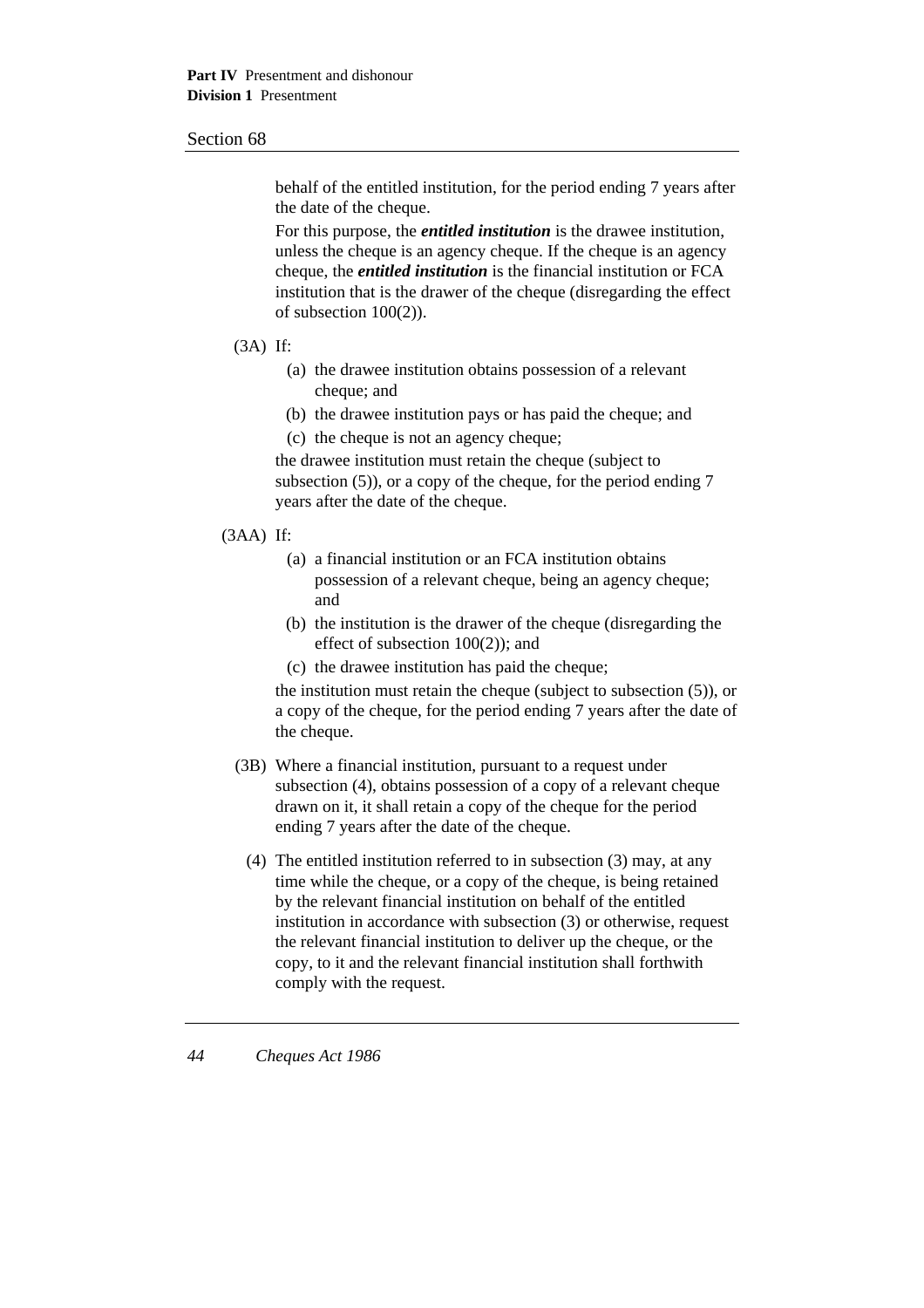behalf of the entitled institution, for the period ending 7 years after the date of the cheque.

For this purpose, the *entitled institution* is the drawee institution, unless the cheque is an agency cheque. If the cheque is an agency cheque, the *entitled institution* is the financial institution or FCA institution that is the drawer of the cheque (disregarding the effect of subsection 100(2)).

#### (3A) If:

- (a) the drawee institution obtains possession of a relevant cheque; and
- (b) the drawee institution pays or has paid the cheque; and
- (c) the cheque is not an agency cheque;

the drawee institution must retain the cheque (subject to subsection (5)), or a copy of the cheque, for the period ending 7 years after the date of the cheque.

#### (3AA) If:

- (a) a financial institution or an FCA institution obtains possession of a relevant cheque, being an agency cheque; and
- (b) the institution is the drawer of the cheque (disregarding the effect of subsection 100(2)); and
- (c) the drawee institution has paid the cheque;

the institution must retain the cheque (subject to subsection (5)), or a copy of the cheque, for the period ending 7 years after the date of the cheque.

- (3B) Where a financial institution, pursuant to a request under subsection (4), obtains possession of a copy of a relevant cheque drawn on it, it shall retain a copy of the cheque for the period ending 7 years after the date of the cheque.
	- (4) The entitled institution referred to in subsection (3) may, at any time while the cheque, or a copy of the cheque, is being retained by the relevant financial institution on behalf of the entitled institution in accordance with subsection (3) or otherwise, request the relevant financial institution to deliver up the cheque, or the copy, to it and the relevant financial institution shall forthwith comply with the request.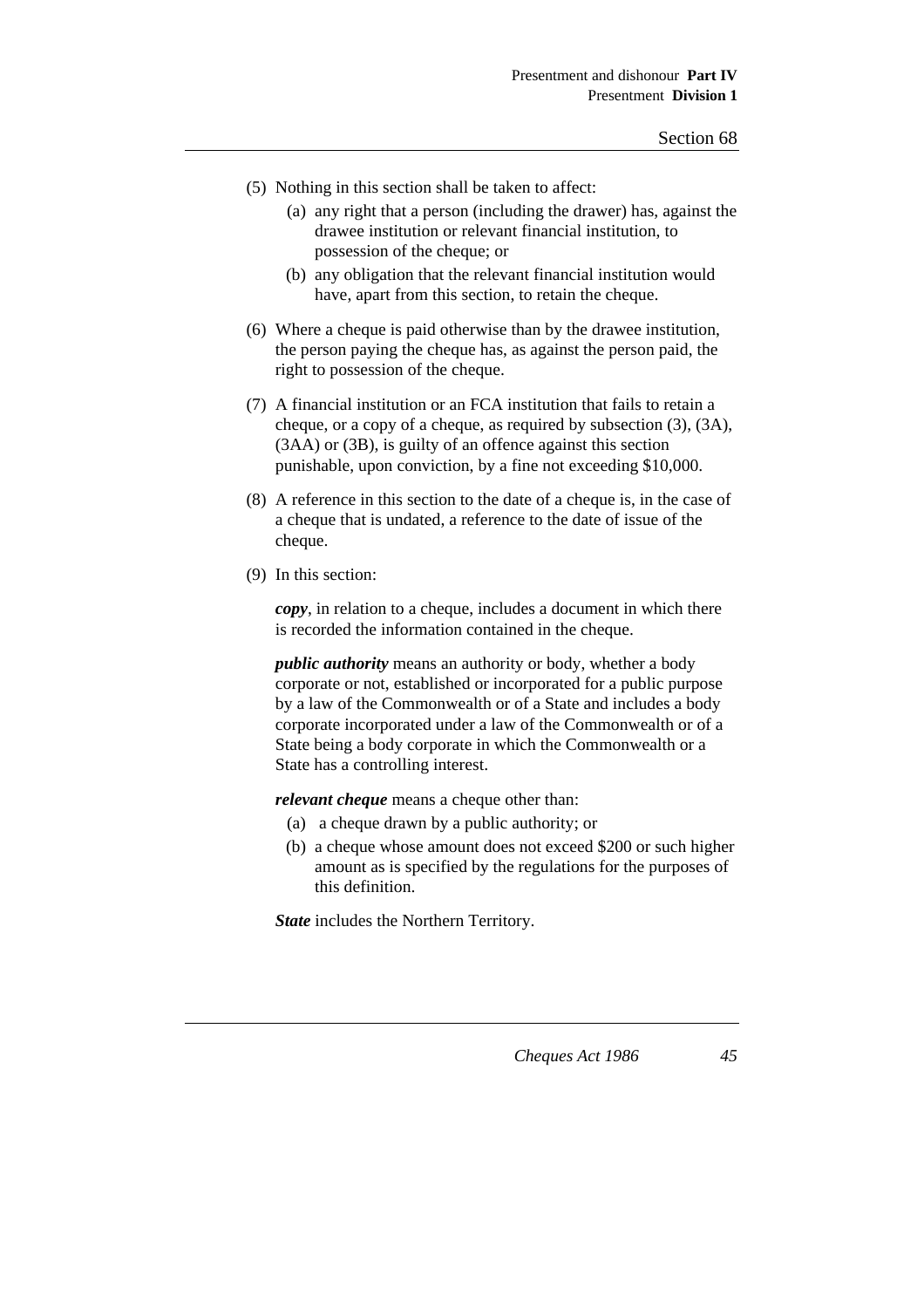- (5) Nothing in this section shall be taken to affect:
	- (a) any right that a person (including the drawer) has, against the drawee institution or relevant financial institution, to possession of the cheque; or
	- (b) any obligation that the relevant financial institution would have, apart from this section, to retain the cheque.
- (6) Where a cheque is paid otherwise than by the drawee institution, the person paying the cheque has, as against the person paid, the right to possession of the cheque.
- (7) A financial institution or an FCA institution that fails to retain a cheque, or a copy of a cheque, as required by subsection (3), (3A), (3AA) or (3B), is guilty of an offence against this section punishable, upon conviction, by a fine not exceeding \$10,000.
- (8) A reference in this section to the date of a cheque is, in the case of a cheque that is undated, a reference to the date of issue of the cheque.
- (9) In this section:

*copy*, in relation to a cheque, includes a document in which there is recorded the information contained in the cheque.

*public authority* means an authority or body, whether a body corporate or not, established or incorporated for a public purpose by a law of the Commonwealth or of a State and includes a body corporate incorporated under a law of the Commonwealth or of a State being a body corporate in which the Commonwealth or a State has a controlling interest.

*relevant cheque* means a cheque other than:

- (a) a cheque drawn by a public authority; or
- (b) a cheque whose amount does not exceed \$200 or such higher amount as is specified by the regulations for the purposes of this definition.

*State* includes the Northern Territory.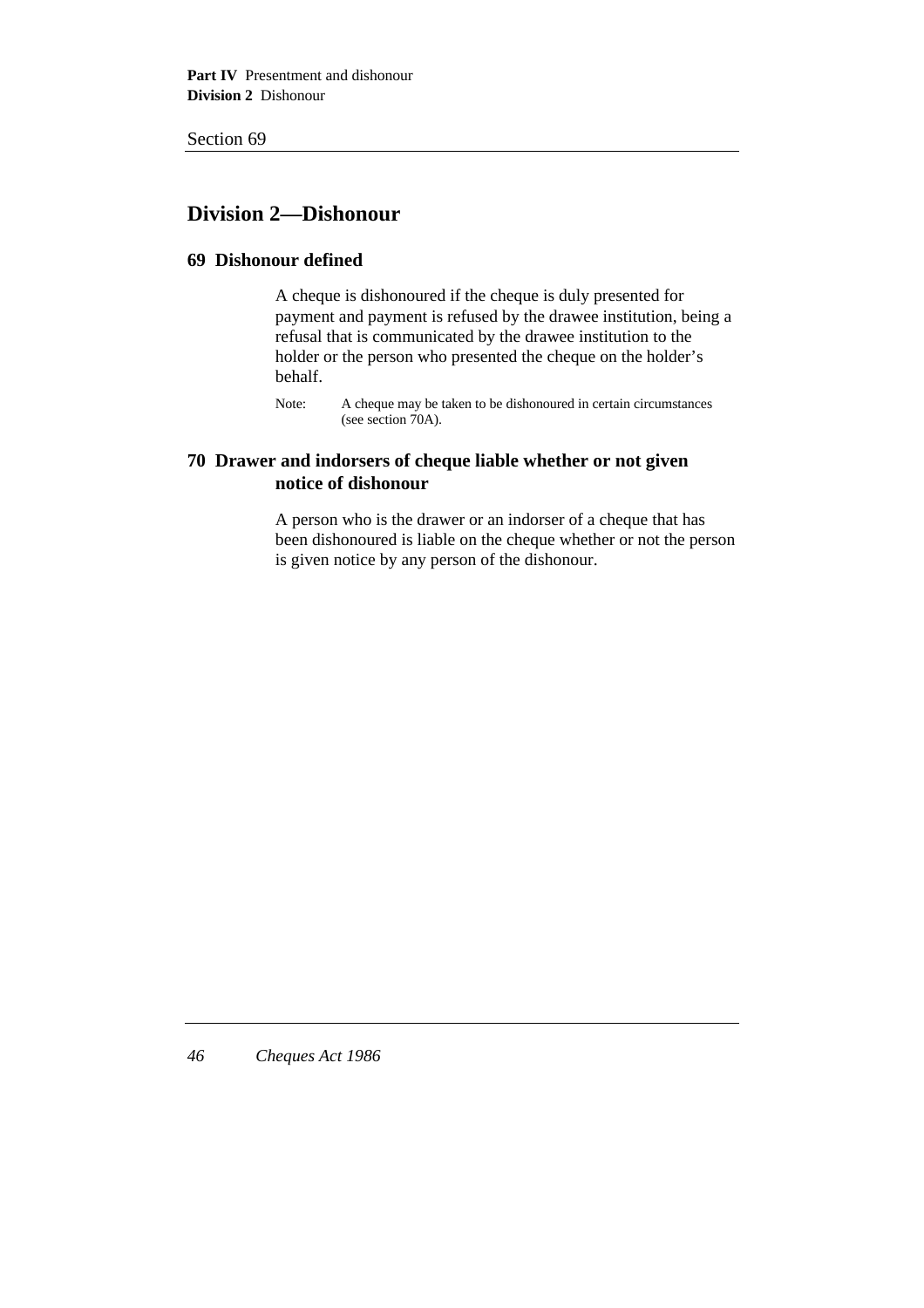# **Division 2—Dishonour**

### **69 Dishonour defined**

A cheque is dishonoured if the cheque is duly presented for payment and payment is refused by the drawee institution, being a refusal that is communicated by the drawee institution to the holder or the person who presented the cheque on the holder's behalf.

Note: A cheque may be taken to be dishonoured in certain circumstances (see section 70A).

## **70 Drawer and indorsers of cheque liable whether or not given notice of dishonour**

A person who is the drawer or an indorser of a cheque that has been dishonoured is liable on the cheque whether or not the person is given notice by any person of the dishonour.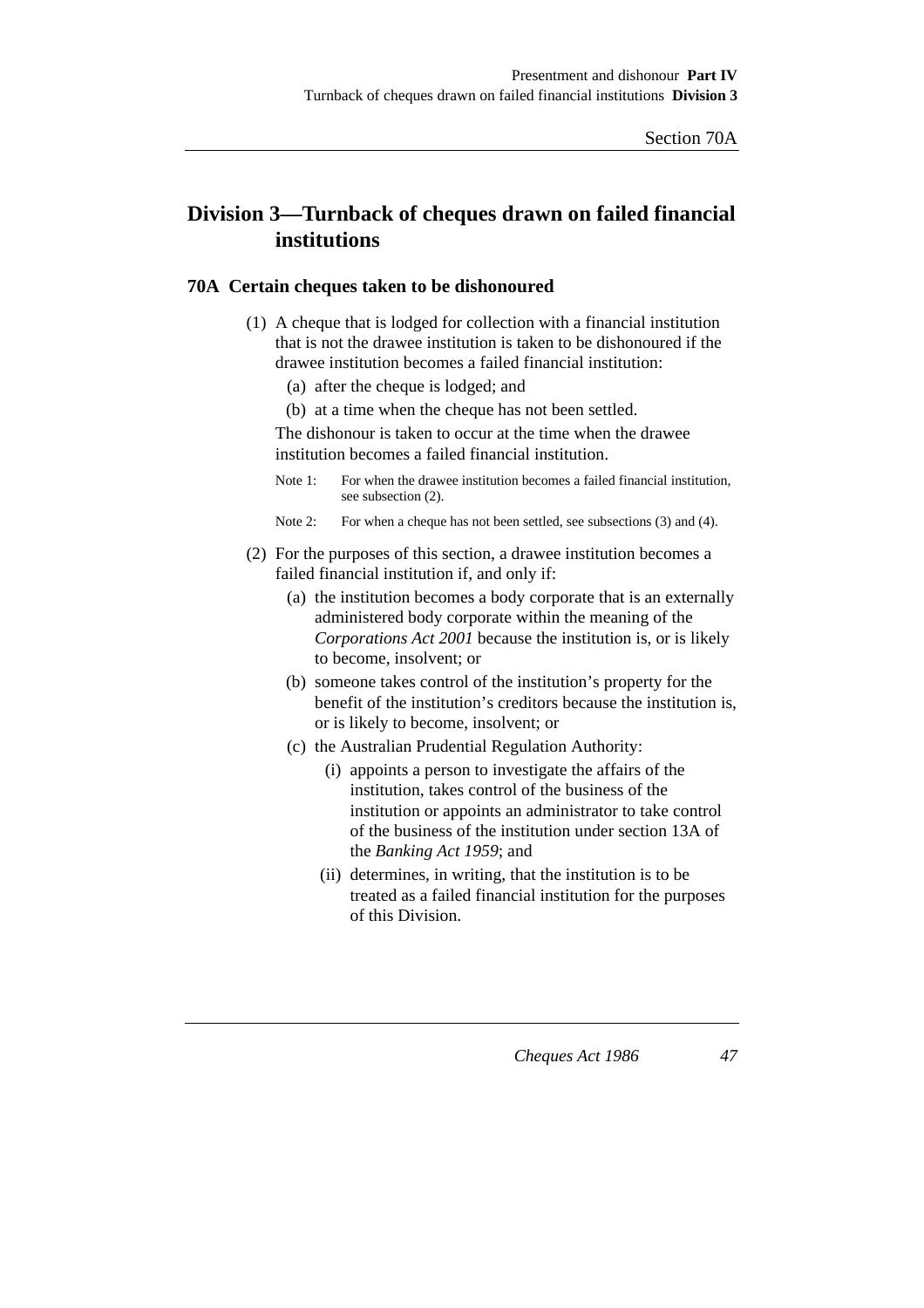# **Division 3—Turnback of cheques drawn on failed financial institutions**

### **70A Certain cheques taken to be dishonoured**

- (1) A cheque that is lodged for collection with a financial institution that is not the drawee institution is taken to be dishonoured if the drawee institution becomes a failed financial institution:
	- (a) after the cheque is lodged; and
	- (b) at a time when the cheque has not been settled.

The dishonour is taken to occur at the time when the drawee institution becomes a failed financial institution.

- Note 1: For when the drawee institution becomes a failed financial institution, see subsection (2).
- Note 2: For when a cheque has not been settled, see subsections (3) and (4).

### (2) For the purposes of this section, a drawee institution becomes a failed financial institution if, and only if:

- (a) the institution becomes a body corporate that is an externally administered body corporate within the meaning of the *Corporations Act 2001* because the institution is, or is likely to become, insolvent; or
- (b) someone takes control of the institution's property for the benefit of the institution's creditors because the institution is, or is likely to become, insolvent; or
- (c) the Australian Prudential Regulation Authority:
	- (i) appoints a person to investigate the affairs of the institution, takes control of the business of the institution or appoints an administrator to take control of the business of the institution under section 13A of the *Banking Act 1959*; and
	- (ii) determines, in writing, that the institution is to be treated as a failed financial institution for the purposes of this Division.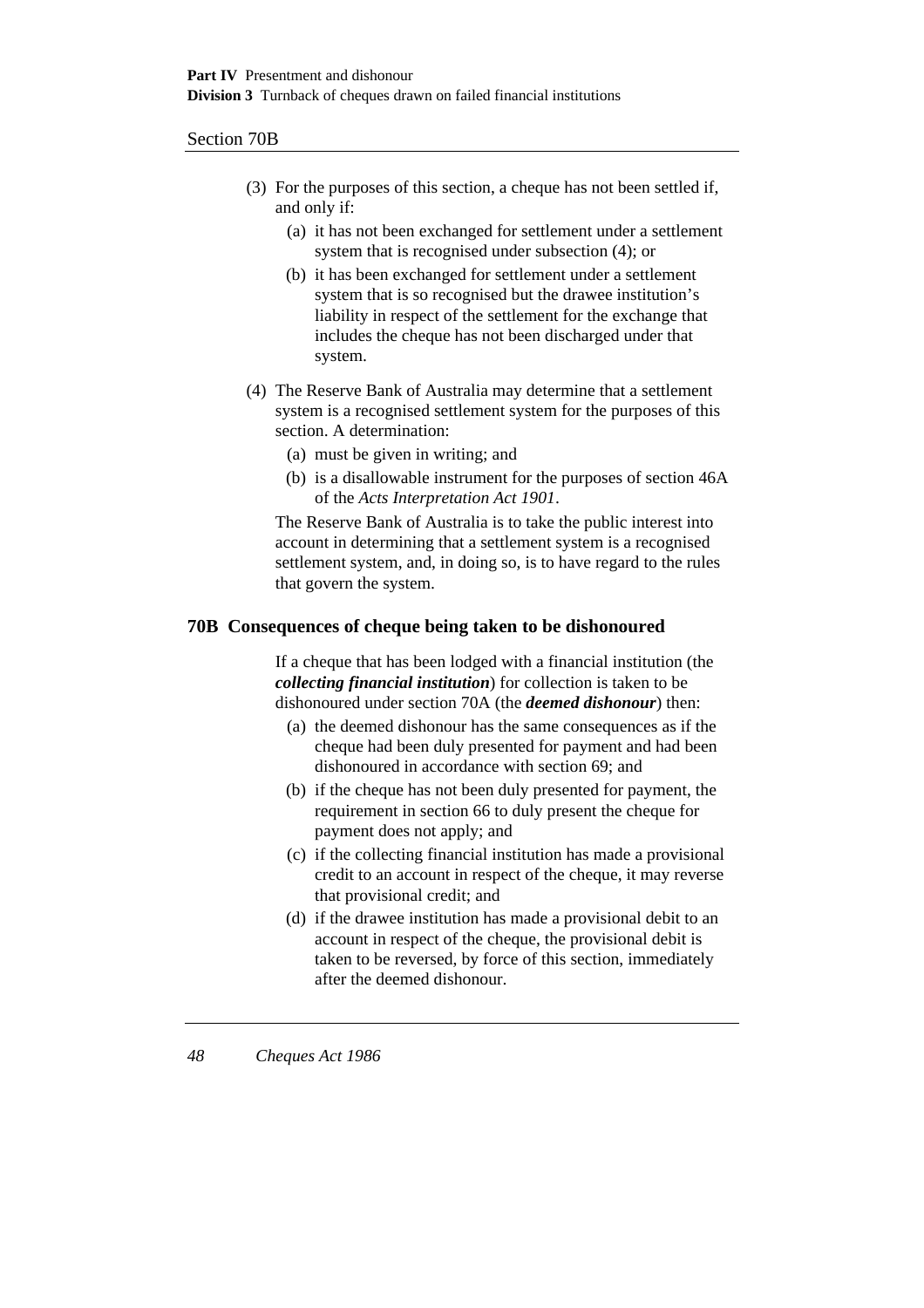### Section 70B

- (3) For the purposes of this section, a cheque has not been settled if, and only if:
	- (a) it has not been exchanged for settlement under a settlement system that is recognised under subsection (4); or
	- (b) it has been exchanged for settlement under a settlement system that is so recognised but the drawee institution's liability in respect of the settlement for the exchange that includes the cheque has not been discharged under that system.
- (4) The Reserve Bank of Australia may determine that a settlement system is a recognised settlement system for the purposes of this section. A determination:
	- (a) must be given in writing; and
	- (b) is a disallowable instrument for the purposes of section 46A of the *Acts Interpretation Act 1901*.

The Reserve Bank of Australia is to take the public interest into account in determining that a settlement system is a recognised settlement system, and, in doing so, is to have regard to the rules that govern the system.

#### **70B Consequences of cheque being taken to be dishonoured**

If a cheque that has been lodged with a financial institution (the *collecting financial institution*) for collection is taken to be dishonoured under section 70A (the *deemed dishonour*) then:

- (a) the deemed dishonour has the same consequences as if the cheque had been duly presented for payment and had been dishonoured in accordance with section 69; and
- (b) if the cheque has not been duly presented for payment, the requirement in section 66 to duly present the cheque for payment does not apply; and
- (c) if the collecting financial institution has made a provisional credit to an account in respect of the cheque, it may reverse that provisional credit; and
- (d) if the drawee institution has made a provisional debit to an account in respect of the cheque, the provisional debit is taken to be reversed, by force of this section, immediately after the deemed dishonour.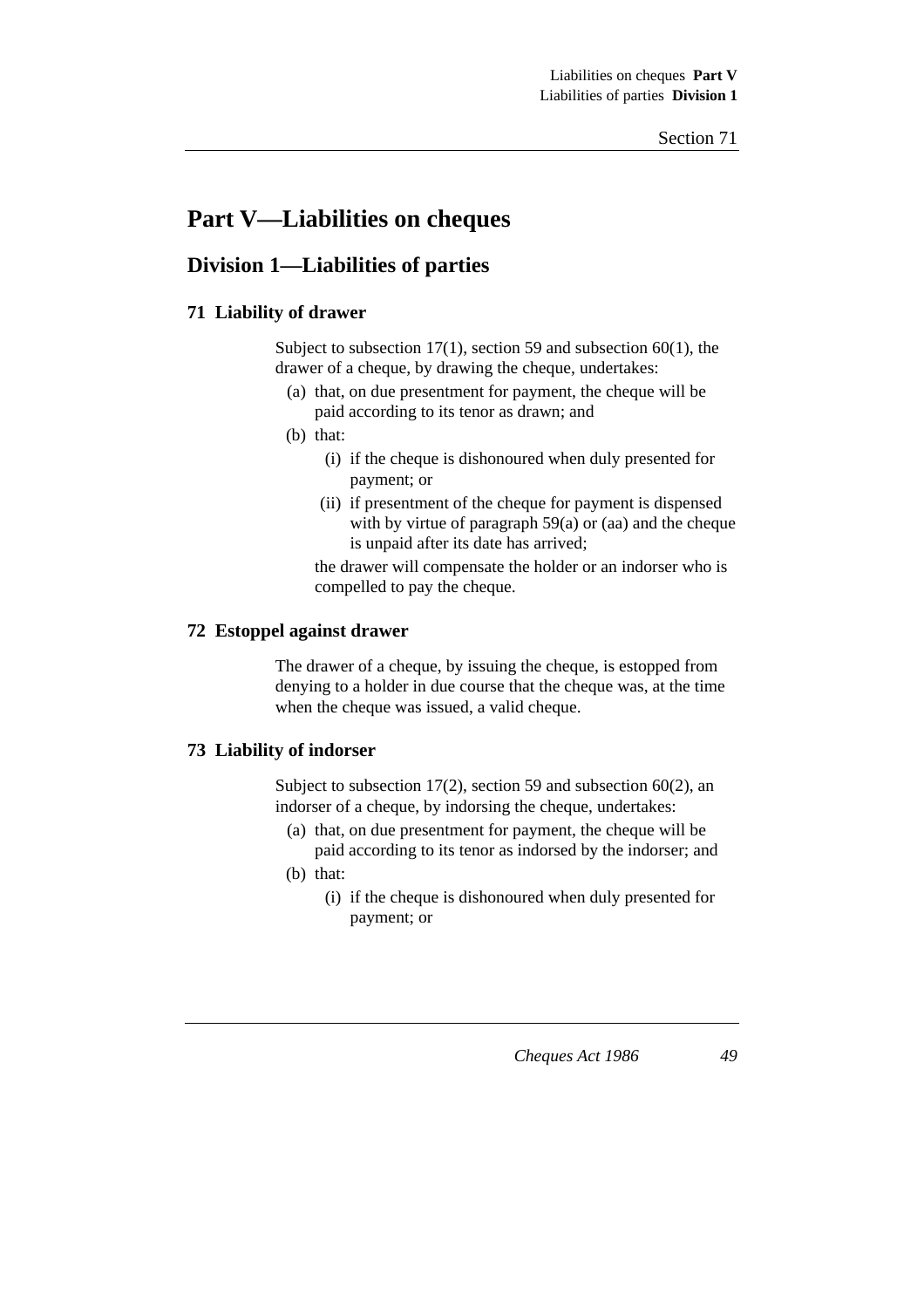# **Part V—Liabilities on cheques**

# **Division 1—Liabilities of parties**

# **71 Liability of drawer**

Subject to subsection 17(1), section 59 and subsection 60(1), the drawer of a cheque, by drawing the cheque, undertakes:

- (a) that, on due presentment for payment, the cheque will be paid according to its tenor as drawn; and
- (b) that:
	- (i) if the cheque is dishonoured when duly presented for payment; or
	- (ii) if presentment of the cheque for payment is dispensed with by virtue of paragraph  $59(a)$  or (aa) and the cheque is unpaid after its date has arrived;

the drawer will compensate the holder or an indorser who is compelled to pay the cheque.

### **72 Estoppel against drawer**

The drawer of a cheque, by issuing the cheque, is estopped from denying to a holder in due course that the cheque was, at the time when the cheque was issued, a valid cheque.

### **73 Liability of indorser**

Subject to subsection 17(2), section 59 and subsection 60(2), an indorser of a cheque, by indorsing the cheque, undertakes:

- (a) that, on due presentment for payment, the cheque will be paid according to its tenor as indorsed by the indorser; and
- (b) that:
	- (i) if the cheque is dishonoured when duly presented for payment; or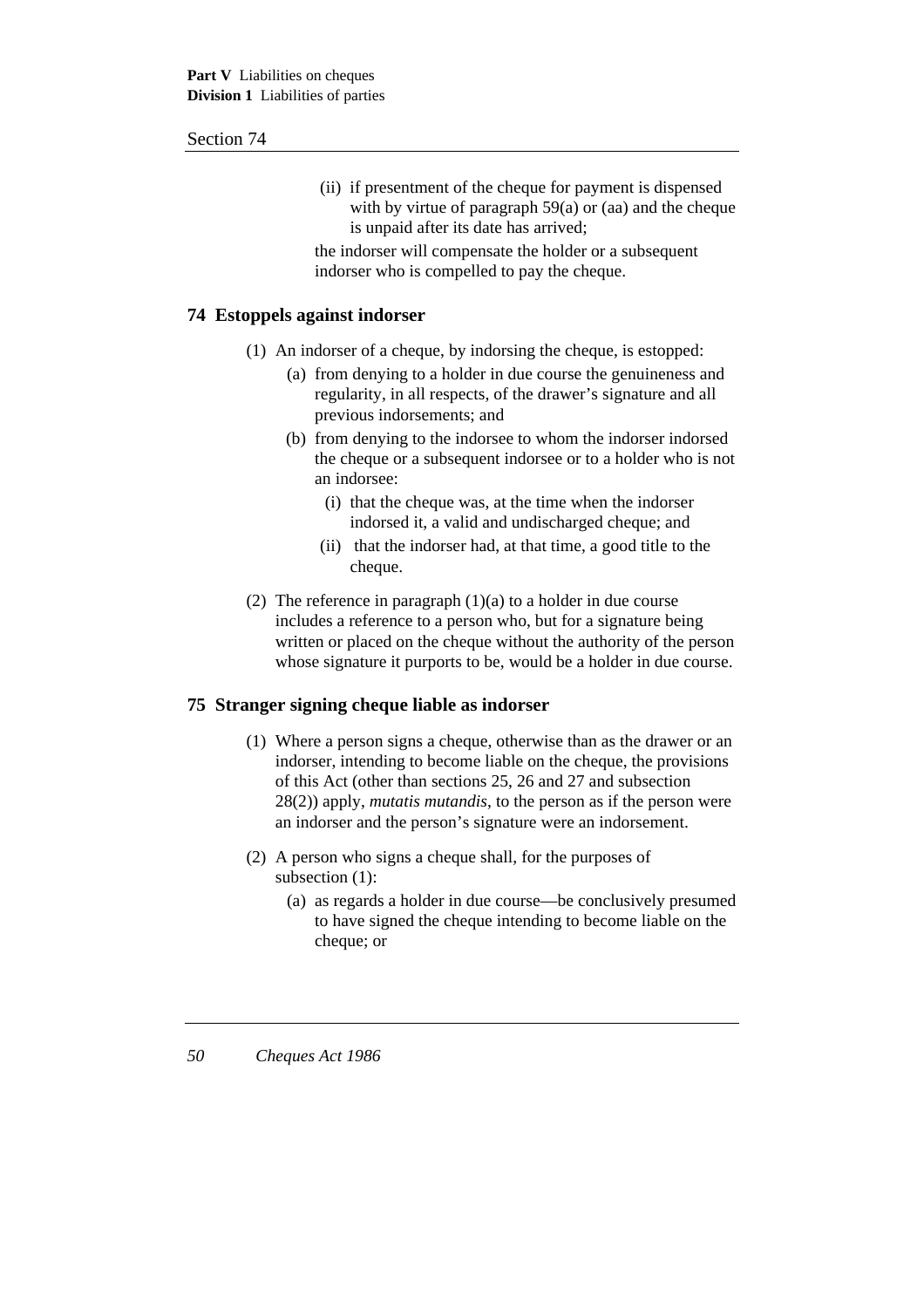(ii) if presentment of the cheque for payment is dispensed with by virtue of paragraph  $59(a)$  or (aa) and the cheque is unpaid after its date has arrived;

the indorser will compensate the holder or a subsequent indorser who is compelled to pay the cheque.

### **74 Estoppels against indorser**

- (1) An indorser of a cheque, by indorsing the cheque, is estopped:
	- (a) from denying to a holder in due course the genuineness and regularity, in all respects, of the drawer's signature and all previous indorsements; and
	- (b) from denying to the indorsee to whom the indorser indorsed the cheque or a subsequent indorsee or to a holder who is not an indorsee:
		- (i) that the cheque was, at the time when the indorser indorsed it, a valid and undischarged cheque; and
		- (ii) that the indorser had, at that time, a good title to the cheque.
- (2) The reference in paragraph  $(1)(a)$  to a holder in due course includes a reference to a person who, but for a signature being written or placed on the cheque without the authority of the person whose signature it purports to be, would be a holder in due course.

### **75 Stranger signing cheque liable as indorser**

- (1) Where a person signs a cheque, otherwise than as the drawer or an indorser, intending to become liable on the cheque, the provisions of this Act (other than sections 25, 26 and 27 and subsection 28(2)) apply, *mutatis mutandis*, to the person as if the person were an indorser and the person's signature were an indorsement.
- (2) A person who signs a cheque shall, for the purposes of subsection (1):
	- (a) as regards a holder in due course—be conclusively presumed to have signed the cheque intending to become liable on the cheque; or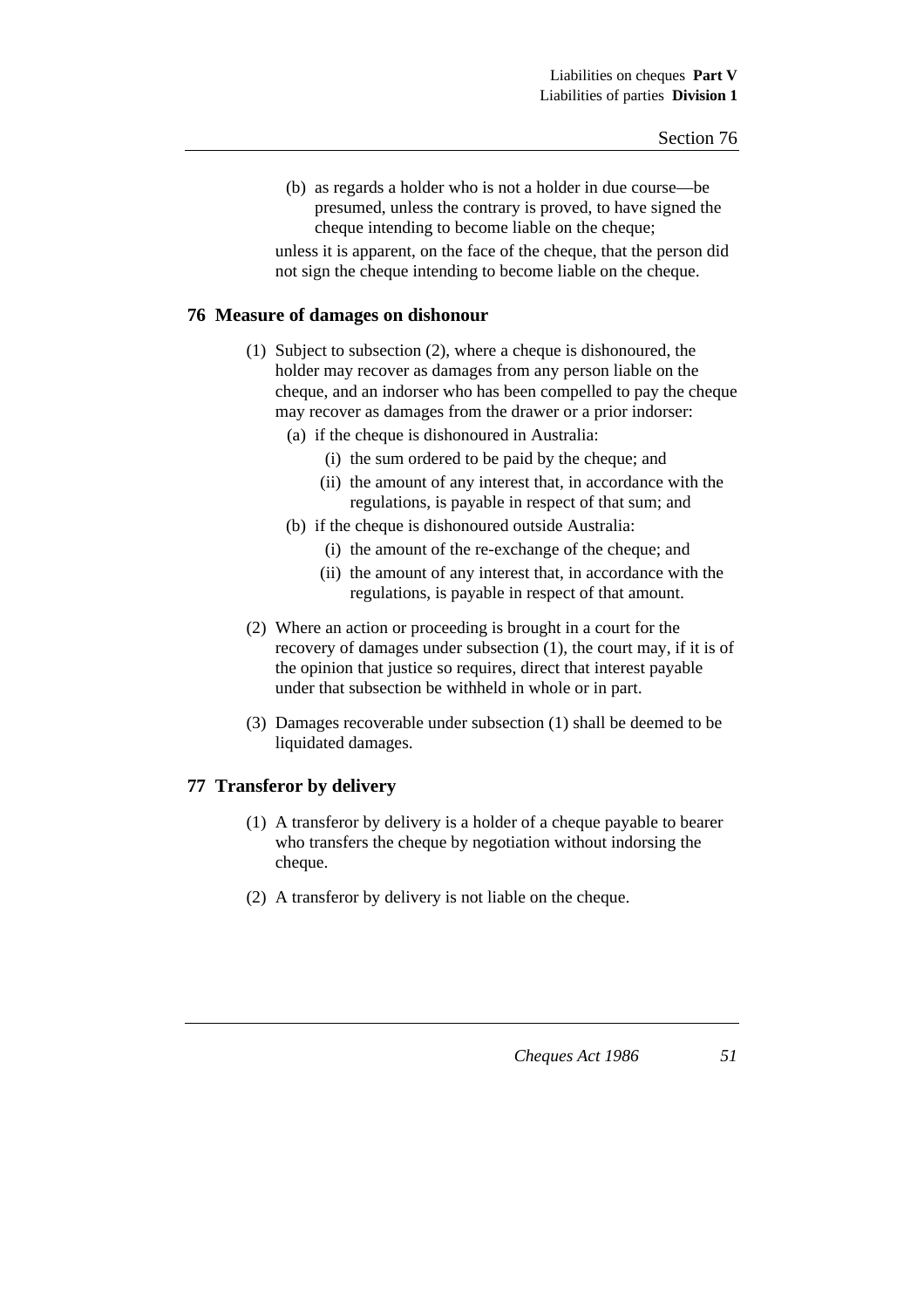(b) as regards a holder who is not a holder in due course—be presumed, unless the contrary is proved, to have signed the cheque intending to become liable on the cheque;

unless it is apparent, on the face of the cheque, that the person did not sign the cheque intending to become liable on the cheque.

### **76 Measure of damages on dishonour**

- (1) Subject to subsection (2), where a cheque is dishonoured, the holder may recover as damages from any person liable on the cheque, and an indorser who has been compelled to pay the cheque may recover as damages from the drawer or a prior indorser:
	- (a) if the cheque is dishonoured in Australia:
		- (i) the sum ordered to be paid by the cheque; and
		- (ii) the amount of any interest that, in accordance with the regulations, is payable in respect of that sum; and
	- (b) if the cheque is dishonoured outside Australia:
		- (i) the amount of the re-exchange of the cheque; and
		- (ii) the amount of any interest that, in accordance with the regulations, is payable in respect of that amount.
- (2) Where an action or proceeding is brought in a court for the recovery of damages under subsection (1), the court may, if it is of the opinion that justice so requires, direct that interest payable under that subsection be withheld in whole or in part.
- (3) Damages recoverable under subsection (1) shall be deemed to be liquidated damages.

### **77 Transferor by delivery**

- (1) A transferor by delivery is a holder of a cheque payable to bearer who transfers the cheque by negotiation without indorsing the cheque.
- (2) A transferor by delivery is not liable on the cheque.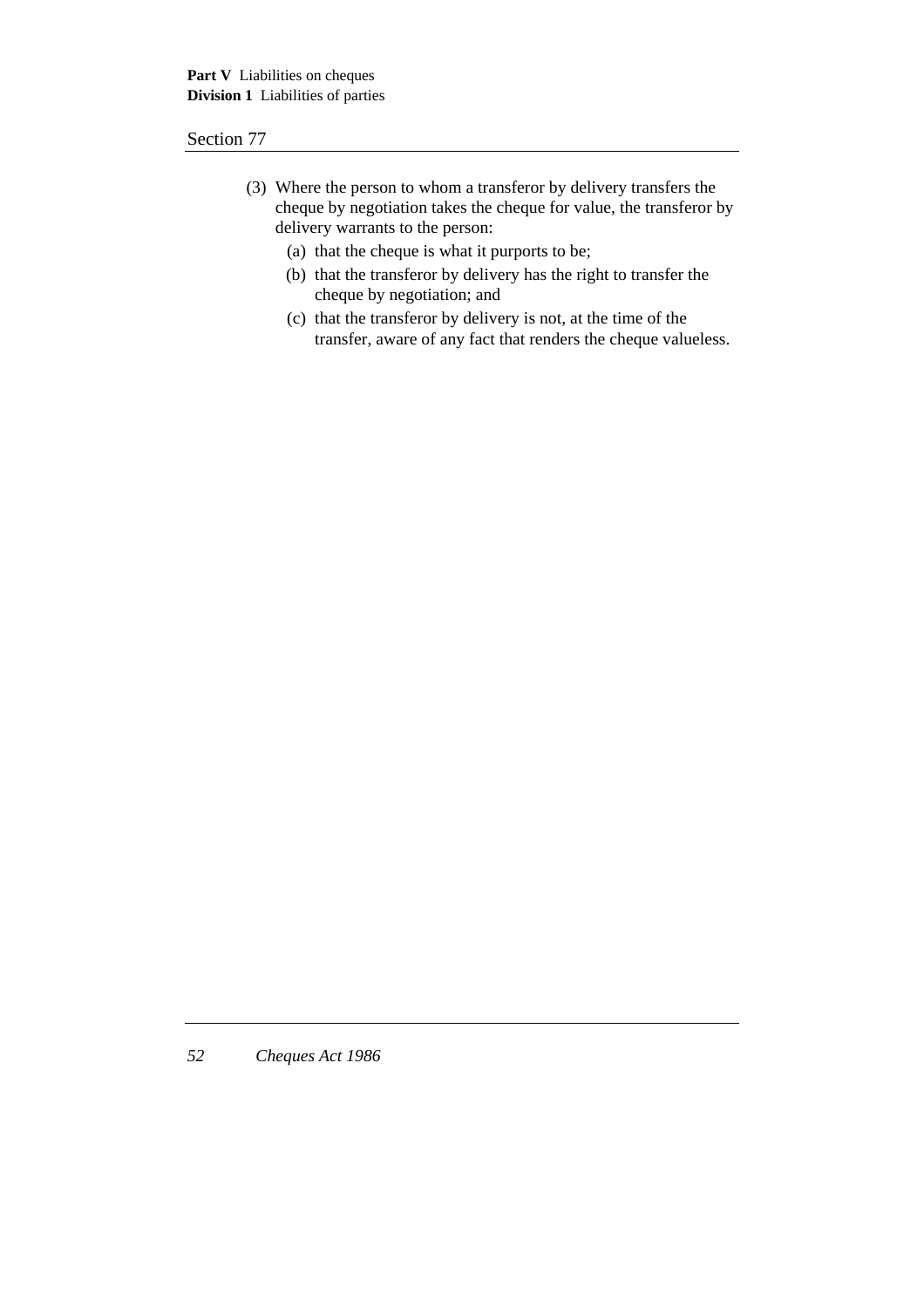- (3) Where the person to whom a transferor by delivery transfers the cheque by negotiation takes the cheque for value, the transferor by delivery warrants to the person:
	- (a) that the cheque is what it purports to be;
	- (b) that the transferor by delivery has the right to transfer the cheque by negotiation; and
	- (c) that the transferor by delivery is not, at the time of the transfer, aware of any fact that renders the cheque valueless.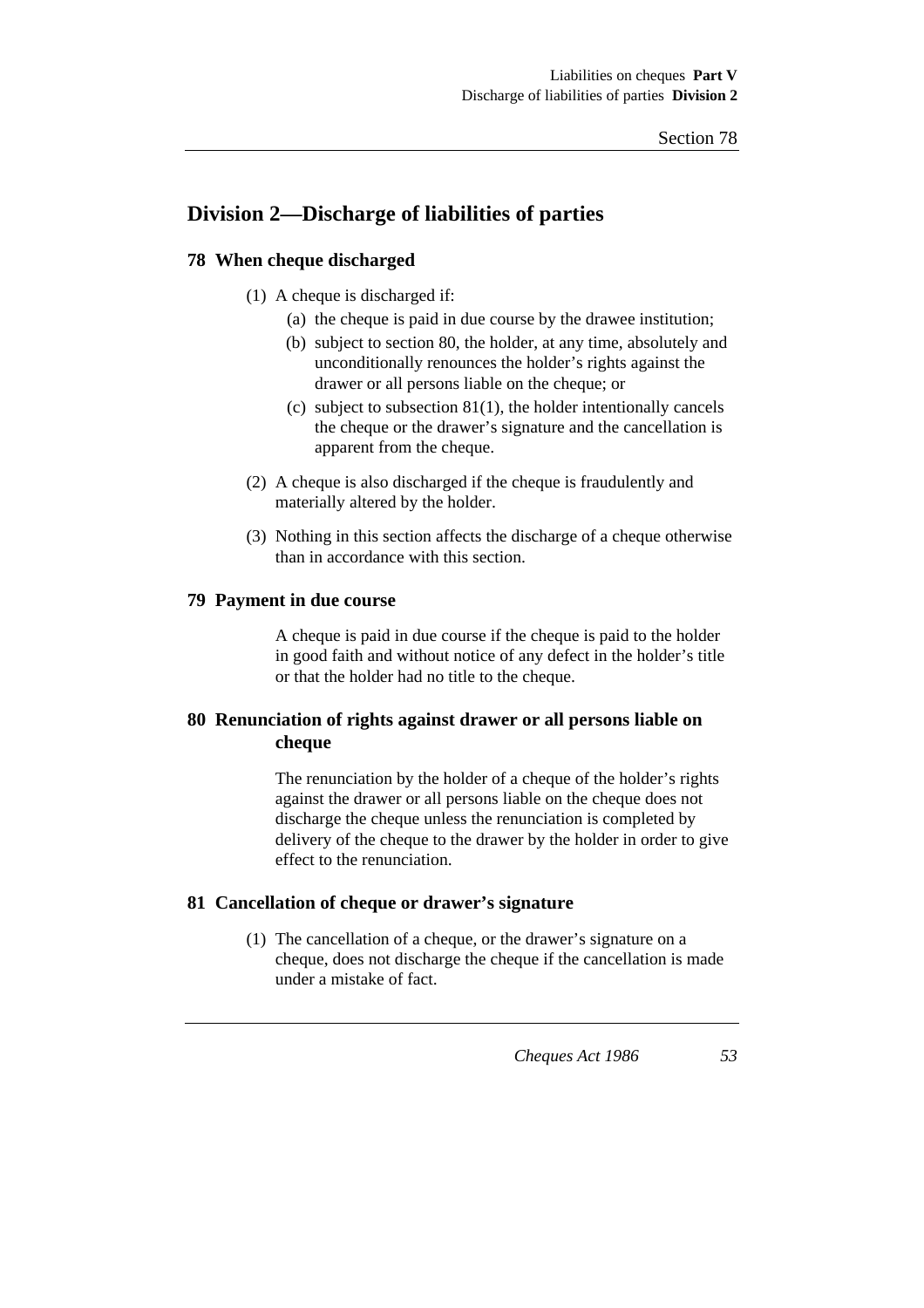# **Division 2—Discharge of liabilities of parties**

### **78 When cheque discharged**

- (1) A cheque is discharged if:
	- (a) the cheque is paid in due course by the drawee institution;
	- (b) subject to section 80, the holder, at any time, absolutely and unconditionally renounces the holder's rights against the drawer or all persons liable on the cheque; or
	- (c) subject to subsection  $81(1)$ , the holder intentionally cancels the cheque or the drawer's signature and the cancellation is apparent from the cheque.
- (2) A cheque is also discharged if the cheque is fraudulently and materially altered by the holder.
- (3) Nothing in this section affects the discharge of a cheque otherwise than in accordance with this section.

### **79 Payment in due course**

A cheque is paid in due course if the cheque is paid to the holder in good faith and without notice of any defect in the holder's title or that the holder had no title to the cheque.

# **80 Renunciation of rights against drawer or all persons liable on cheque**

The renunciation by the holder of a cheque of the holder's rights against the drawer or all persons liable on the cheque does not discharge the cheque unless the renunciation is completed by delivery of the cheque to the drawer by the holder in order to give effect to the renunciation.

### **81 Cancellation of cheque or drawer's signature**

(1) The cancellation of a cheque, or the drawer's signature on a cheque, does not discharge the cheque if the cancellation is made under a mistake of fact.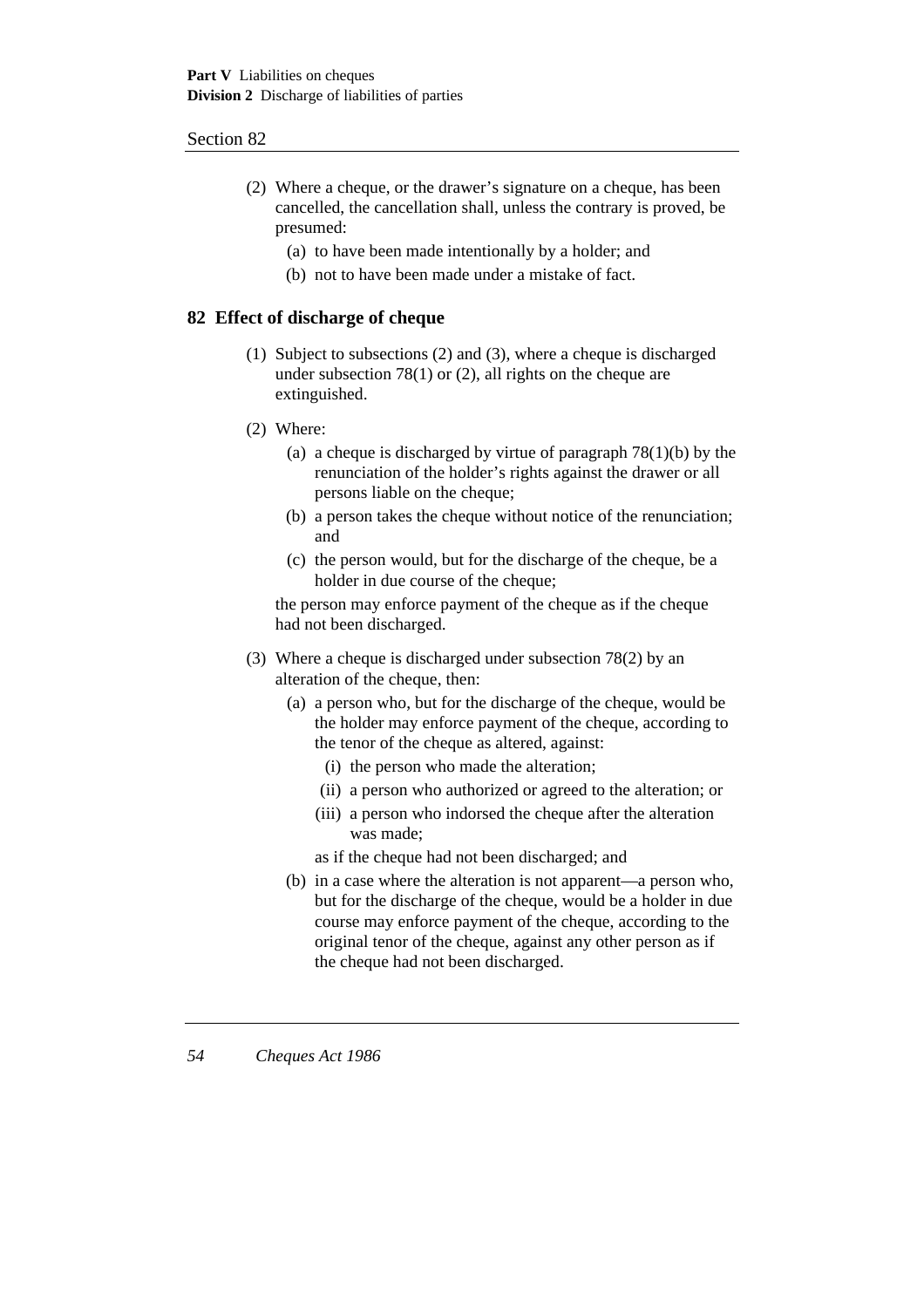- (2) Where a cheque, or the drawer's signature on a cheque, has been cancelled, the cancellation shall, unless the contrary is proved, be presumed:
	- (a) to have been made intentionally by a holder; and
	- (b) not to have been made under a mistake of fact.

### **82 Effect of discharge of cheque**

- (1) Subject to subsections (2) and (3), where a cheque is discharged under subsection 78(1) or (2), all rights on the cheque are extinguished.
- (2) Where:
	- (a) a cheque is discharged by virtue of paragraph  $78(1)(b)$  by the renunciation of the holder's rights against the drawer or all persons liable on the cheque;
	- (b) a person takes the cheque without notice of the renunciation; and
	- (c) the person would, but for the discharge of the cheque, be a holder in due course of the cheque;

the person may enforce payment of the cheque as if the cheque had not been discharged.

- (3) Where a cheque is discharged under subsection 78(2) by an alteration of the cheque, then:
	- (a) a person who, but for the discharge of the cheque, would be the holder may enforce payment of the cheque, according to the tenor of the cheque as altered, against:
		- (i) the person who made the alteration;
		- (ii) a person who authorized or agreed to the alteration; or
		- (iii) a person who indorsed the cheque after the alteration was made;
		- as if the cheque had not been discharged; and
	- (b) in a case where the alteration is not apparent—a person who, but for the discharge of the cheque, would be a holder in due course may enforce payment of the cheque, according to the original tenor of the cheque, against any other person as if the cheque had not been discharged.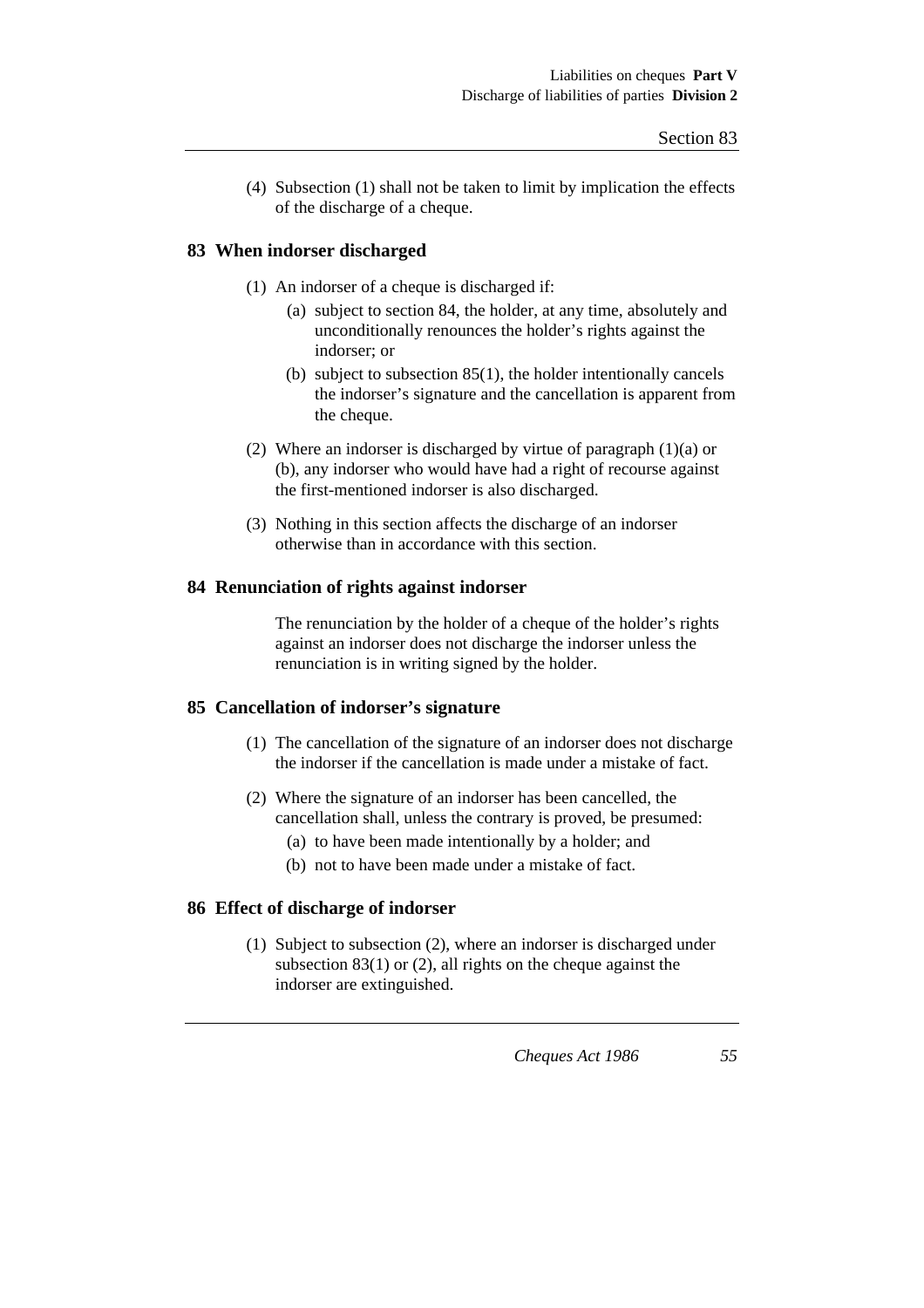(4) Subsection (1) shall not be taken to limit by implication the effects of the discharge of a cheque.

## **83 When indorser discharged**

- (1) An indorser of a cheque is discharged if:
	- (a) subject to section 84, the holder, at any time, absolutely and unconditionally renounces the holder's rights against the indorser; or
	- (b) subject to subsection 85(1), the holder intentionally cancels the indorser's signature and the cancellation is apparent from the cheque.
- (2) Where an indorser is discharged by virtue of paragraph (1)(a) or (b), any indorser who would have had a right of recourse against the first-mentioned indorser is also discharged.
- (3) Nothing in this section affects the discharge of an indorser otherwise than in accordance with this section.

### **84 Renunciation of rights against indorser**

The renunciation by the holder of a cheque of the holder's rights against an indorser does not discharge the indorser unless the renunciation is in writing signed by the holder.

### **85 Cancellation of indorser's signature**

- (1) The cancellation of the signature of an indorser does not discharge the indorser if the cancellation is made under a mistake of fact.
- (2) Where the signature of an indorser has been cancelled, the cancellation shall, unless the contrary is proved, be presumed:
	- (a) to have been made intentionally by a holder; and
	- (b) not to have been made under a mistake of fact.

## **86 Effect of discharge of indorser**

(1) Subject to subsection (2), where an indorser is discharged under subsection 83(1) or (2), all rights on the cheque against the indorser are extinguished.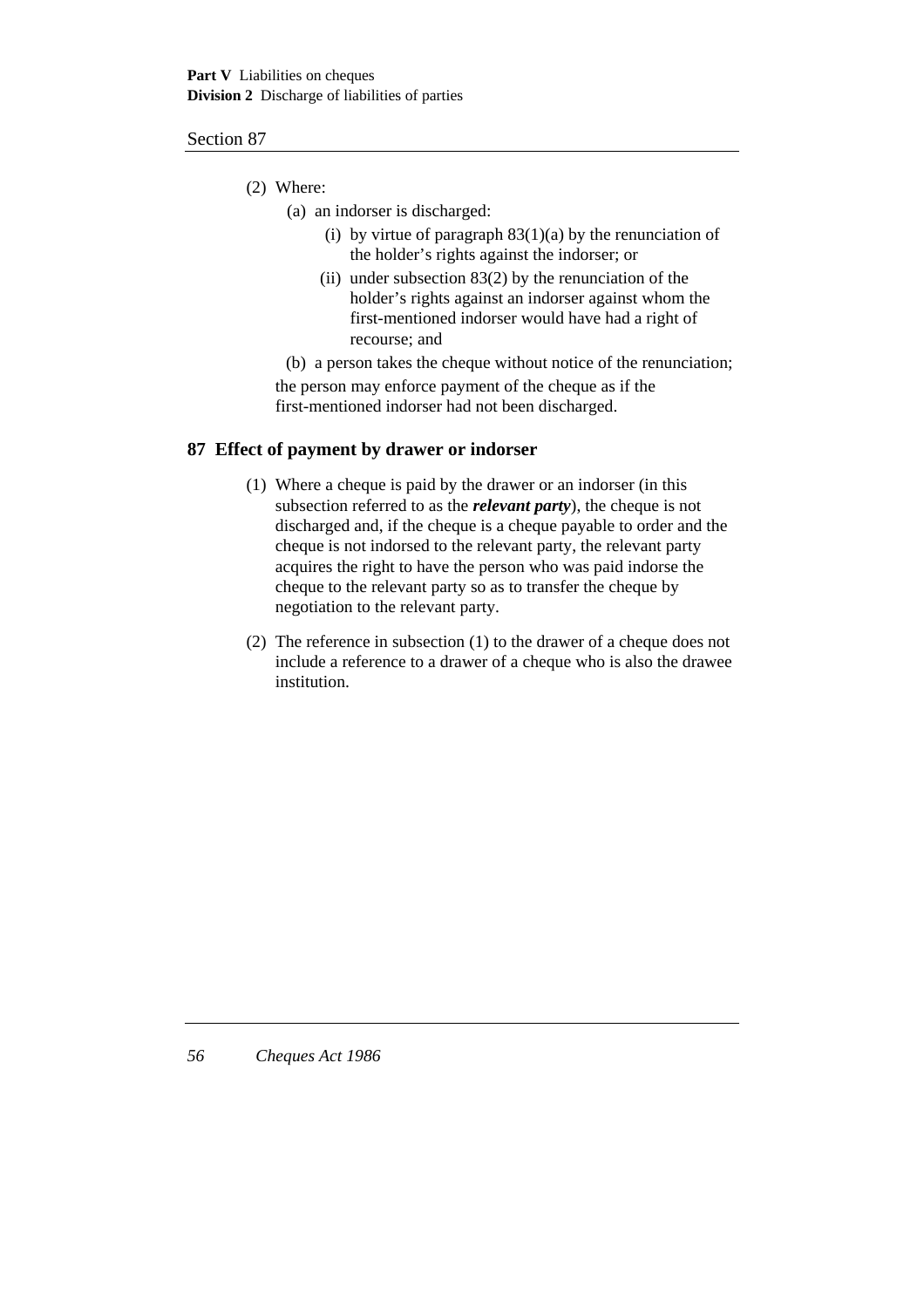- (2) Where:
	- (a) an indorser is discharged:
		- (i) by virtue of paragraph  $83(1)(a)$  by the renunciation of the holder's rights against the indorser; or
		- (ii) under subsection  $83(2)$  by the renunciation of the holder's rights against an indorser against whom the first-mentioned indorser would have had a right of recourse; and

(b) a person takes the cheque without notice of the renunciation; the person may enforce payment of the cheque as if the first-mentioned indorser had not been discharged.

### **87 Effect of payment by drawer or indorser**

- (1) Where a cheque is paid by the drawer or an indorser (in this subsection referred to as the *relevant party*), the cheque is not discharged and, if the cheque is a cheque payable to order and the cheque is not indorsed to the relevant party, the relevant party acquires the right to have the person who was paid indorse the cheque to the relevant party so as to transfer the cheque by negotiation to the relevant party.
- (2) The reference in subsection (1) to the drawer of a cheque does not include a reference to a drawer of a cheque who is also the drawee institution.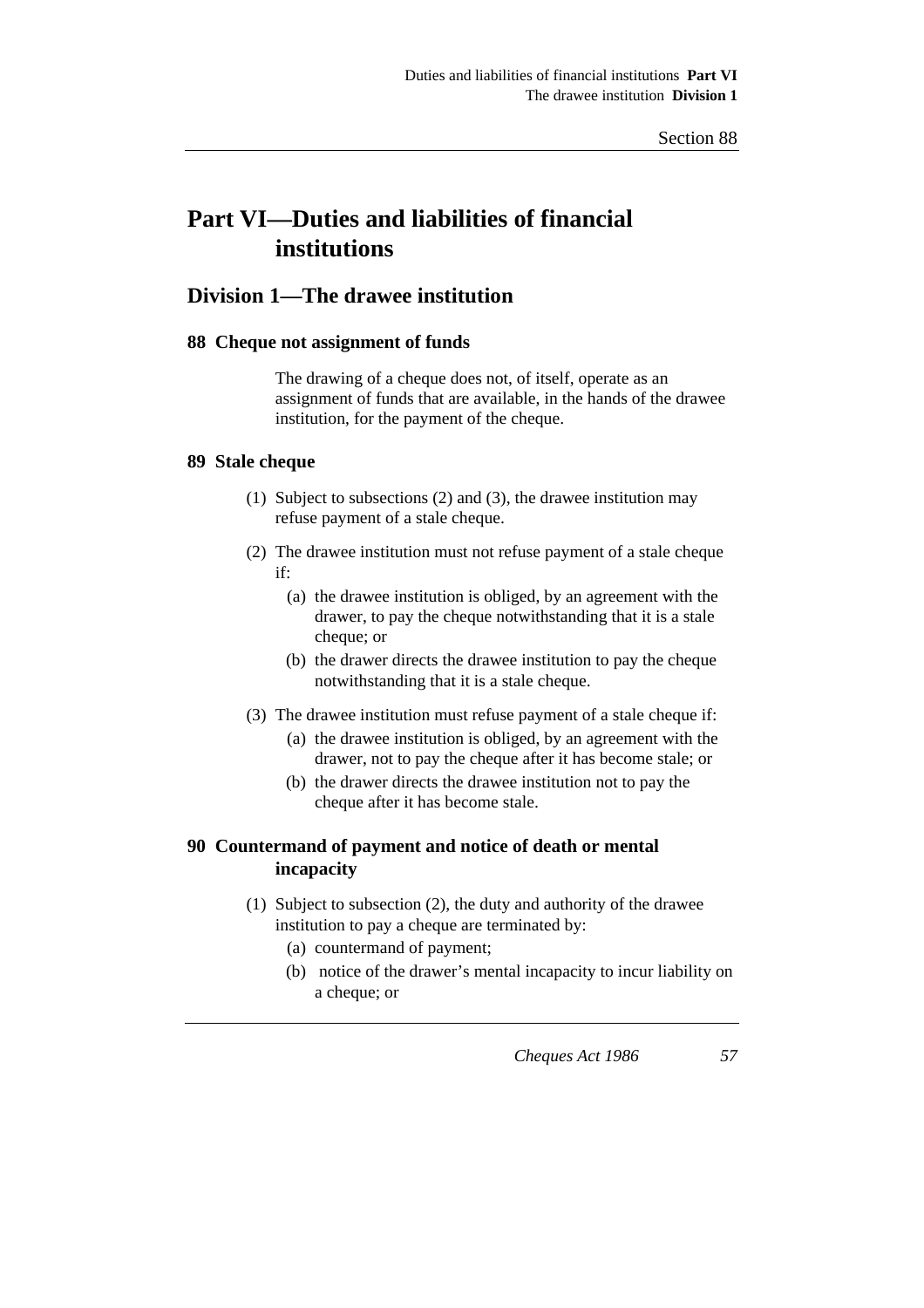# **Part VI—Duties and liabilities of financial institutions**

# **Division 1—The drawee institution**

### **88 Cheque not assignment of funds**

The drawing of a cheque does not, of itself, operate as an assignment of funds that are available, in the hands of the drawee institution, for the payment of the cheque.

## **89 Stale cheque**

- (1) Subject to subsections (2) and (3), the drawee institution may refuse payment of a stale cheque.
- (2) The drawee institution must not refuse payment of a stale cheque if:
	- (a) the drawee institution is obliged, by an agreement with the drawer, to pay the cheque notwithstanding that it is a stale cheque; or
	- (b) the drawer directs the drawee institution to pay the cheque notwithstanding that it is a stale cheque.
- (3) The drawee institution must refuse payment of a stale cheque if:
	- (a) the drawee institution is obliged, by an agreement with the drawer, not to pay the cheque after it has become stale; or
	- (b) the drawer directs the drawee institution not to pay the cheque after it has become stale.

# **90 Countermand of payment and notice of death or mental incapacity**

- (1) Subject to subsection (2), the duty and authority of the drawee institution to pay a cheque are terminated by:
	- (a) countermand of payment;
	- (b) notice of the drawer's mental incapacity to incur liability on a cheque; or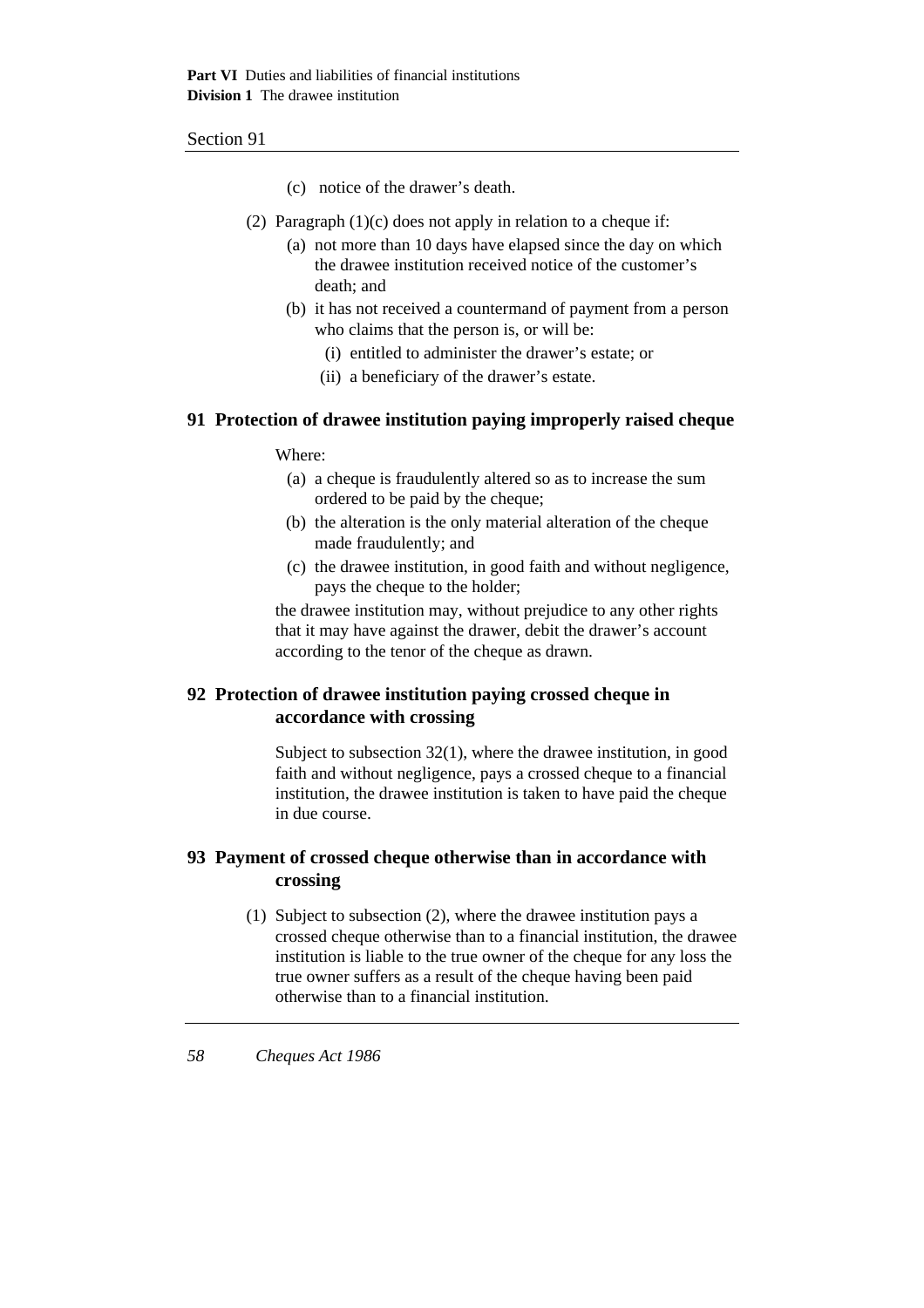- (c) notice of the drawer's death.
- (2) Paragraph  $(1)(c)$  does not apply in relation to a cheque if:
	- (a) not more than 10 days have elapsed since the day on which the drawee institution received notice of the customer's death; and
	- (b) it has not received a countermand of payment from a person who claims that the person is, or will be:
		- (i) entitled to administer the drawer's estate; or
		- (ii) a beneficiary of the drawer's estate.

### **91 Protection of drawee institution paying improperly raised cheque**

### Where:

- (a) a cheque is fraudulently altered so as to increase the sum ordered to be paid by the cheque;
- (b) the alteration is the only material alteration of the cheque made fraudulently; and
- (c) the drawee institution, in good faith and without negligence, pays the cheque to the holder;

the drawee institution may, without prejudice to any other rights that it may have against the drawer, debit the drawer's account according to the tenor of the cheque as drawn.

# **92 Protection of drawee institution paying crossed cheque in accordance with crossing**

Subject to subsection 32(1), where the drawee institution, in good faith and without negligence, pays a crossed cheque to a financial institution, the drawee institution is taken to have paid the cheque in due course.

# **93 Payment of crossed cheque otherwise than in accordance with crossing**

(1) Subject to subsection (2), where the drawee institution pays a crossed cheque otherwise than to a financial institution, the drawee institution is liable to the true owner of the cheque for any loss the true owner suffers as a result of the cheque having been paid otherwise than to a financial institution.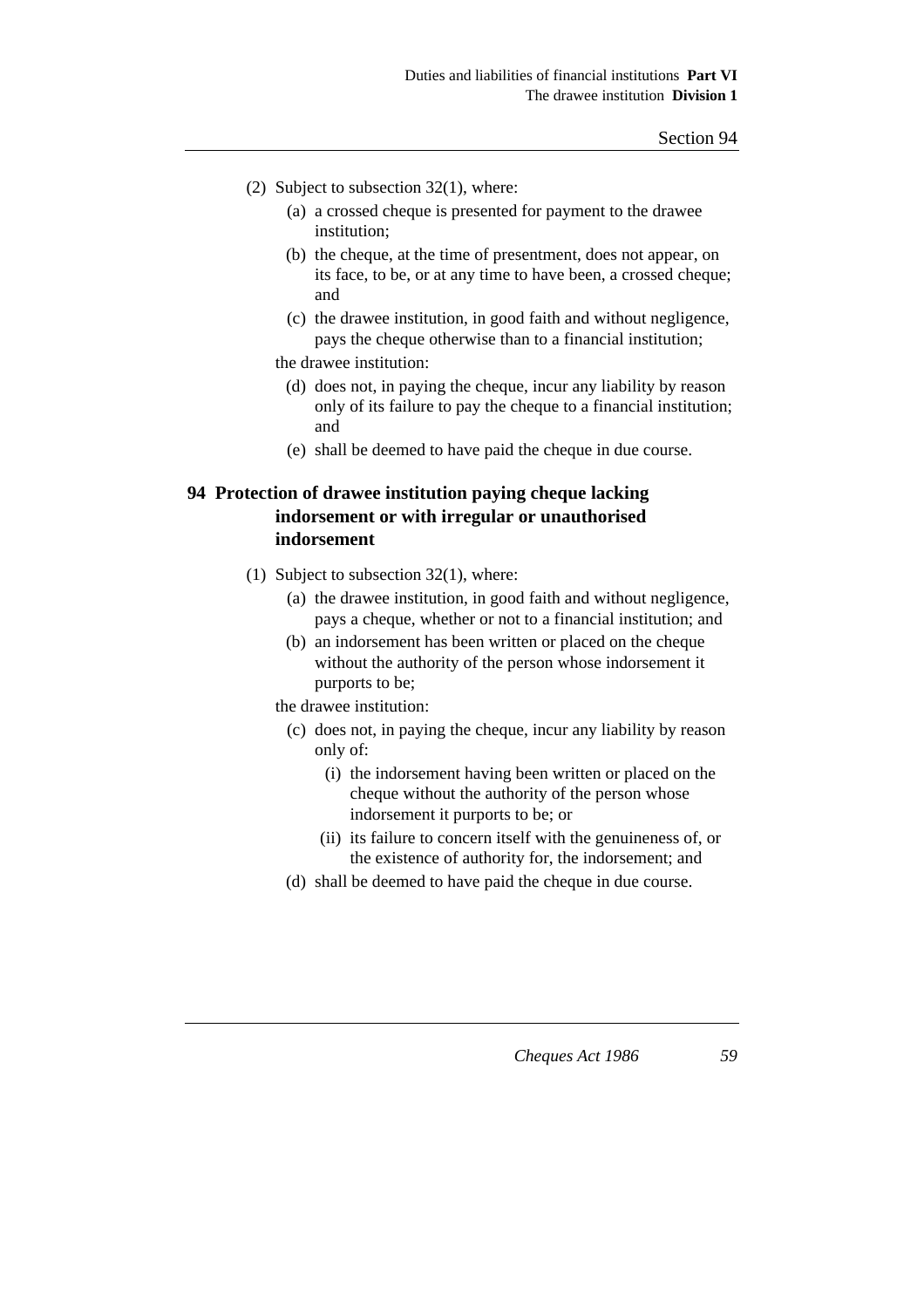- (2) Subject to subsection 32(1), where:
	- (a) a crossed cheque is presented for payment to the drawee institution;
	- (b) the cheque, at the time of presentment, does not appear, on its face, to be, or at any time to have been, a crossed cheque; and
	- (c) the drawee institution, in good faith and without negligence, pays the cheque otherwise than to a financial institution;
	- the drawee institution:
		- (d) does not, in paying the cheque, incur any liability by reason only of its failure to pay the cheque to a financial institution; and
		- (e) shall be deemed to have paid the cheque in due course.

# **94 Protection of drawee institution paying cheque lacking indorsement or with irregular or unauthorised indorsement**

- (1) Subject to subsection 32(1), where:
	- (a) the drawee institution, in good faith and without negligence, pays a cheque, whether or not to a financial institution; and
	- (b) an indorsement has been written or placed on the cheque without the authority of the person whose indorsement it purports to be;
	- the drawee institution:
		- (c) does not, in paying the cheque, incur any liability by reason only of:
			- (i) the indorsement having been written or placed on the cheque without the authority of the person whose indorsement it purports to be; or
			- (ii) its failure to concern itself with the genuineness of, or the existence of authority for, the indorsement; and
		- (d) shall be deemed to have paid the cheque in due course.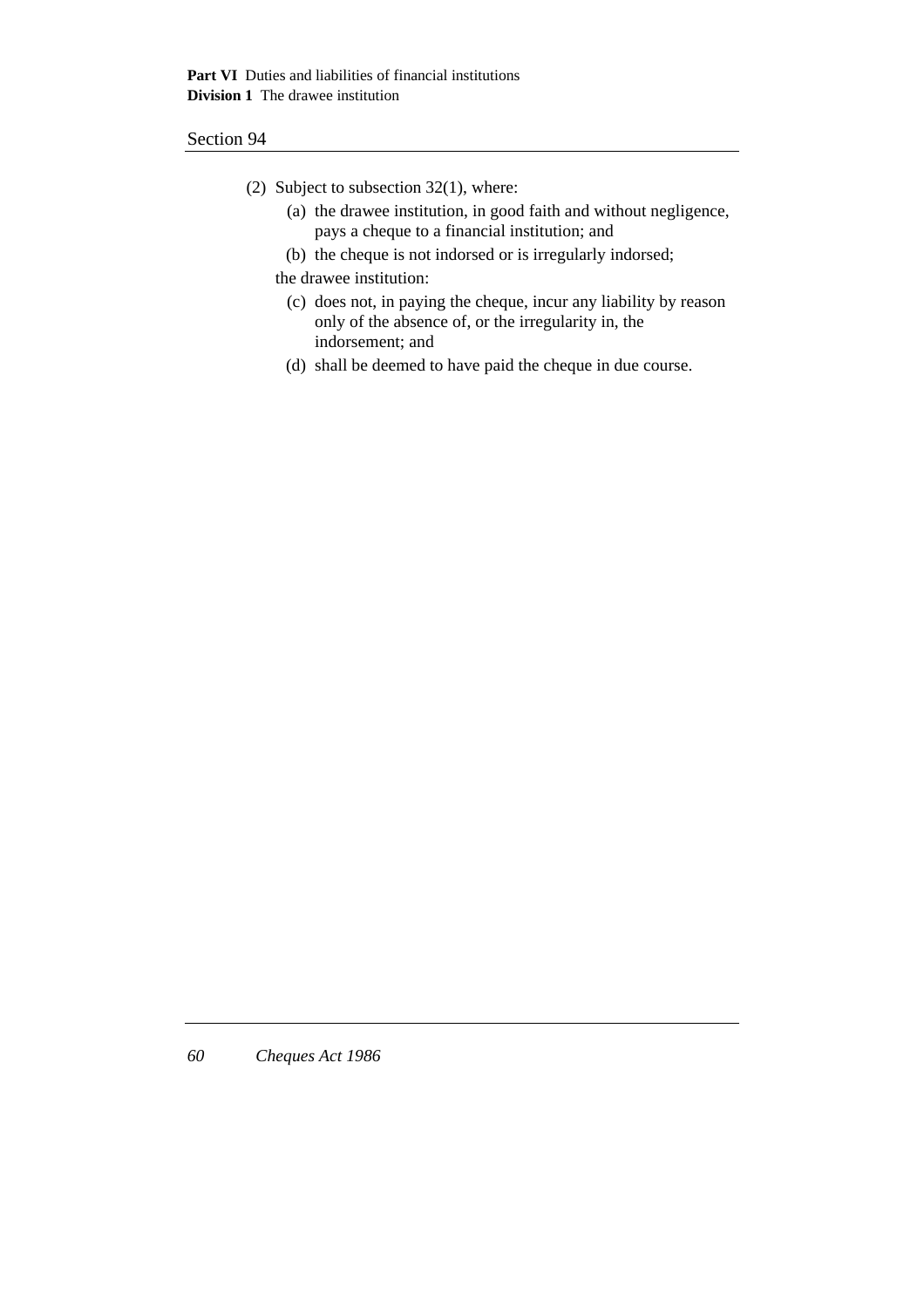- (2) Subject to subsection 32(1), where:
	- (a) the drawee institution, in good faith and without negligence, pays a cheque to a financial institution; and
	- (b) the cheque is not indorsed or is irregularly indorsed;

the drawee institution:

- (c) does not, in paying the cheque, incur any liability by reason only of the absence of, or the irregularity in, the indorsement; and
- (d) shall be deemed to have paid the cheque in due course.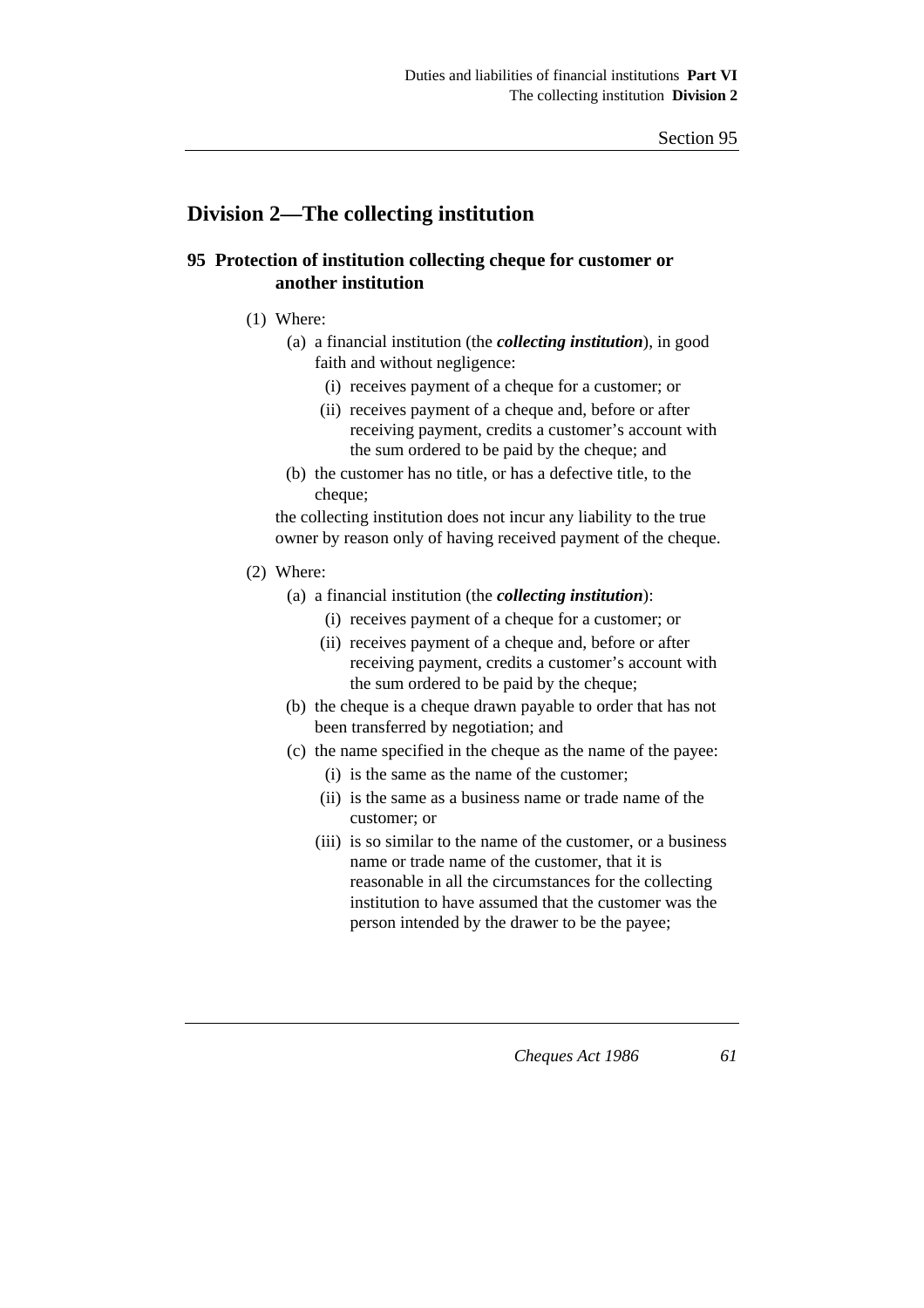# **Division 2—The collecting institution**

# **95 Protection of institution collecting cheque for customer or another institution**

- (1) Where:
	- (a) a financial institution (the *collecting institution*), in good faith and without negligence:
		- (i) receives payment of a cheque for a customer; or
		- (ii) receives payment of a cheque and, before or after receiving payment, credits a customer's account with the sum ordered to be paid by the cheque; and
	- (b) the customer has no title, or has a defective title, to the cheque;

the collecting institution does not incur any liability to the true owner by reason only of having received payment of the cheque.

- (2) Where:
	- (a) a financial institution (the *collecting institution*):
		- (i) receives payment of a cheque for a customer; or
		- (ii) receives payment of a cheque and, before or after receiving payment, credits a customer's account with the sum ordered to be paid by the cheque;
	- (b) the cheque is a cheque drawn payable to order that has not been transferred by negotiation; and
	- (c) the name specified in the cheque as the name of the payee:
		- (i) is the same as the name of the customer;
		- (ii) is the same as a business name or trade name of the customer; or
		- (iii) is so similar to the name of the customer, or a business name or trade name of the customer, that it is reasonable in all the circumstances for the collecting institution to have assumed that the customer was the person intended by the drawer to be the payee;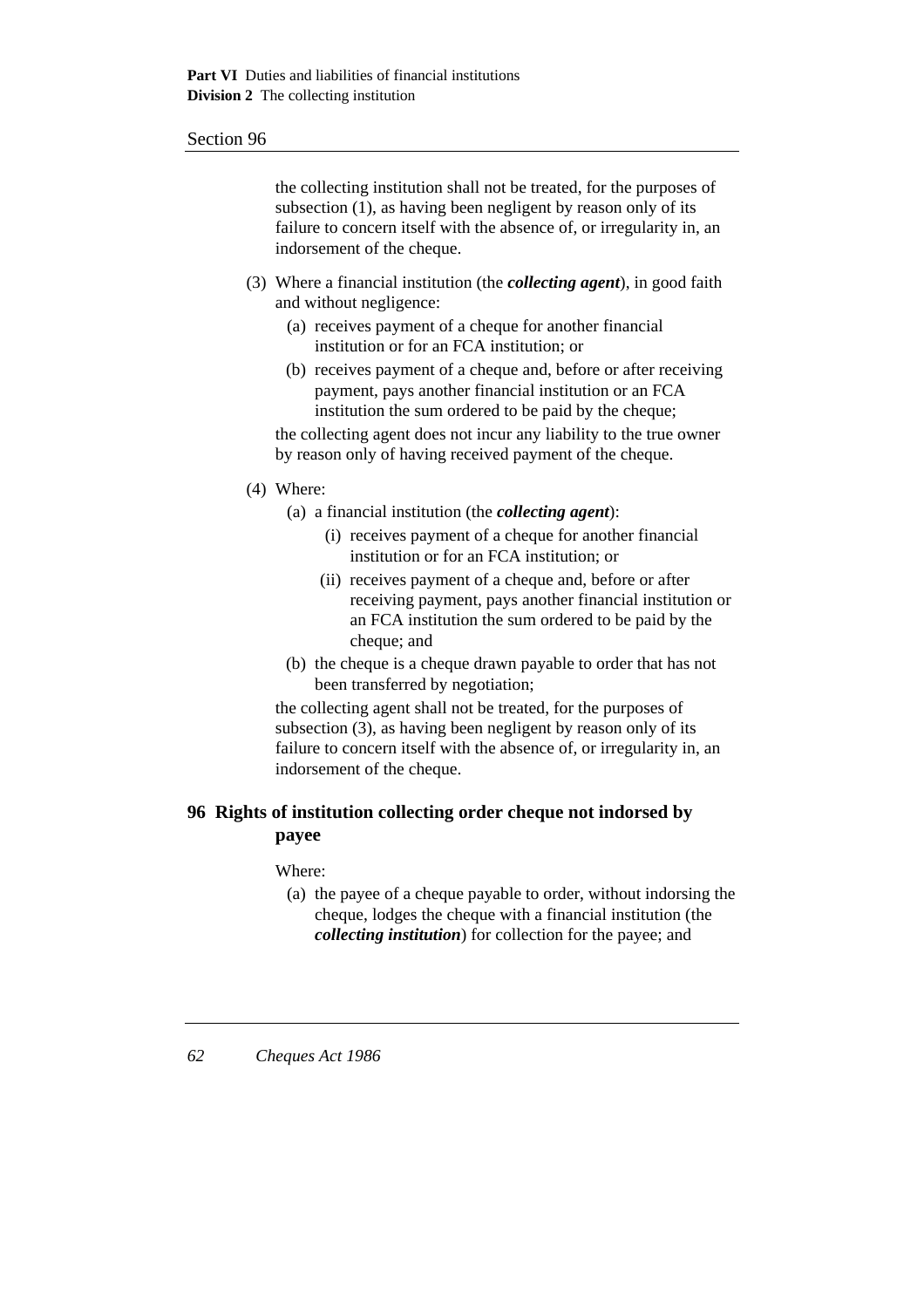the collecting institution shall not be treated, for the purposes of subsection (1), as having been negligent by reason only of its failure to concern itself with the absence of, or irregularity in, an indorsement of the cheque.

- (3) Where a financial institution (the *collecting agent*), in good faith and without negligence:
	- (a) receives payment of a cheque for another financial institution or for an FCA institution; or
	- (b) receives payment of a cheque and, before or after receiving payment, pays another financial institution or an FCA institution the sum ordered to be paid by the cheque;

the collecting agent does not incur any liability to the true owner by reason only of having received payment of the cheque.

- (4) Where:
	- (a) a financial institution (the *collecting agent*):
		- (i) receives payment of a cheque for another financial institution or for an FCA institution; or
		- (ii) receives payment of a cheque and, before or after receiving payment, pays another financial institution or an FCA institution the sum ordered to be paid by the cheque; and
	- (b) the cheque is a cheque drawn payable to order that has not been transferred by negotiation;

the collecting agent shall not be treated, for the purposes of subsection (3), as having been negligent by reason only of its failure to concern itself with the absence of, or irregularity in, an indorsement of the cheque.

## **96 Rights of institution collecting order cheque not indorsed by payee**

#### Where:

(a) the payee of a cheque payable to order, without indorsing the cheque, lodges the cheque with a financial institution (the *collecting institution*) for collection for the payee; and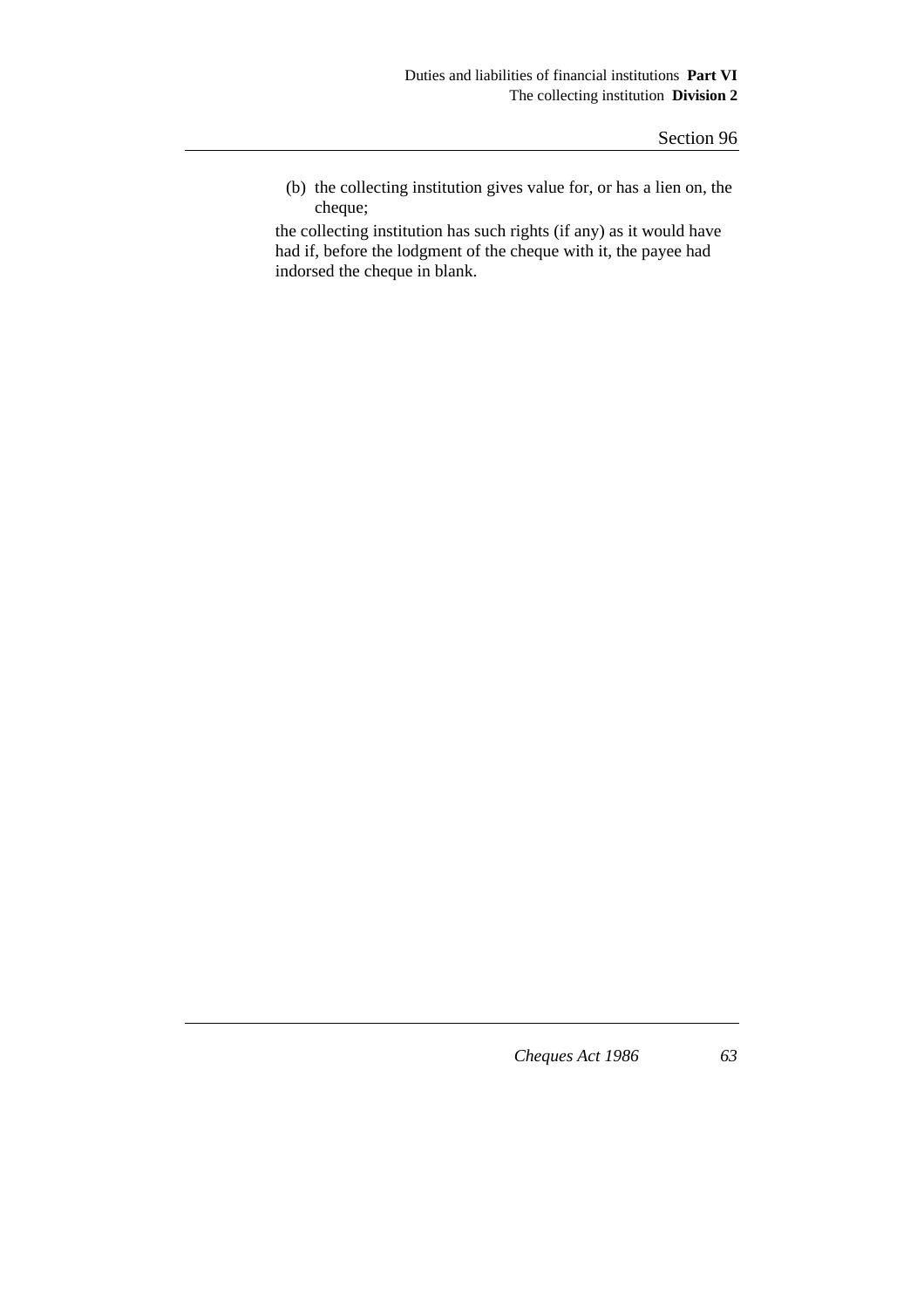(b) the collecting institution gives value for, or has a lien on, the cheque;

the collecting institution has such rights (if any) as it would have had if, before the lodgment of the cheque with it, the payee had indorsed the cheque in blank.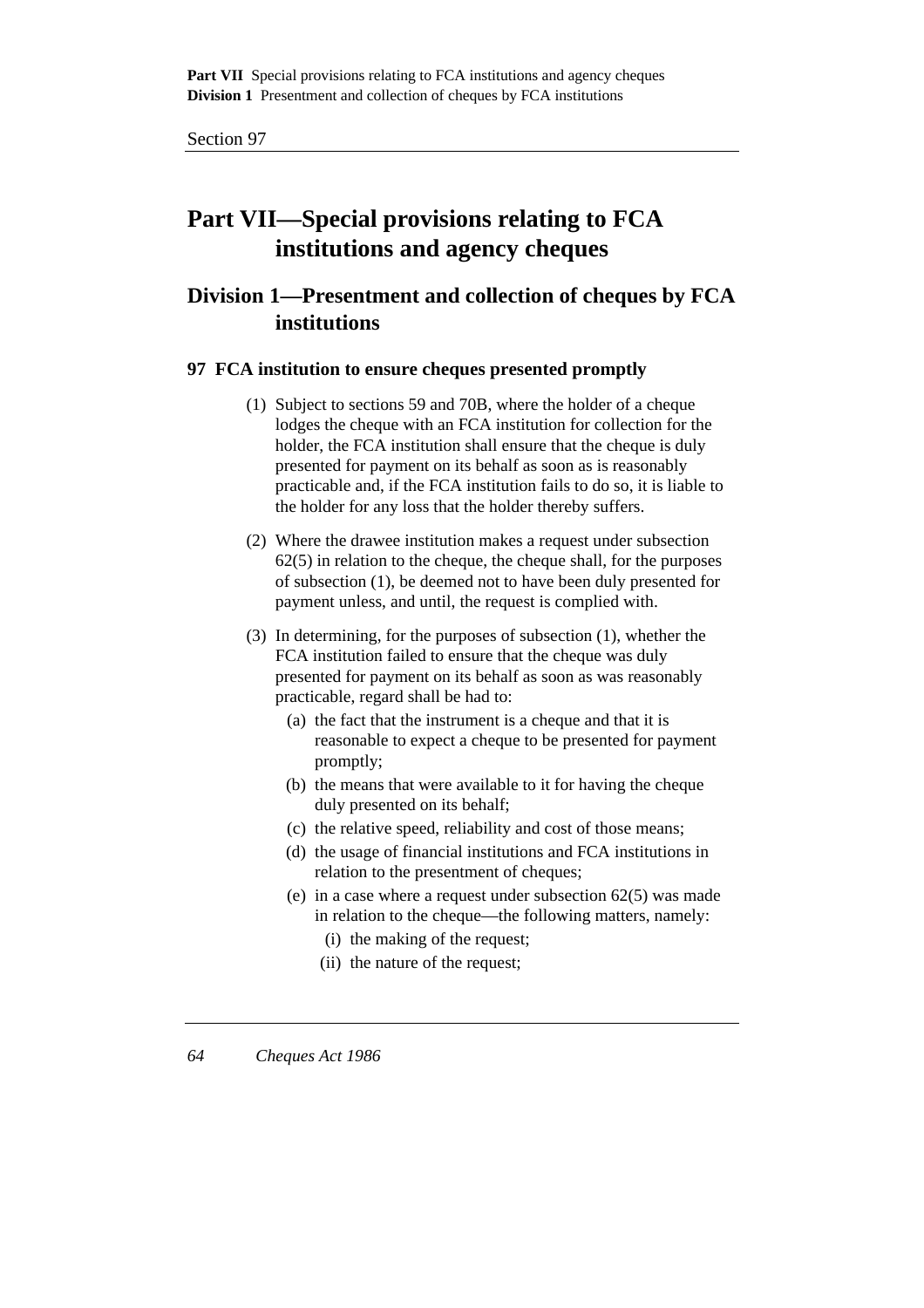# **Part VII—Special provisions relating to FCA institutions and agency cheques**

# **Division 1—Presentment and collection of cheques by FCA institutions**

### **97 FCA institution to ensure cheques presented promptly**

- (1) Subject to sections 59 and 70B, where the holder of a cheque lodges the cheque with an FCA institution for collection for the holder, the FCA institution shall ensure that the cheque is duly presented for payment on its behalf as soon as is reasonably practicable and, if the FCA institution fails to do so, it is liable to the holder for any loss that the holder thereby suffers.
- (2) Where the drawee institution makes a request under subsection 62(5) in relation to the cheque, the cheque shall, for the purposes of subsection (1), be deemed not to have been duly presented for payment unless, and until, the request is complied with.
- (3) In determining, for the purposes of subsection (1), whether the FCA institution failed to ensure that the cheque was duly presented for payment on its behalf as soon as was reasonably practicable, regard shall be had to:
	- (a) the fact that the instrument is a cheque and that it is reasonable to expect a cheque to be presented for payment promptly;
	- (b) the means that were available to it for having the cheque duly presented on its behalf;
	- (c) the relative speed, reliability and cost of those means;
	- (d) the usage of financial institutions and FCA institutions in relation to the presentment of cheques;
	- (e) in a case where a request under subsection 62(5) was made in relation to the cheque—the following matters, namely:
		- (i) the making of the request;
		- (ii) the nature of the request;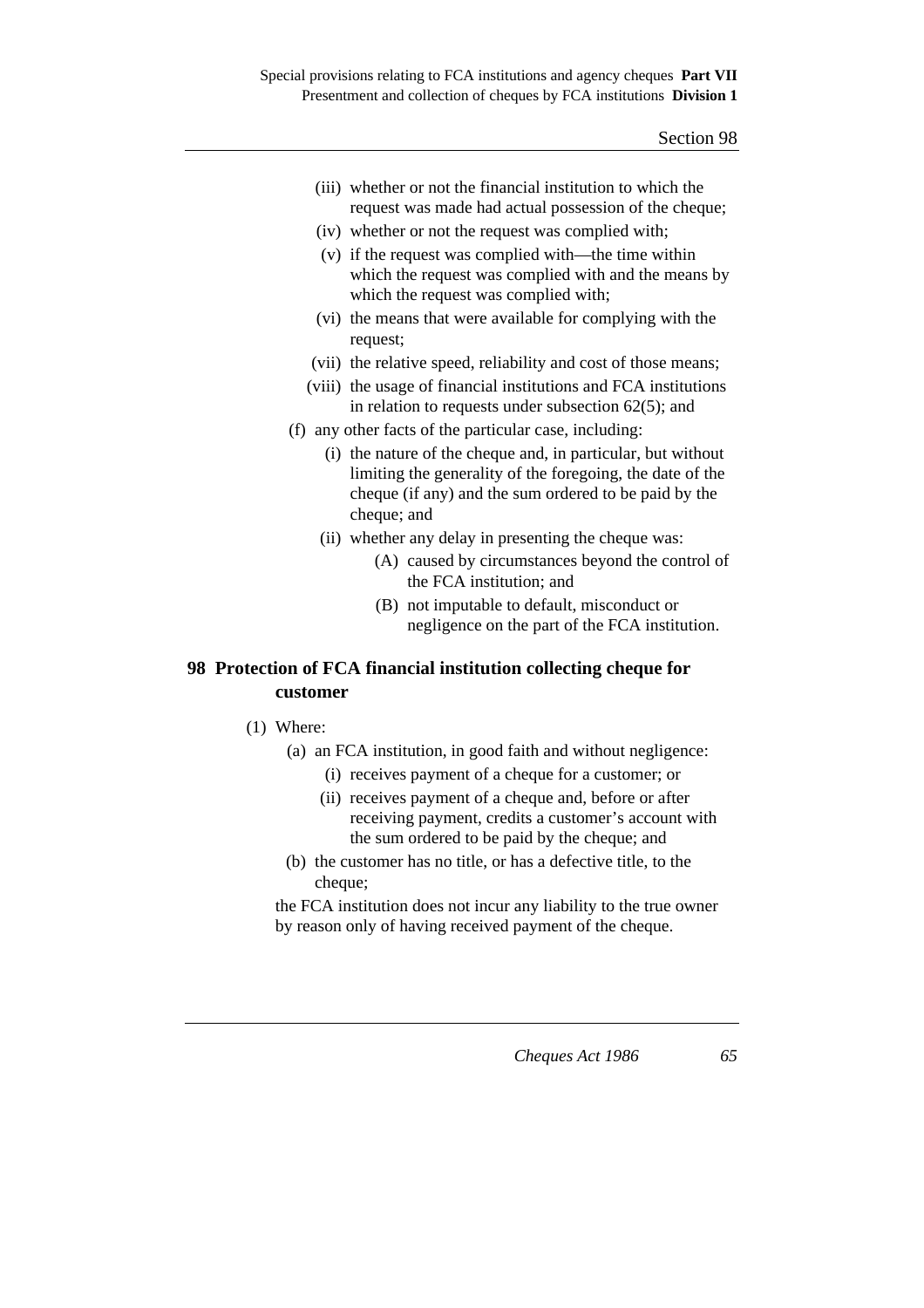| (iii) whether or not the financial institution to which the |
|-------------------------------------------------------------|
| request was made had actual possession of the cheque;       |

- (iv) whether or not the request was complied with;
- (v) if the request was complied with—the time within which the request was complied with and the means by which the request was complied with;
- (vi) the means that were available for complying with the request;
- (vii) the relative speed, reliability and cost of those means;
- (viii) the usage of financial institutions and FCA institutions in relation to requests under subsection 62(5); and
- (f) any other facts of the particular case, including:
	- (i) the nature of the cheque and, in particular, but without limiting the generality of the foregoing, the date of the cheque (if any) and the sum ordered to be paid by the cheque; and
	- (ii) whether any delay in presenting the cheque was:
		- (A) caused by circumstances beyond the control of the FCA institution; and
		- (B) not imputable to default, misconduct or negligence on the part of the FCA institution.

## **98 Protection of FCA financial institution collecting cheque for customer**

- (1) Where:
	- (a) an FCA institution, in good faith and without negligence:
		- (i) receives payment of a cheque for a customer; or
		- (ii) receives payment of a cheque and, before or after receiving payment, credits a customer's account with the sum ordered to be paid by the cheque; and
	- (b) the customer has no title, or has a defective title, to the cheque;

the FCA institution does not incur any liability to the true owner by reason only of having received payment of the cheque.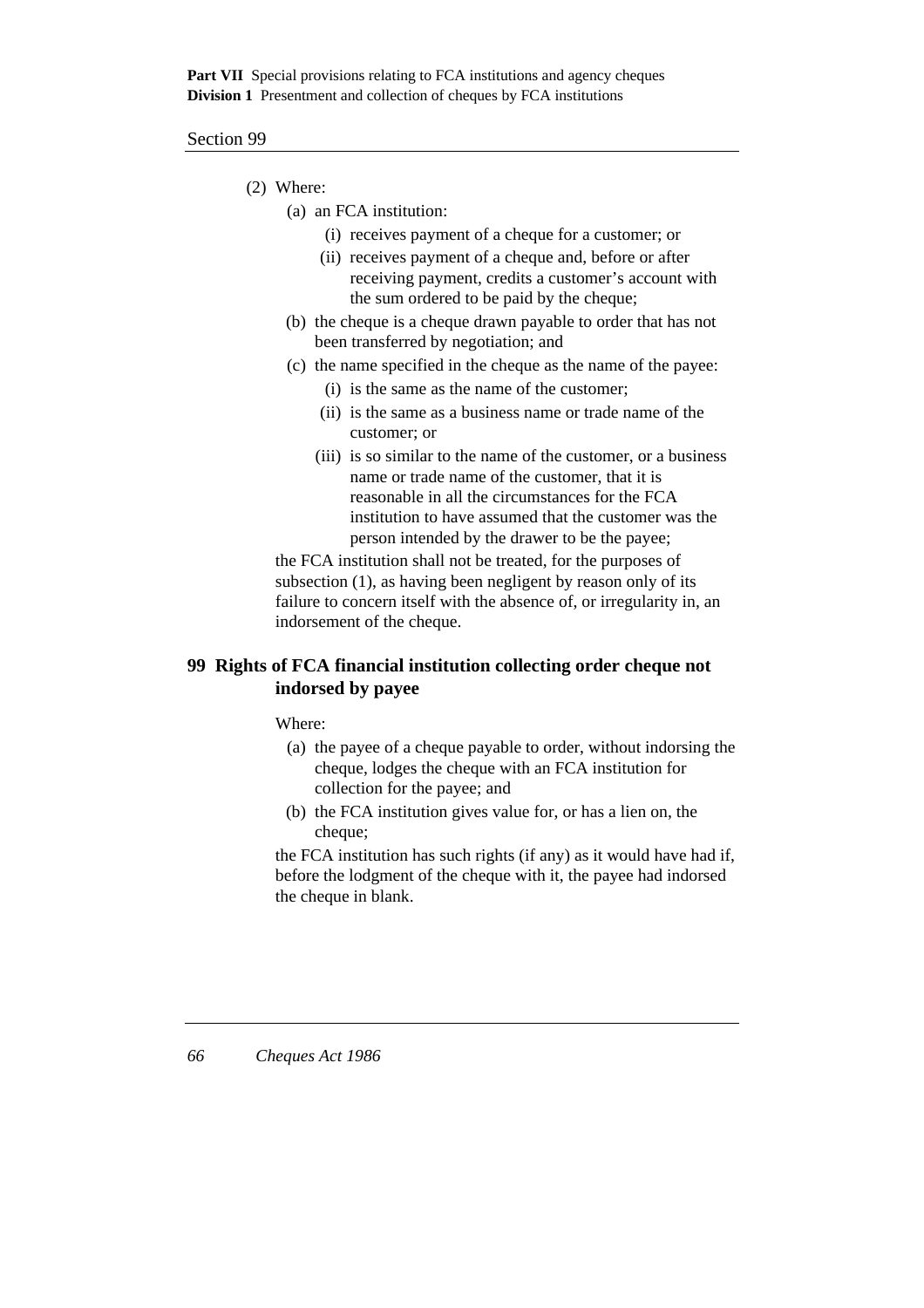#### Section 99

- (2) Where:
	- (a) an FCA institution:
		- (i) receives payment of a cheque for a customer; or
		- (ii) receives payment of a cheque and, before or after receiving payment, credits a customer's account with the sum ordered to be paid by the cheque;
	- (b) the cheque is a cheque drawn payable to order that has not been transferred by negotiation; and
	- (c) the name specified in the cheque as the name of the payee:
		- (i) is the same as the name of the customer;
		- (ii) is the same as a business name or trade name of the customer; or
		- (iii) is so similar to the name of the customer, or a business name or trade name of the customer, that it is reasonable in all the circumstances for the FCA institution to have assumed that the customer was the person intended by the drawer to be the payee;

the FCA institution shall not be treated, for the purposes of subsection (1), as having been negligent by reason only of its failure to concern itself with the absence of, or irregularity in, an indorsement of the cheque.

## **99 Rights of FCA financial institution collecting order cheque not indorsed by payee**

Where:

- (a) the payee of a cheque payable to order, without indorsing the cheque, lodges the cheque with an FCA institution for collection for the payee; and
- (b) the FCA institution gives value for, or has a lien on, the cheque;

the FCA institution has such rights (if any) as it would have had if, before the lodgment of the cheque with it, the payee had indorsed the cheque in blank.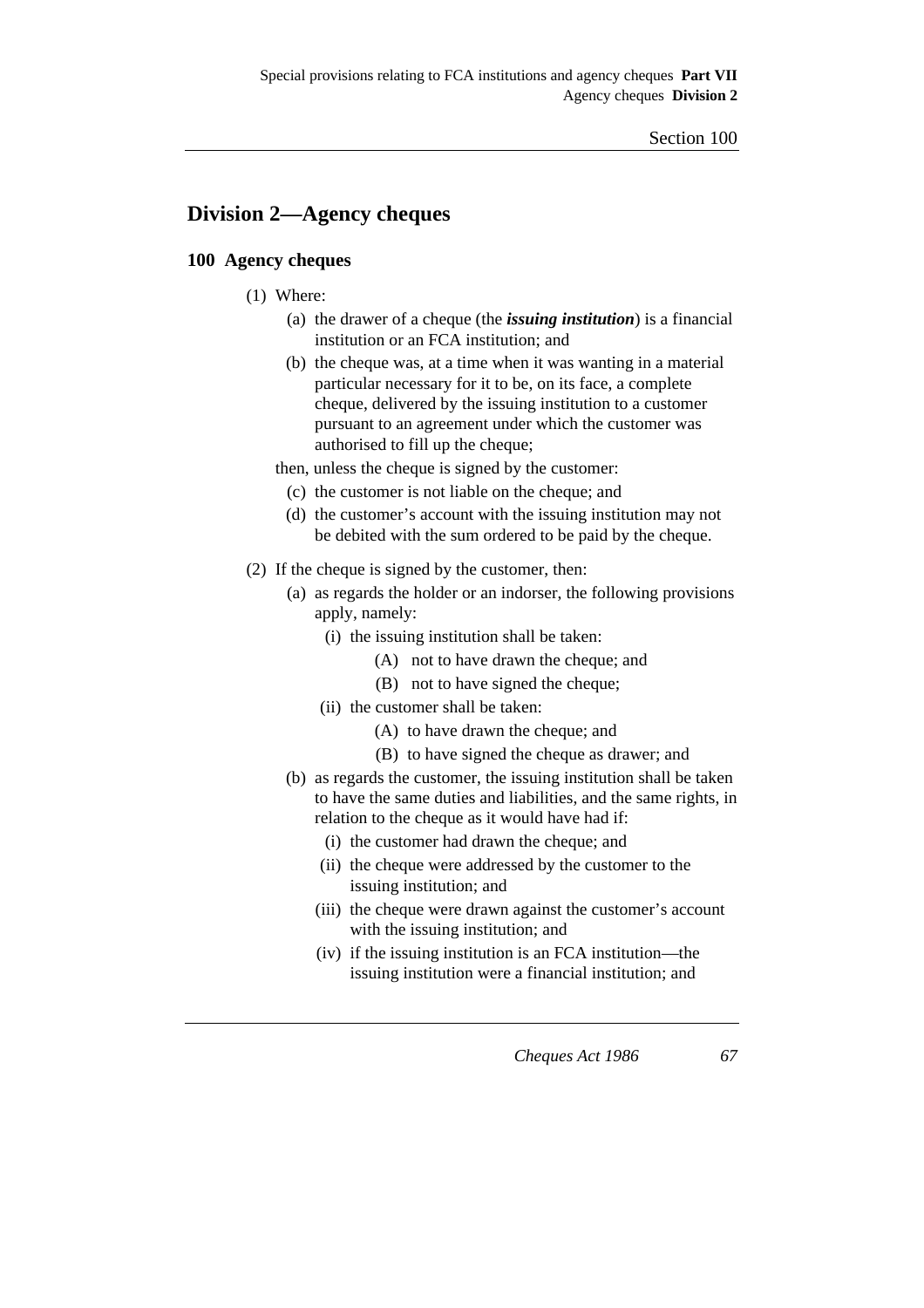# **Division 2—Agency cheques**

### **100 Agency cheques**

- (1) Where:
	- (a) the drawer of a cheque (the *issuing institution*) is a financial institution or an FCA institution; and
	- (b) the cheque was, at a time when it was wanting in a material particular necessary for it to be, on its face, a complete cheque, delivered by the issuing institution to a customer pursuant to an agreement under which the customer was authorised to fill up the cheque;

then, unless the cheque is signed by the customer:

- (c) the customer is not liable on the cheque; and
- (d) the customer's account with the issuing institution may not be debited with the sum ordered to be paid by the cheque.
- (2) If the cheque is signed by the customer, then:
	- (a) as regards the holder or an indorser, the following provisions apply, namely:
		- (i) the issuing institution shall be taken:
			- (A) not to have drawn the cheque; and
			- (B) not to have signed the cheque;
		- (ii) the customer shall be taken:
			- (A) to have drawn the cheque; and
			- (B) to have signed the cheque as drawer; and
	- (b) as regards the customer, the issuing institution shall be taken to have the same duties and liabilities, and the same rights, in relation to the cheque as it would have had if:
		- (i) the customer had drawn the cheque; and
		- (ii) the cheque were addressed by the customer to the issuing institution; and
		- (iii) the cheque were drawn against the customer's account with the issuing institution; and
		- (iv) if the issuing institution is an FCA institution—the issuing institution were a financial institution; and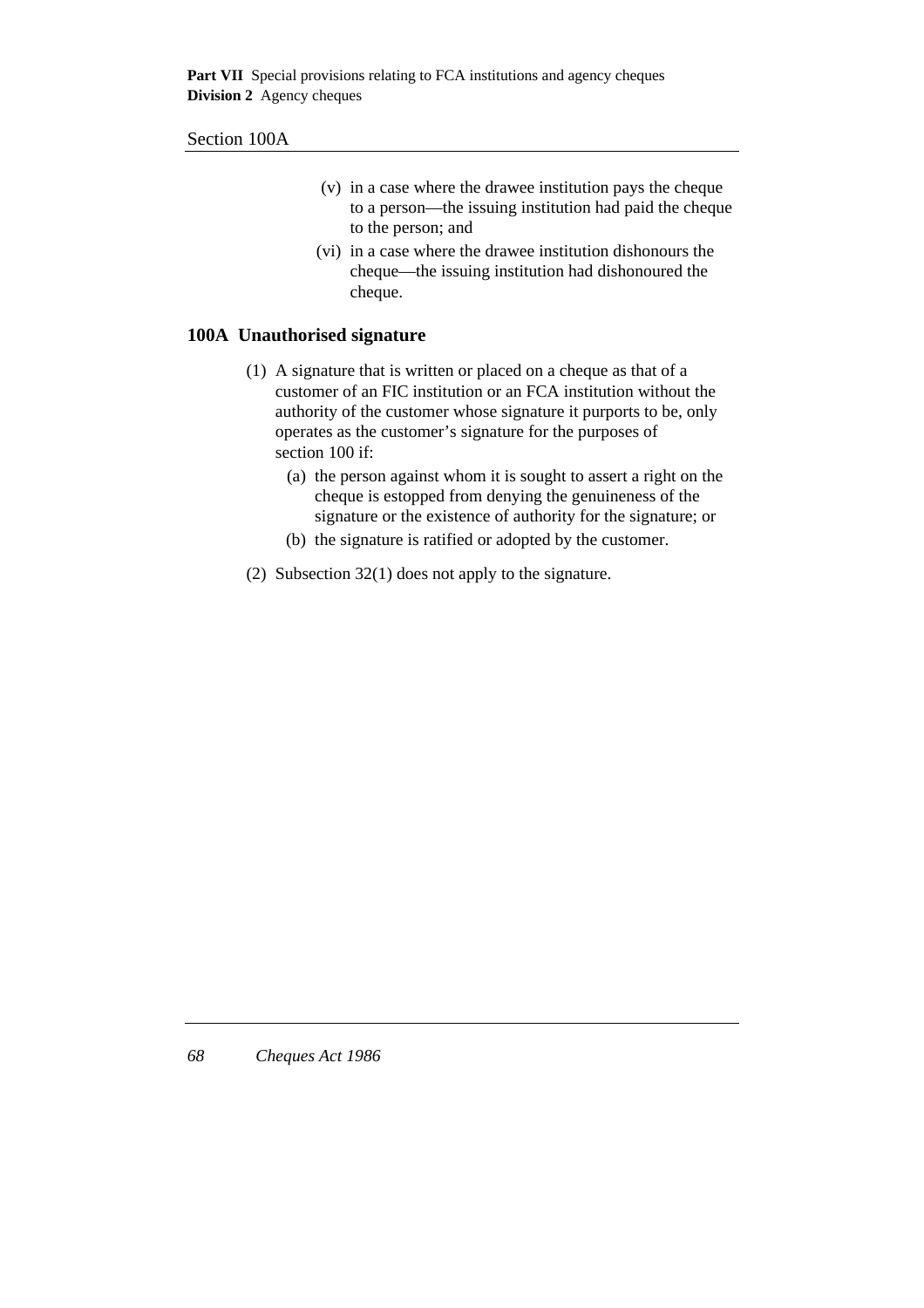#### Section 100A

- (v) in a case where the drawee institution pays the cheque to a person—the issuing institution had paid the cheque to the person; and
- (vi) in a case where the drawee institution dishonours the cheque—the issuing institution had dishonoured the cheque.

### **100A Unauthorised signature**

- (1) A signature that is written or placed on a cheque as that of a customer of an FIC institution or an FCA institution without the authority of the customer whose signature it purports to be, only operates as the customer's signature for the purposes of section 100 if:
	- (a) the person against whom it is sought to assert a right on the cheque is estopped from denying the genuineness of the signature or the existence of authority for the signature; or
	- (b) the signature is ratified or adopted by the customer.
- (2) Subsection 32(1) does not apply to the signature.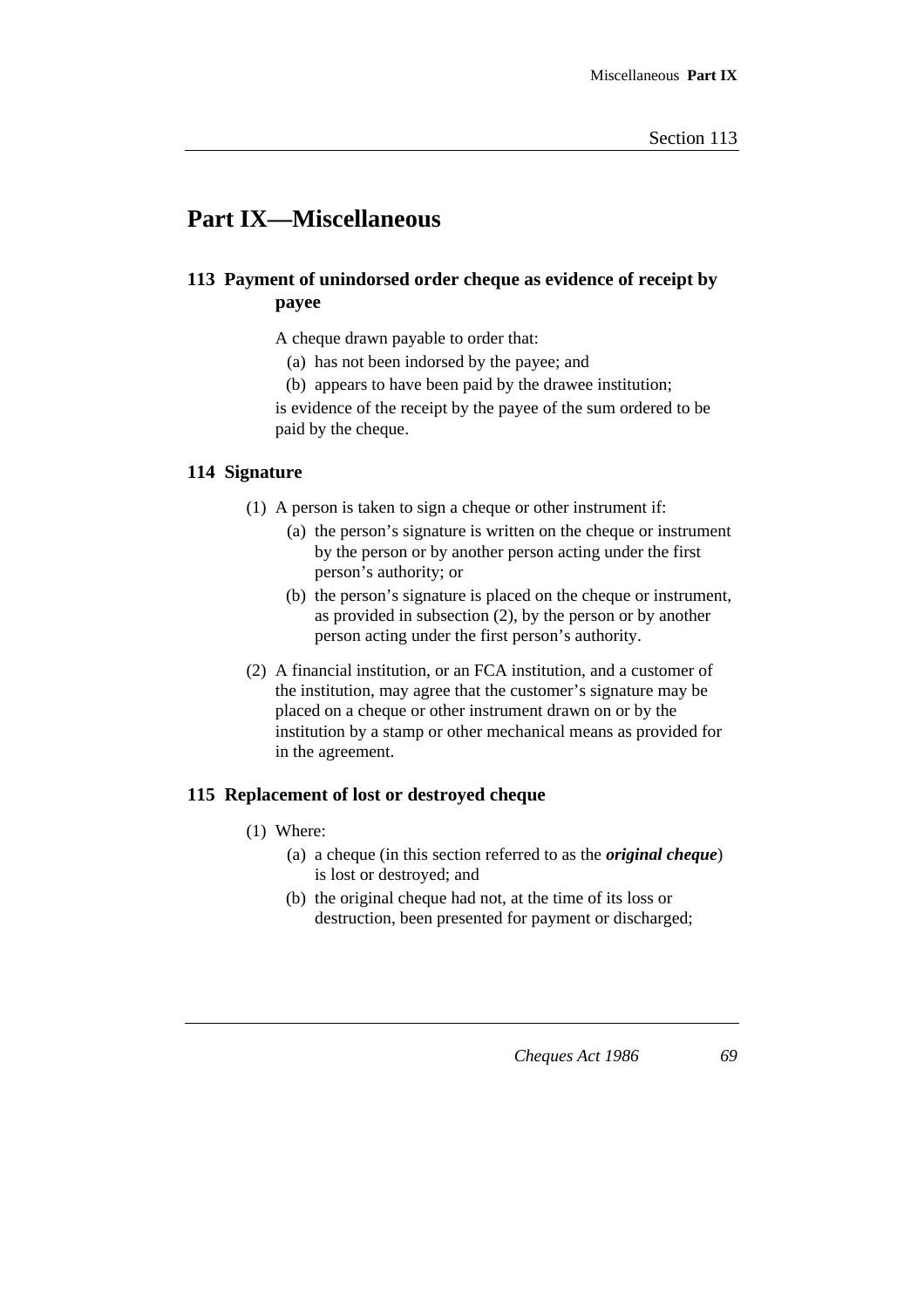# **Part IX—Miscellaneous**

# **113 Payment of unindorsed order cheque as evidence of receipt by payee**

A cheque drawn payable to order that:

- (a) has not been indorsed by the payee; and
- (b) appears to have been paid by the drawee institution;

is evidence of the receipt by the payee of the sum ordered to be paid by the cheque.

### **114 Signature**

- (1) A person is taken to sign a cheque or other instrument if:
	- (a) the person's signature is written on the cheque or instrument by the person or by another person acting under the first person's authority; or
	- (b) the person's signature is placed on the cheque or instrument, as provided in subsection (2), by the person or by another person acting under the first person's authority.
- (2) A financial institution, or an FCA institution, and a customer of the institution, may agree that the customer's signature may be placed on a cheque or other instrument drawn on or by the institution by a stamp or other mechanical means as provided for in the agreement.

### **115 Replacement of lost or destroyed cheque**

- (1) Where:
	- (a) a cheque (in this section referred to as the *original cheque*) is lost or destroyed; and
	- (b) the original cheque had not, at the time of its loss or destruction, been presented for payment or discharged;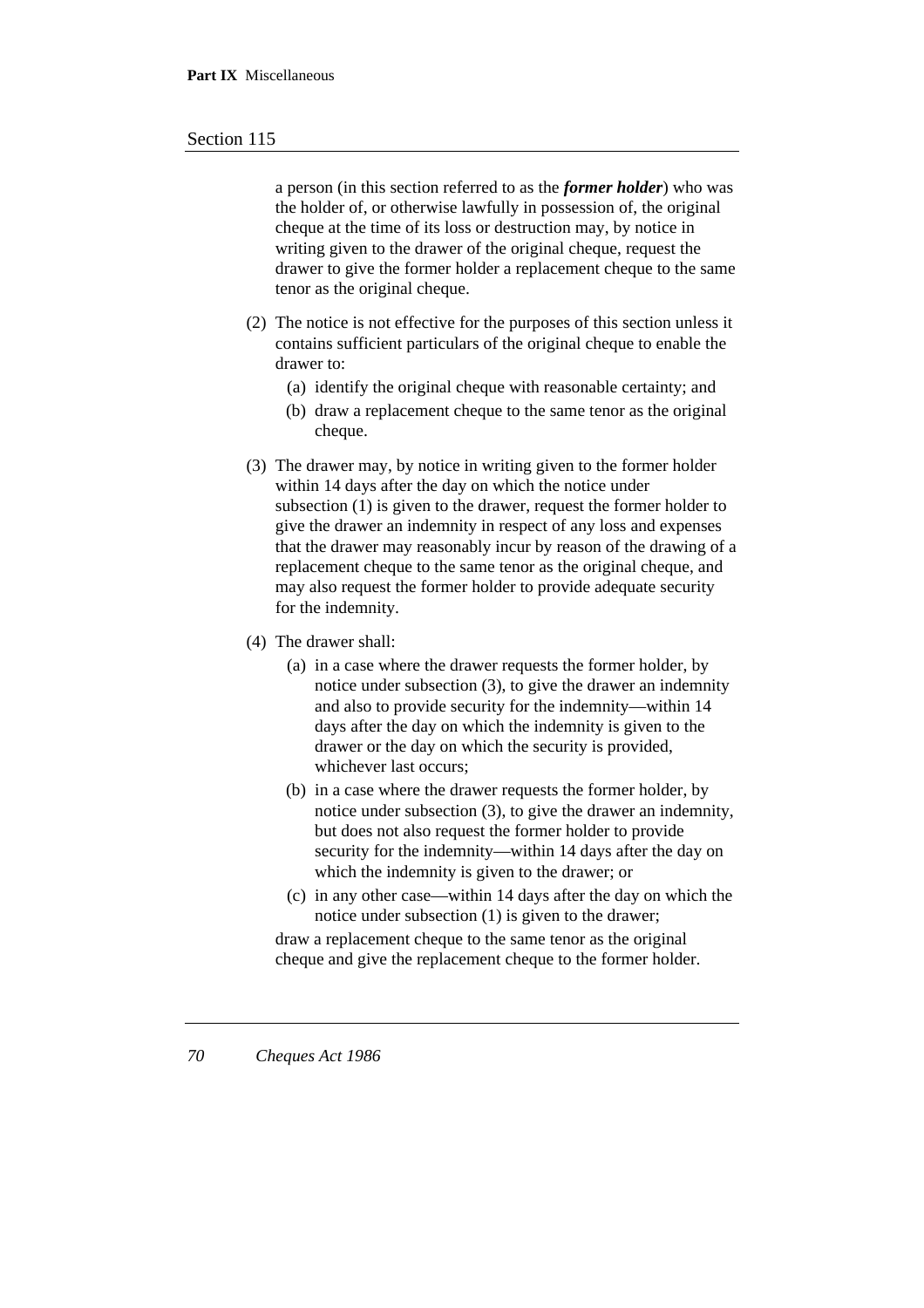#### Section 115

a person (in this section referred to as the *former holder*) who was the holder of, or otherwise lawfully in possession of, the original cheque at the time of its loss or destruction may, by notice in writing given to the drawer of the original cheque, request the drawer to give the former holder a replacement cheque to the same tenor as the original cheque.

- (2) The notice is not effective for the purposes of this section unless it contains sufficient particulars of the original cheque to enable the drawer to:
	- (a) identify the original cheque with reasonable certainty; and
	- (b) draw a replacement cheque to the same tenor as the original cheque.
- (3) The drawer may, by notice in writing given to the former holder within 14 days after the day on which the notice under subsection (1) is given to the drawer, request the former holder to give the drawer an indemnity in respect of any loss and expenses that the drawer may reasonably incur by reason of the drawing of a replacement cheque to the same tenor as the original cheque, and may also request the former holder to provide adequate security for the indemnity.
- (4) The drawer shall:
	- (a) in a case where the drawer requests the former holder, by notice under subsection (3), to give the drawer an indemnity and also to provide security for the indemnity—within 14 days after the day on which the indemnity is given to the drawer or the day on which the security is provided, whichever last occurs;
	- (b) in a case where the drawer requests the former holder, by notice under subsection (3), to give the drawer an indemnity, but does not also request the former holder to provide security for the indemnity—within 14 days after the day on which the indemnity is given to the drawer; or
	- (c) in any other case—within 14 days after the day on which the notice under subsection (1) is given to the drawer;

draw a replacement cheque to the same tenor as the original cheque and give the replacement cheque to the former holder.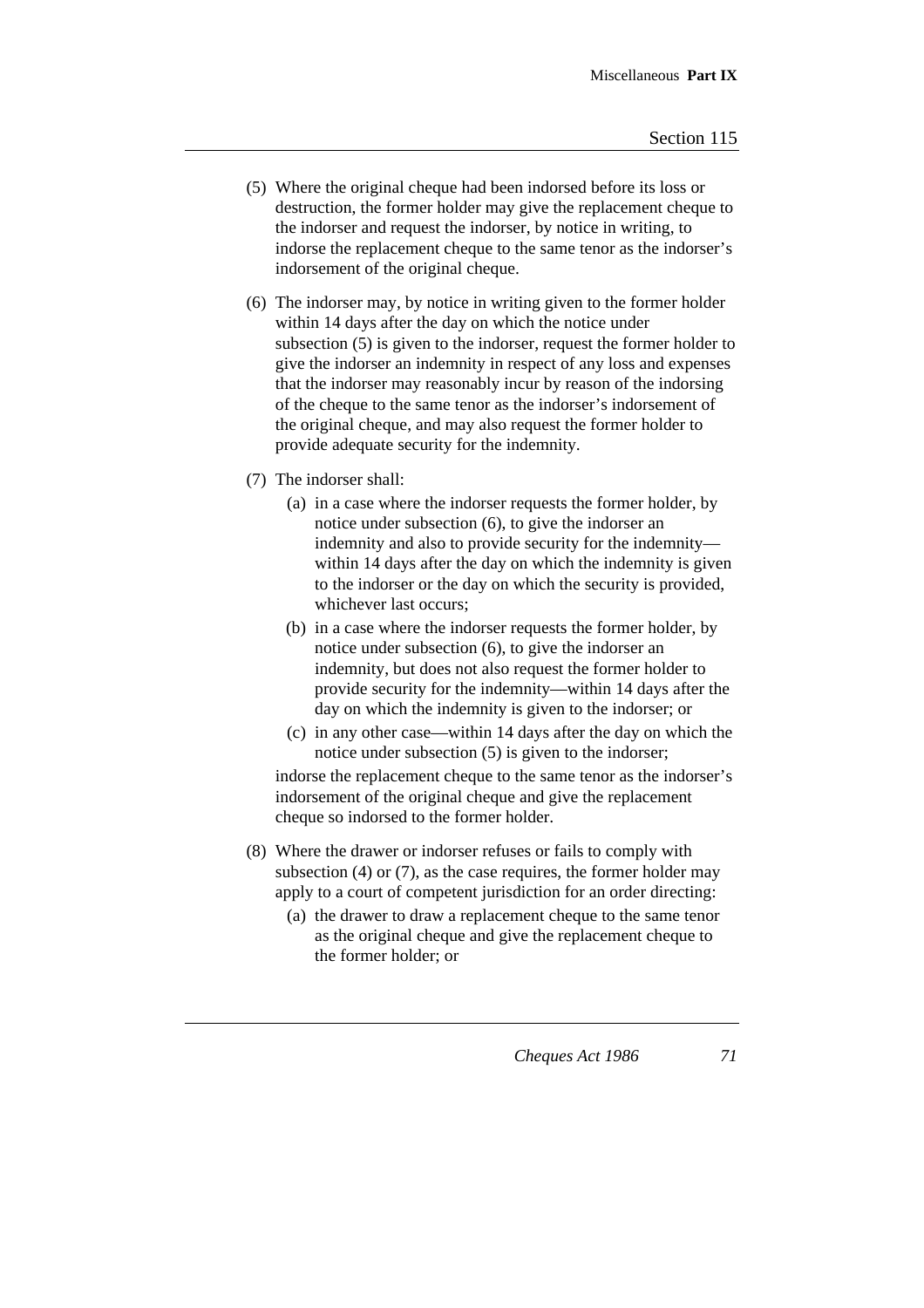- (5) Where the original cheque had been indorsed before its loss or destruction, the former holder may give the replacement cheque to the indorser and request the indorser, by notice in writing, to indorse the replacement cheque to the same tenor as the indorser's indorsement of the original cheque.
- (6) The indorser may, by notice in writing given to the former holder within 14 days after the day on which the notice under subsection (5) is given to the indorser, request the former holder to give the indorser an indemnity in respect of any loss and expenses that the indorser may reasonably incur by reason of the indorsing of the cheque to the same tenor as the indorser's indorsement of the original cheque, and may also request the former holder to provide adequate security for the indemnity.
- (7) The indorser shall:
	- (a) in a case where the indorser requests the former holder, by notice under subsection (6), to give the indorser an indemnity and also to provide security for the indemnity within 14 days after the day on which the indemnity is given to the indorser or the day on which the security is provided, whichever last occurs;
	- (b) in a case where the indorser requests the former holder, by notice under subsection (6), to give the indorser an indemnity, but does not also request the former holder to provide security for the indemnity—within 14 days after the day on which the indemnity is given to the indorser; or
	- (c) in any other case—within 14 days after the day on which the notice under subsection (5) is given to the indorser;

indorse the replacement cheque to the same tenor as the indorser's indorsement of the original cheque and give the replacement cheque so indorsed to the former holder.

- (8) Where the drawer or indorser refuses or fails to comply with subsection (4) or (7), as the case requires, the former holder may apply to a court of competent jurisdiction for an order directing:
	- (a) the drawer to draw a replacement cheque to the same tenor as the original cheque and give the replacement cheque to the former holder; or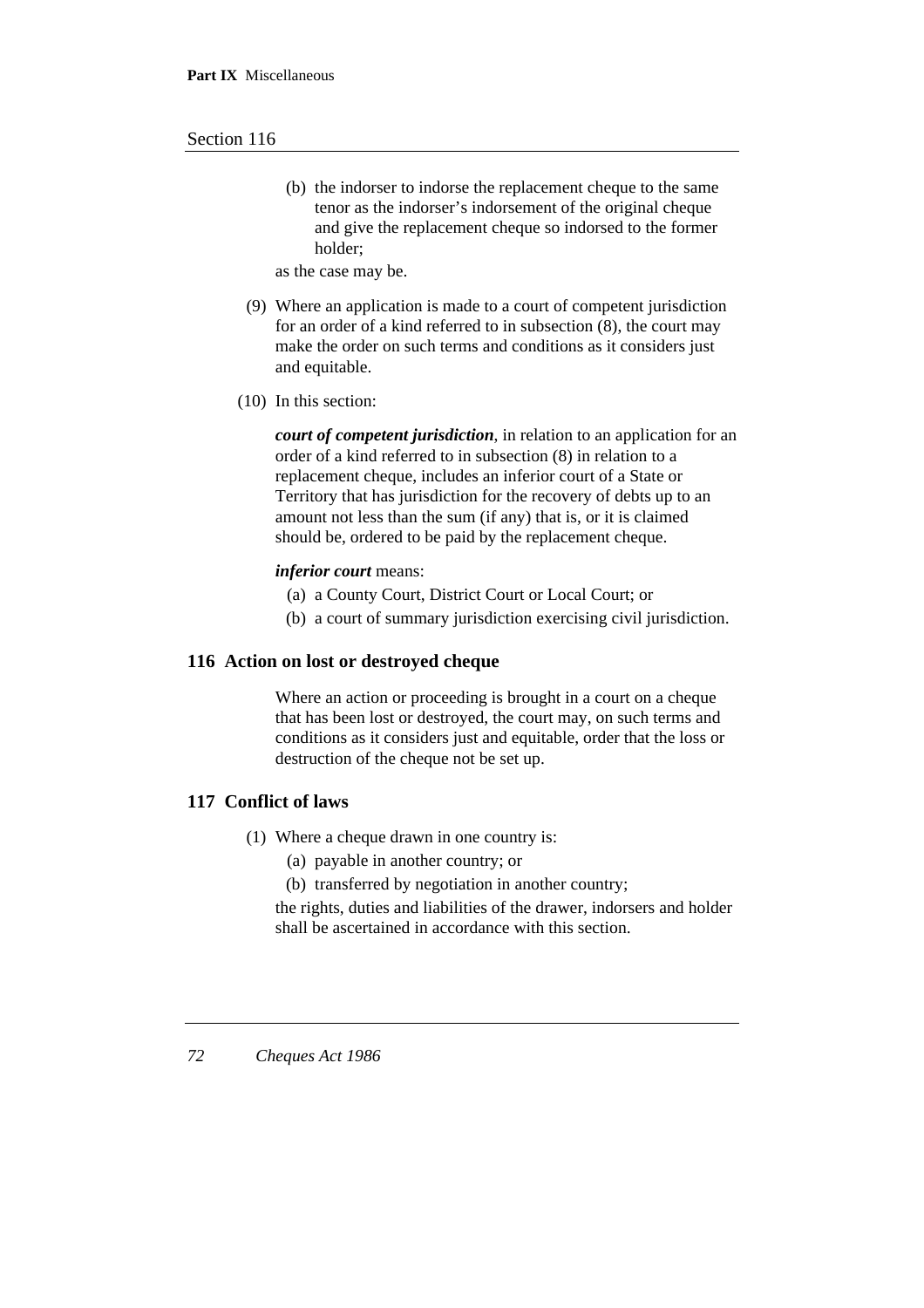#### Section 116

(b) the indorser to indorse the replacement cheque to the same tenor as the indorser's indorsement of the original cheque and give the replacement cheque so indorsed to the former holder;

as the case may be.

- (9) Where an application is made to a court of competent jurisdiction for an order of a kind referred to in subsection (8), the court may make the order on such terms and conditions as it considers just and equitable.
- (10) In this section:

*court of competent jurisdiction*, in relation to an application for an order of a kind referred to in subsection (8) in relation to a replacement cheque, includes an inferior court of a State or Territory that has jurisdiction for the recovery of debts up to an amount not less than the sum (if any) that is, or it is claimed should be, ordered to be paid by the replacement cheque.

#### *inferior court* means:

- (a) a County Court, District Court or Local Court; or
- (b) a court of summary jurisdiction exercising civil jurisdiction.

### **116 Action on lost or destroyed cheque**

Where an action or proceeding is brought in a court on a cheque that has been lost or destroyed, the court may, on such terms and conditions as it considers just and equitable, order that the loss or destruction of the cheque not be set up.

### **117 Conflict of laws**

- (1) Where a cheque drawn in one country is:
	- (a) payable in another country; or
	- (b) transferred by negotiation in another country;

the rights, duties and liabilities of the drawer, indorsers and holder shall be ascertained in accordance with this section.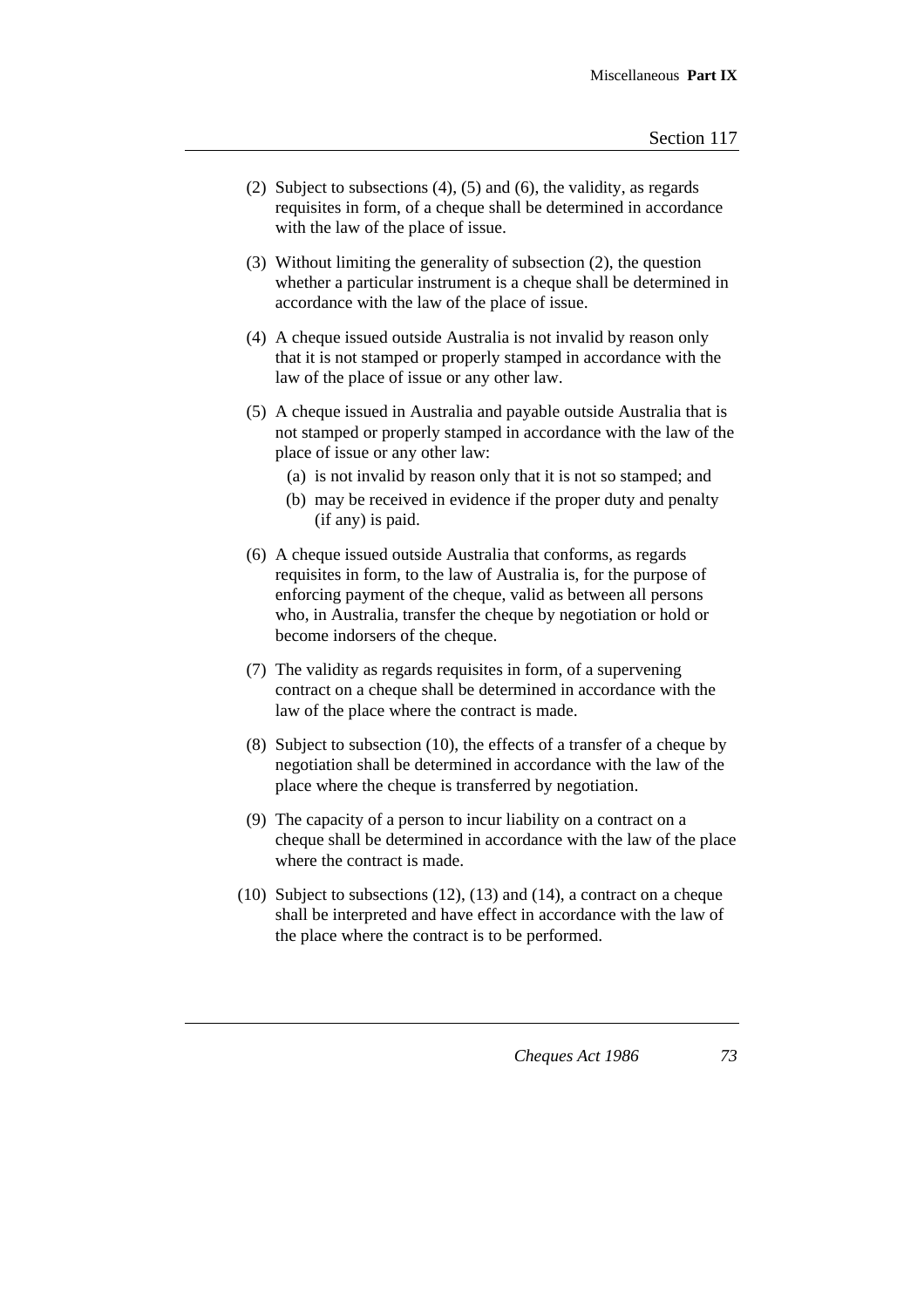- (2) Subject to subsections (4), (5) and (6), the validity, as regards requisites in form, of a cheque shall be determined in accordance with the law of the place of issue.
- (3) Without limiting the generality of subsection (2), the question whether a particular instrument is a cheque shall be determined in accordance with the law of the place of issue.
- (4) A cheque issued outside Australia is not invalid by reason only that it is not stamped or properly stamped in accordance with the law of the place of issue or any other law.
- (5) A cheque issued in Australia and payable outside Australia that is not stamped or properly stamped in accordance with the law of the place of issue or any other law:
	- (a) is not invalid by reason only that it is not so stamped; and
	- (b) may be received in evidence if the proper duty and penalty (if any) is paid.
- (6) A cheque issued outside Australia that conforms, as regards requisites in form, to the law of Australia is, for the purpose of enforcing payment of the cheque, valid as between all persons who, in Australia, transfer the cheque by negotiation or hold or become indorsers of the cheque.
- (7) The validity as regards requisites in form, of a supervening contract on a cheque shall be determined in accordance with the law of the place where the contract is made.
- (8) Subject to subsection (10), the effects of a transfer of a cheque by negotiation shall be determined in accordance with the law of the place where the cheque is transferred by negotiation.
- (9) The capacity of a person to incur liability on a contract on a cheque shall be determined in accordance with the law of the place where the contract is made.
- (10) Subject to subsections (12), (13) and (14), a contract on a cheque shall be interpreted and have effect in accordance with the law of the place where the contract is to be performed.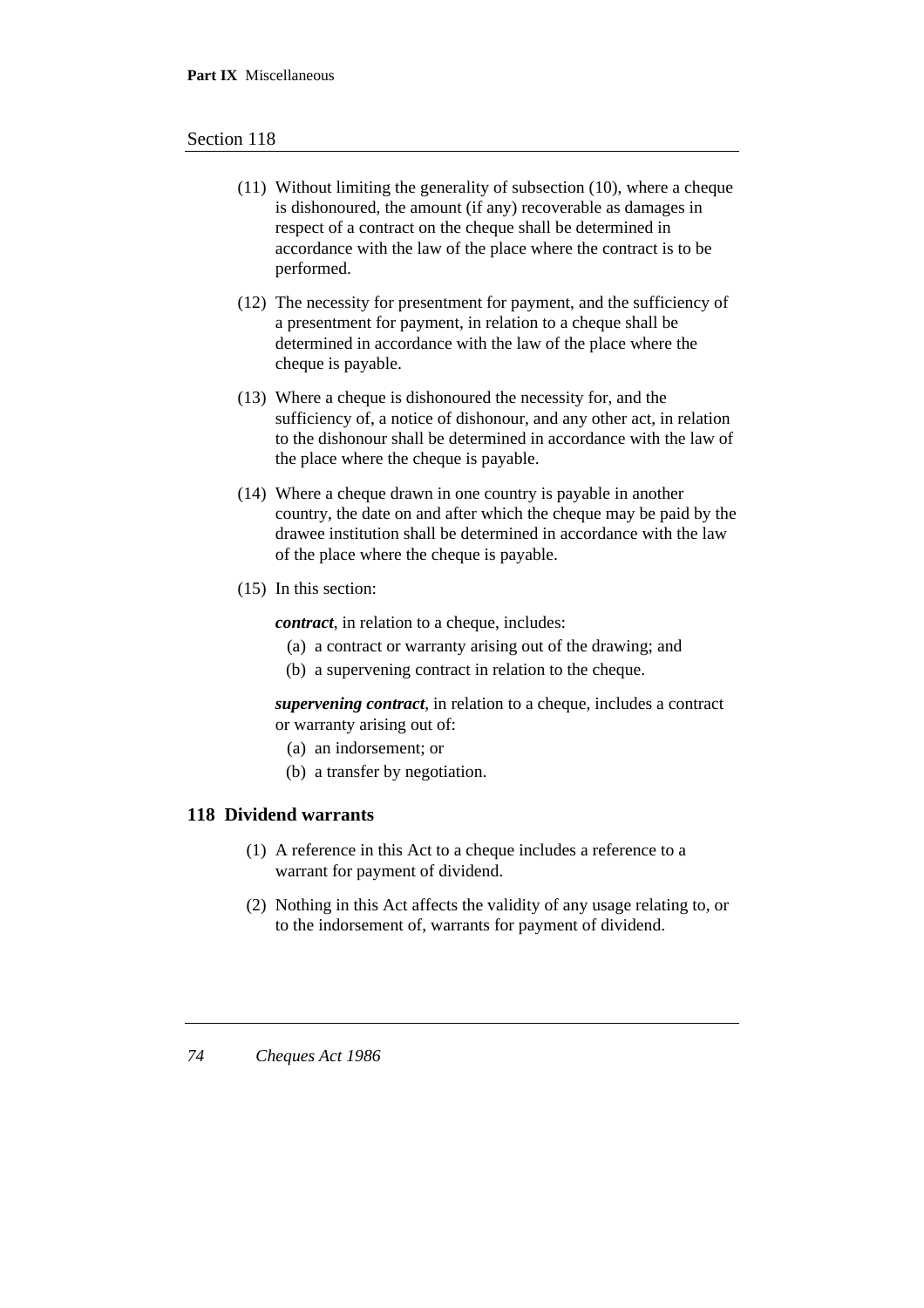#### Section 118

- (11) Without limiting the generality of subsection (10), where a cheque is dishonoured, the amount (if any) recoverable as damages in respect of a contract on the cheque shall be determined in accordance with the law of the place where the contract is to be performed.
- (12) The necessity for presentment for payment, and the sufficiency of a presentment for payment, in relation to a cheque shall be determined in accordance with the law of the place where the cheque is payable.
- (13) Where a cheque is dishonoured the necessity for, and the sufficiency of, a notice of dishonour, and any other act, in relation to the dishonour shall be determined in accordance with the law of the place where the cheque is payable.
- (14) Where a cheque drawn in one country is payable in another country, the date on and after which the cheque may be paid by the drawee institution shall be determined in accordance with the law of the place where the cheque is payable.
- (15) In this section:

*contract*, in relation to a cheque, includes:

- (a) a contract or warranty arising out of the drawing; and
- (b) a supervening contract in relation to the cheque.

*supervening contract*, in relation to a cheque, includes a contract or warranty arising out of:

- (a) an indorsement; or
- (b) a transfer by negotiation.

### **118 Dividend warrants**

- (1) A reference in this Act to a cheque includes a reference to a warrant for payment of dividend.
- (2) Nothing in this Act affects the validity of any usage relating to, or to the indorsement of, warrants for payment of dividend.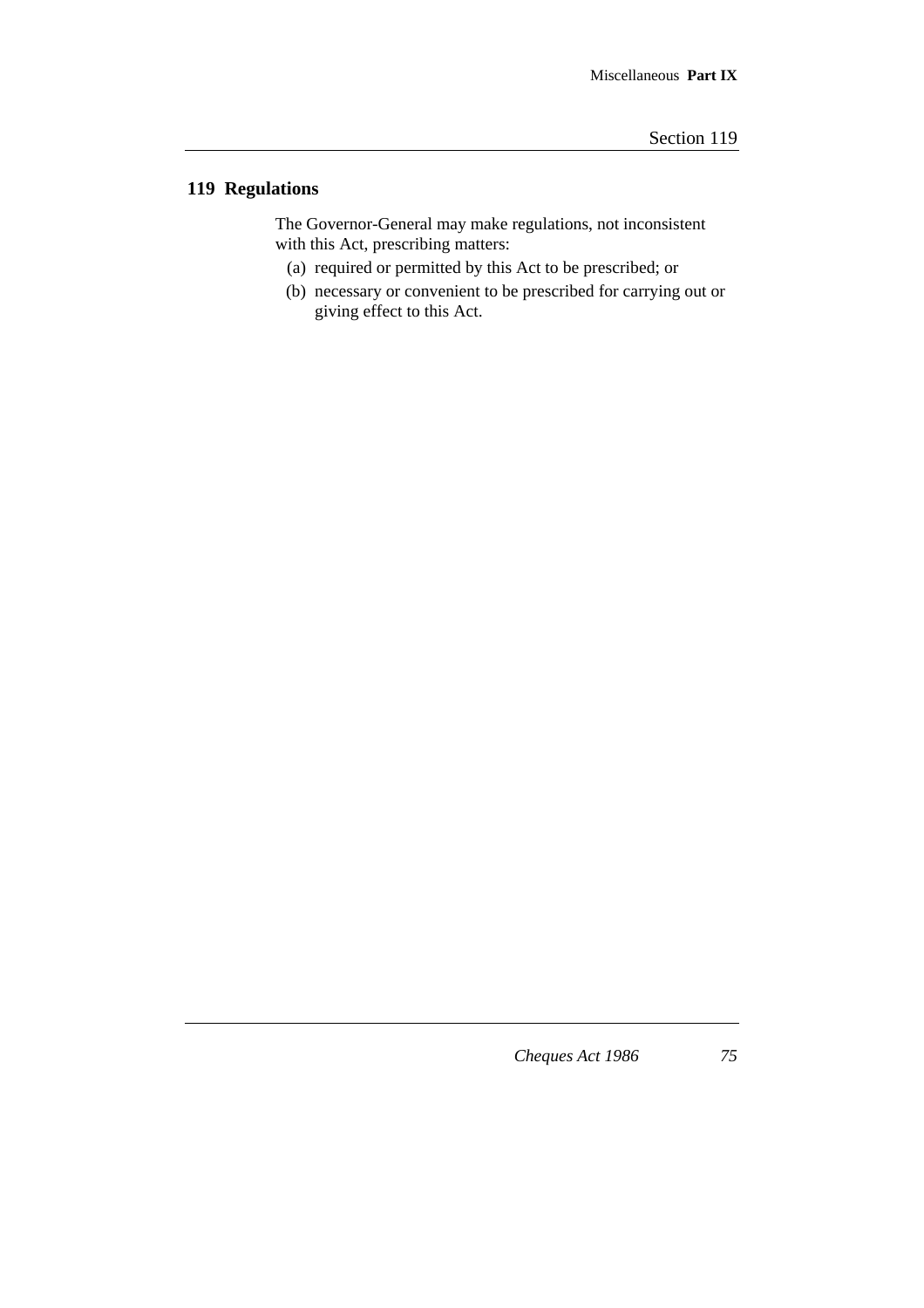# **119 Regulations**

The Governor-General may make regulations, not inconsistent with this Act, prescribing matters:

- (a) required or permitted by this Act to be prescribed; or
- (b) necessary or convenient to be prescribed for carrying out or giving effect to this Act.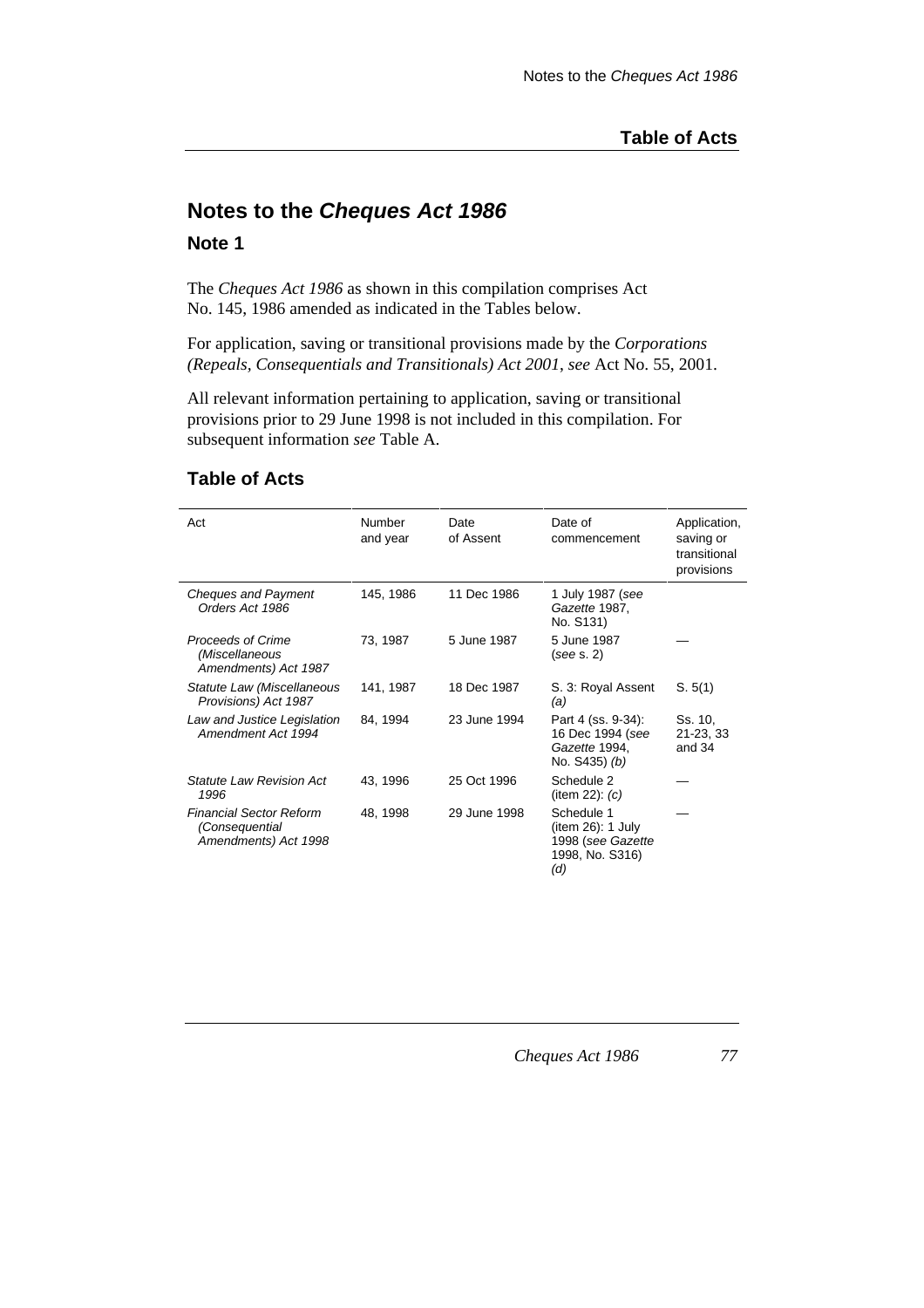# **Notes to the Cheques Act 1986**

#### **Note 1**

The *Cheques Act 1986* as shown in this compilation comprises Act No. 145, 1986 amended as indicated in the Tables below.

For application, saving or transitional provisions made by the *Corporations (Repeals, Consequentials and Transitionals) Act 2001*, *see* Act No. 55, 2001.

All relevant information pertaining to application, saving or transitional provisions prior to 29 June 1998 is not included in this compilation. For subsequent information *see* Table A.

### **Table of Acts**

| Act                                                                      | Number<br>and year | Date<br>of Assent | Date of<br>commencement                                                        | Application,<br>saving or<br>transitional<br>provisions |
|--------------------------------------------------------------------------|--------------------|-------------------|--------------------------------------------------------------------------------|---------------------------------------------------------|
| <b>Cheques and Payment</b><br>Orders Act 1986                            | 145, 1986          | 11 Dec 1986       | 1 July 1987 (see<br>Gazette 1987,<br>No. S131)                                 |                                                         |
| Proceeds of Crime<br>(Miscellaneous<br>Amendments) Act 1987              | 73, 1987           | 5 June 1987       | 5 June 1987<br>(see s. 2)                                                      |                                                         |
| Statute Law (Miscellaneous<br>Provisions) Act 1987                       | 141, 1987          | 18 Dec 1987       | S. 3: Royal Assent<br>(a)                                                      | S. 5(1)                                                 |
| Law and Justice Legislation<br>Amendment Act 1994                        | 84, 1994           | 23 June 1994      | Part 4 (ss. 9-34):<br>16 Dec 1994 (see<br>Gazette 1994,<br>No. S435) (b)       | Ss. 10.<br>21-23, 33<br>and 34                          |
| <b>Statute Law Revision Act</b><br>1996                                  | 43, 1996           | 25 Oct 1996       | Schedule 2<br>(item 22): $(c)$                                                 |                                                         |
| <b>Financial Sector Reform</b><br>(Consequential<br>Amendments) Act 1998 | 48, 1998           | 29 June 1998      | Schedule 1<br>(item 26): 1 July<br>1998 (see Gazette<br>1998, No. S316)<br>(d) |                                                         |

*Cheques Act 1986 77*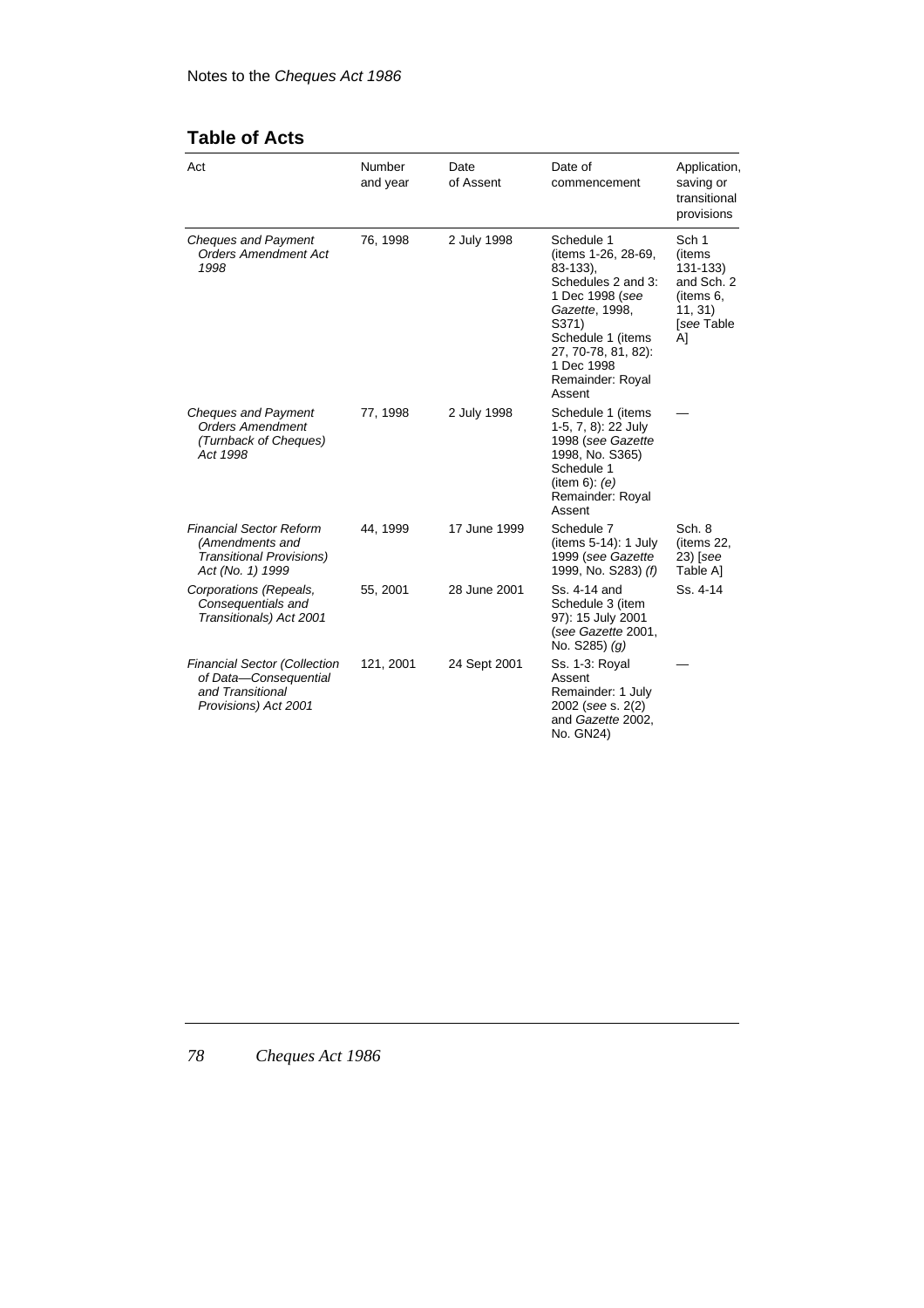# **Table of Acts**

| Act                                                                                                      | Number<br>and year | Date<br>of Assent | Date of<br>commencement                                                                                                                                                                                        | Application,<br>saving or<br>transitional<br>provisions                                             |
|----------------------------------------------------------------------------------------------------------|--------------------|-------------------|----------------------------------------------------------------------------------------------------------------------------------------------------------------------------------------------------------------|-----------------------------------------------------------------------------------------------------|
| <b>Cheques and Payment</b><br><b>Orders Amendment Act</b><br>1998                                        | 76, 1998           | 2 July 1998       | Schedule 1<br>(items 1-26, 28-69,<br>$83 - 133$ ),<br>Schedules 2 and 3:<br>1 Dec 1998 (see<br>Gazette, 1998,<br>S371)<br>Schedule 1 (items<br>27, 70-78, 81, 82):<br>1 Dec 1998<br>Remainder: Royal<br>Assent | Sch <sub>1</sub><br>(items<br>$131 - 133$<br>and Sch. 2<br>(items 6,<br>11, 31)<br>[see Table<br>Al |
| <b>Cheques and Payment</b><br><b>Orders Amendment</b><br>(Turnback of Cheques)<br>Act 1998               | 77, 1998           | 2 July 1998       | Schedule 1 (items<br>1-5, 7, 8): 22 July<br>1998 (see Gazette<br>1998, No. S365)<br>Schedule 1<br>(item 6): (e)<br>Remainder: Royal<br>Assent                                                                  |                                                                                                     |
| <b>Financial Sector Reform</b><br>(Amendments and<br><b>Transitional Provisions)</b><br>Act (No. 1) 1999 | 44, 1999           | 17 June 1999      | Schedule 7<br>(items $5-14$ ): 1 July<br>1999 (see Gazette<br>1999, No. S283) (f)                                                                                                                              | Sch. 8<br>(items 22,<br>$23)$ [see<br>Table Al                                                      |
| Corporations (Repeals,<br>Consequentials and<br>Transitionals) Act 2001                                  | 55, 2001           | 28 June 2001      | Ss. 4-14 and<br>Schedule 3 (item<br>97): 15 July 2001<br>(see Gazette 2001,<br>No. $S285$ ) (g)                                                                                                                | Ss. 4-14                                                                                            |
| <b>Financial Sector (Collection</b><br>of Data-Consequential<br>and Transitional<br>Provisions) Act 2001 | 121, 2001          | 24 Sept 2001      | Ss. 1-3: Royal<br>Assent<br>Remainder: 1 July<br>2002 (see s. 2(2)<br>and Gazette 2002,<br>No. GN24)                                                                                                           |                                                                                                     |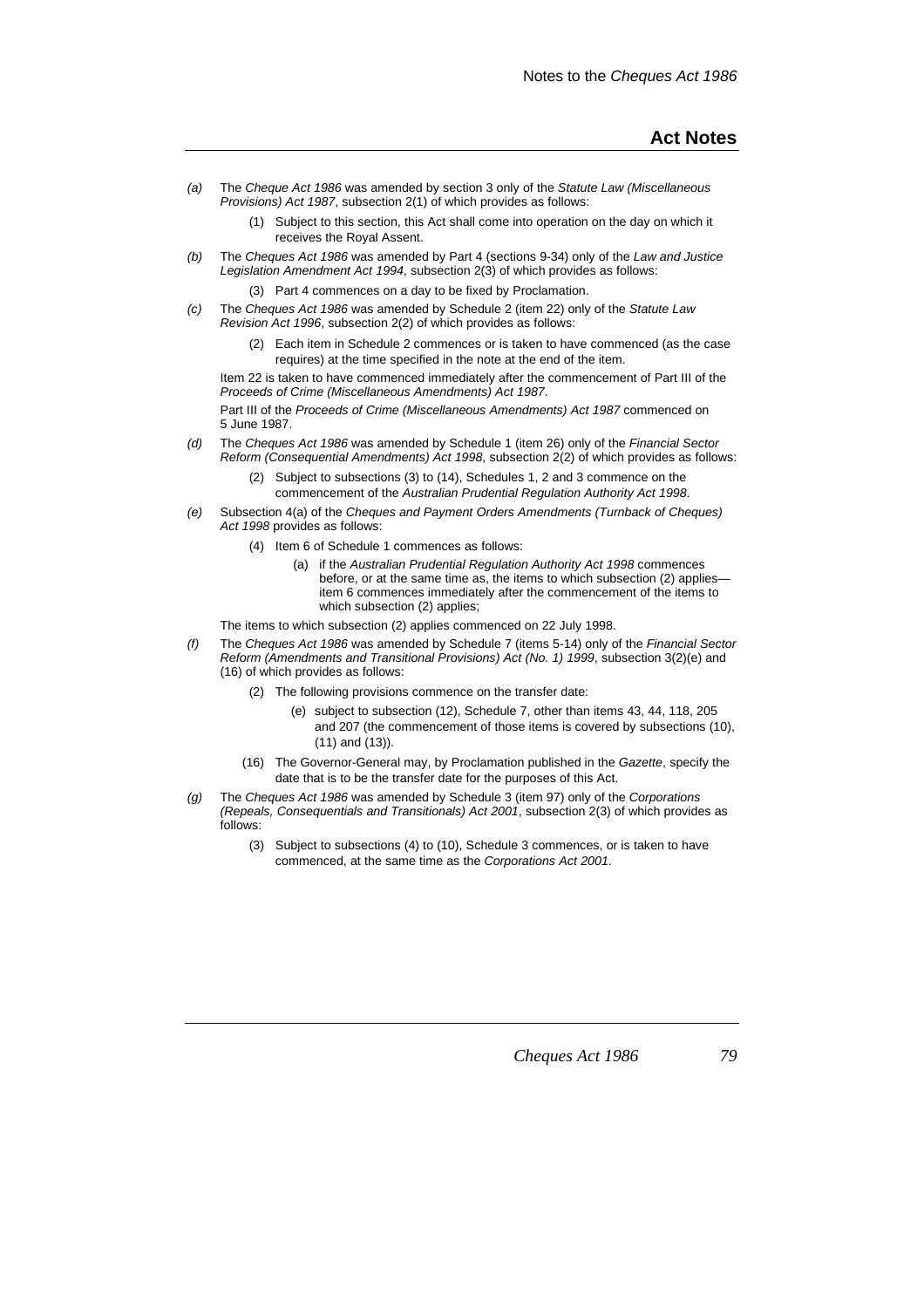- (a) The Cheque Act 1986 was amended by section 3 only of the Statute Law (Miscellaneous Provisions) Act 1987, subsection 2(1) of which provides as follows:
	- (1) Subject to this section, this Act shall come into operation on the day on which it receives the Royal Assent.
- (b) The Cheques Act 1986 was amended by Part 4 (sections 9-34) only of the Law and Justice Legislation Amendment Act 1994, subsection 2(3) of which provides as follows:
	- (3) Part 4 commences on a day to be fixed by Proclamation.
- (c) The Cheques Act 1986 was amended by Schedule 2 (item 22) only of the Statute Law Revision Act 1996, subsection 2(2) of which provides as follows:
	- (2) Each item in Schedule 2 commences or is taken to have commenced (as the case requires) at the time specified in the note at the end of the item.

Item 22 is taken to have commenced immediately after the commencement of Part III of the Proceeds of Crime (Miscellaneous Amendments) Act 1987.

Part III of the Proceeds of Crime (Miscellaneous Amendments) Act 1987 commenced on 5 June 1987.

- (d) The Cheques Act 1986 was amended by Schedule 1 (item 26) only of the Financial Sector Reform (Consequential Amendments) Act 1998, subsection 2(2) of which provides as follows:
	- (2) Subject to subsections (3) to (14), Schedules 1, 2 and 3 commence on the commencement of the Australian Prudential Regulation Authority Act 1998.
- (e) Subsection 4(a) of the Cheques and Payment Orders Amendments (Turnback of Cheques) Act 1998 provides as follows:
	- (4) Item 6 of Schedule 1 commences as follows:
		- (a) if the Australian Prudential Regulation Authority Act 1998 commences before, or at the same time as, the items to which subsection (2) applies item 6 commences immediately after the commencement of the items to which subsection (2) applies;

The items to which subsection (2) applies commenced on 22 July 1998.

- (f) The Cheques Act 1986 was amended by Schedule 7 (items 5-14) only of the Financial Sector Reform (Amendments and Transitional Provisions) Act (No. 1) 1999, subsection 3(2)(e) and (16) of which provides as follows:
	- (2) The following provisions commence on the transfer date:
		- (e) subject to subsection (12), Schedule 7, other than items 43, 44, 118, 205 and 207 (the commencement of those items is covered by subsections (10), (11) and (13)).
	- (16) The Governor-General may, by Proclamation published in the Gazette, specify the date that is to be the transfer date for the purposes of this Act.
- (g) The Cheques Act 1986 was amended by Schedule 3 (item 97) only of the Corporations (Repeals, Consequentials and Transitionals) Act 2001, subsection 2(3) of which provides as follows:
	- (3) Subject to subsections (4) to (10), Schedule 3 commences, or is taken to have commenced, at the same time as the Corporations Act 2001.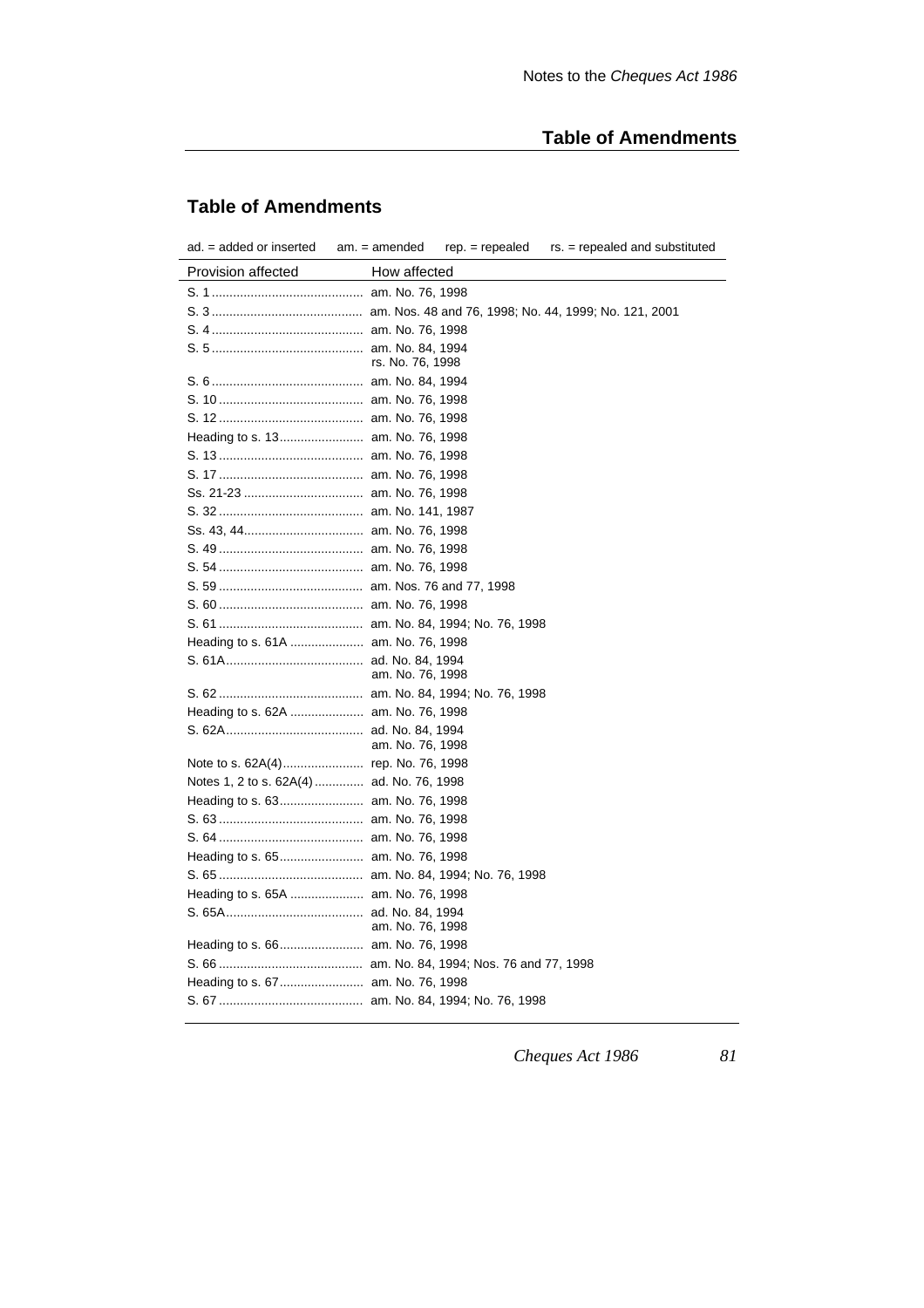# **Table of Amendments**

# **Table of Amendments**

| ad. = added or inserted                   | $am. = amended$<br>$rep. = repeated$<br>rs. = repealed and substituted |
|-------------------------------------------|------------------------------------------------------------------------|
| Provision affected                        | How affected                                                           |
|                                           |                                                                        |
|                                           |                                                                        |
|                                           |                                                                        |
|                                           |                                                                        |
|                                           | rs. No. 76, 1998                                                       |
|                                           |                                                                        |
|                                           |                                                                        |
|                                           |                                                                        |
|                                           |                                                                        |
|                                           |                                                                        |
|                                           |                                                                        |
|                                           |                                                                        |
|                                           |                                                                        |
|                                           |                                                                        |
|                                           |                                                                        |
|                                           |                                                                        |
|                                           |                                                                        |
|                                           |                                                                        |
|                                           |                                                                        |
| Heading to s. 61A  am. No. 76, 1998       |                                                                        |
|                                           | am. No. 76, 1998                                                       |
|                                           |                                                                        |
| Heading to s. 62A  am. No. 76, 1998       |                                                                        |
|                                           |                                                                        |
|                                           | am. No. 76, 1998                                                       |
|                                           |                                                                        |
| Notes 1, 2 to s. 62A(4)  ad. No. 76, 1998 |                                                                        |
|                                           |                                                                        |
|                                           |                                                                        |
|                                           |                                                                        |
|                                           |                                                                        |
|                                           |                                                                        |
| Heading to s. 65A  am. No. 76, 1998       |                                                                        |
|                                           | am. No. 76, 1998                                                       |
| Heading to s. 66 am. No. 76, 1998         |                                                                        |
|                                           |                                                                        |
|                                           |                                                                        |
|                                           |                                                                        |
|                                           |                                                                        |

*Cheques Act 1986 81*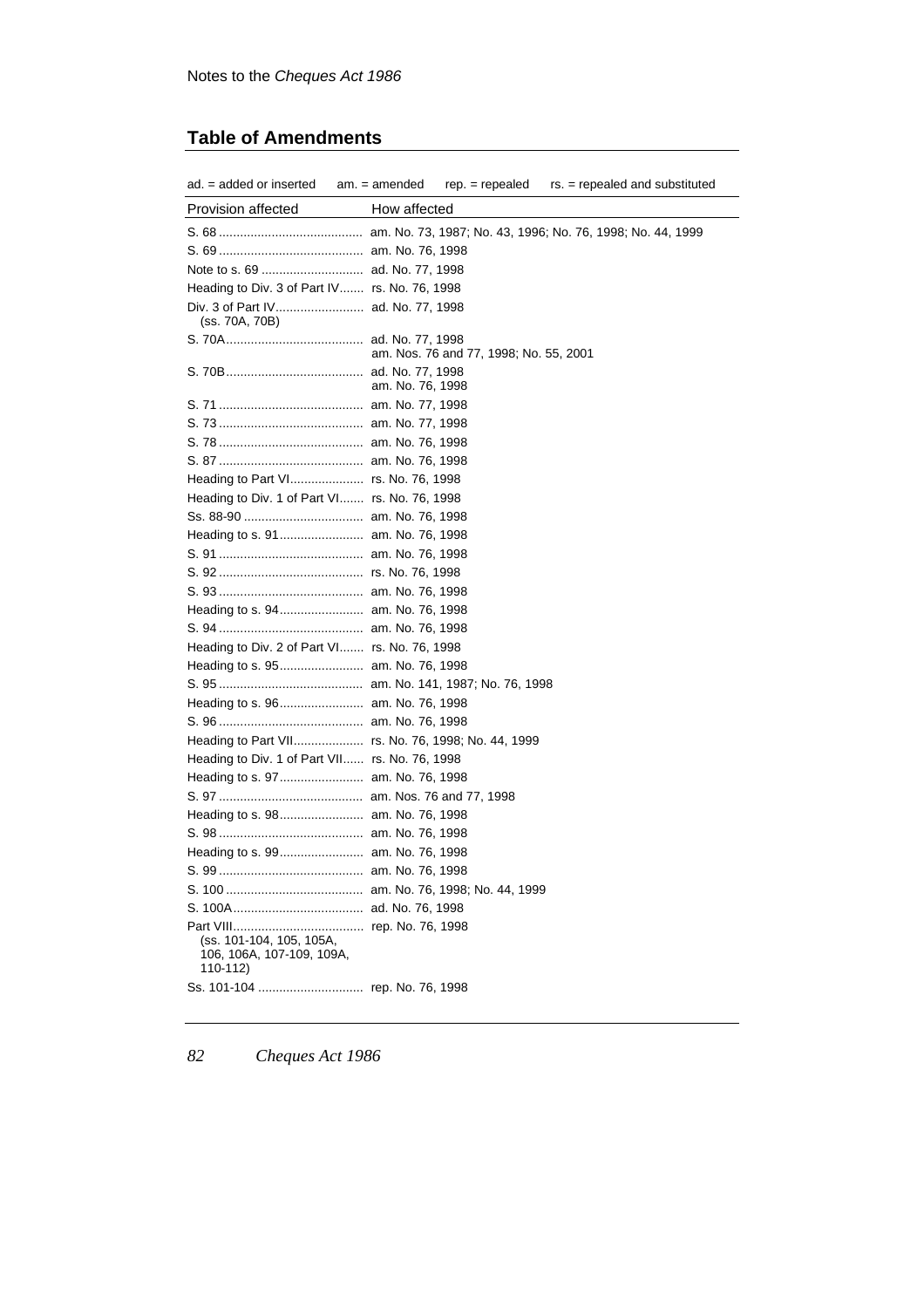# **Table of Amendments**

| $ad. = added$ or inserted $am. = amended$                         |                  |                                        | $rep. = repeated$ $rs. = repeated$ and substituted |
|-------------------------------------------------------------------|------------------|----------------------------------------|----------------------------------------------------|
| Provision affected                                                | How affected     |                                        |                                                    |
|                                                                   |                  |                                        |                                                    |
|                                                                   |                  |                                        |                                                    |
|                                                                   |                  |                                        |                                                    |
| Heading to Div. 3 of Part IV rs. No. 76, 1998                     |                  |                                        |                                                    |
| (ss. 70A, 70B)                                                    |                  |                                        |                                                    |
|                                                                   |                  | am. Nos. 76 and 77, 1998; No. 55, 2001 |                                                    |
|                                                                   | am. No. 76, 1998 |                                        |                                                    |
|                                                                   |                  |                                        |                                                    |
|                                                                   |                  |                                        |                                                    |
|                                                                   |                  |                                        |                                                    |
|                                                                   |                  |                                        |                                                    |
| Heading to Part VI rs. No. 76, 1998                               |                  |                                        |                                                    |
| Heading to Div. 1 of Part VI rs. No. 76, 1998                     |                  |                                        |                                                    |
|                                                                   |                  |                                        |                                                    |
|                                                                   |                  |                                        |                                                    |
|                                                                   |                  |                                        |                                                    |
|                                                                   |                  |                                        |                                                    |
|                                                                   |                  |                                        |                                                    |
|                                                                   |                  |                                        |                                                    |
|                                                                   |                  |                                        |                                                    |
| Heading to Div. 2 of Part VI rs. No. 76, 1998                     |                  |                                        |                                                    |
| Heading to s. 95 am. No. 76, 1998                                 |                  |                                        |                                                    |
|                                                                   |                  |                                        |                                                    |
| Heading to s. 96 am. No. 76, 1998                                 |                  |                                        |                                                    |
|                                                                   |                  |                                        |                                                    |
| Heading to Part VII rs. No. 76, 1998; No. 44, 1999                |                  |                                        |                                                    |
| Heading to Div. 1 of Part VII rs. No. 76, 1998                    |                  |                                        |                                                    |
| Heading to s. 97 am. No. 76, 1998                                 |                  |                                        |                                                    |
|                                                                   |                  |                                        |                                                    |
| Heading to s. 98 am. No. 76, 1998                                 |                  |                                        |                                                    |
|                                                                   |                  |                                        |                                                    |
| Heading to s. 99 am. No. 76, 1998                                 |                  |                                        |                                                    |
|                                                                   |                  |                                        |                                                    |
|                                                                   |                  |                                        |                                                    |
|                                                                   |                  |                                        |                                                    |
| (ss. 101-104, 105, 105A,<br>106, 106A, 107-109, 109A,<br>110-112) |                  |                                        |                                                    |
|                                                                   |                  |                                        |                                                    |
|                                                                   |                  |                                        |                                                    |

*82 Cheques Act 1986*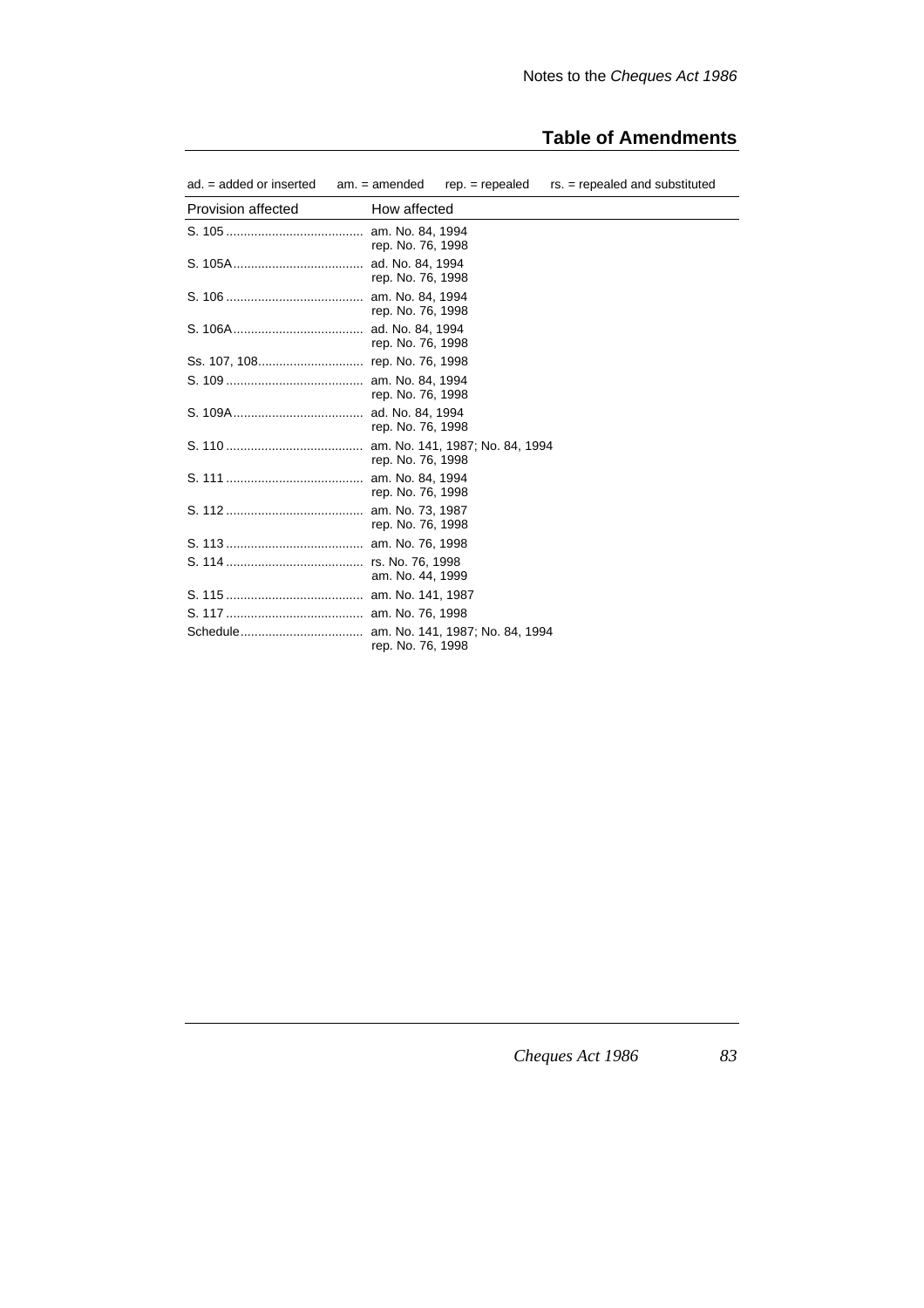# **Table of Amendments**

| $ad. = added$ or inserted | $am. = amended$                       | $rep. = repeated$               | $rs. = repeated$ and substituted |
|---------------------------|---------------------------------------|---------------------------------|----------------------------------|
| <b>Provision affected</b> | How affected                          |                                 |                                  |
|                           | am. No. 84, 1994<br>rep. No. 76, 1998 |                                 |                                  |
|                           | ad. No. 84, 1994<br>rep. No. 76, 1998 |                                 |                                  |
|                           | am. No. 84, 1994<br>rep. No. 76, 1998 |                                 |                                  |
|                           | ad. No. 84, 1994<br>rep. No. 76, 1998 |                                 |                                  |
|                           |                                       |                                 |                                  |
|                           | rep. No. 76, 1998                     |                                 |                                  |
|                           | ad. No. 84, 1994<br>rep. No. 76, 1998 |                                 |                                  |
|                           | rep. No. 76, 1998                     | am. No. 141, 1987; No. 84, 1994 |                                  |
|                           | am. No. 84, 1994<br>rep. No. 76, 1998 |                                 |                                  |
|                           | am. No. 73, 1987<br>rep. No. 76, 1998 |                                 |                                  |
|                           |                                       |                                 |                                  |
|                           | am. No. 44, 1999                      |                                 |                                  |
|                           |                                       |                                 |                                  |
|                           |                                       |                                 |                                  |
|                           | rep. No. 76, 1998                     | am. No. 141, 1987; No. 84, 1994 |                                  |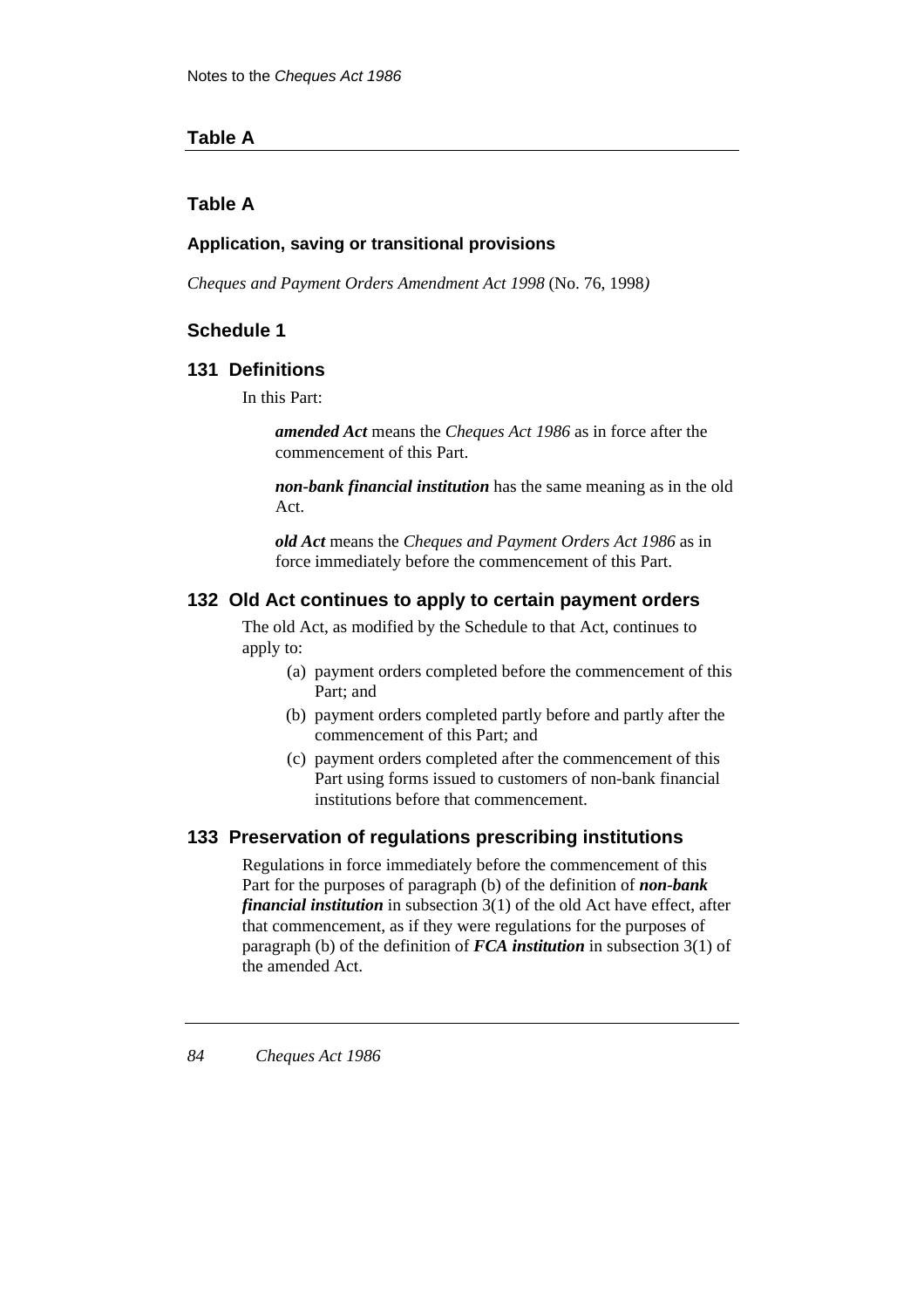## **Table A**

# **Table A**

### **Application, saving or transitional provisions**

*Cheques and Payment Orders Amendment Act 1998* (No. 76, 1998*)*

# **Schedule 1**

## **131 Definitions**

In this Part:

*amended Act* means the *Cheques Act 1986* as in force after the commencement of this Part.

*non-bank financial institution* has the same meaning as in the old Act.

*old Act* means the *Cheques and Payment Orders Act 1986* as in force immediately before the commencement of this Part.

### **132 Old Act continues to apply to certain payment orders**

The old Act, as modified by the Schedule to that Act, continues to apply to:

- (a) payment orders completed before the commencement of this Part; and
- (b) payment orders completed partly before and partly after the commencement of this Part; and
- (c) payment orders completed after the commencement of this Part using forms issued to customers of non-bank financial institutions before that commencement.

## **133 Preservation of regulations prescribing institutions**

Regulations in force immediately before the commencement of this Part for the purposes of paragraph (b) of the definition of *non-bank financial institution* in subsection 3(1) of the old Act have effect, after that commencement, as if they were regulations for the purposes of paragraph (b) of the definition of *FCA institution* in subsection 3(1) of the amended Act.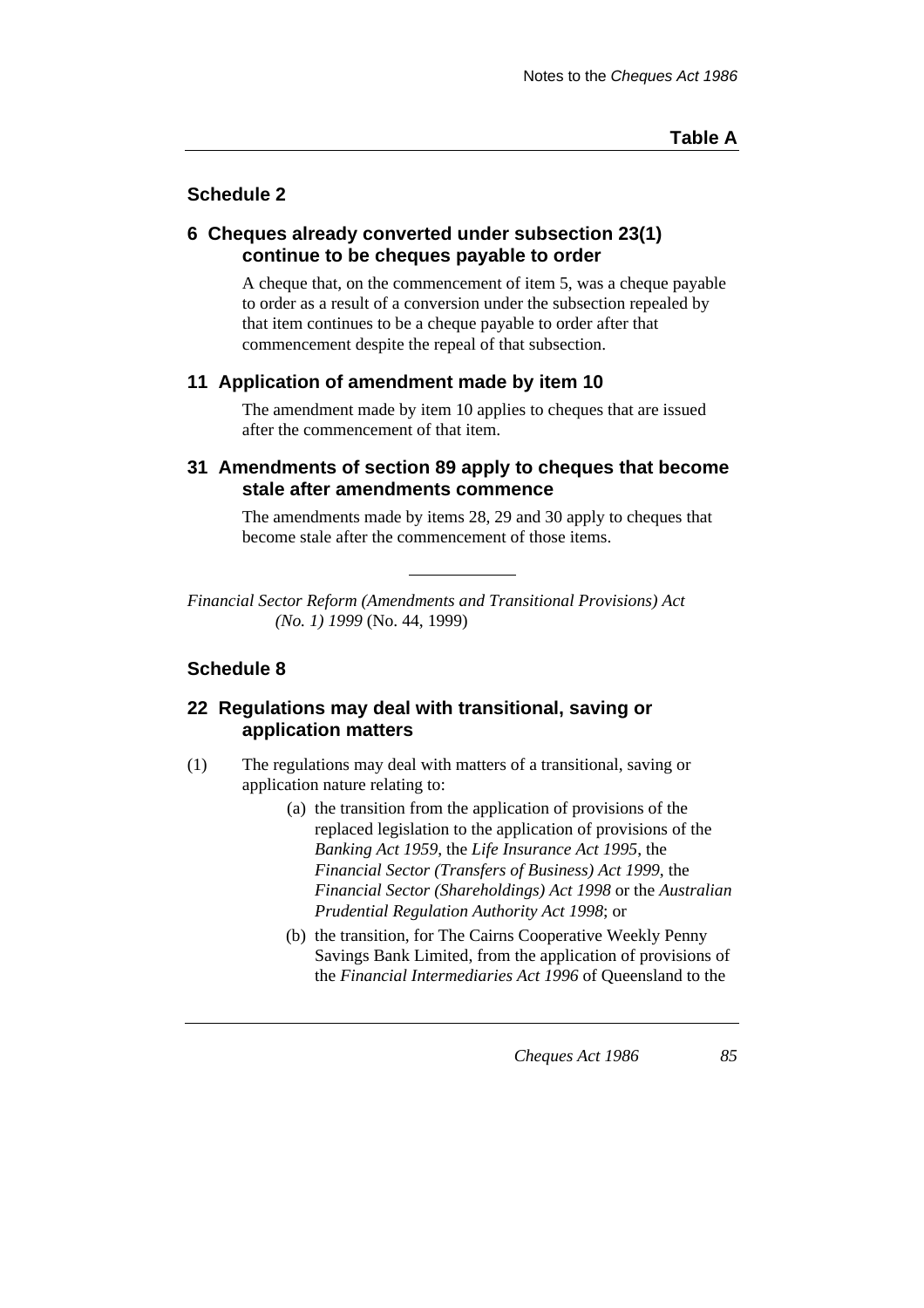# **Schedule 2**

## **6 Cheques already converted under subsection 23(1) continue to be cheques payable to order**

A cheque that, on the commencement of item 5, was a cheque payable to order as a result of a conversion under the subsection repealed by that item continues to be a cheque payable to order after that commencement despite the repeal of that subsection.

## **11 Application of amendment made by item 10**

The amendment made by item 10 applies to cheques that are issued after the commencement of that item.

## **31 Amendments of section 89 apply to cheques that become stale after amendments commence**

The amendments made by items 28, 29 and 30 apply to cheques that become stale after the commencement of those items.

*Financial Sector Reform (Amendments and Transitional Provisions) Act (No. 1) 1999* (No. 44, 1999)

# **Schedule 8**

## **22 Regulations may deal with transitional, saving or application matters**

- (1) The regulations may deal with matters of a transitional, saving or application nature relating to:
	- (a) the transition from the application of provisions of the replaced legislation to the application of provisions of the *Banking Act 1959*, the *Life Insurance Act 1995*, the *Financial Sector (Transfers of Business) Act 1999*, the *Financial Sector (Shareholdings) Act 1998* or the *Australian Prudential Regulation Authority Act 1998*; or
	- (b) the transition, for The Cairns Cooperative Weekly Penny Savings Bank Limited, from the application of provisions of the *Financial Intermediaries Act 1996* of Queensland to the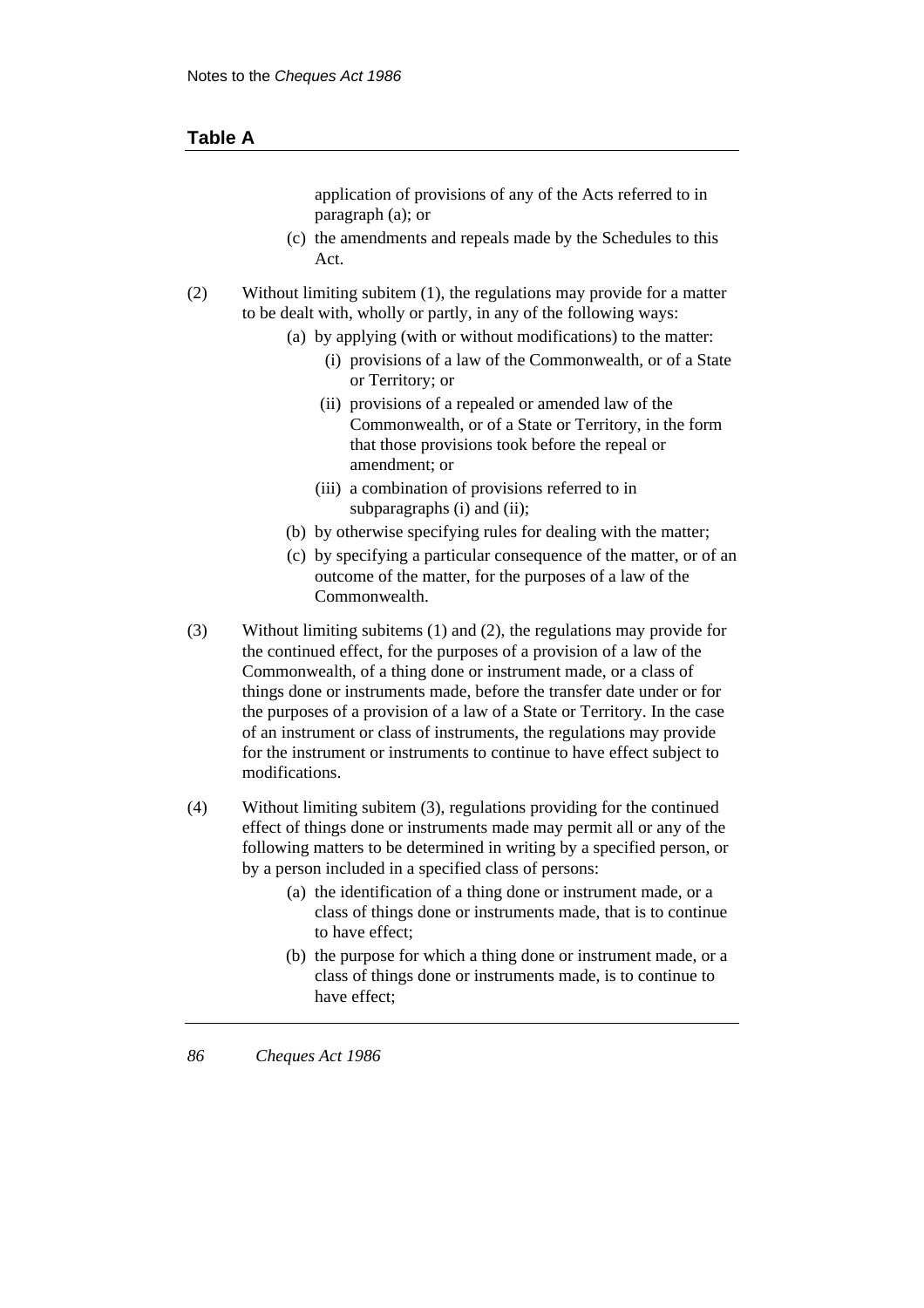### **Table A**

application of provisions of any of the Acts referred to in paragraph (a); or

- (c) the amendments and repeals made by the Schedules to this Act.
- (2) Without limiting subitem (1), the regulations may provide for a matter to be dealt with, wholly or partly, in any of the following ways:
	- (a) by applying (with or without modifications) to the matter:
		- (i) provisions of a law of the Commonwealth, or of a State or Territory; or
		- (ii) provisions of a repealed or amended law of the Commonwealth, or of a State or Territory, in the form that those provisions took before the repeal or amendment; or
		- (iii) a combination of provisions referred to in subparagraphs (i) and (ii);
	- (b) by otherwise specifying rules for dealing with the matter;
	- (c) by specifying a particular consequence of the matter, or of an outcome of the matter, for the purposes of a law of the Commonwealth.
- (3) Without limiting subitems (1) and (2), the regulations may provide for the continued effect, for the purposes of a provision of a law of the Commonwealth, of a thing done or instrument made, or a class of things done or instruments made, before the transfer date under or for the purposes of a provision of a law of a State or Territory. In the case of an instrument or class of instruments, the regulations may provide for the instrument or instruments to continue to have effect subject to modifications.
- (4) Without limiting subitem (3), regulations providing for the continued effect of things done or instruments made may permit all or any of the following matters to be determined in writing by a specified person, or by a person included in a specified class of persons:
	- (a) the identification of a thing done or instrument made, or a class of things done or instruments made, that is to continue to have effect;
	- (b) the purpose for which a thing done or instrument made, or a class of things done or instruments made, is to continue to have effect;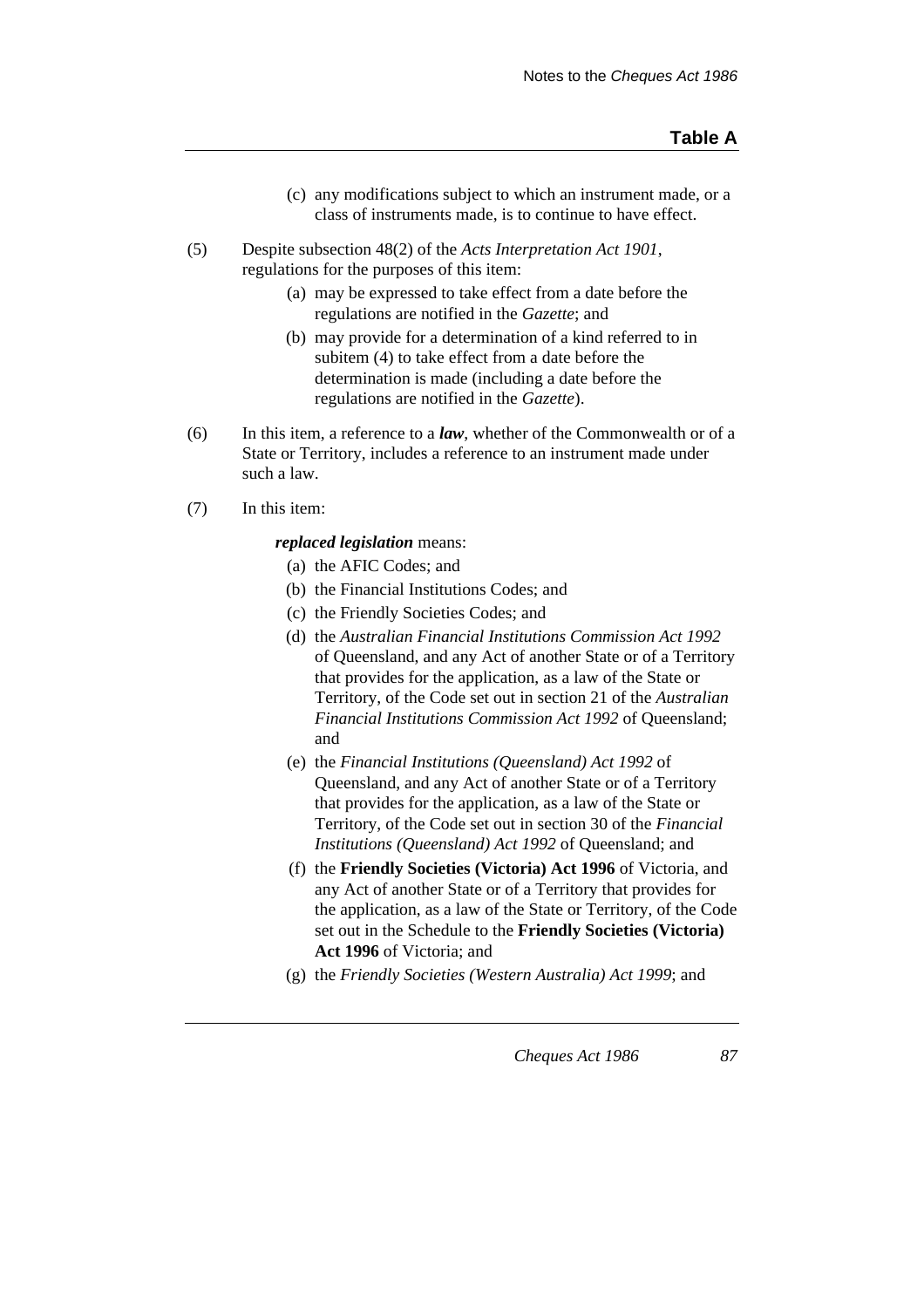- (c) any modifications subject to which an instrument made, or a class of instruments made, is to continue to have effect.
- (5) Despite subsection 48(2) of the *Acts Interpretation Act 1901*, regulations for the purposes of this item:
	- (a) may be expressed to take effect from a date before the regulations are notified in the *Gazette*; and
	- (b) may provide for a determination of a kind referred to in subitem (4) to take effect from a date before the determination is made (including a date before the regulations are notified in the *Gazette*).
- (6) In this item, a reference to a *law*, whether of the Commonwealth or of a State or Territory, includes a reference to an instrument made under such a law.
- (7) In this item:

#### *replaced legislation* means:

- (a) the AFIC Codes; and
- (b) the Financial Institutions Codes; and
- (c) the Friendly Societies Codes; and
- (d) the *Australian Financial Institutions Commission Act 1992* of Queensland, and any Act of another State or of a Territory that provides for the application, as a law of the State or Territory, of the Code set out in section 21 of the *Australian Financial Institutions Commission Act 1992* of Queensland; and
- (e) the *Financial Institutions (Queensland) Act 1992* of Queensland, and any Act of another State or of a Territory that provides for the application, as a law of the State or Territory, of the Code set out in section 30 of the *Financial Institutions (Queensland) Act 1992* of Queensland; and
- (f) the **Friendly Societies (Victoria) Act 1996** of Victoria, and any Act of another State or of a Territory that provides for the application, as a law of the State or Territory, of the Code set out in the Schedule to the **Friendly Societies (Victoria) Act 1996** of Victoria; and
- (g) the *Friendly Societies (Western Australia) Act 1999*; and